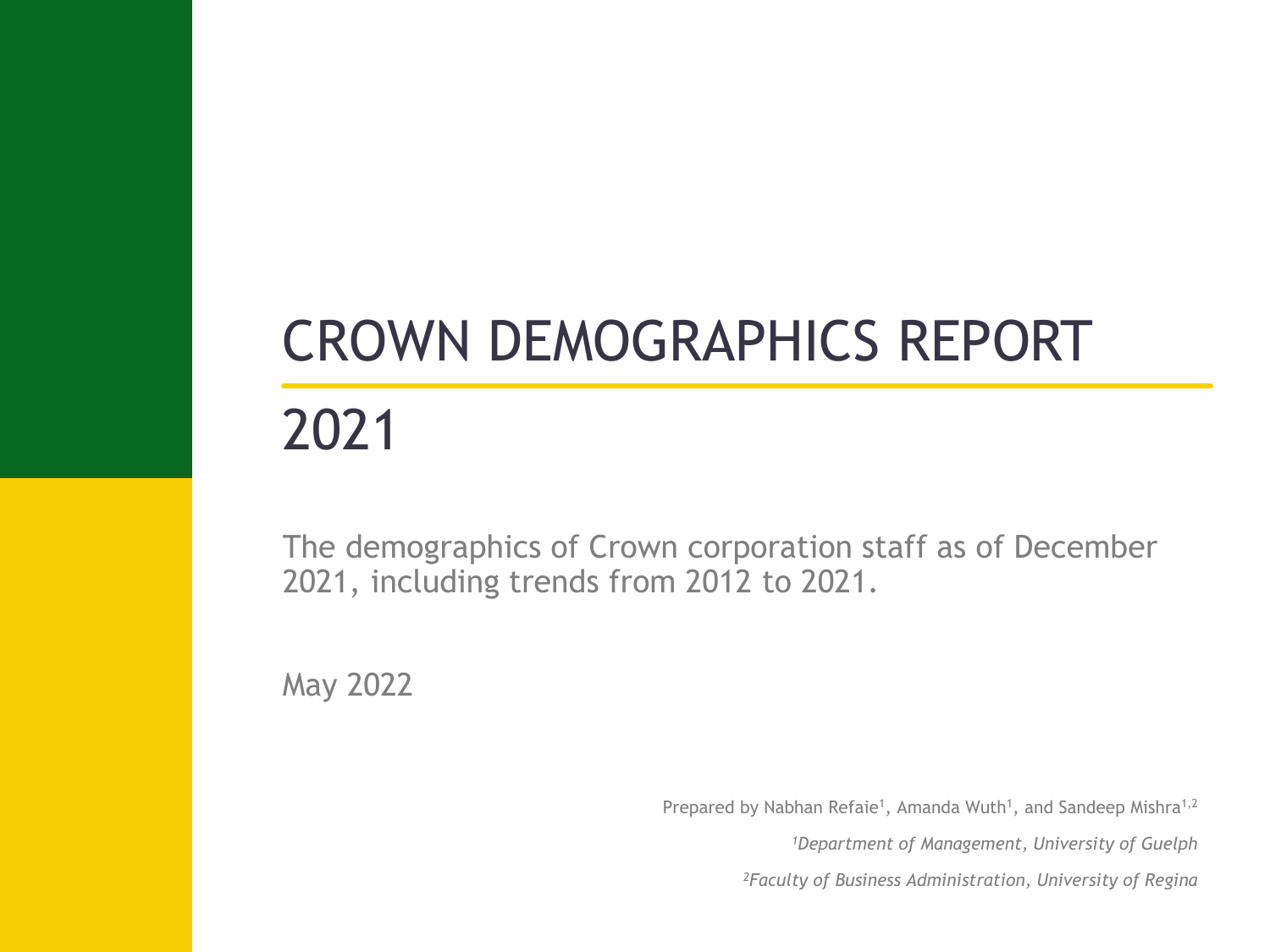# CROWN DEMOGRAPHICS REPORT

# 2021

The demographics of Crown corporation staff as of December 2021, including trends from 2012 to 2021.

May 2022

Prepared by Nabhan Refaie<sup>1</sup>, Amanda Wuth<sup>1</sup>, and Sandeep Mishra<sup>1,2</sup>

*<sup>1</sup>Department of Management, University of Guelph*

*2Faculty of Business Administration, University of Regina*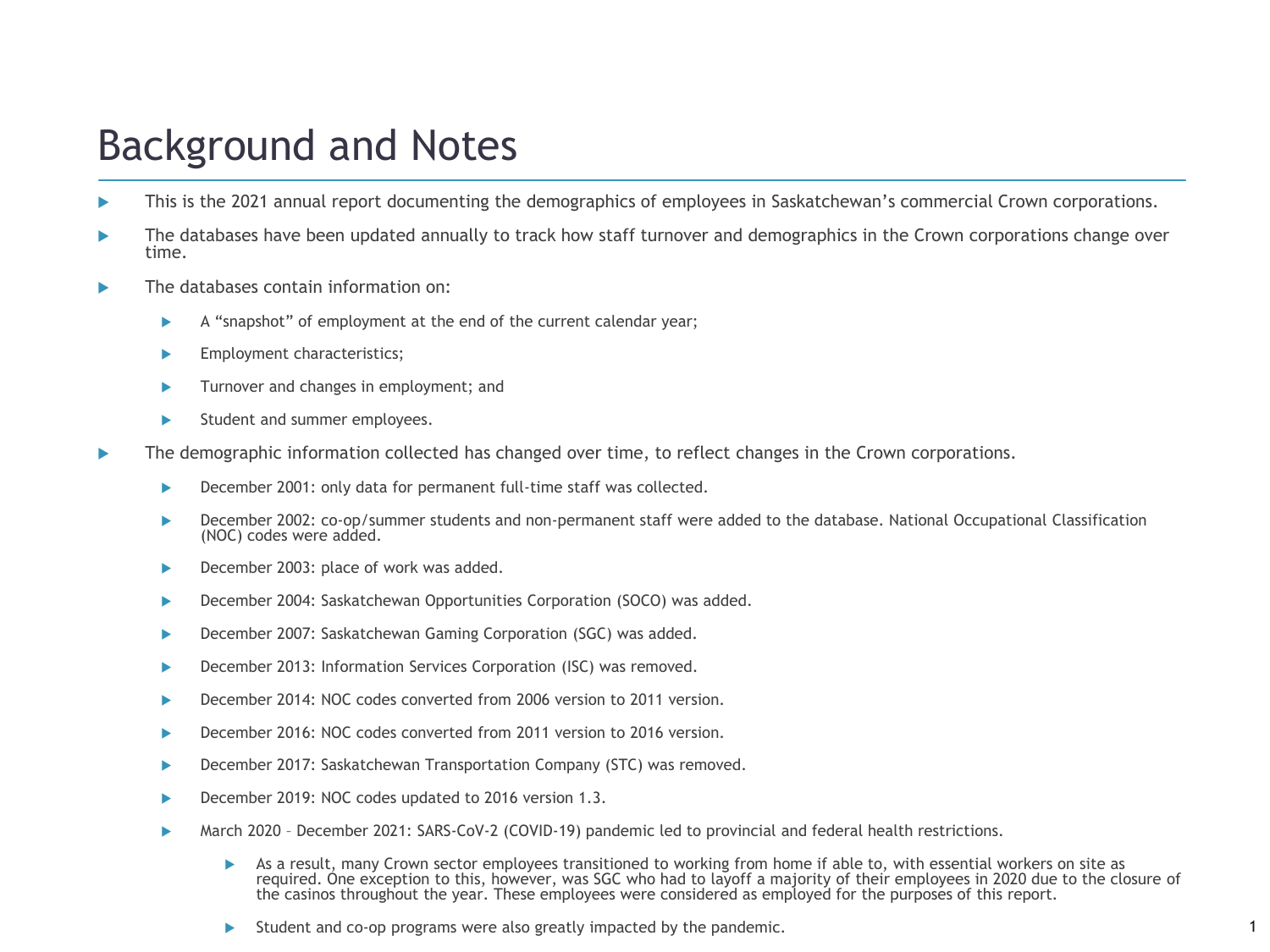# Background and Notes

- This is the 2021 annual report documenting the demographics of employees in Saskatchewan's commercial Crown corporations.
- The databases have been updated annually to track how staff turnover and demographics in the Crown corporations change over time.
- The databases contain information on:
	- A "snapshot" of employment at the end of the current calendar year;
	- **Employment characteristics;**
	- **Turnover and changes in employment; and**
	- Student and summer employees.
- The demographic information collected has changed over time, to reflect changes in the Crown corporations.
	- December 2001: only data for permanent full-time staff was collected.
	- December 2002: co-op/summer students and non-permanent staff were added to the database. National Occupational Classification (NOC) codes were added.
	- ▶ December 2003: place of work was added.
	- ▶ December 2004: Saskatchewan Opportunities Corporation (SOCO) was added.
	- **December 2007: Saskatchewan Gaming Corporation (SGC) was added.**
	- December 2013: Information Services Corporation (ISC) was removed.
	- December 2014: NOC codes converted from 2006 version to 2011 version.
	- December 2016: NOC codes converted from 2011 version to 2016 version.
	- ▶ December 2017: Saskatchewan Transportation Company (STC) was removed.
	- December 2019: NOC codes updated to 2016 version 1.3.
	- March 2020 December 2021: SARS-CoV-2 (COVID-19) pandemic led to provincial and federal health restrictions.
		- As a result, many Crown sector employees transitioned to working from home if able to, with essential workers on site as required. One exception to this, however, was SGC who had to layoff a majority of their employees in 2020 due to the closure of the casinos throughout the year. These employees were considered as employed for the purposes of this report.
		- $\triangleright$  Student and co-op programs were also greatly impacted by the pandemic.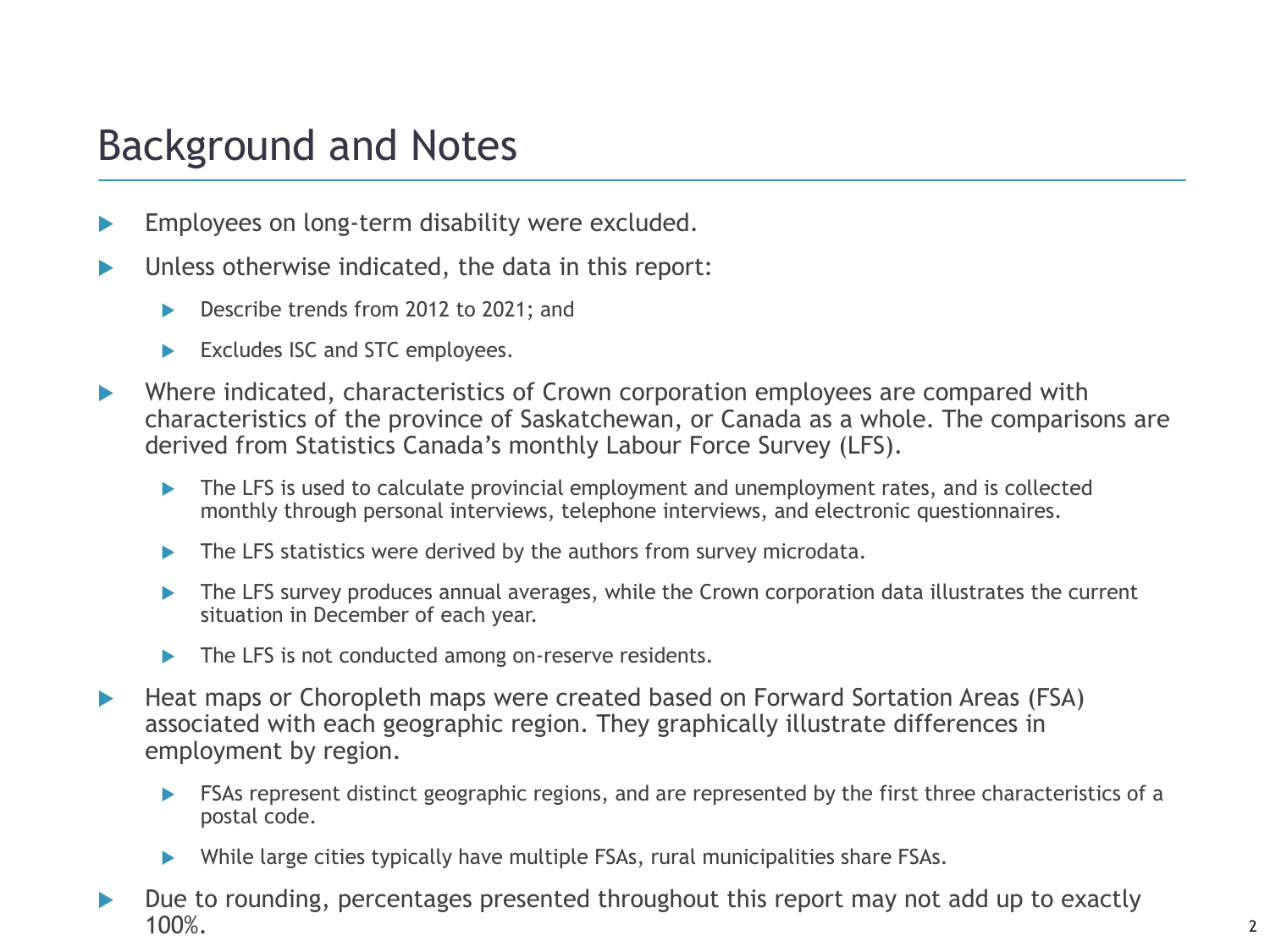# Background and Notes

- Employees on long-term disability were excluded.
- $\blacktriangleright$  Unless otherwise indicated, the data in this report:
	- ▶ Describe trends from 2012 to 2021; and
	- Excludes ISC and STC employees.
- ▶ Where indicated, characteristics of Crown corporation employees are compared with characteristics of the province of Saskatchewan, or Canada as a whole. The comparisons are derived from Statistics Canada's monthly Labour Force Survey (LFS).
	- ▶ The LFS is used to calculate provincial employment and unemployment rates, and is collected monthly through personal interviews, telephone interviews, and electronic questionnaires.
	- $\blacktriangleright$  The LFS statistics were derived by the authors from survey microdata.
	- ▶ The LFS survey produces annual averages, while the Crown corporation data illustrates the current situation in December of each year.
	- The LFS is not conducted among on-reserve residents.
- ▶ Heat maps or Choropleth maps were created based on Forward Sortation Areas (FSA) associated with each geographic region. They graphically illustrate differences in employment by region.
	- FSAs represent distinct geographic regions, and are represented by the first three characteristics of a postal code.
	- While large cities typically have multiple FSAs, rural municipalities share FSAs.
- Due to rounding, percentages presented throughout this report may not add up to exactly 100%. 2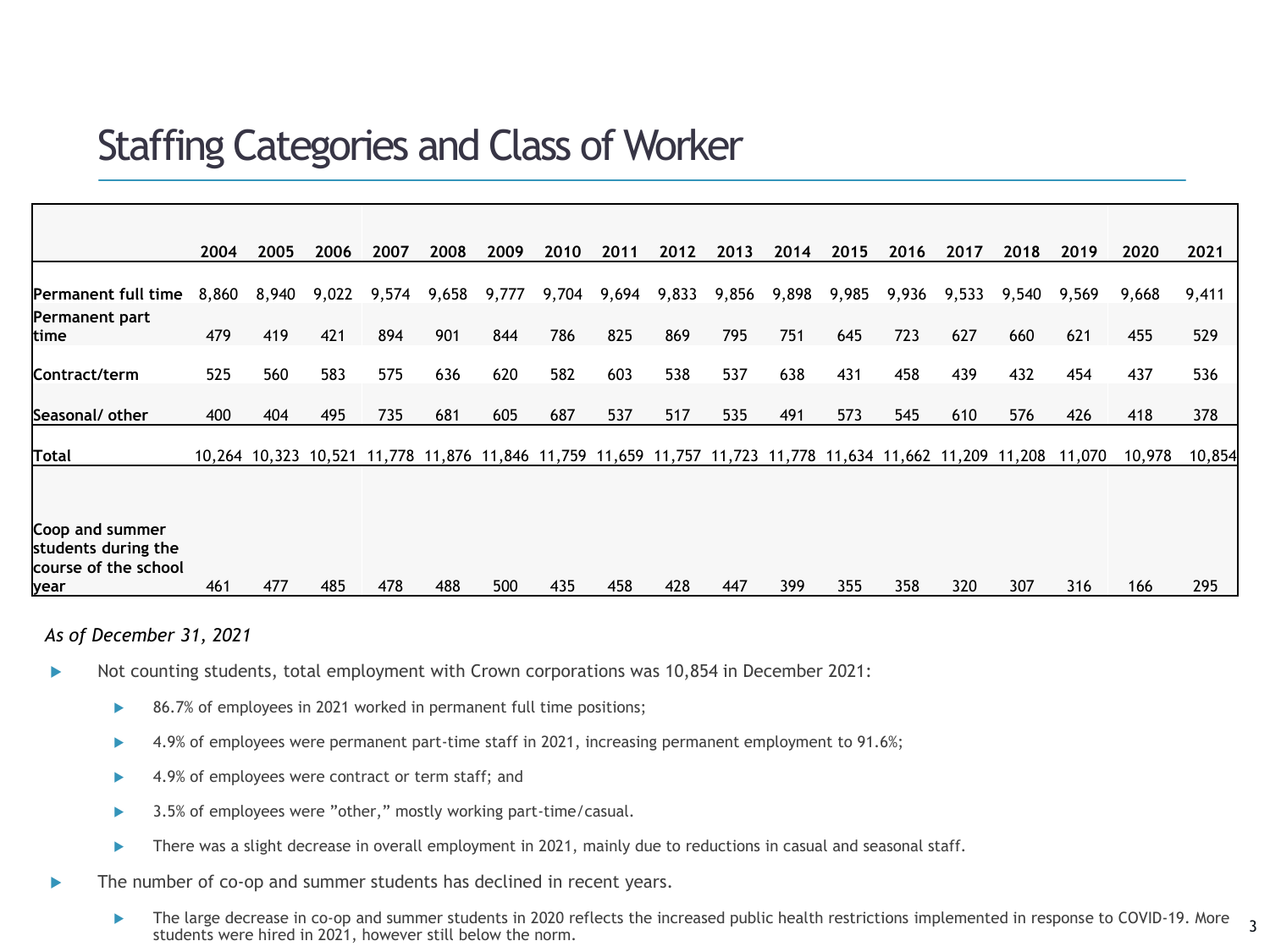### Staffing Categories and Class of Worker

|                            | 2004  | 2005  | 2006  | 2007                                                                                              | 2008  | 2009  | 2010  | 2011  | 2012  | 2013  | 2014  | 2015  | 2016  | 2017  | 2018   | 2019   | 2020   | 2021   |
|----------------------------|-------|-------|-------|---------------------------------------------------------------------------------------------------|-------|-------|-------|-------|-------|-------|-------|-------|-------|-------|--------|--------|--------|--------|
|                            |       |       |       |                                                                                                   |       |       |       |       |       |       |       |       |       |       |        |        |        |        |
| <b>Permanent full time</b> | 8,860 | 8,940 | 9,022 | 9,574                                                                                             | 9,658 | 9,777 | 9,704 | 9,694 | 9,833 | 9,856 | 9,898 | 9,985 | 9,936 | 9,533 | 9,540  | 9,569  | 9,668  | 9,411  |
| Permanent part             |       |       |       |                                                                                                   |       |       |       |       |       |       |       |       |       |       |        |        |        |        |
| ltime                      | 479   | 419   | 421   | 894                                                                                               | 901   | 844   | 786   | 825   | 869   | 795   | 751   | 645   | 723   | 627   | 660    | 621    | 455    | 529    |
|                            |       |       |       |                                                                                                   |       |       |       |       |       |       |       |       |       |       |        |        |        |        |
| Contract/term              | 525   | 560   | 583   | 575                                                                                               | 636   | 620   | 582   | 603   | 538   | 537   | 638   | 431   | 458   | 439   | 432    | 454    | 437    | 536    |
|                            |       |       |       |                                                                                                   |       |       |       |       |       |       |       |       |       |       |        |        |        |        |
| Seasonal/other             | 400   | 404   | 495   | 735                                                                                               | 681   | 605   | 687   | 537   | 517   | 535   | 491   | 573   | 545   | 610   | 576    | 426    | 418    | 378    |
|                            |       |       |       |                                                                                                   |       |       |       |       |       |       |       |       |       |       |        |        |        |        |
| Total                      |       |       |       | 10,264 10,323 10,521 11,778 11,876 11,846 11,759 11,659 11,757 11,723 11,778 11,634 11,662 11,209 |       |       |       |       |       |       |       |       |       |       | 11,208 | 11,070 | 10,978 | 10,854 |
|                            |       |       |       |                                                                                                   |       |       |       |       |       |       |       |       |       |       |        |        |        |        |
|                            |       |       |       |                                                                                                   |       |       |       |       |       |       |       |       |       |       |        |        |        |        |
| Coop and summer            |       |       |       |                                                                                                   |       |       |       |       |       |       |       |       |       |       |        |        |        |        |
| students during the        |       |       |       |                                                                                                   |       |       |       |       |       |       |       |       |       |       |        |        |        |        |
| course of the school       |       |       |       |                                                                                                   |       |       |       |       |       |       |       |       |       |       |        |        |        |        |
| lyear                      | 461   | 477   | 485   | 478                                                                                               | 488   | 500   | 435   | 458   | 428   | 447   | 399   | 355   | 358   | 320   | 307    | 316    | 166    | 295    |

#### *As of December 31, 2021*

- Not counting students, total employment with Crown corporations was 10,854 in December 2021:
	- ▶ 86.7% of employees in 2021 worked in permanent full time positions;
	- ▶ 4.9% of employees were permanent part-time staff in 2021, increasing permanent employment to 91.6%;
	- ▶ 4.9% of employees were contract or term staff; and
	- ▶ 3.5% of employees were "other," mostly working part-time/casual.
	- There was a slight decrease in overall employment in 2021, mainly due to reductions in casual and seasonal staff.
- The number of co-op and summer students has declined in recent years.
	- 3 The large decrease in co-op and summer students in 2020 reflects the increased public health restrictions implemented in response to COVID-19. More students were hired in 2021, however still below the norm.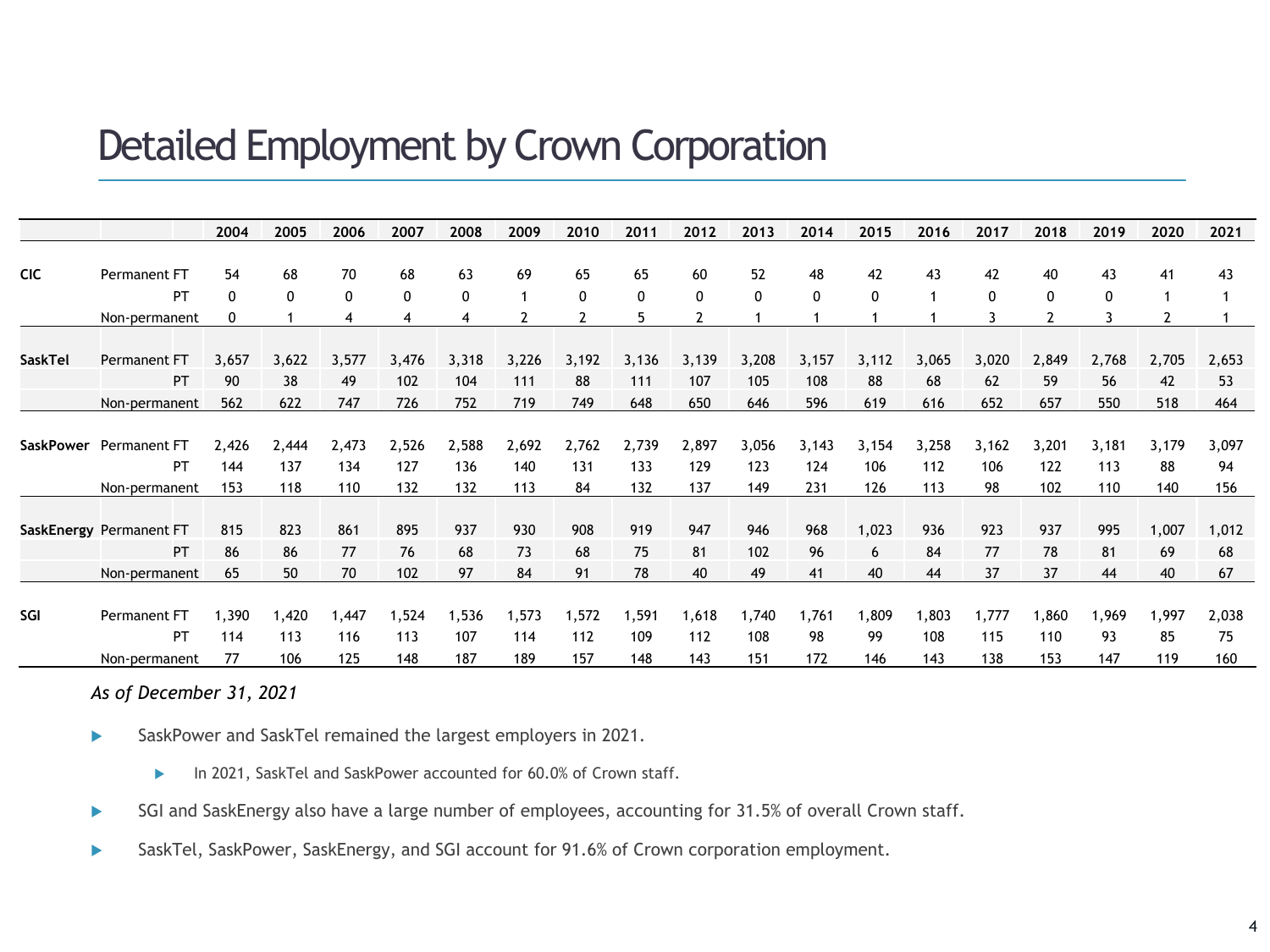### Detailed Employment by Crown Corporation

|                  |                         | 2004  | 2005         | 2006  | 2007         | 2008  | 2009  | 2010           | 2011         | 2012         | 2013     | 2014        | 2015         | 2016  | 2017  | 2018                     | 2019         | 2020  | 2021  |
|------------------|-------------------------|-------|--------------|-------|--------------|-------|-------|----------------|--------------|--------------|----------|-------------|--------------|-------|-------|--------------------------|--------------|-------|-------|
|                  |                         |       |              |       |              |       |       |                |              |              |          |             |              |       |       |                          |              |       |       |
| <b>CIC</b>       | Permanent FT            | 54    | 68           | 70    | 68           | 63    | 69    | 65             | 65           | 60           | 52       | 48          | 42           | 43    | 42    | 40                       | 43           | 41    | 43    |
|                  | PT                      | 0     | $\mathbf{0}$ | 0     | $\mathbf{0}$ | 0     |       | 0              | $\mathbf{0}$ | $\mathbf{0}$ | $\Omega$ | $\mathbf 0$ | $\mathbf{0}$ | 1     | 0     | $\Omega$                 | $\mathbf{0}$ |       |       |
|                  | Non-permanent           | 0     | 1            | 4     | 4            |       | 2     | $\overline{2}$ |              |              |          |             |              |       |       | $\overline{\phantom{a}}$ | 3            |       |       |
|                  |                         |       |              |       |              |       |       |                |              |              |          |             |              |       |       |                          |              |       |       |
| SaskTel          | Permanent FT            | 3,657 | 3,622        | 3,577 | 3,476        | 3,318 | 3,226 | 3,192          | 3,136        | 3,139        | 3,208    | 3,157       | 3,112        | 3,065 | 3,020 | 2,849                    | 2,768        | 2,705 | 2,653 |
|                  | PT                      | 90    | 38           | 49    | 102          | 104   | 111   | 88             | 111          | 107          | 105      | 108         | 88           | 68    | 62    | 59                       | 56           | 42    | 53    |
|                  | Non-permanent           | 562   | 622          | 747   | 726          | 752   | 719   | 749            | 648          | 650          | 646      | 596         | 619          | 616   | 652   | 657                      | 550          | 518   | 464   |
|                  |                         |       |              |       |              |       |       |                |              |              |          |             |              |       |       |                          |              |       |       |
| <b>SaskPower</b> | Permanent FT            | 2,426 | 2,444        | 2,473 | 2,526        | 2,588 | 2,692 | 2,762          | 2,739        | 2,897        | 3,056    | 3,143       | 3,154        | 3,258 | 3,162 | 3,201                    | 3,181        | 3,179 | 3,097 |
|                  | PT                      | 144   | 137          | 134   | 127          | 136   | 140   | 131            | 133          | 129          | 123      | 124         | 106          | 112   | 106   | 122                      | 113          | 88    | 94    |
|                  | Non-permanent           | 153   | 118          | 110   | 132          | 132   | 113   | 84             | 132          | 137          | 149      | 231         | 126          | 113   | 98    | 102                      | 110          | 140   | 156   |
|                  |                         |       |              |       |              |       |       |                |              |              |          |             |              |       |       |                          |              |       |       |
|                  | SaskEnergy Permanent FT | 815   | 823          | 861   | 895          | 937   | 930   | 908            | 919          | 947          | 946      | 968         | 1,023        | 936   | 923   | 937                      | 995          | 1,007 | 1,012 |
|                  | PT                      | 86    | 86           | 77    | 76           | 68    | 73    | 68             | 75           | 81           | 102      | 96          | 6            | 84    | 77    | 78                       | 81           | 69    | 68    |
|                  | Non-permanent           | 65    | 50           | 70    | 102          | 97    | 84    | 91             | 78           | 40           | 49       | 41          | 40           | 44    | 37    | 37                       | 44           | 40    | 67    |
|                  |                         |       |              |       |              |       |       |                |              |              |          |             |              |       |       |                          |              |       |       |
| SGI              | Permanent FT            | 1,390 | 1,420        | 1,447 | 1,524        | 1,536 | 1,573 | 1,572          | 1,591        | 1,618        | 1,740    | 1,761       | 1,809        | 1,803 | 1,777 | 1,860                    | 1,969        | 1,997 | 2,038 |
|                  | PT                      | 114   | 113          | 116   | 113          | 107   | 114   | 112            | 109          | 112          | 108      | 98          | 99           | 108   | 115   | 110                      | 93           | 85    | 75    |
|                  | Non-permanent           | 77    | 106          | 125   | 148          | 187   | 189   | 157            | 148          | 143          | 151      | 172         | 146          | 143   | 138   | 153                      | 147          | 119   | 160   |

*As of December 31, 2021*

- SaskPower and SaskTel remained the largest employers in 2021.
	- In 2021, SaskTel and SaskPower accounted for 60.0% of Crown staff.
- SGI and SaskEnergy also have a large number of employees, accounting for 31.5% of overall Crown staff.
- SaskTel, SaskPower, SaskEnergy, and SGI account for 91.6% of Crown corporation employment.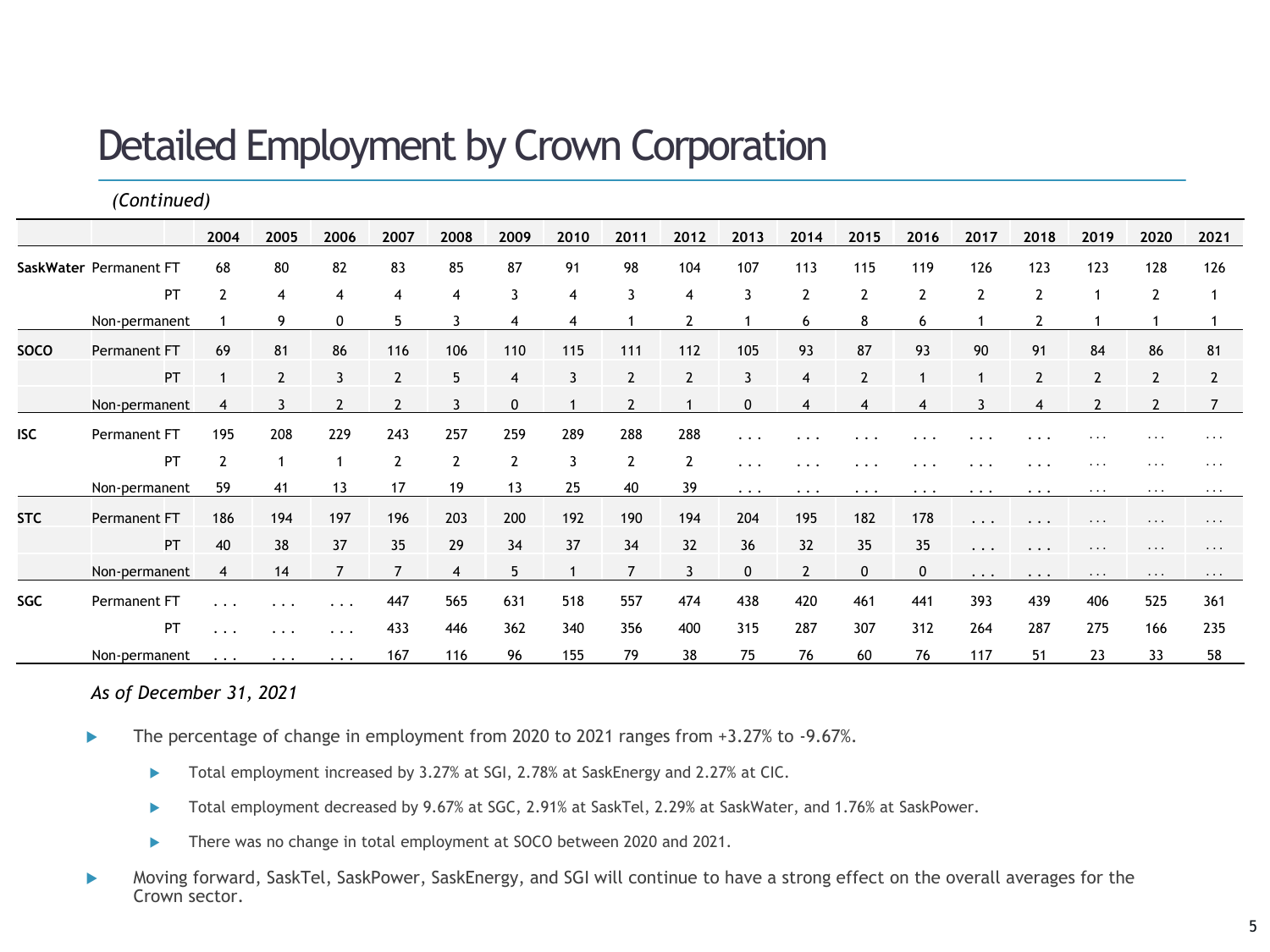# Detailed Employment by Crown Corporation

|             | (Continued)            |                         |                |                |                |                |                |      |                |                |             |                |                |             |                      |                |                         |                |                |
|-------------|------------------------|-------------------------|----------------|----------------|----------------|----------------|----------------|------|----------------|----------------|-------------|----------------|----------------|-------------|----------------------|----------------|-------------------------|----------------|----------------|
|             |                        | 2004                    | 2005           | 2006           | 2007           | 2008           | 2009           | 2010 | 2011           | 2012           | 2013        | 2014           | 2015           | 2016        | 2017                 | 2018           | 2019                    | 2020           | 2021           |
|             | SaskWater Permanent FT | 68                      | 80             | 82             | 83             | 85             | 87             | 91   | 98             | 104            | 107         | 113            | 115            | 119         | 126                  | 123            | 123                     | 128            | 126            |
|             | <b>PT</b>              | $\overline{2}$          | 4              | $\overline{4}$ | 4              | 4              | 3              | 4    | 3              | 4              | 3           | $\overline{2}$ | $\overline{2}$ | 2           | 2                    | $\overline{2}$ |                         | 2              |                |
|             | Non-permanent          |                         | 9              | 0              | 5              | 3              | 4              | 4    |                | 2              |             | 6              | 8              | 6           |                      | 2              |                         |                |                |
| <b>SOCO</b> | Permanent FT           | 69                      | 81             | 86             | 116            | 106            | 110            | 115  | 111            | 112            | 105         | 93             | 87             | 93          | 90                   | 91             | 84                      | 86             | 81             |
|             | PT                     |                         | $\overline{2}$ |                | $\overline{2}$ | 5              | 4              |      | $\overline{2}$ | $\overline{2}$ | 3           | $\overline{4}$ |                |             |                      | $\overline{2}$ | $\overline{2}$          | $\overline{2}$ | $\overline{2}$ |
|             | Non-permanent          | 4                       | 3              |                | $\overline{2}$ |                | $\mathbf 0$    |      | $\overline{2}$ |                | 0           | $\overline{4}$ | 4              | 4           |                      | 4              | $\overline{2}$          | $\overline{2}$ |                |
| <b>ISC</b>  | Permanent FT           | 195                     | 208            | 229            | 243            | 257            | 259            | 289  | 288            | 288            | $\cdots$    | $\cdots$       | $\cdots$       | .           |                      | $\cdots$       | $\cdots$                | $\cdots$       | $\cdots$       |
|             | PT                     | $\overline{2}$          |                |                | $\overline{2}$ | $\overline{2}$ | $\overline{2}$ | 3    | $\overline{2}$ | 2              | $\cdots$    | $\cdots$       | $\cdots$       | $\cdots$    | $\cdots$             | $\ddotsc$      | $\cdots$                | $\cdots$       |                |
|             | Non-permanent          | 59                      | 41             | 13             | 17             | 19             | 13             | 25   | 40             | 39             | $\cdots$    | $\cdots$       | $\cdots$       | $\cdots$    | $\cdots$             | $\cdots$       | $\cdots$                | $\cdots$       |                |
| <b>STC</b>  | Permanent FT           | 186                     | 194            | 197            | 196            | 203            | 200            | 192  | 190            | 194            | 204         | 195            | 182            | 178         | $\ddot{\phantom{0}}$ | $\ddotsc$      | $\cdot$ $\cdot$ $\cdot$ | .              | $\cdots$       |
|             | PT                     | 40                      | 38             | 37             | 35             | 29             | 34             | 37   | 34             | 32             | 36          | 32             | 35             | 35          | . .                  | $\ddotsc$      | $\cdots$                | $\cdots$       | $\cdots$       |
|             | Non-permanent          | 4                       | 14             |                | $\overline{7}$ | 4              | 5              |      | $\overline{7}$ | 3              | $\mathbf 0$ | $\overline{2}$ | $\mathbf{0}$   | $\mathbf 0$ | .                    | $\cdots$       | $\cdots$                | $\cdots$       | $\cdot$        |
| <b>SGC</b>  | Permanent FT           | $\cdot$ $\cdot$ $\cdot$ | $\cdots$       | $\cdots$       | 447            | 565            | 631            | 518  | 557            | 474            | 438         | 420            | 461            | 441         | 393                  | 439            | 406                     | 525            | 361            |
|             | PT                     | $\cdots$                | $\ddotsc$      | $\cdots$       | 433            | 446            | 362            | 340  | 356            | 400            | 315         | 287            | 307            | 312         | 264                  | 287            | 275                     | 166            | 235            |
|             | Non-permanent          | $\cdots$                | $\cdots$       | $\cdots$       | 167            | 116            | 96             | 155  | 79             | 38             | 75          | 76             | 60             | 76          | 117                  | 51             | 23                      | 33             | 58             |

*As of December 31, 2021*

- The percentage of change in employment from 2020 to 2021 ranges from +3.27% to -9.67%.
	- ▶ Total employment increased by 3.27% at SGI, 2.78% at SaskEnergy and 2.27% at CIC.
	- ▶ Total employment decreased by 9.67% at SGC, 2.91% at SaskTel, 2.29% at SaskWater, and 1.76% at SaskPower.
	- There was no change in total employment at SOCO between 2020 and 2021.
- Moving forward, SaskTel, SaskPower, SaskEnergy, and SGI will continue to have a strong effect on the overall averages for the Crown sector.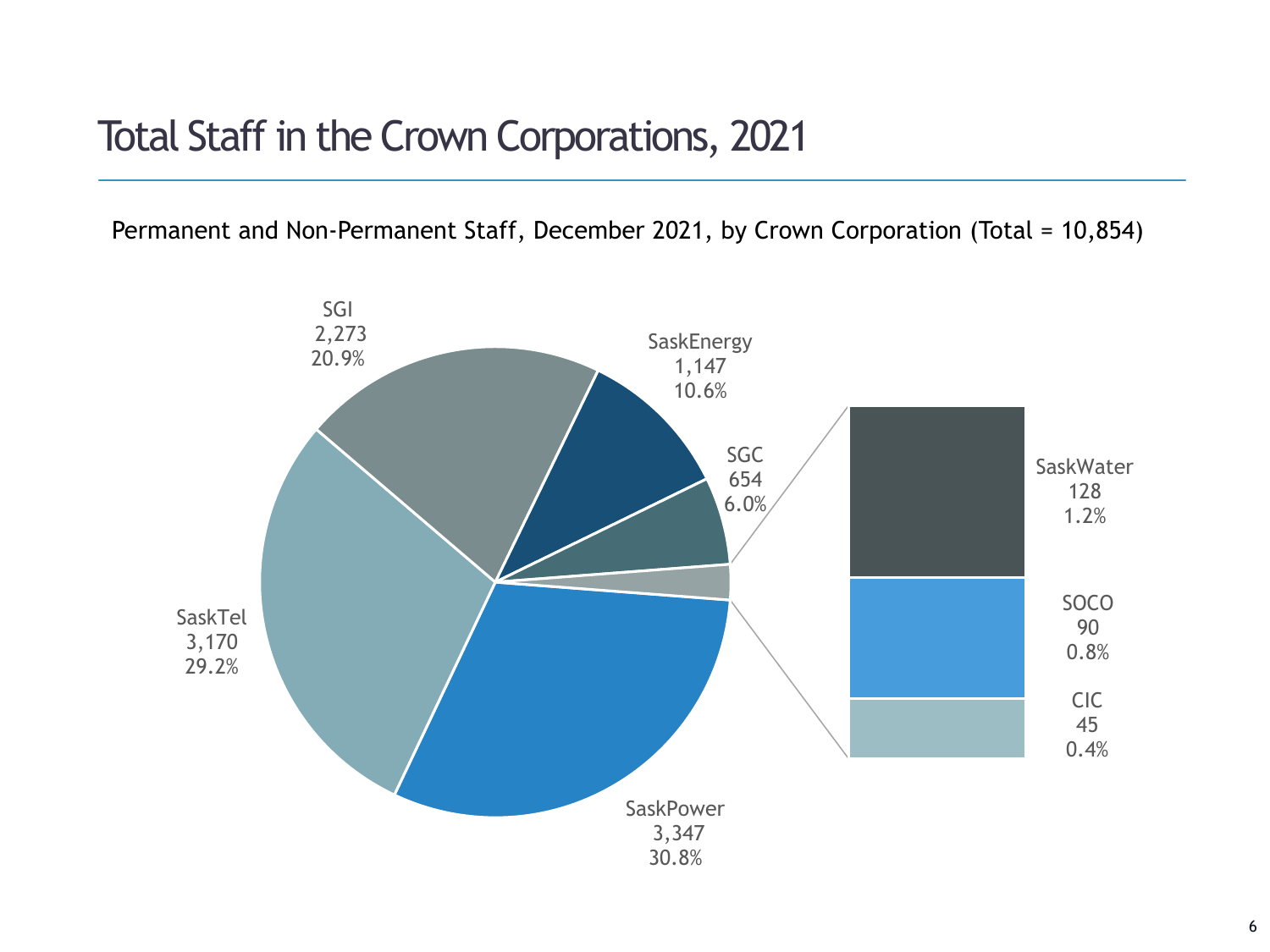### Total Staff in the Crown Corporations, 2021

Permanent and Non-Permanent Staff, December 2021, by Crown Corporation (Total = 10,854)

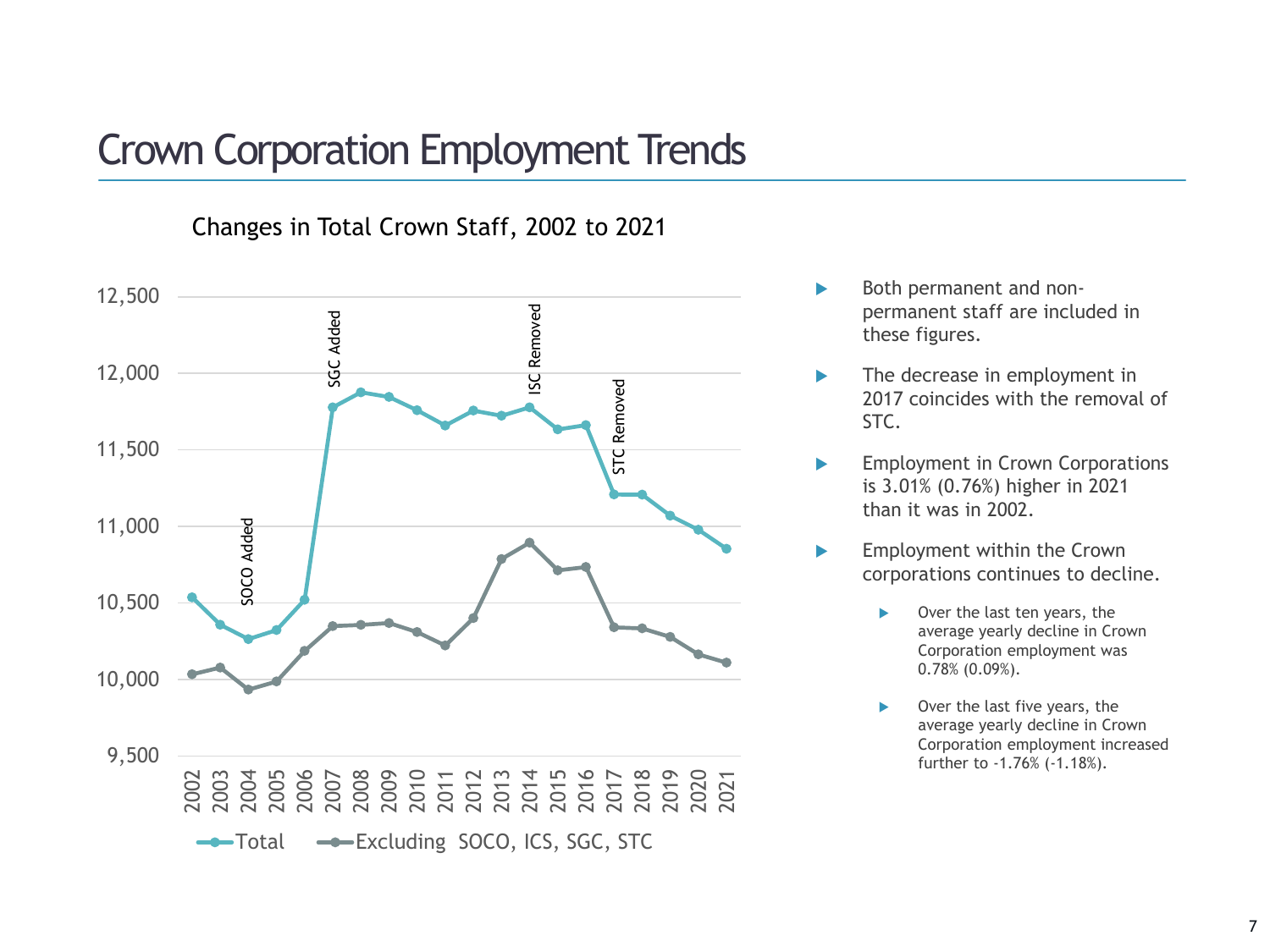### Crown Corporation Employment Trends

Changes in Total Crown Staff, 2002 to 2021



- Both permanent and nonpermanent staff are included in these figures.
- The decrease in employment in 2017 coincides with the removal of STC.
- **Employment in Crown Corporations** is 3.01% (0.76%) higher in 2021 than it was in 2002.
- **Employment within the Crown** corporations continues to decline.
	- Over the last ten years, the average yearly decline in Crown Corporation employment was 0.78% (0.09%).
	- Over the last five years, the average yearly decline in Crown Corporation employment increased further to -1.76% (-1.18%).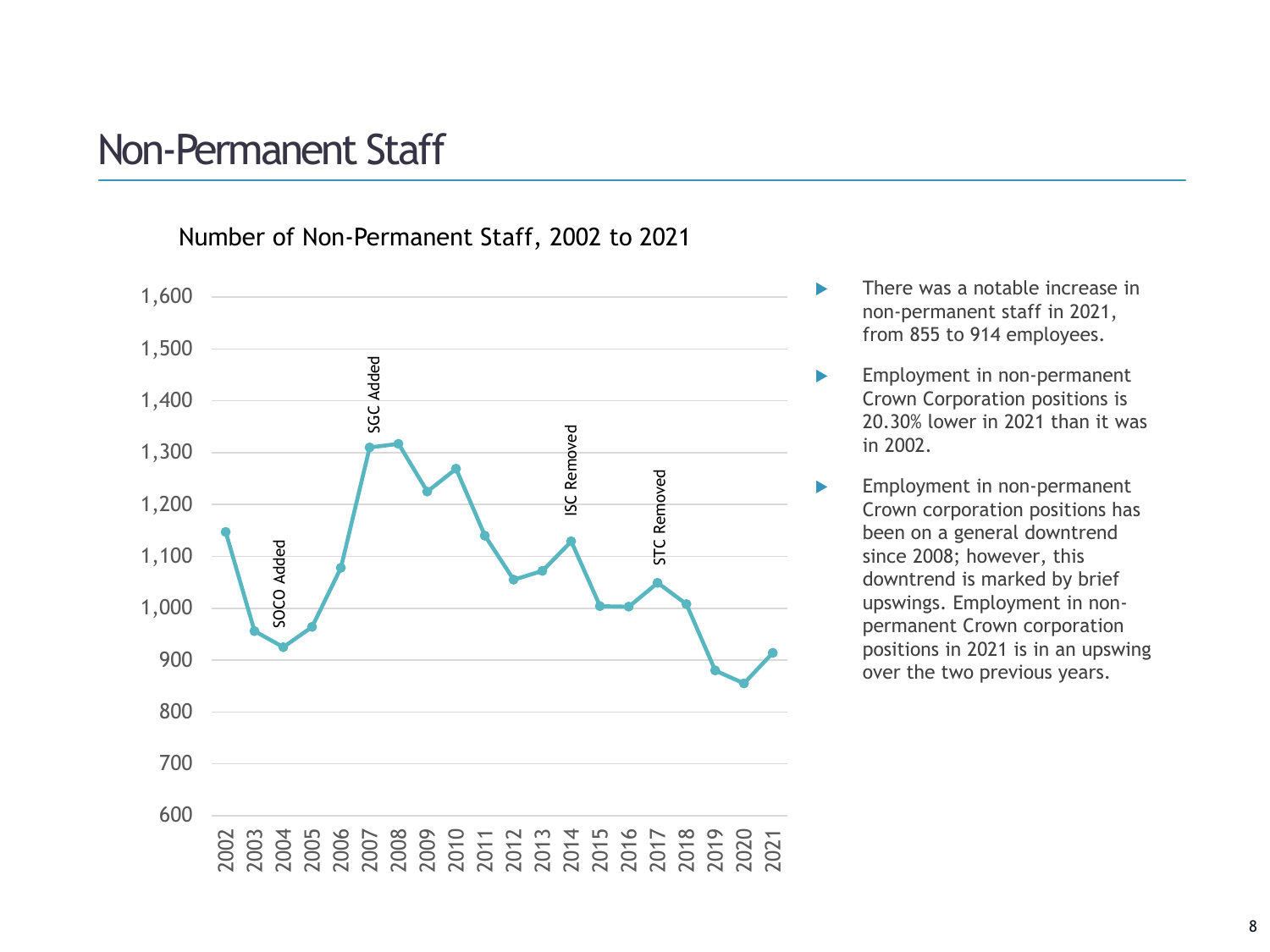### Non-Permanent Staff

Number of Non-Permanent Staff, 2002 to 2021



- **There was a notable increase in** non-permanent staff in 2021, from 855 to 914 employees.
- **Employment in non-permanent** Crown Corporation positions is 20.30% lower in 2021 than it was in 2002.
- **Employment in non-permanent** Crown corporation positions has been on a general downtrend since 2008; however, this downtrend is marked by brief upswings. Employment in nonpermanent Crown corporation positions in 2021 is in an upswing over the two previous years.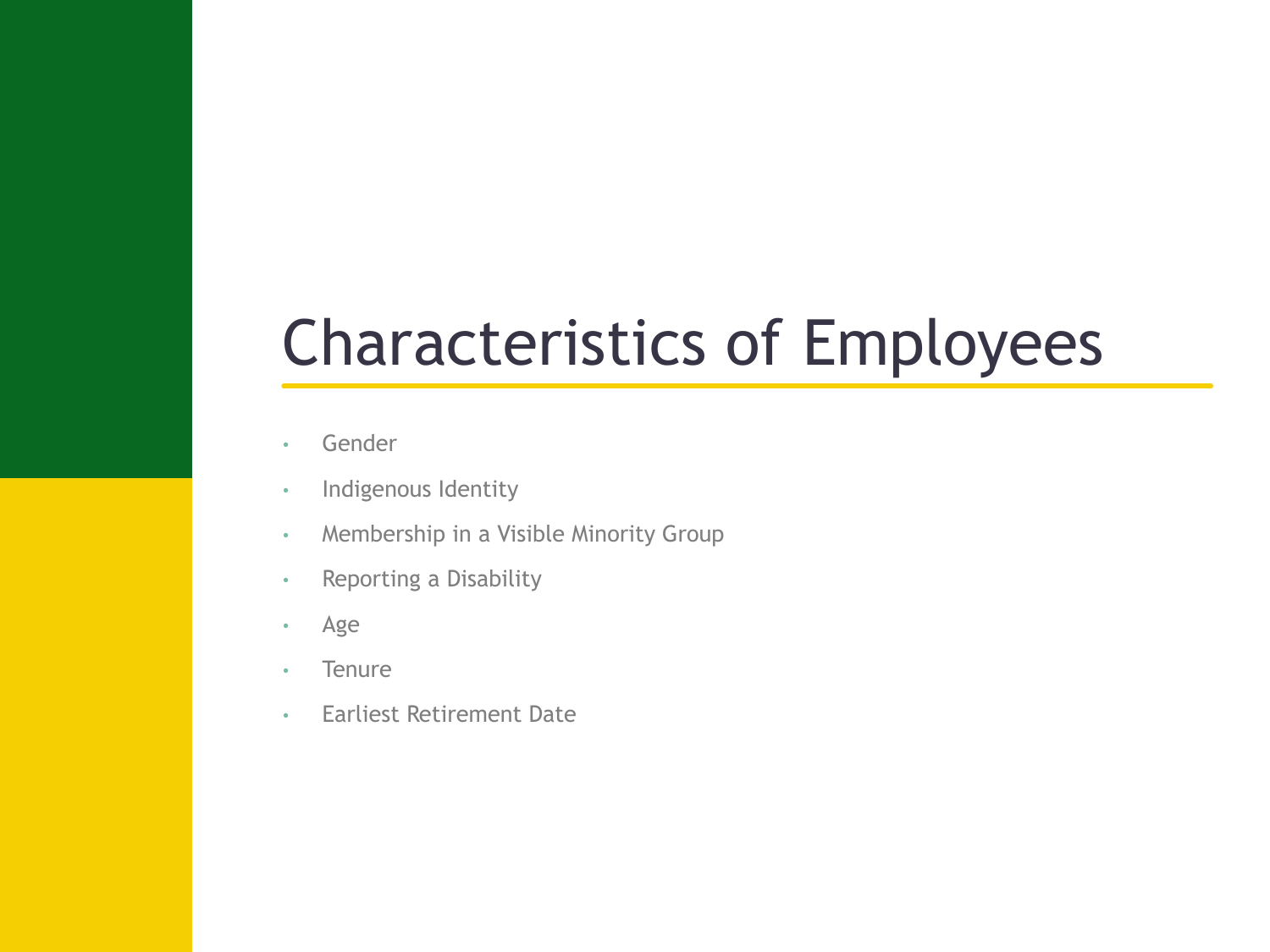# Characteristics of Employees

- Gender
- Indigenous Identity
- Membership in a Visible Minority Group
- Reporting a Disability
- Age
- Tenure
- Earliest Retirement Date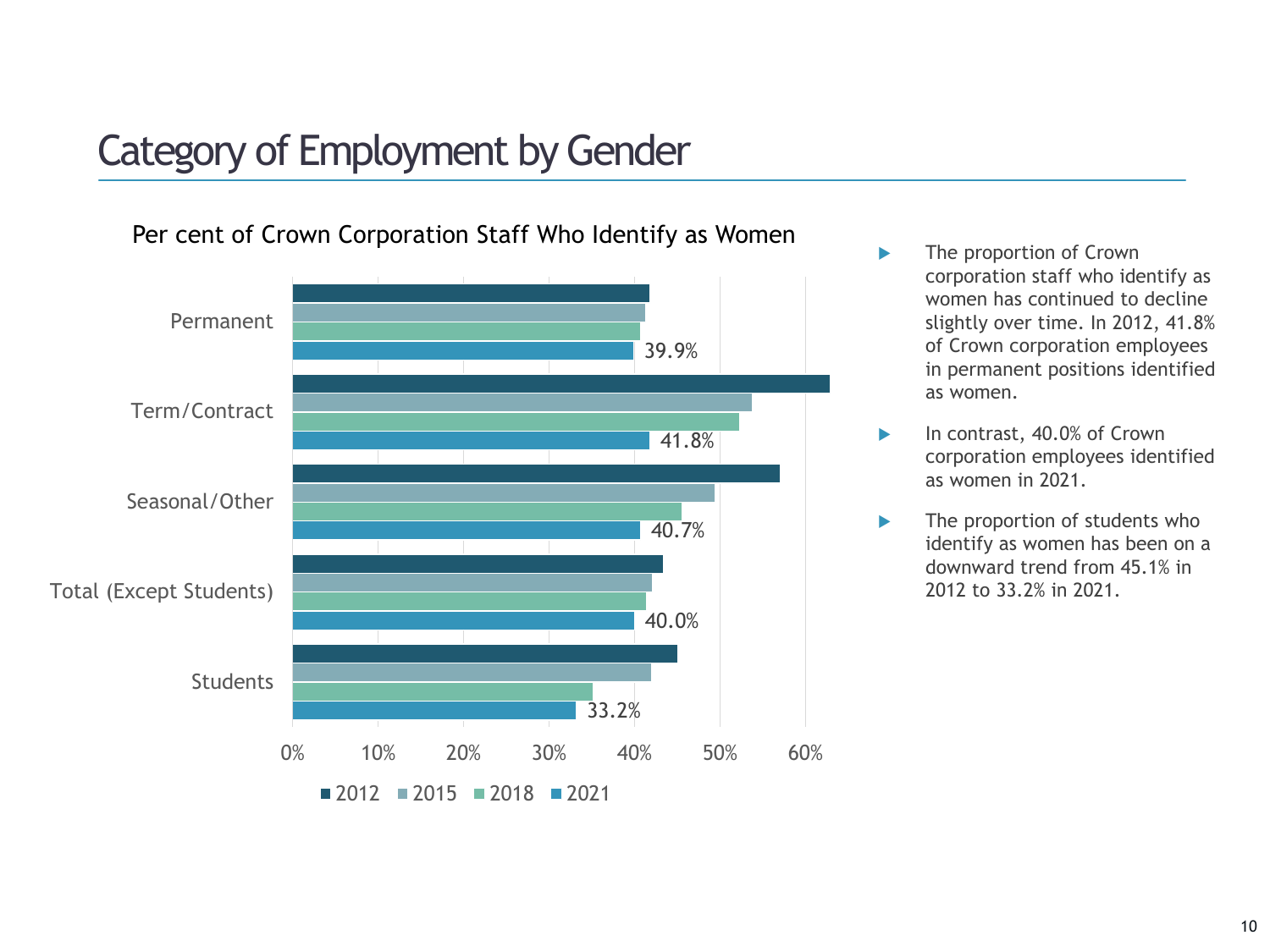# Category of Employment by Gender



Per cent of Crown Corporation Staff Who Identify as Women

- The proportion of Crown corporation staff who identify as women has continued to decline slightly over time. In 2012, 41.8% of Crown corporation employees in permanent positions identified as women.
- In contrast, 40.0% of Crown corporation employees identified as women in 2021.
- The proportion of students who identify as women has been on a downward trend from 45.1% in 2012 to 33.2% in 2021.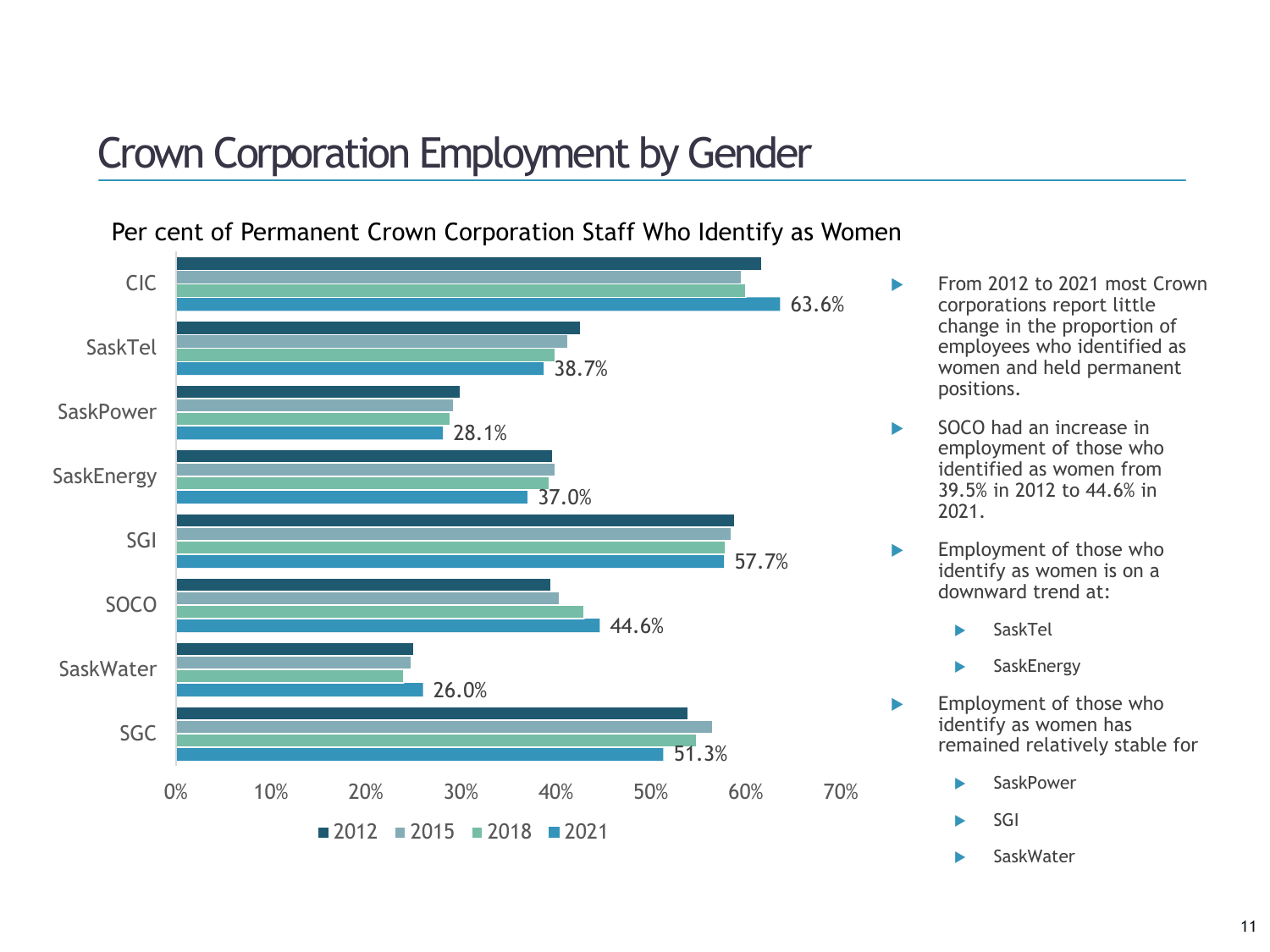# Crown Corporation Employment by Gender



Per cent of Permanent Crown Corporation Staff Who Identify as Women

- From 2012 to 2021 most Crown corporations report little change in the proportion of employees who identified as women and held permanent positions.
- SOCO had an increase in employment of those who identified as women from 39.5% in 2012 to 44.6% in 2021.
- **Employment of those who** identify as women is on a downward trend at:
	- SaskTel
	- **SaskEnergy**
- Employment of those who identify as women has remained relatively stable for
	- SaskPower
	- $\blacktriangleright$  SGI
	- **SaskWater**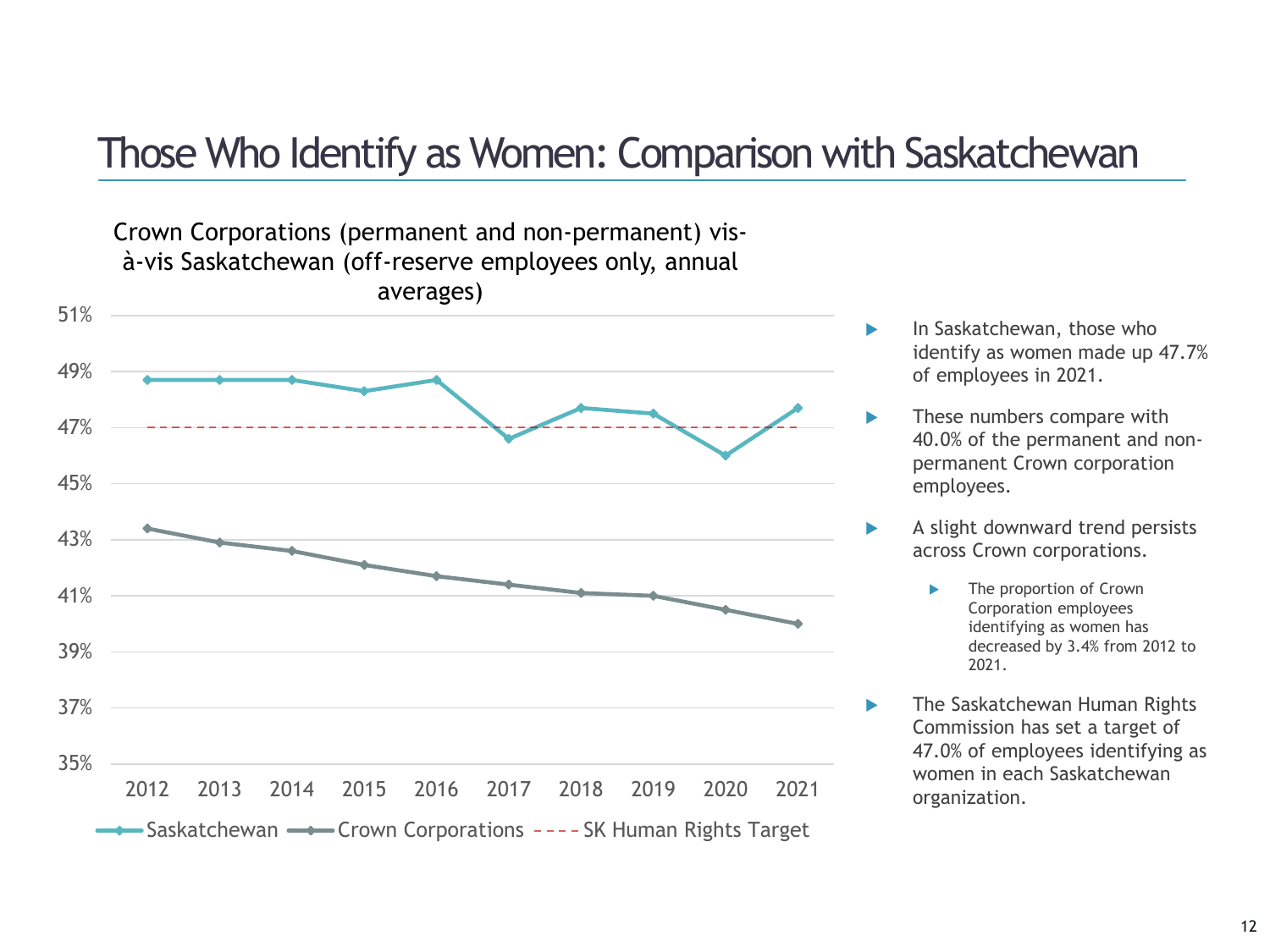### Those Who Identify as Women: Comparison with Saskatchewan



- In Saskatchewan, those who identify as women made up 47.7% of employees in 2021.
- These numbers compare with 40.0% of the permanent and nonpermanent Crown corporation employees.
- A slight downward trend persists across Crown corporations.
	- The proportion of Crown Corporation employees identifying as women has decreased by 3.4% from 2012 to 2021.
	- The Saskatchewan Human Rights Commission has set a target of 47.0% of employees identifying as women in each Saskatchewan organization.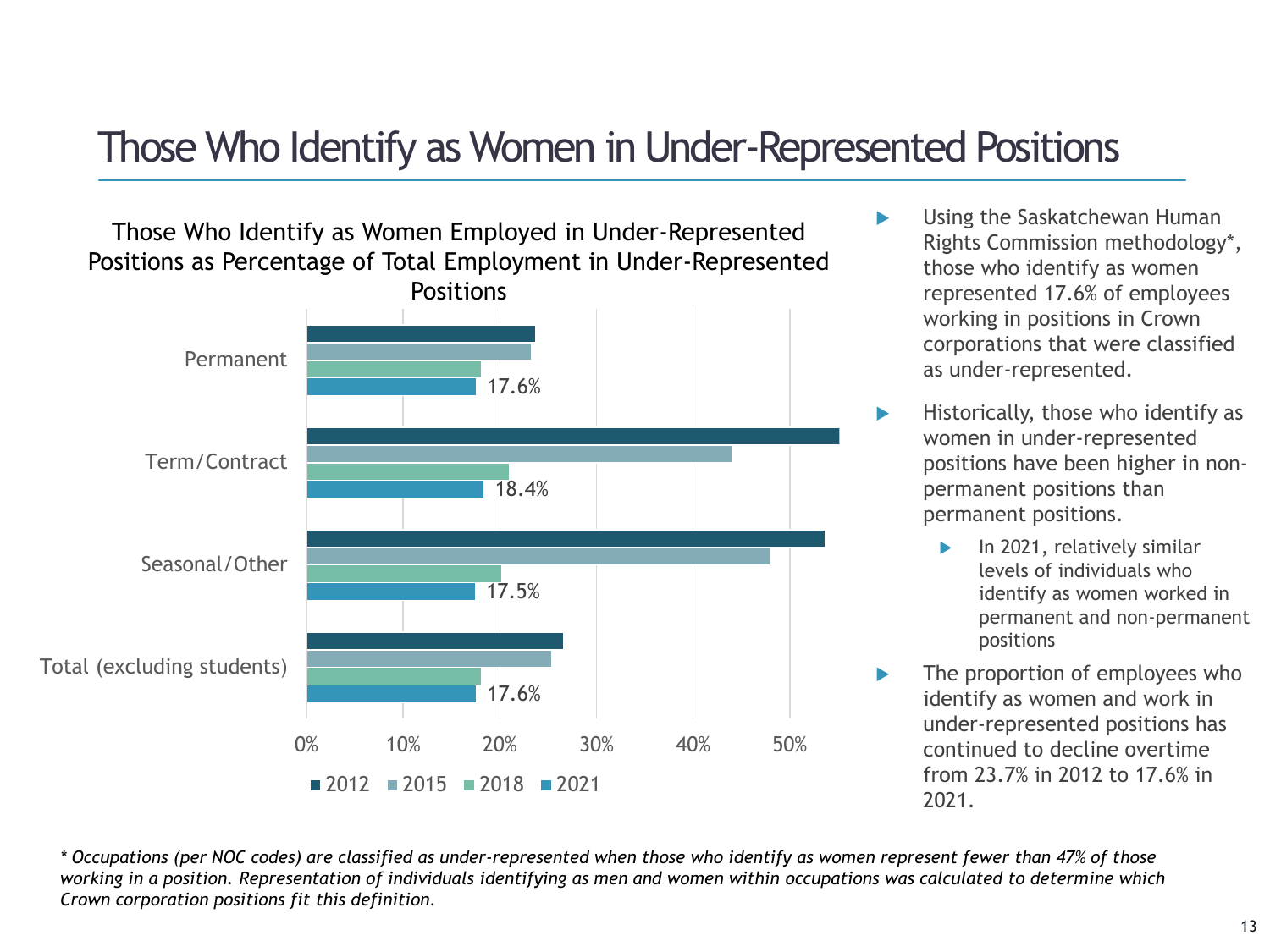### Those Who Identify as Women in Under-Represented Positions

Those Who Identify as Women Employed in Under-Represented Positions as Percentage of Total Employment in Under-Represented **Positions** 



- **B** Using the Saskatchewan Human Rights Commission methodology\*, those who identify as women represented 17.6% of employees working in positions in Crown corporations that were classified as under-represented.
- $\blacktriangleright$  Historically, those who identify as women in under-represented positions have been higher in nonpermanent positions than permanent positions.
	- In 2021, relatively similar levels of individuals who identify as women worked in permanent and non-permanent positions
- The proportion of employees who identify as women and work in under-represented positions has continued to decline overtime from 23.7% in 2012 to 17.6% in 2021.

*\* Occupations (per NOC codes) are classified as under-represented when those who identify as women represent fewer than 47% of those working in a position. Representation of individuals identifying as men and women within occupations was calculated to determine which Crown corporation positions fit this definition.*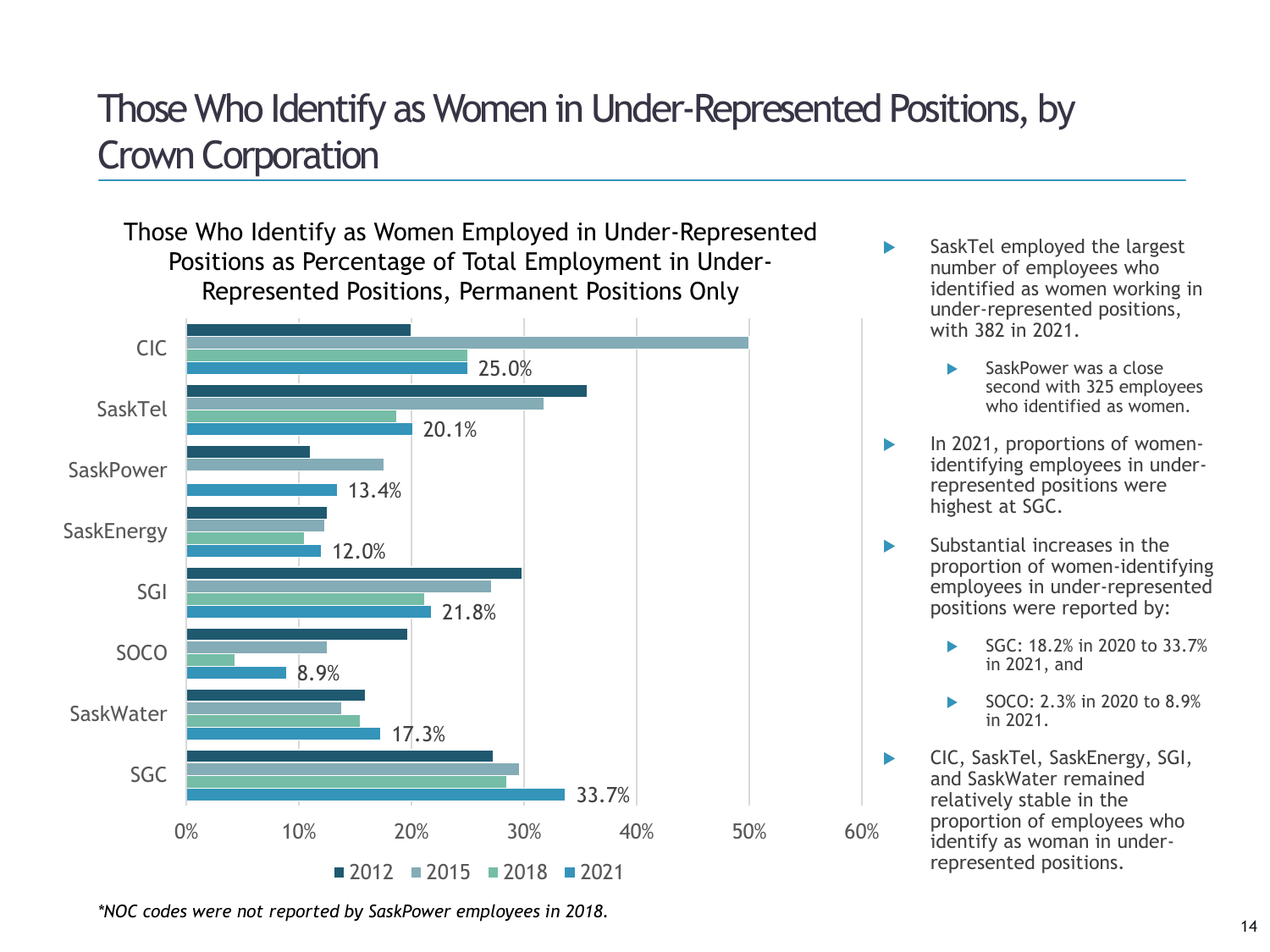# Those Who Identify as Women in Under-Represented Positions, by Crown Corporation

Those Who Identify as Women Employed in Under-Represented Positions as Percentage of Total Employment in Under-Represented Positions, Permanent Positions Only



- SaskTel employed the largest number of employees who identified as women working in under-represented positions, with 382 in 2021.
	- SaskPower was a close second with 325 employees who identified as women.
- In 2021, proportions of womenidentifying employees in underrepresented positions were highest at SGC.
- **Substantial increases in the** proportion of women-identifying employees in under-represented positions were reported by:
	- SGC: 18.2% in 2020 to 33.7% in 2021, and
	- SOCO: 2.3% in 2020 to 8.9% in 2021.
- ▶ CIC, SaskTel, SaskEnergy, SGI, and SaskWater remained relatively stable in the proportion of employees who identify as woman in underrepresented positions.

*\*NOC codes were not reported by SaskPower employees in 2018.*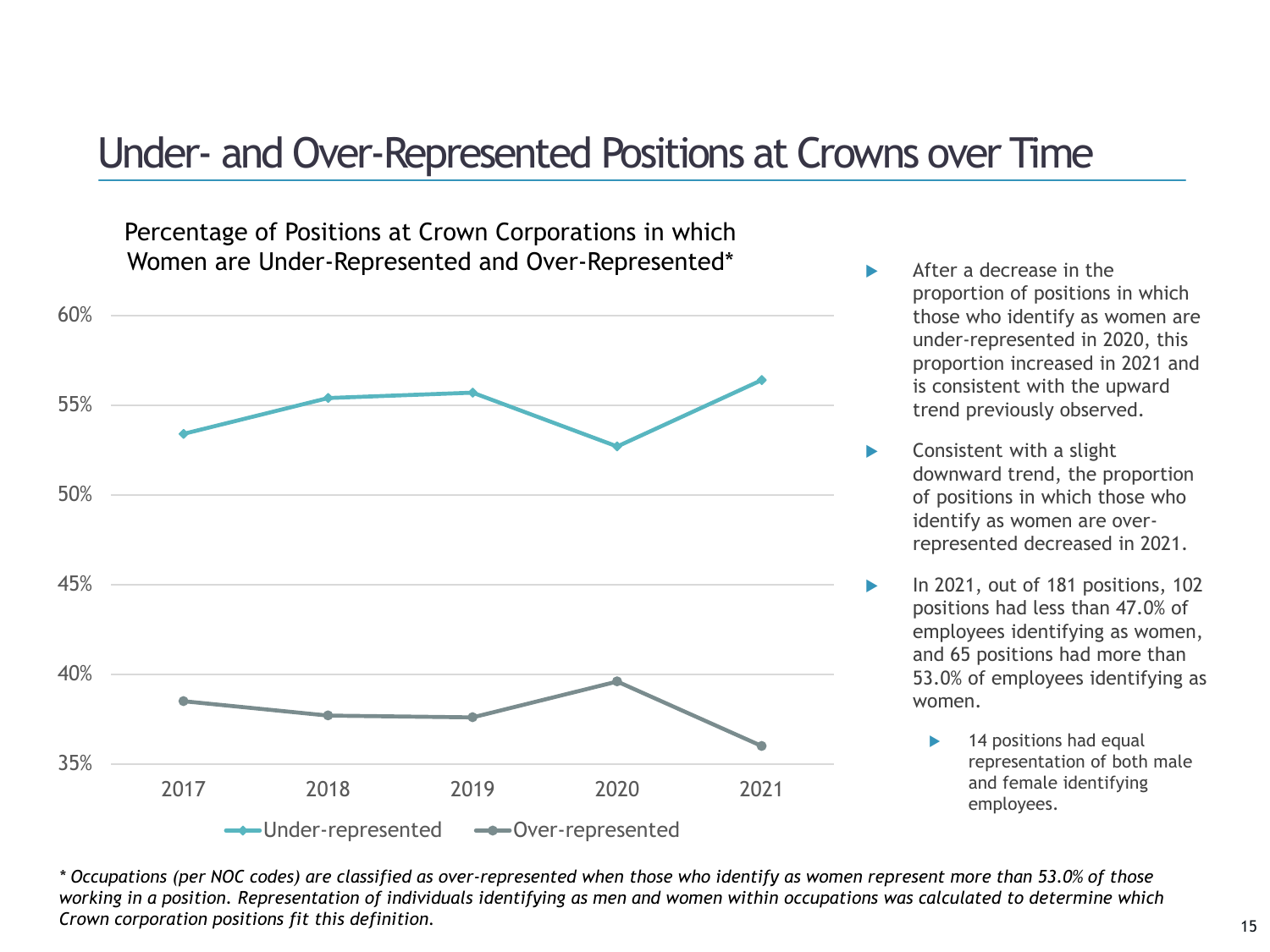### Under- and Over-Represented Positions at Crowns over Time

Percentage of Positions at Crown Corporations in which Women are Under-Represented and Over-Represented\*



- After a decrease in the proportion of positions in which those who identify as women are under-represented in 2020, this proportion increased in 2021 and is consistent with the upward trend previously observed.
- Consistent with a slight downward trend, the proportion of positions in which those who identify as women are overrepresented decreased in 2021.
- In 2021, out of 181 positions, 102 positions had less than 47.0% of employees identifying as women, and 65 positions had more than 53.0% of employees identifying as women.
	- 14 positions had equal representation of both male and female identifying employees.

*\* Occupations (per NOC codes) are classified as over-represented when those who identify as women represent more than 53.0% of those working in a position. Representation of individuals identifying as men and women within occupations was calculated to determine which Crown corporation positions fit this definition.*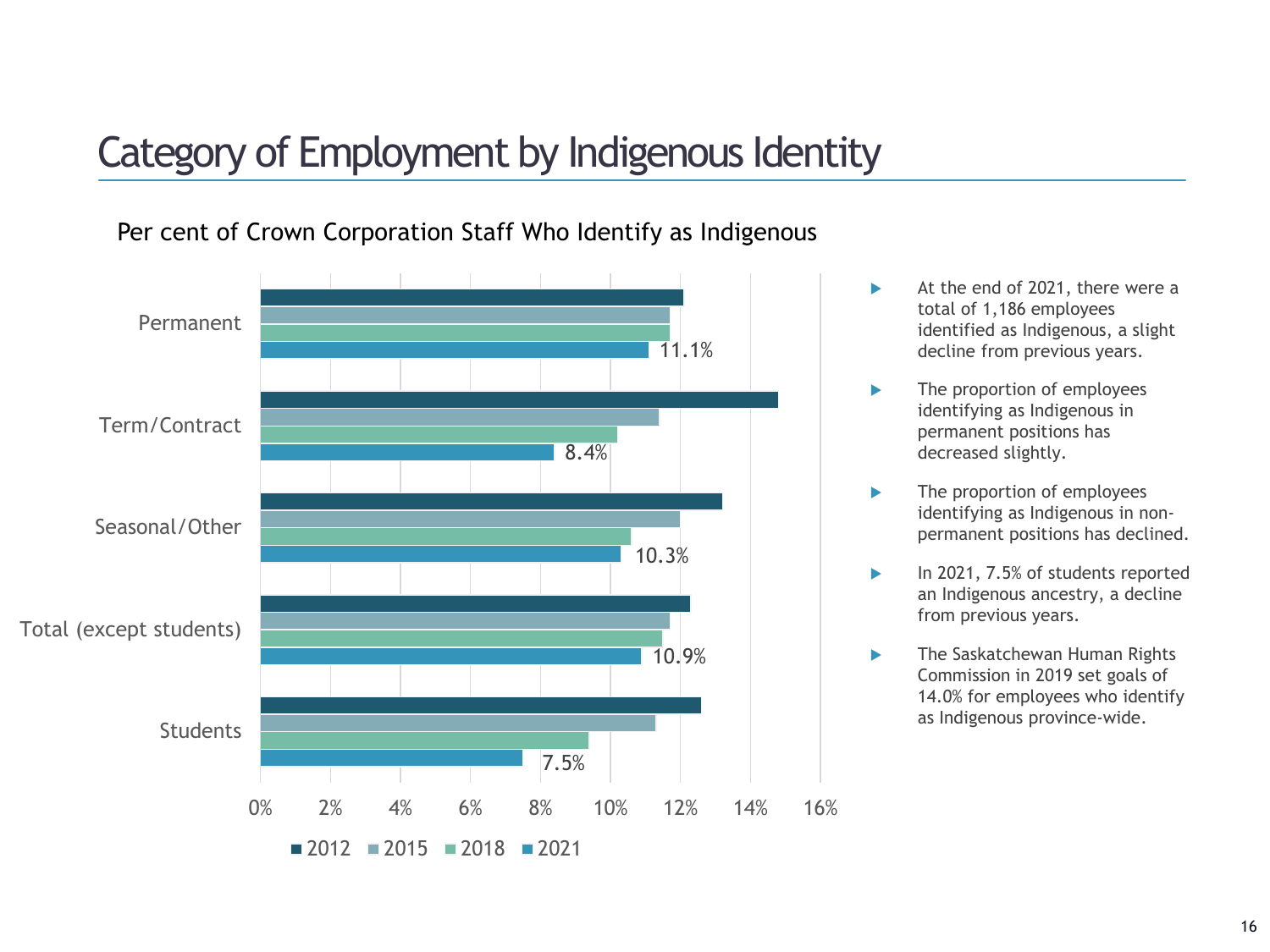# Category of Employment by Indigenous Identity



Per cent of Crown Corporation Staff Who Identify as Indigenous

- At the end of 2021, there were a total of 1,186 employees identified as Indigenous, a slight decline from previous years.
- ▶ The proportion of employees identifying as Indigenous in permanent positions has decreased slightly.
- **The proportion of employees** identifying as Indigenous in nonpermanent positions has declined.
- In 2021, 7.5% of students reported an Indigenous ancestry, a decline from previous years.
- **The Saskatchewan Human Rights** Commission in 2019 set goals of 14.0% for employees who identify as Indigenous province-wide.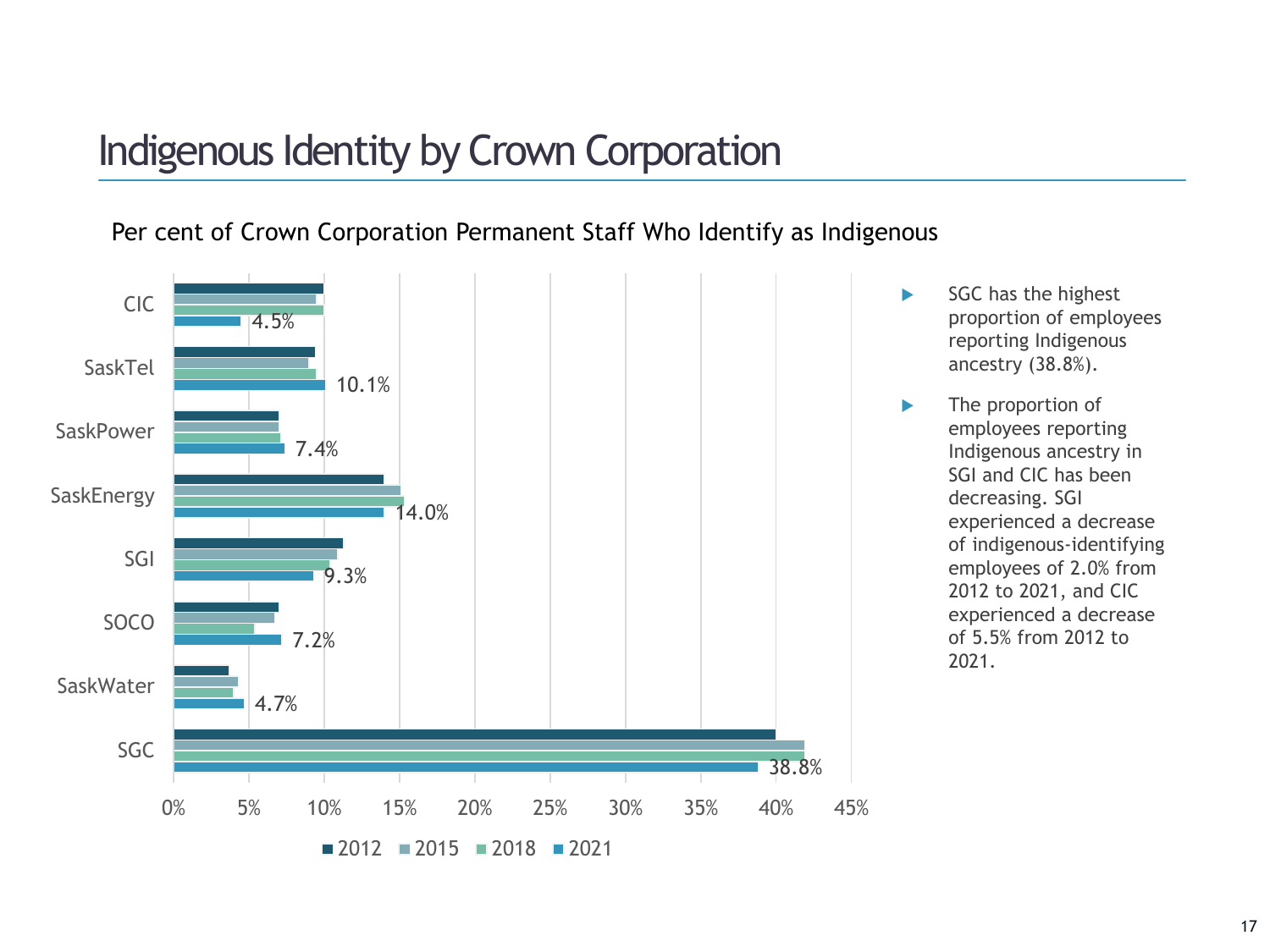# Indigenous Identity by Crown Corporation

#### Per cent of Crown Corporation Permanent Staff Who Identify as Indigenous



- $SGC$  has the highest proportion of employees reporting Indigenous ancestry (38.8%).
- **The proportion of** employees reporting Indigenous ancestry in SGI and CIC has been decreasing. SGI experienced a decrease of indigenous-identifying employees of 2.0% from 2012 to 2021, and CIC experienced a decrease of 5.5% from 2012 to 2021.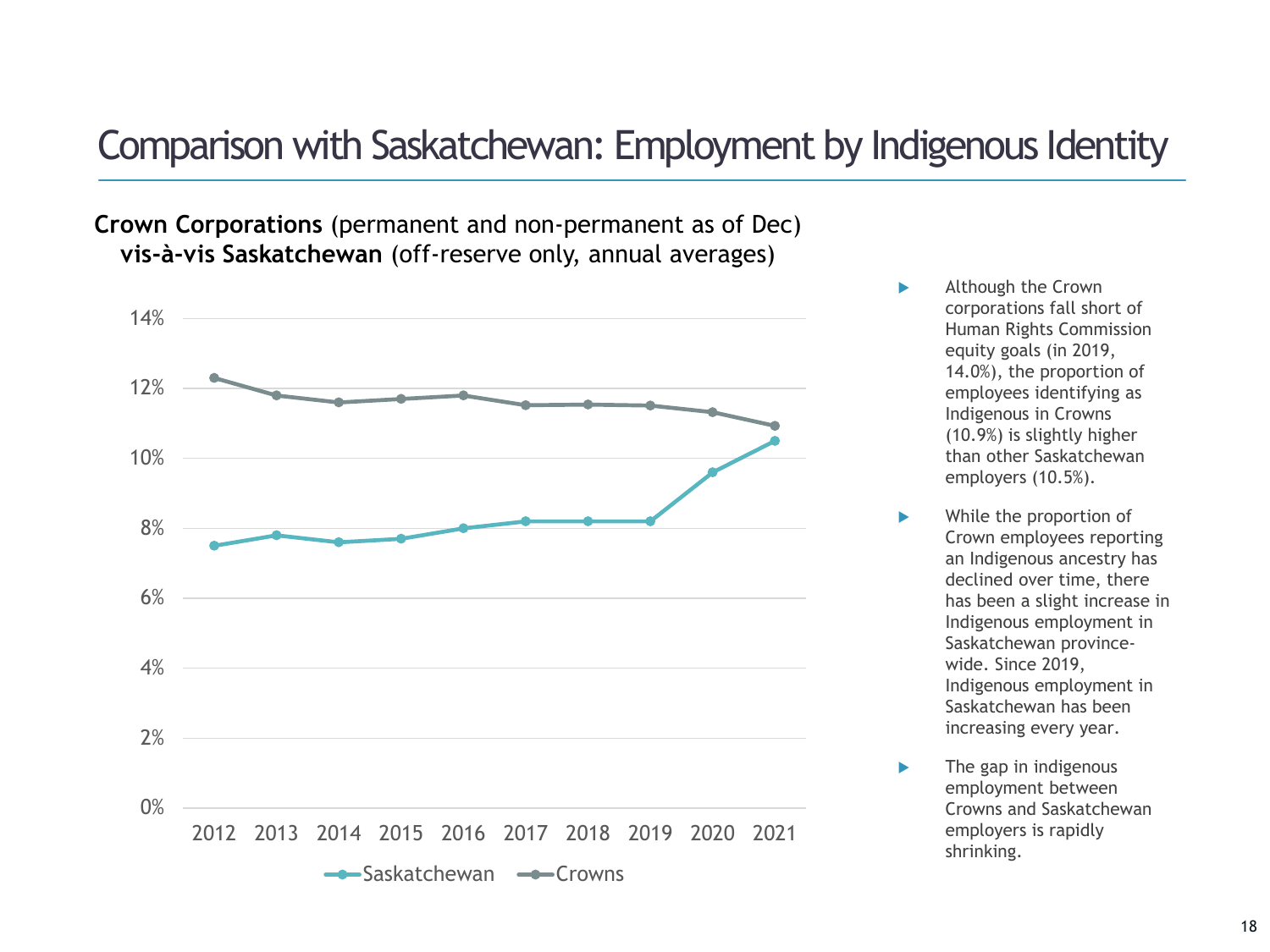### Comparison with Saskatchewan: Employment by Indigenous Identity

**Crown Corporations** (permanent and non-permanent as of Dec) **vis-à-vis Saskatchewan** (off-reserve only, annual averages)



- Although the Crown corporations fall short of Human Rights Commission equity goals (in 2019, 14.0%), the proportion of employees identifying as Indigenous in Crowns (10.9%) is slightly higher than other Saskatchewan employers (10.5%).
- While the proportion of Crown employees reporting an Indigenous ancestry has declined over time, there has been a slight increase in Indigenous employment in Saskatchewan provincewide. Since 2019, Indigenous employment in Saskatchewan has been increasing every year.
- $\blacktriangleright$  The gap in indigenous employment between Crowns and Saskatchewan employers is rapidly shrinking.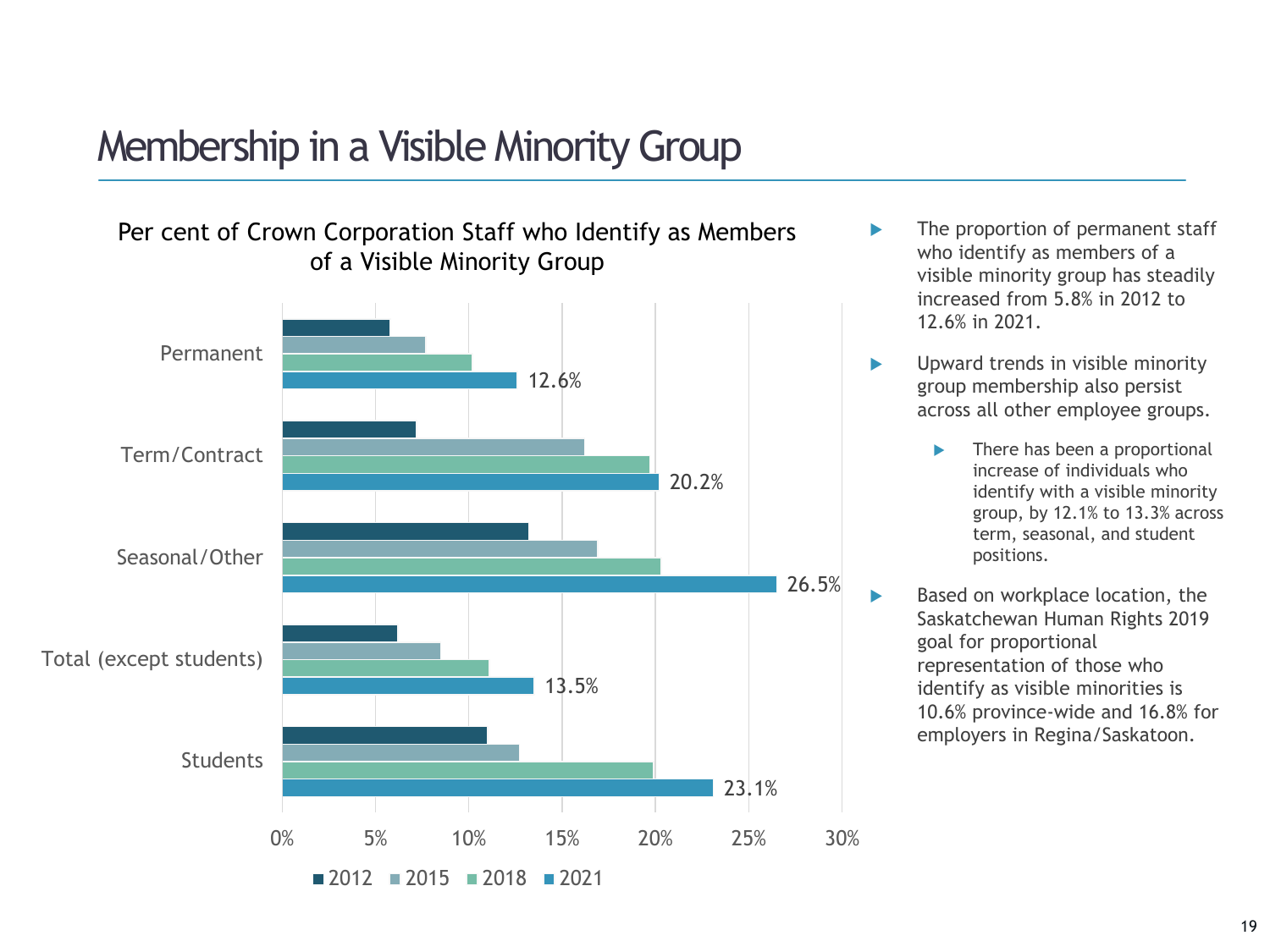# Membership in a Visible Minority Group

Per cent of Crown Corporation Staff who Identify as Members of a Visible Minority Group



- The proportion of permanent staff who identify as members of a visible minority group has steadily increased from 5.8% in 2012 to 12.6% in 2021.
- **DED** Upward trends in visible minority group membership also persist across all other employee groups.
	- **There has been a proportional** increase of individuals who identify with a visible minority group, by 12.1% to 13.3% across term, seasonal, and student positions.
- Based on workplace location, the Saskatchewan Human Rights 2019 goal for proportional representation of those who identify as visible minorities is 10.6% province-wide and 16.8% for employers in Regina/Saskatoon.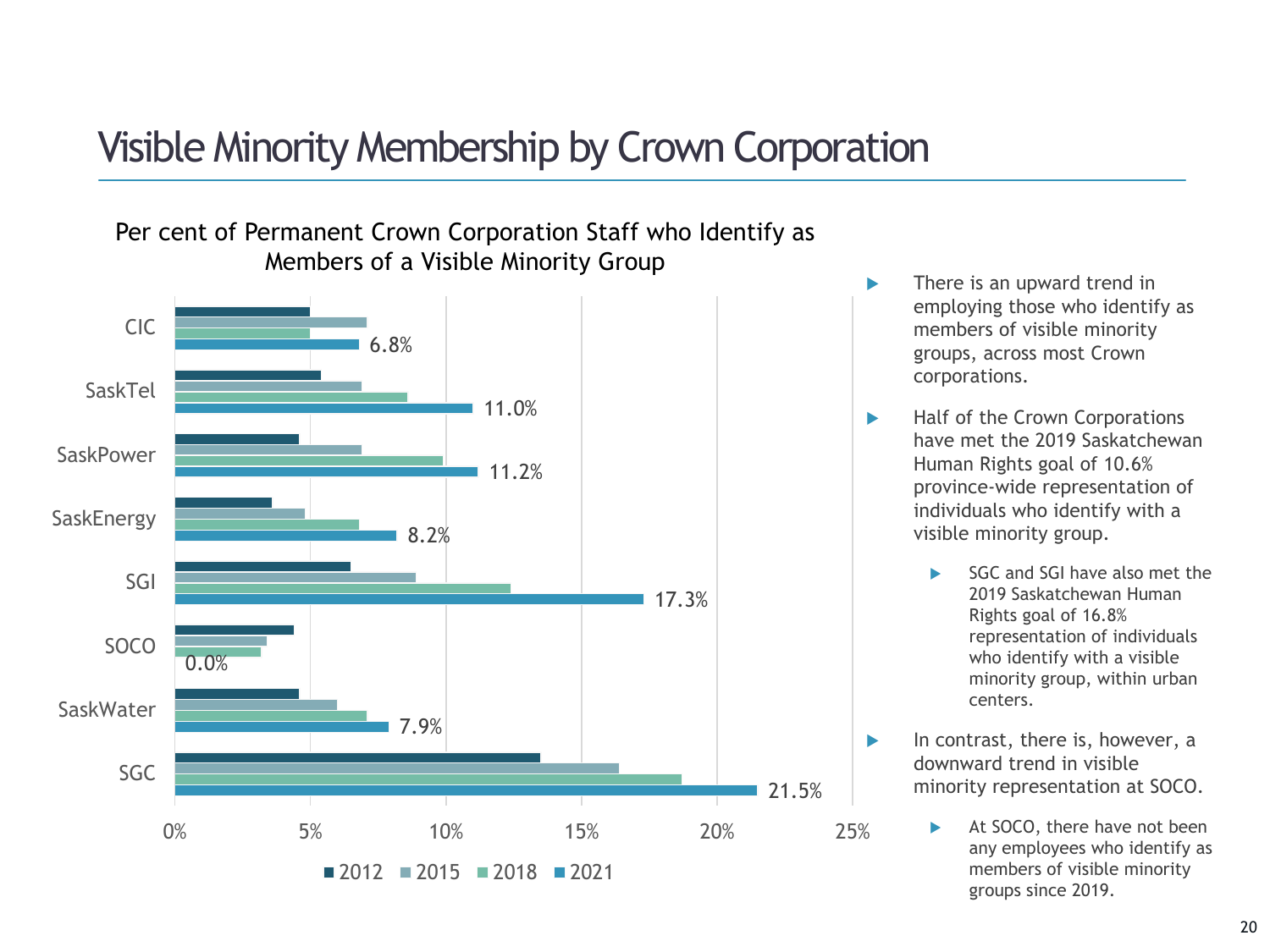# Visible Minority Membership by Crown Corporation

#### Per cent of Permanent Crown Corporation Staff who Identify as Members of a Visible Minority Group



- **There is an upward trend in** employing those who identify as members of visible minority groups, across most Crown corporations.
- Half of the Crown Corporations have met the 2019 Saskatchewan Human Rights goal of 10.6% province-wide representation of individuals who identify with a visible minority group.
	- SGC and SGI have also met the 2019 Saskatchewan Human Rights goal of 16.8% representation of individuals who identify with a visible minority group, within urban centers.
- $\blacktriangleright$  In contrast, there is, however, a downward trend in visible minority representation at SOCO.
	- At SOCO, there have not been any employees who identify as members of visible minority groups since 2019.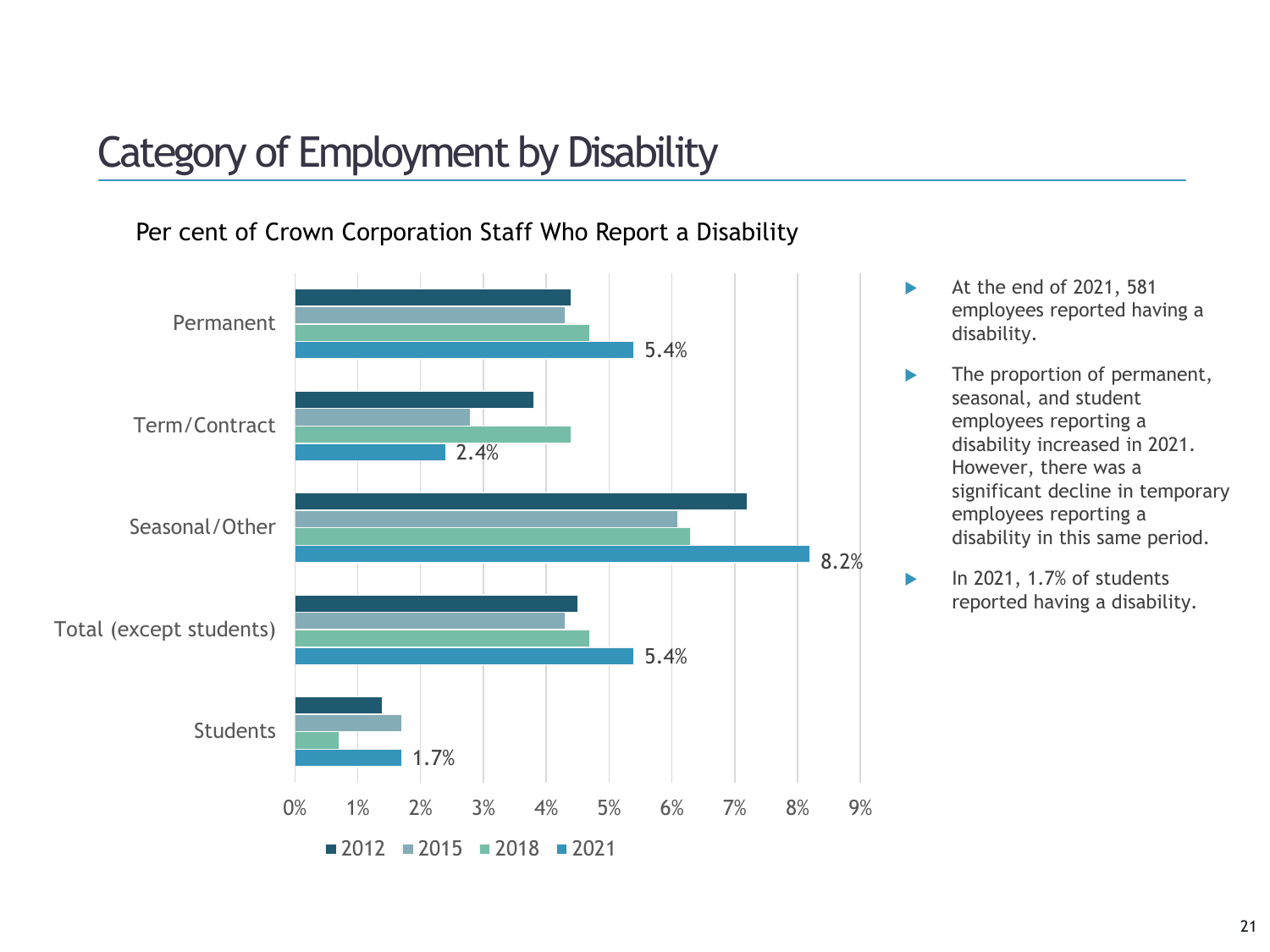# Category of Employment by Disability

#### Per cent of Crown Corporation Staff Who Report a Disability

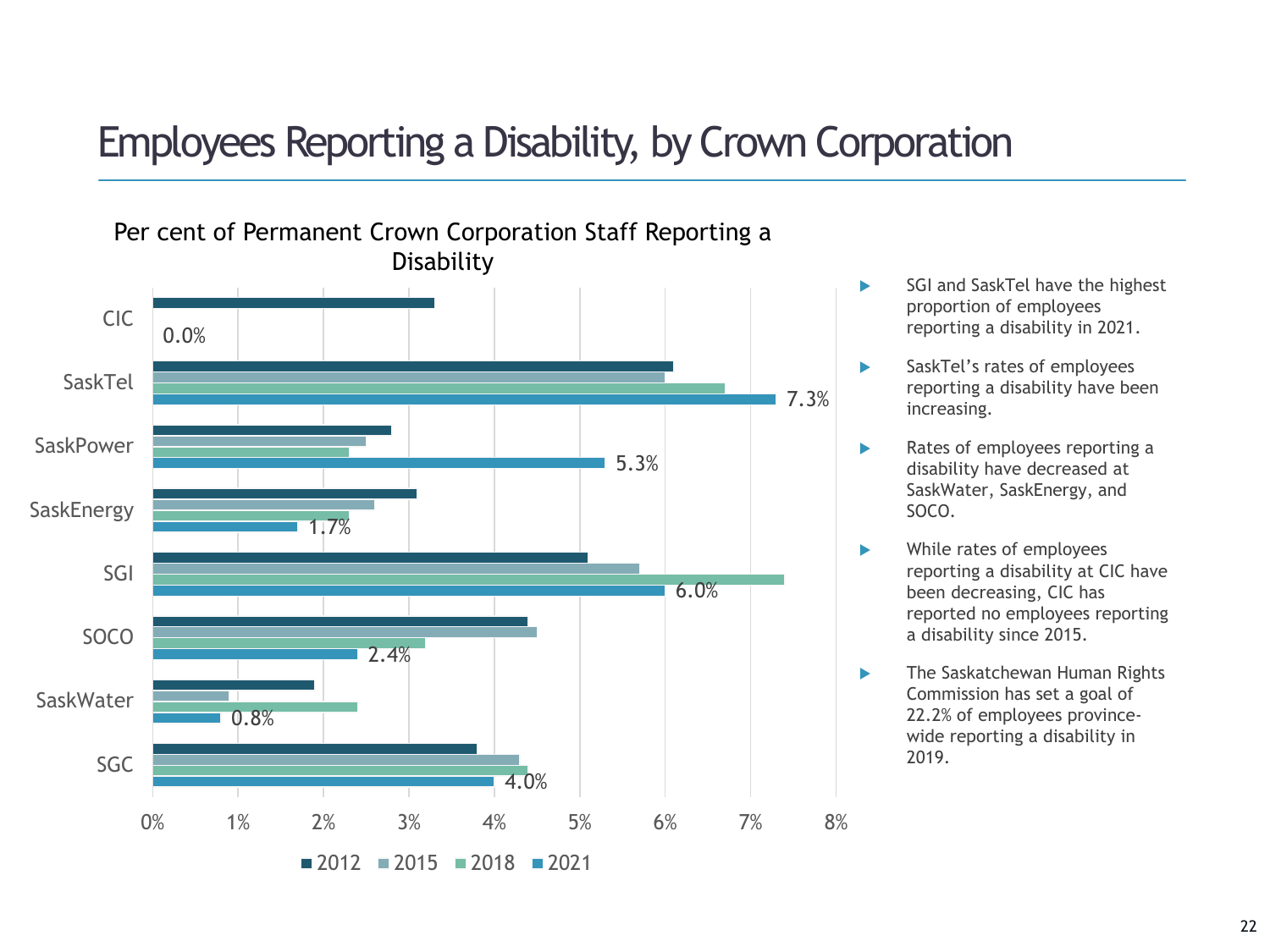# Employees Reporting a Disability, by Crown Corporation



- SGI and SaskTel have the highest proportion of employees reporting a disability in 2021.
- SaskTel's rates of employees reporting a disability have been increasing.
- Rates of employees reporting a disability have decreased at SaskWater, SaskEnergy, and SOCO.
- While rates of employees reporting a disability at CIC have been decreasing, CIC has reported no employees reporting a disability since 2015.
- **The Saskatchewan Human Rights** Commission has set a goal of 22.2% of employees provincewide reporting a disability in 2019.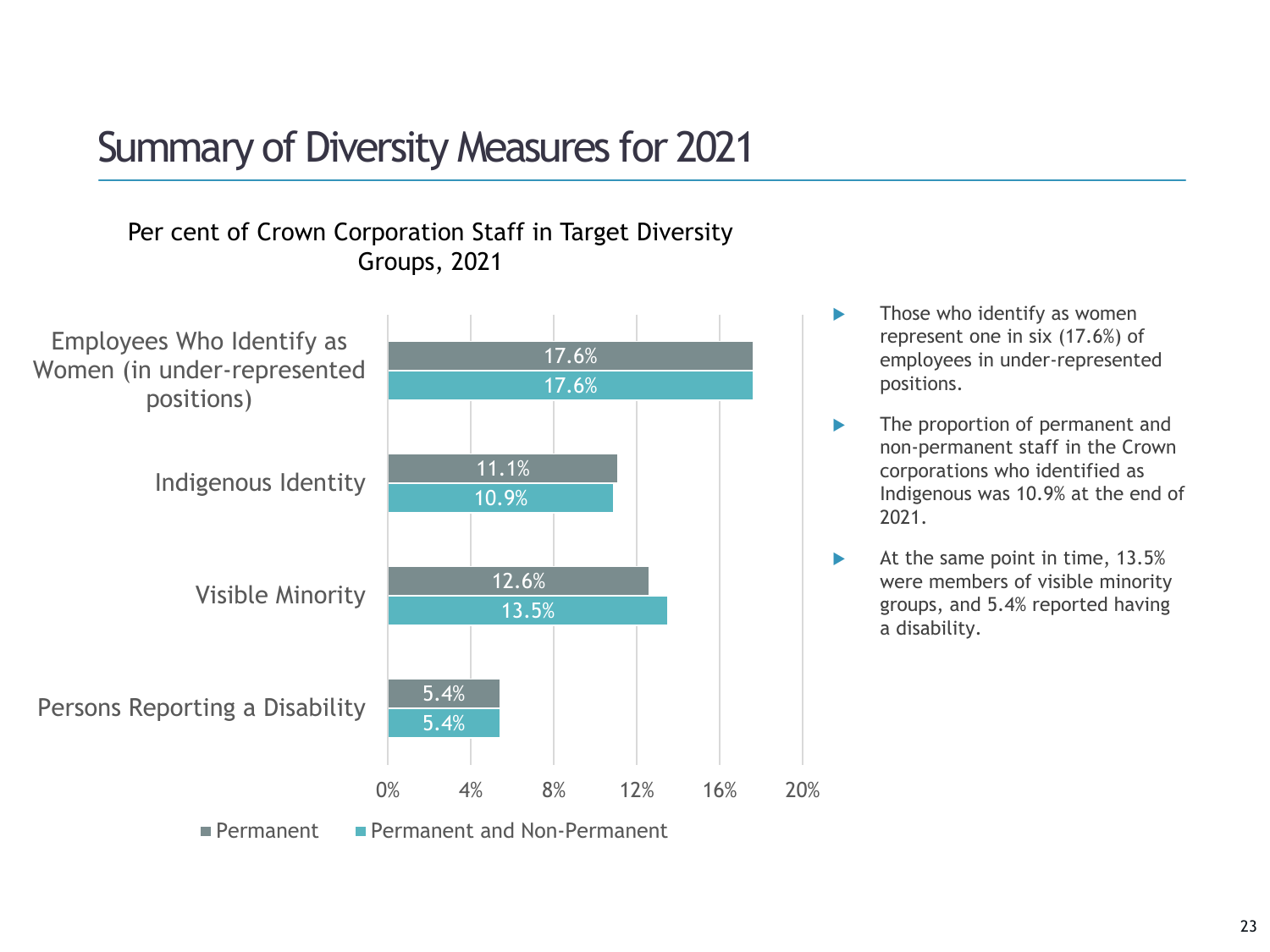# Summary of Diversity Measures for 2021

#### Per cent of Crown Corporation Staff in Target Diversity Groups, 2021



- $\blacktriangleright$  Those who identify as women represent one in six (17.6%) of employees in under-represented positions.
- **The proportion of permanent and** non-permanent staff in the Crown corporations who identified as Indigenous was 10.9% at the end of 2021.
- $\blacktriangleright$  At the same point in time, 13.5% were members of visible minority groups, and 5.4% reported having a disability.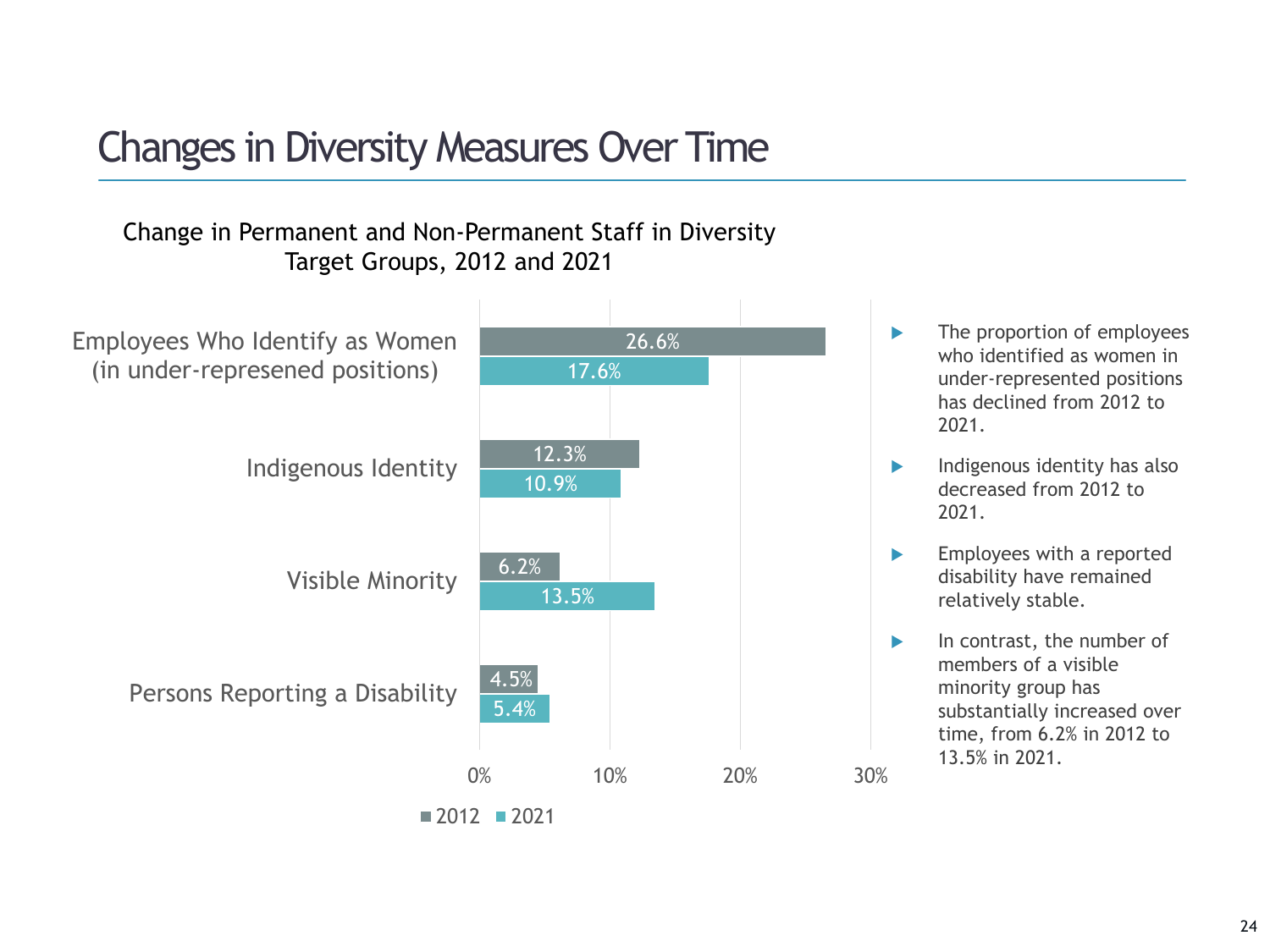# Changes in Diversity Measures Over Time

#### Change in Permanent and Non-Permanent Staff in Diversity Target Groups, 2012 and 2021



- **The proportion of employees** who identified as women in under-represented positions has declined from 2012 to 2021.
- $\blacktriangleright$  Indigenous identity has also decreased from 2012 to 2021.
- Employees with a reported disability have remained relatively stable.
- $\blacktriangleright$  In contrast, the number of members of a visible minority group has substantially increased over time, from 6.2% in 2012 to 13.5% in 2021.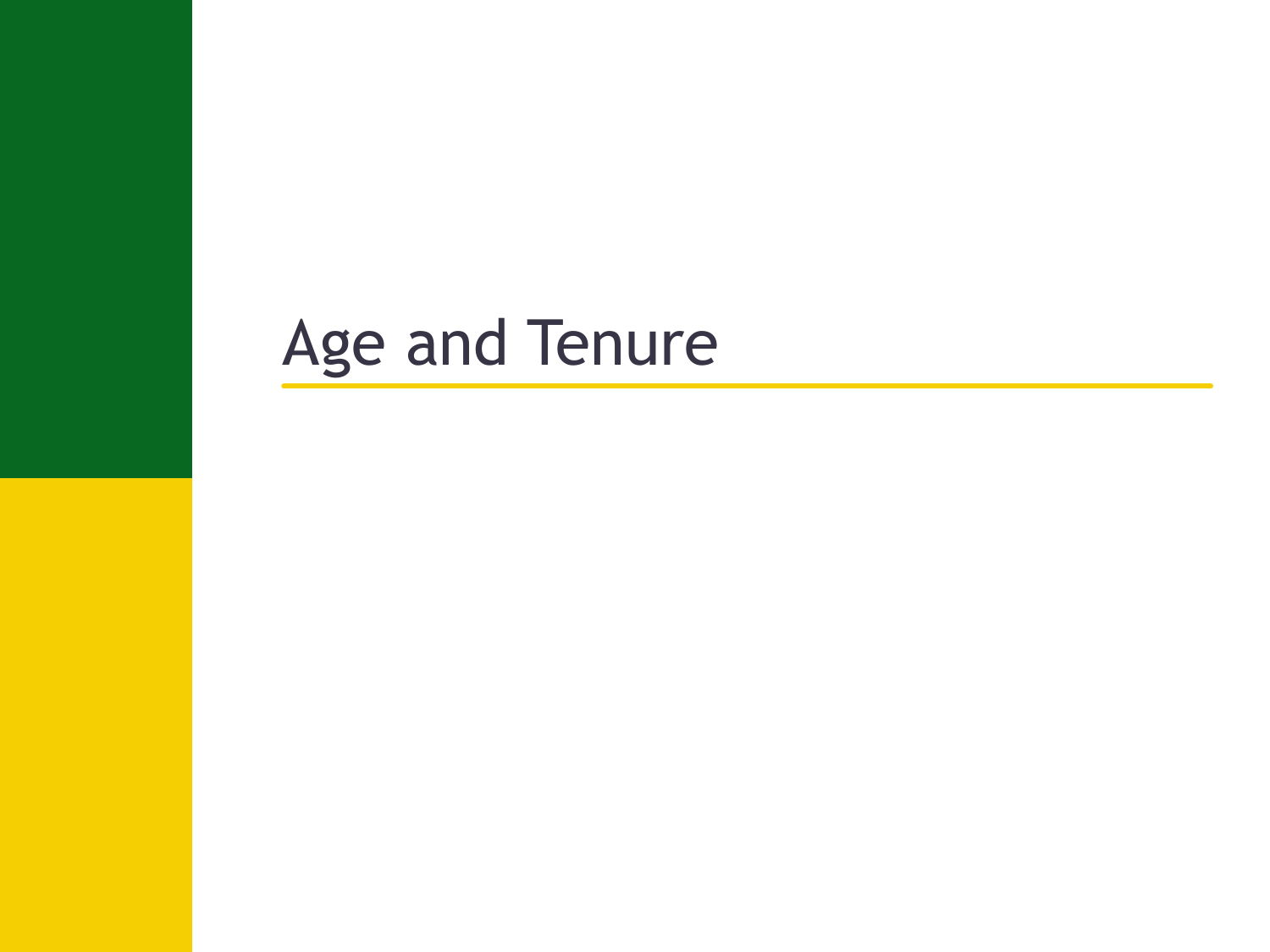# Age and Tenure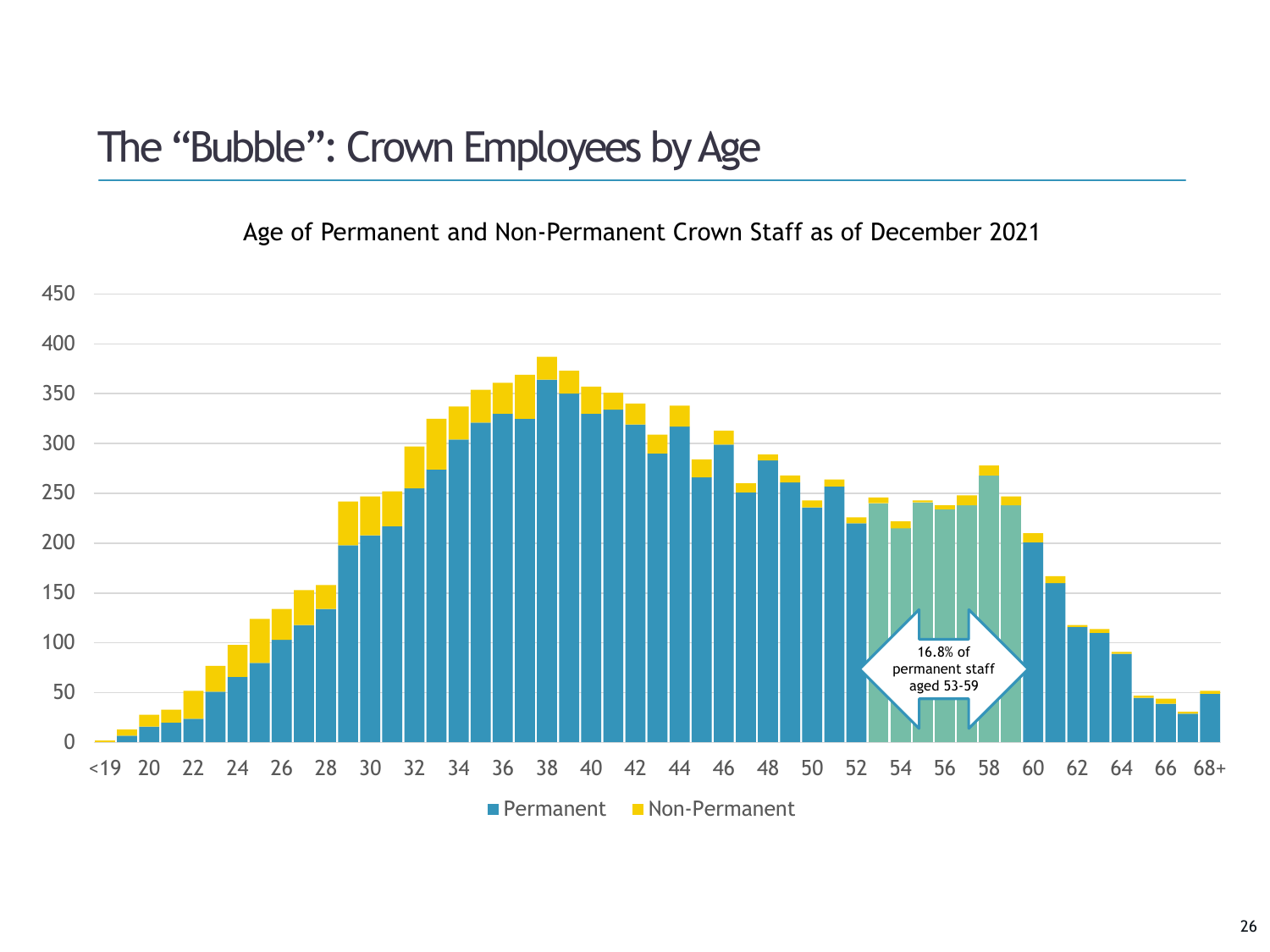### The "Bubble": Crown Employees by Age

Age of Permanent and Non-Permanent Crown Staff as of December 2021

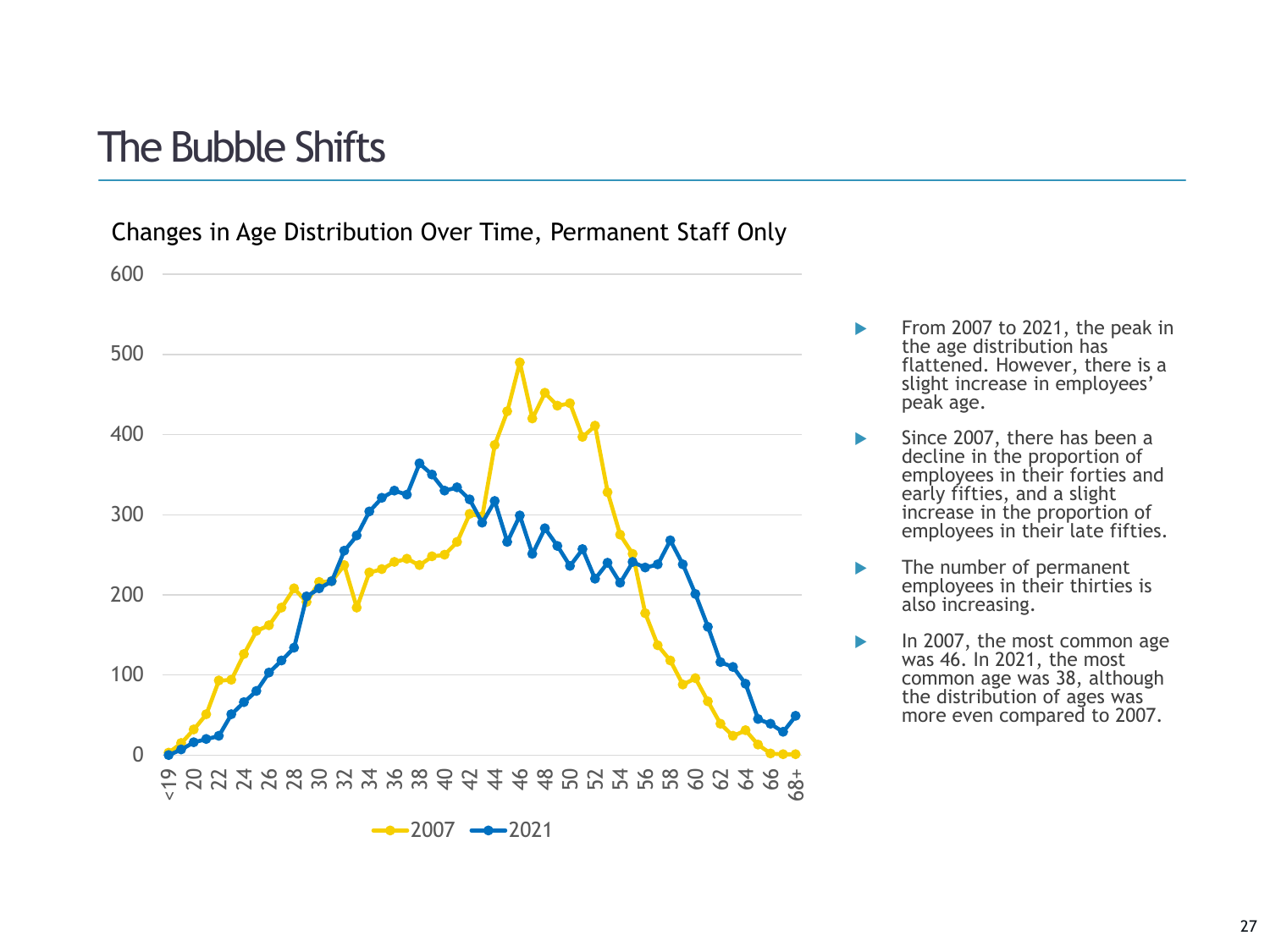### The Bubble Shifts

Changes in Age Distribution Over Time, Permanent Staff Only



- From 2007 to 2021, the peak in the age distribution has flattened. However, there is a slight increase in employees' peak age.
- Since 2007, there has been a decline in the proportion of employees in their forties and early fifties, and a slight increase in the proportion of employees in their late fifties.
- The number of permanent employees in their thirties is also increasing.
- In 2007, the most common age was 46. In 2021, the most common age was 38, although the distribution of ages was more even compared to 2007.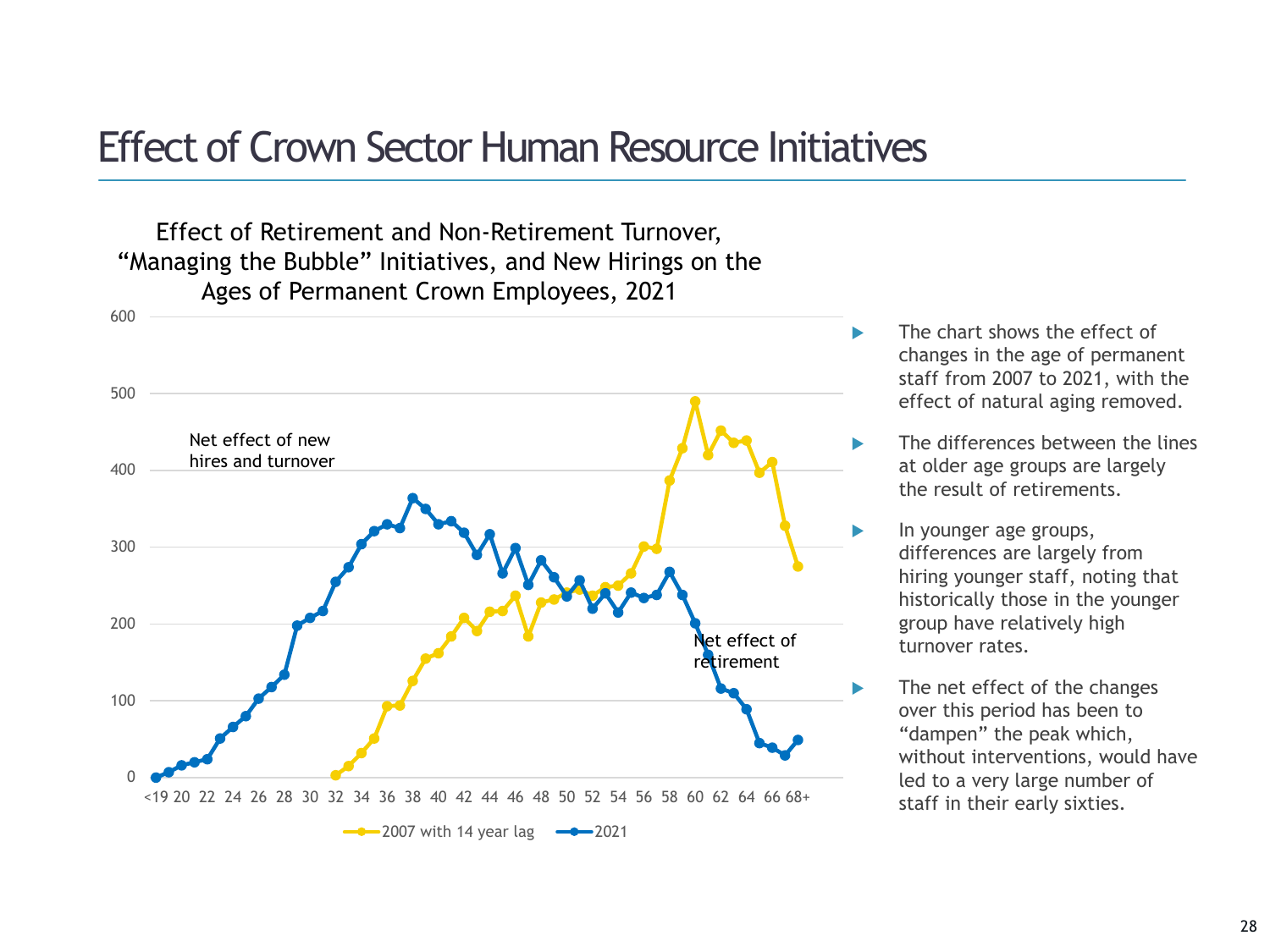### Effect of Crown Sector Human Resource Initiatives

Effect of Retirement and Non-Retirement Turnover, "Managing the Bubble" Initiatives, and New Hirings on the Ages of Permanent Crown Employees, 2021



- The chart shows the effect of changes in the age of permanent staff from 2007 to 2021, with the effect of natural aging removed.
- The differences between the lines at older age groups are largely the result of retirements.
- In younger age groups, differences are largely from hiring younger staff, noting that historically those in the younger group have relatively high turnover rates.
- The net effect of the changes over this period has been to "dampen" the peak which, without interventions, would have led to a very large number of staff in their early sixties.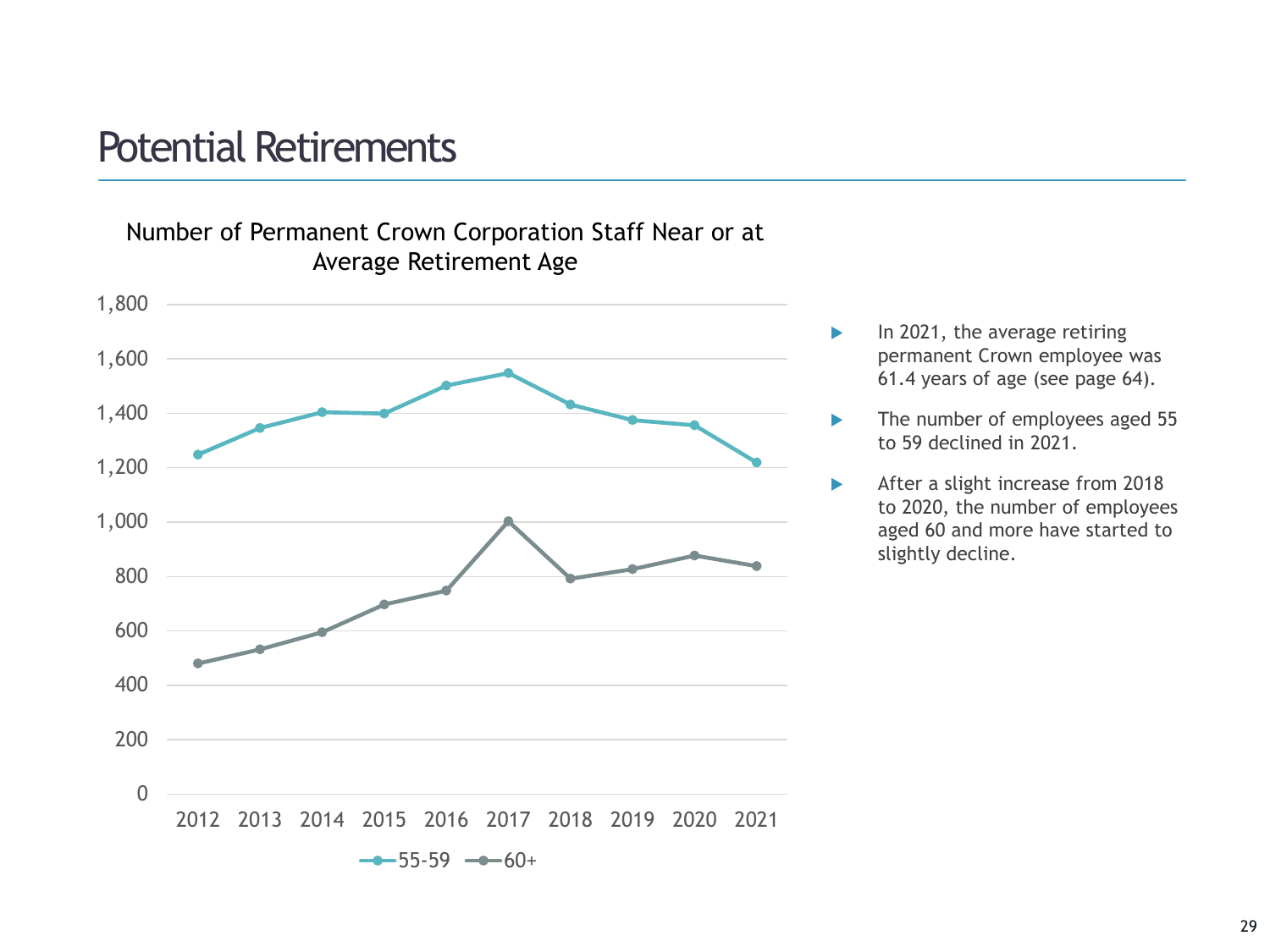### Potential Retirements



- $\blacktriangleright$  In 2021, the average retiring permanent Crown employee was 61.4 years of age (see page 64).
- The number of employees aged 55 to 59 declined in 2021.
- After a slight increase from 2018 to 2020, the number of employees aged 60 and more have started to slightly decline.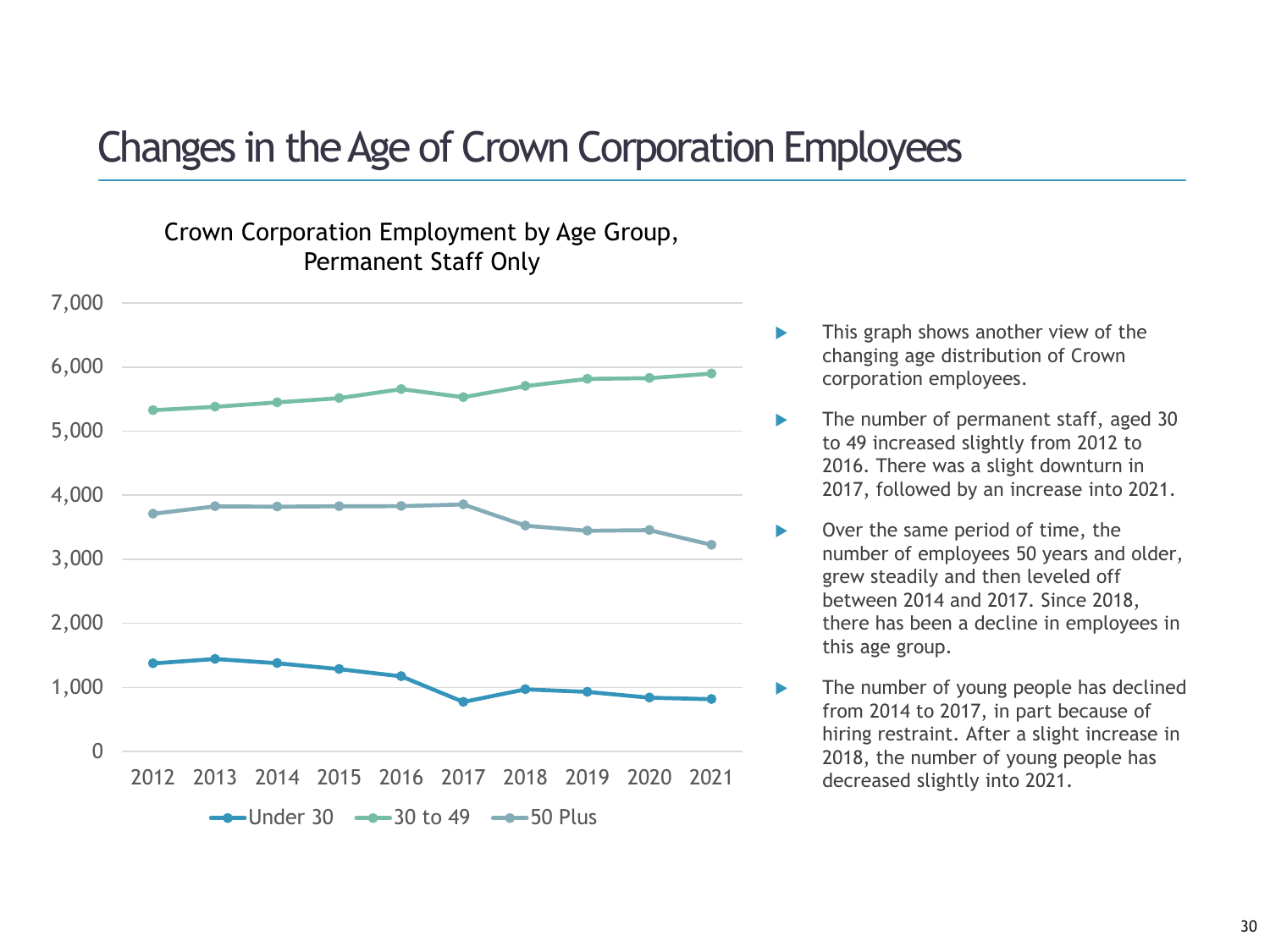### Changes in the Age of Crown Corporation Employees



Crown Corporation Employment by Age Group, Permanent Staff Only

- This graph shows another view of the changing age distribution of Crown corporation employees.
- The number of permanent staff, aged 30 to 49 increased slightly from 2012 to 2016. There was a slight downturn in 2017, followed by an increase into 2021.
	- Over the same period of time, the number of employees 50 years and older, grew steadily and then leveled off between 2014 and 2017. Since 2018, there has been a decline in employees in this age group.
	- The number of young people has declined from 2014 to 2017, in part because of hiring restraint. After a slight increase in 2018, the number of young people has decreased slightly into 2021.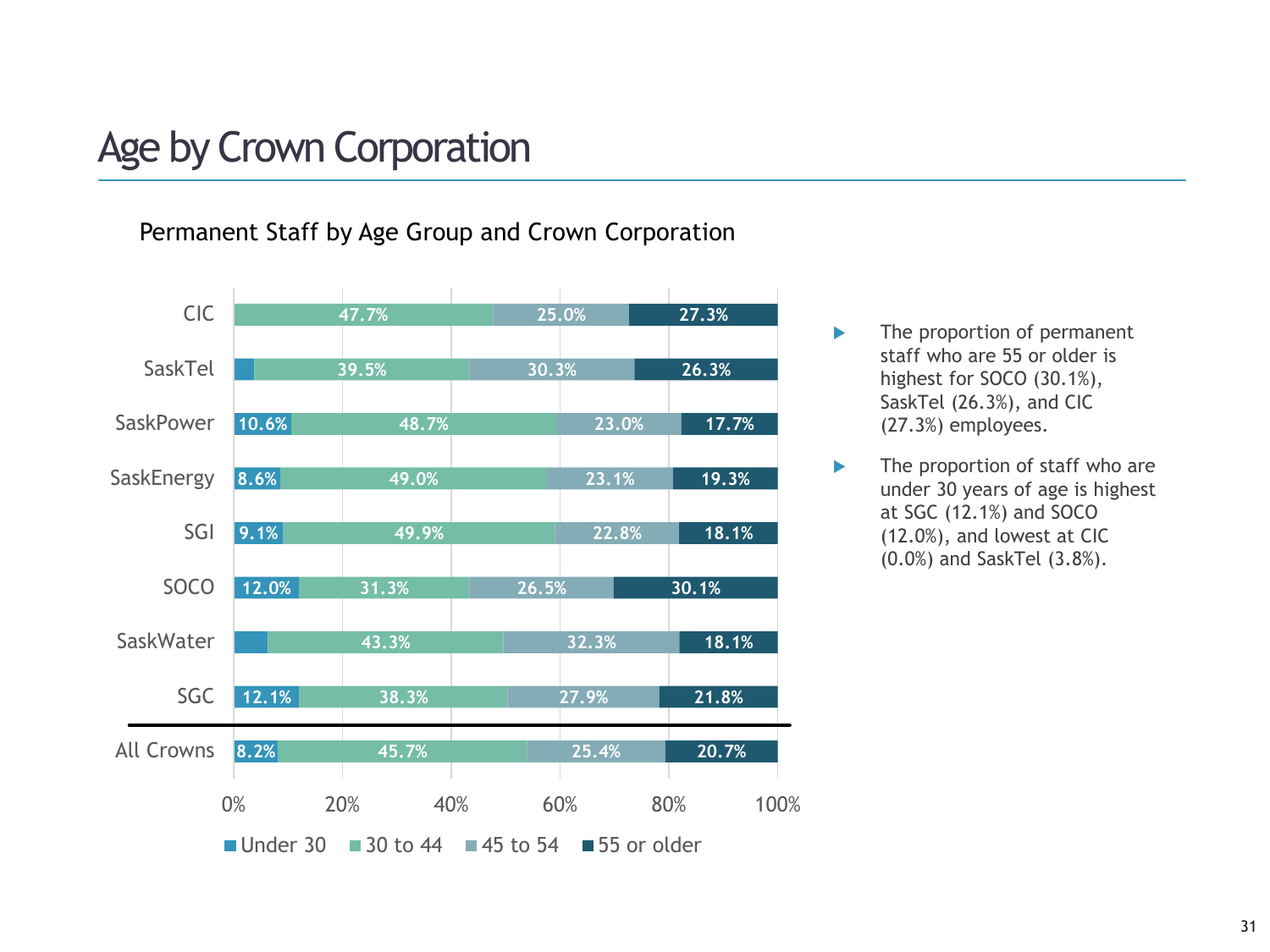# Age by Crown Corporation

Permanent Staff by Age Group and Crown Corporation



- **The proportion of permanent** staff who are 55 or older is highest for SOCO (30.1%), SaskTel (26.3%), and CIC (27.3%) employees.
- $\blacktriangleright$  The proportion of staff who are under 30 years of age is highest at SGC (12.1%) and SOCO (12.0%), and lowest at CIC (0.0%) and SaskTel (3.8%).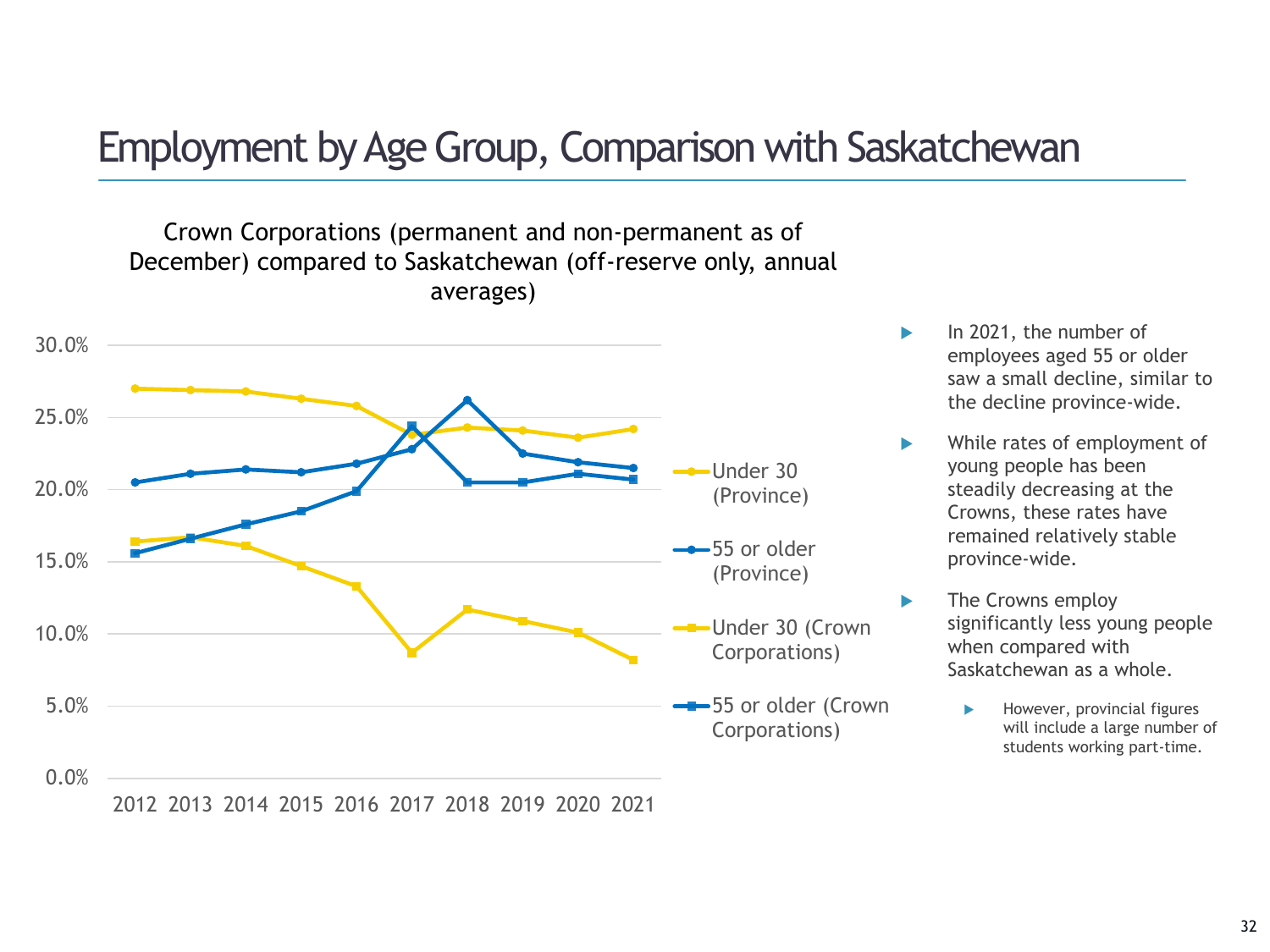## Employment by Age Group, Comparison with Saskatchewan

Crown Corporations (permanent and non-permanent as of December) compared to Saskatchewan (off-reserve only, annual averages)



- In 2021, the number of employees aged 55 or older saw a small decline, similar to the decline province-wide.
- While rates of employment of young people has been steadily decreasing at the Crowns, these rates have remained relatively stable province-wide.
- The Crowns employ significantly less young people when compared with Saskatchewan as a whole.
	- However, provincial figures will include a large number of students working part-time.

2012 2013 2014 2015 2016 2017 2018 2019 2020 2021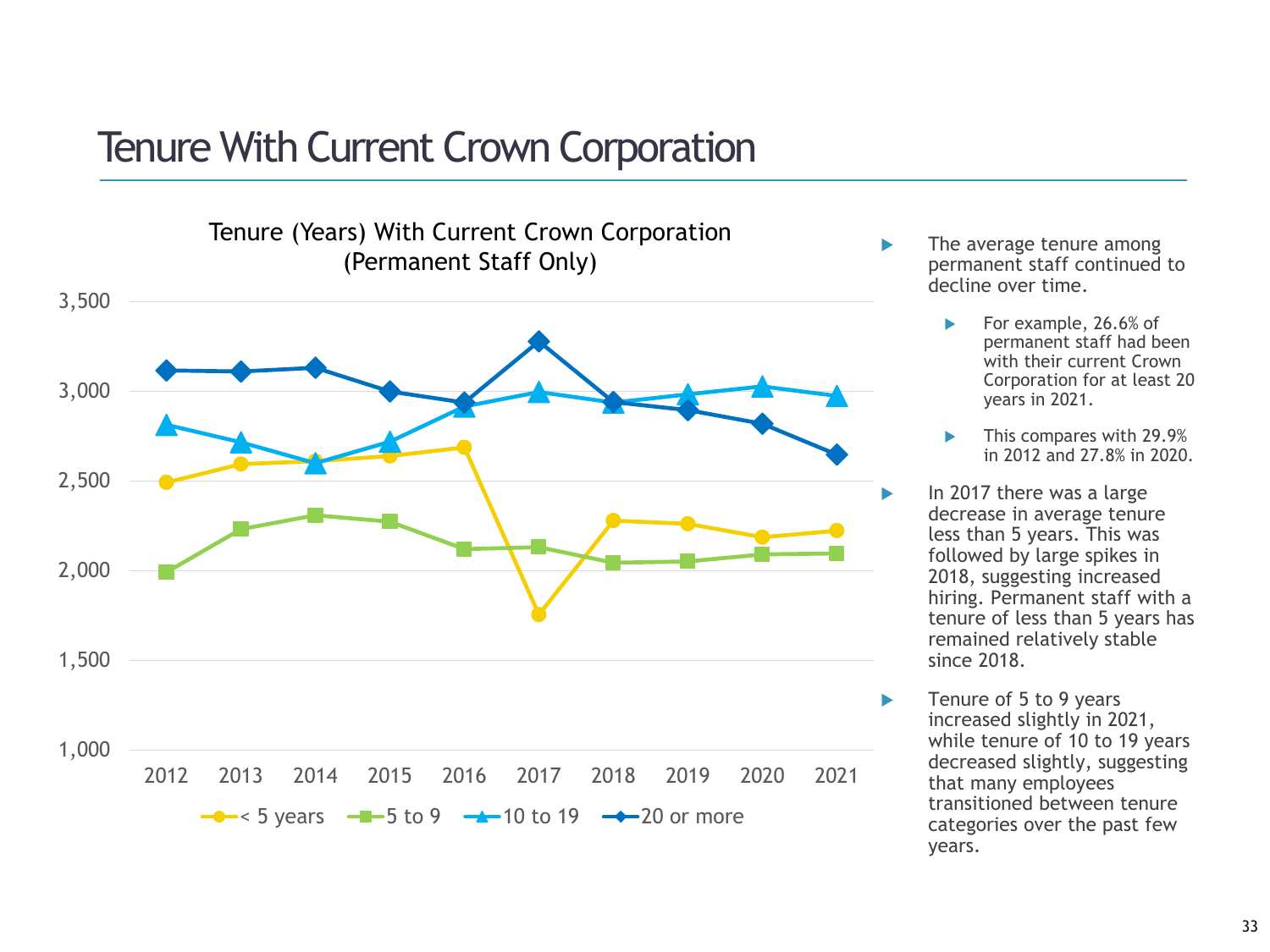### Tenure With Current Crown Corporation



- The average tenure among permanent staff continued to decline over time.
	- For example, 26.6% of permanent staff had been with their current Crown Corporation for at least 20 years in 2021.
	- **This compares with 29.9%** in 2012 and 27.8% in 2020.
	- In 2017 there was a large decrease in average tenure less than 5 years. This was followed by large spikes in 2018, suggesting increased hiring. Permanent staff with a tenure of less than 5 years has remained relatively stable since 2018.
	- Tenure of 5 to 9 years increased slightly in 2021, while tenure of 10 to 19 years decreased slightly, suggesting that many employees transitioned between tenure categories over the past few years.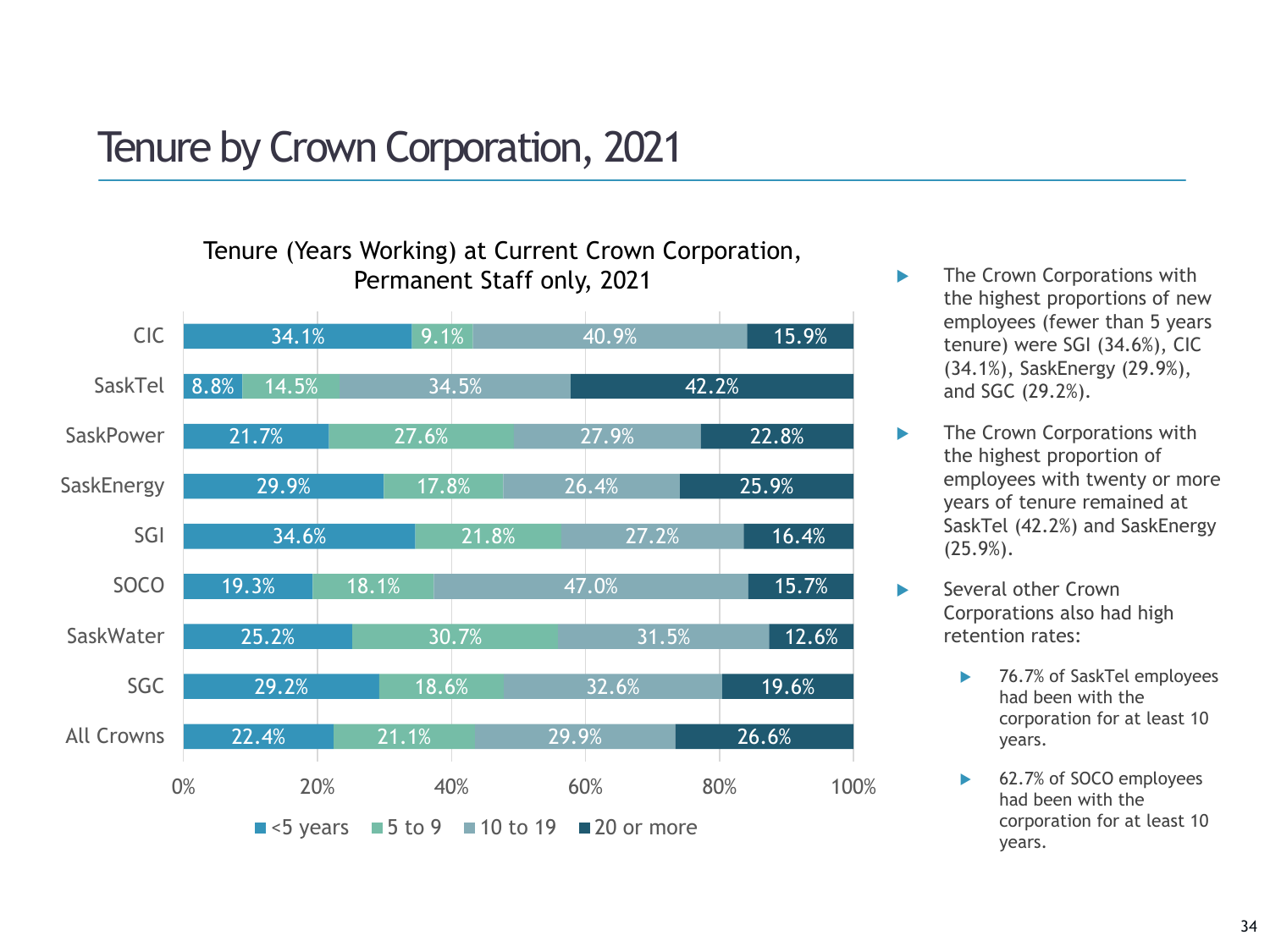# Tenure by Crown Corporation, 2021

#### Tenure (Years Working) at Current Crown Corporation, **Permanent Staff only, 2021 The Crown Corporations with**



- the highest proportions of new employees (fewer than 5 years tenure) were SGI (34.6%), CIC (34.1%), SaskEnergy (29.9%), and SGC (29.2%).
- **The Crown Corporations with** the highest proportion of employees with twenty or more years of tenure remained at SaskTel (42.2%) and SaskEnergy (25.9%).
- Several other Crown Corporations also had high retention rates:
	- ▶ 76.7% of SaskTel employees had been with the corporation for at least 10 years.
	- ► 62.7% of SOCO employees had been with the corporation for at least 10 years.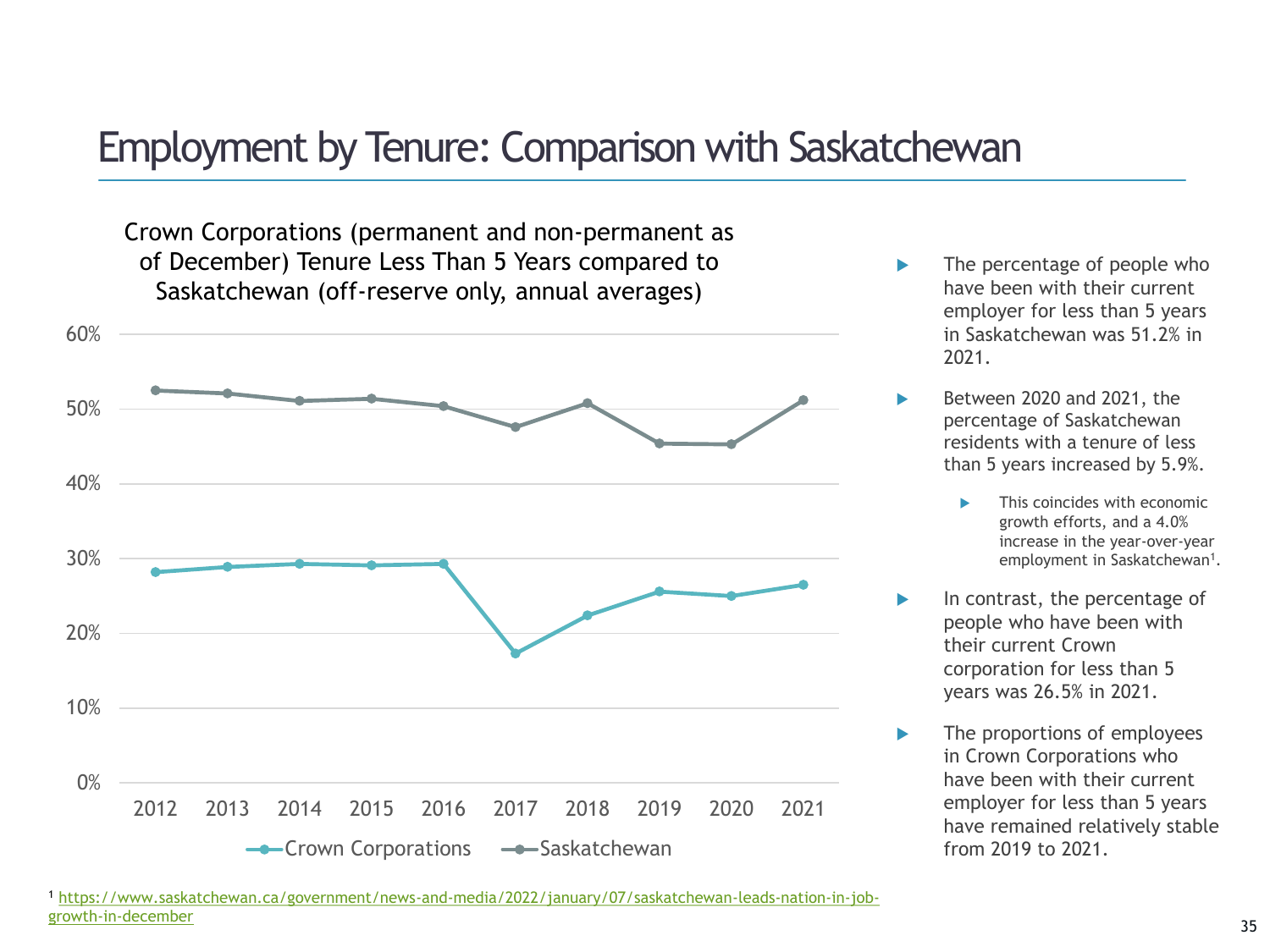### Employment by Tenure: Comparison with Saskatchewan

Crown Corporations (permanent and non-permanent as of December) Tenure Less Than 5 Years compared to Saskatchewan (off-reserve only, annual averages)



- The percentage of people who have been with their current employer for less than 5 years in Saskatchewan was 51.2% in 2021.
- Between 2020 and 2021, the percentage of Saskatchewan residents with a tenure of less than 5 years increased by 5.9%.
	- This coincides with economic growth efforts, and a 4.0% increase in the year-over-year employment in Saskatchewan<sup>1</sup>.
- In contrast, the percentage of people who have been with their current Crown corporation for less than 5 years was 26.5% in 2021.
- The proportions of employees in Crown Corporations who have been with their current employer for less than 5 years have remained relatively stable from 2019 to 2021.

<sup>1</sup> [https://www.saskatchewan.ca/government/news-and-media/2022/january/07/saskatchewan-leads-nation-in-job](https://www.saskatchewan.ca/government/news-and-media/2022/january/07/saskatchewan-leads-nation-in-job-growth-in-december)growth-in-december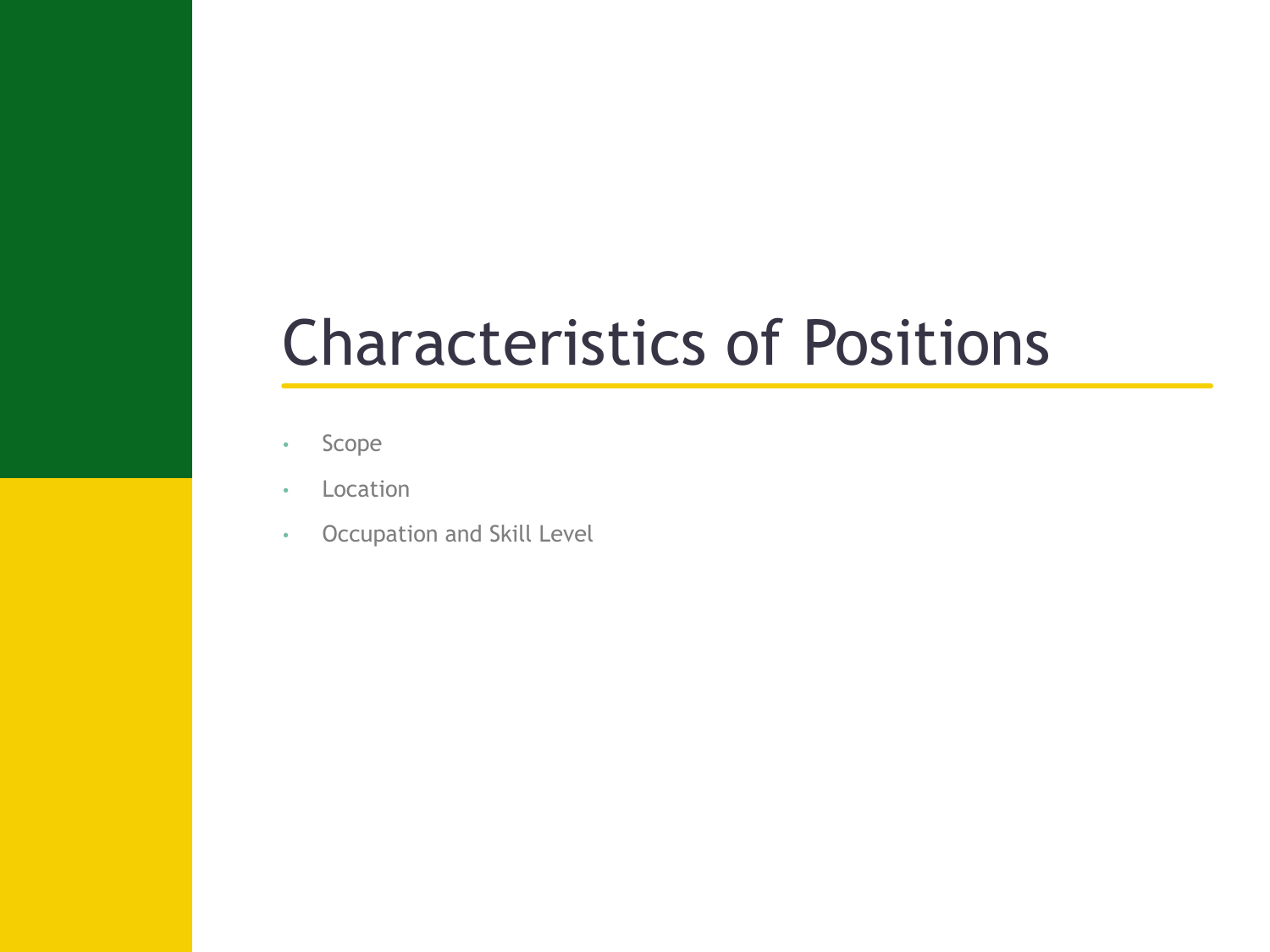# Characteristics of Positions

- Scope
- Location
- Occupation and Skill Level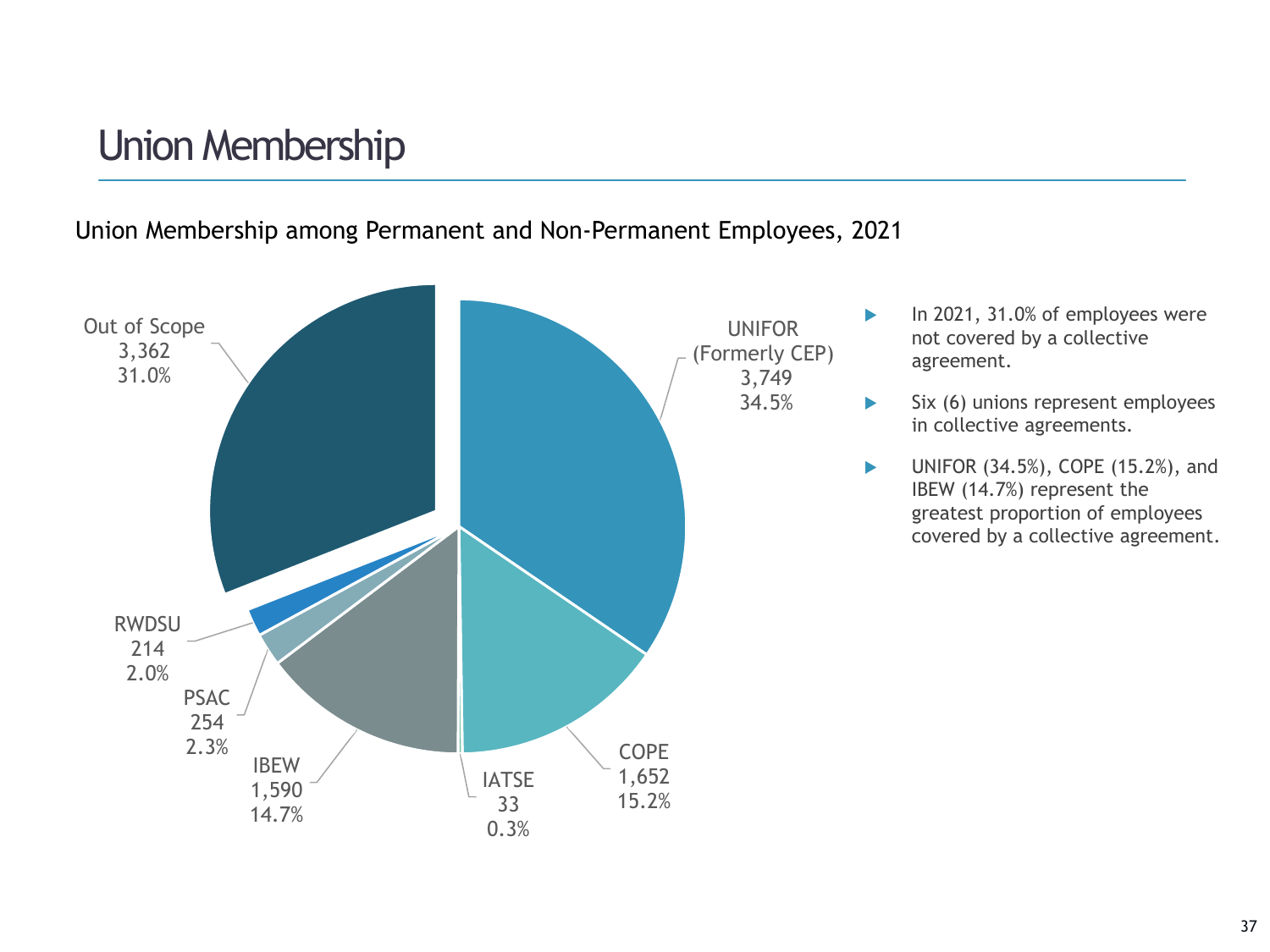## Union Membership

Union Membership among Permanent and Non-Permanent Employees, 2021



- $\blacktriangleright$  In 2021, 31.0% of employees were not covered by a collective agreement.
- $\blacktriangleright$  Six (6) unions represent employees in collective agreements.
- $\blacktriangleright$  UNIFOR (34.5%), COPE (15.2%), and IBEW (14.7%) represent the greatest proportion of employees covered by a collective agreement.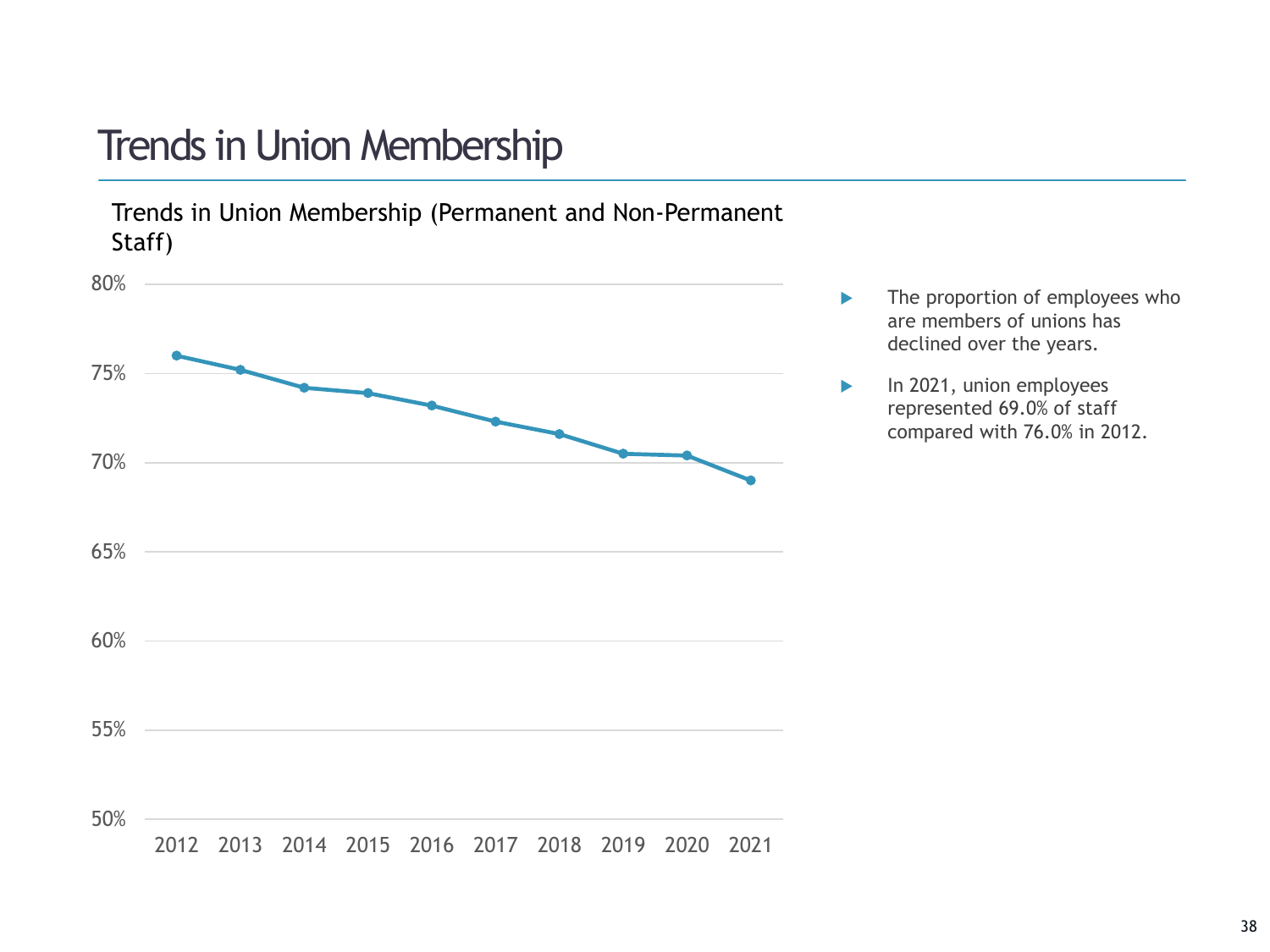## Trends in Union Membership

Trends in Union Membership (Permanent and Non-Permanent Staff)



- ▶ The proportion of employees who are members of unions has declined over the years.
- $\blacktriangleright$  In 2021, union employees represented 69.0% of staff compared with 76.0% in 2012.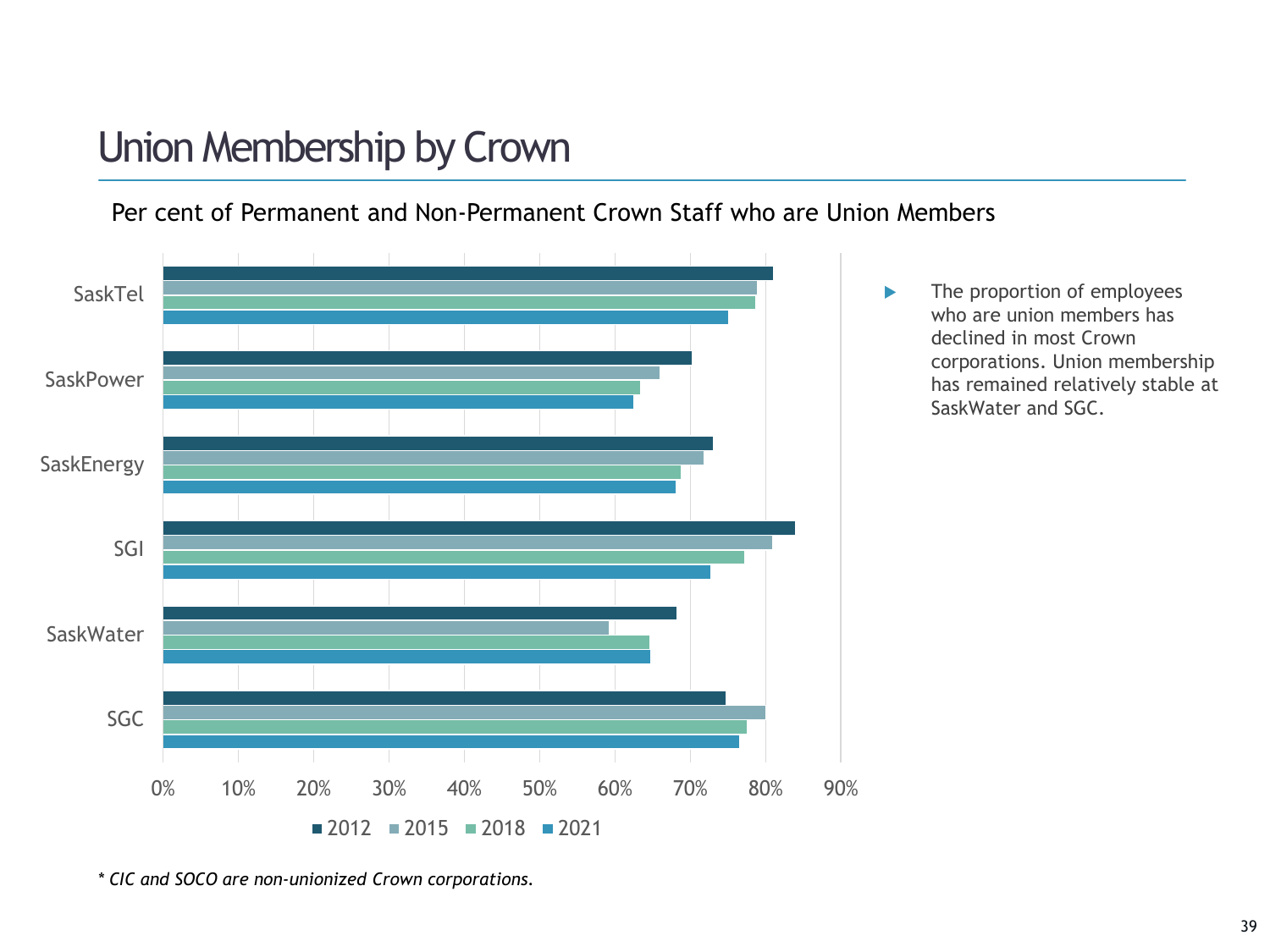# Union Membership by Crown

Per cent of Permanent and Non-Permanent Crown Staff who are Union Members



*<sup>\*</sup> CIC and SOCO are non-unionized Crown corporations.*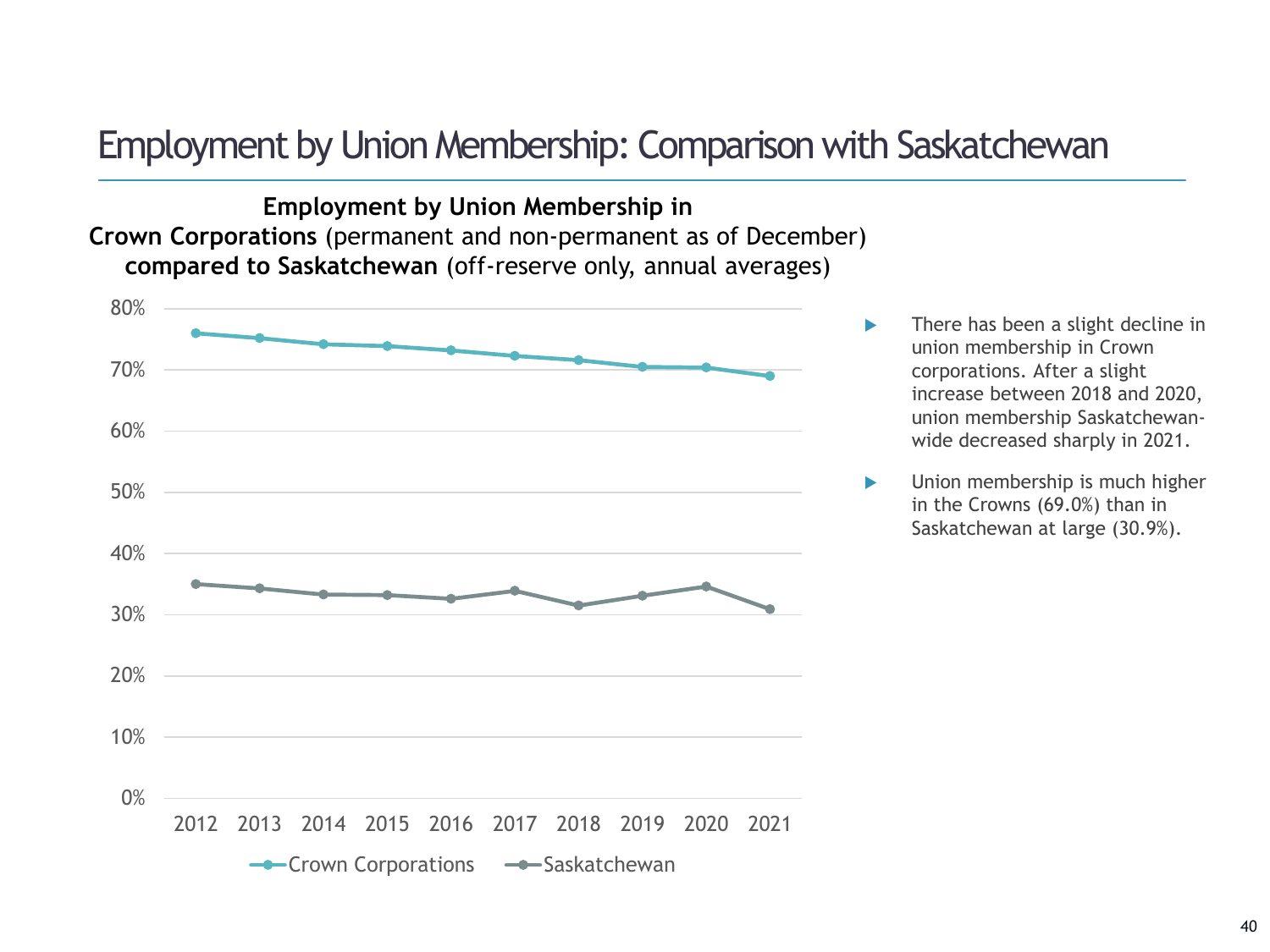### Employment by Union Membership: Comparison with Saskatchewan

**Employment by Union Membership in Crown Corporations** (permanent and non-permanent as of December) **compared to Saskatchewan** (off-reserve only, annual averages)



- **There has been a slight decline in** union membership in Crown corporations. After a slight increase between 2018 and 2020, union membership Saskatchewanwide decreased sharply in 2021.
- Union membership is much higher in the Crowns (69.0%) than in Saskatchewan at large (30.9%).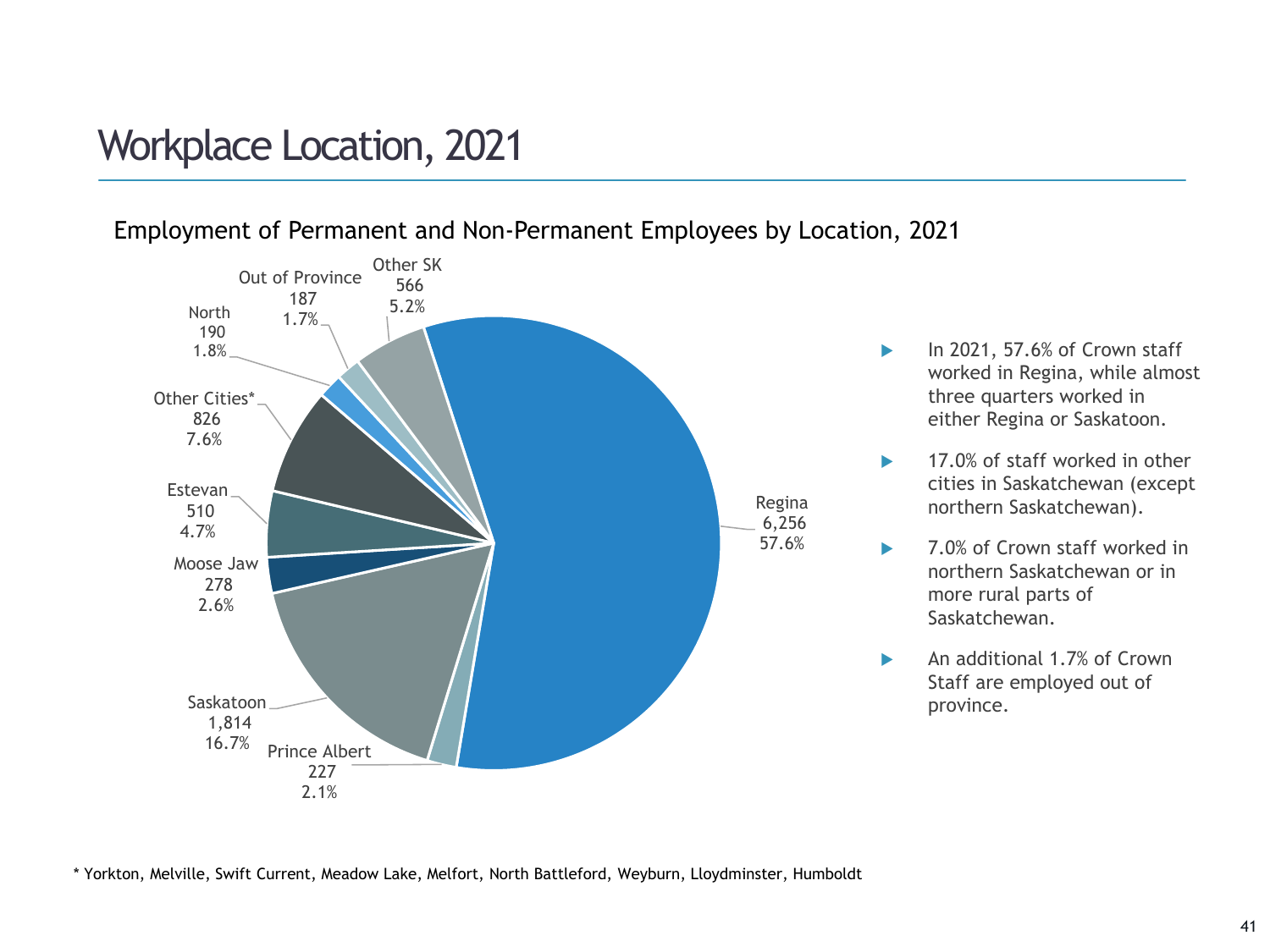## Workplace Location, 2021



#### Employment of Permanent and Non-Permanent Employees by Location, 2021

- $\blacktriangleright$  In 2021, 57.6% of Crown staff worked in Regina, while almost three quarters worked in either Regina or Saskatoon.
- $\blacktriangleright$  17.0% of staff worked in other cities in Saskatchewan (except northern Saskatchewan).
- ▶ 7.0% of Crown staff worked in northern Saskatchewan or in more rural parts of Saskatchewan.
- An additional 1.7% of Crown Staff are employed out of province.

\* Yorkton, Melville, Swift Current, Meadow Lake, Melfort, North Battleford, Weyburn, Lloydminster, Humboldt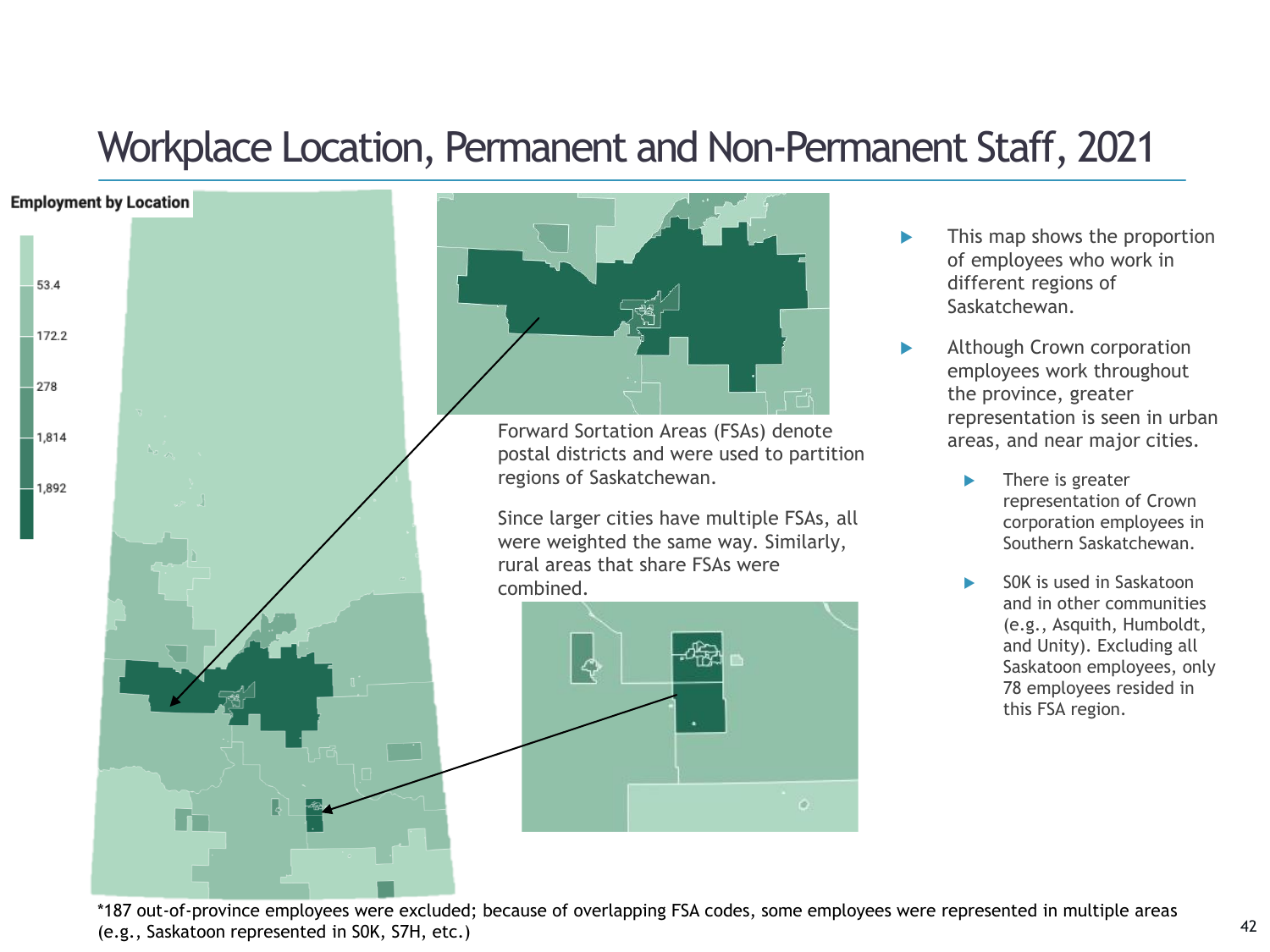## Workplace Location, Permanent and Non-Permanent Staff, 2021



l C



Forward Sortation Areas (FSAs) denote postal districts and were used to partition regions of Saskatchewan.

Since larger cities have multiple FSAs, all were weighted the same way. Similarly, rural areas that share FSAs were combined.



- This map shows the proportion of employees who work in different regions of Saskatchewan.
- Although Crown corporation employees work throughout the province, greater representation is seen in urban areas, and near major cities.
	- There is greater representation of Crown corporation employees in Southern Saskatchewan.
	- S0K is used in Saskatoon and in other communities (e.g., Asquith, Humboldt, and Unity). Excluding all Saskatoon employees, only 78 employees resided in this FSA region.

\*187 out-of-province employees were excluded; because of overlapping FSA codes, some employees were represented in multiple areas (e.g., Saskatoon represented in S0K, S7H, etc.)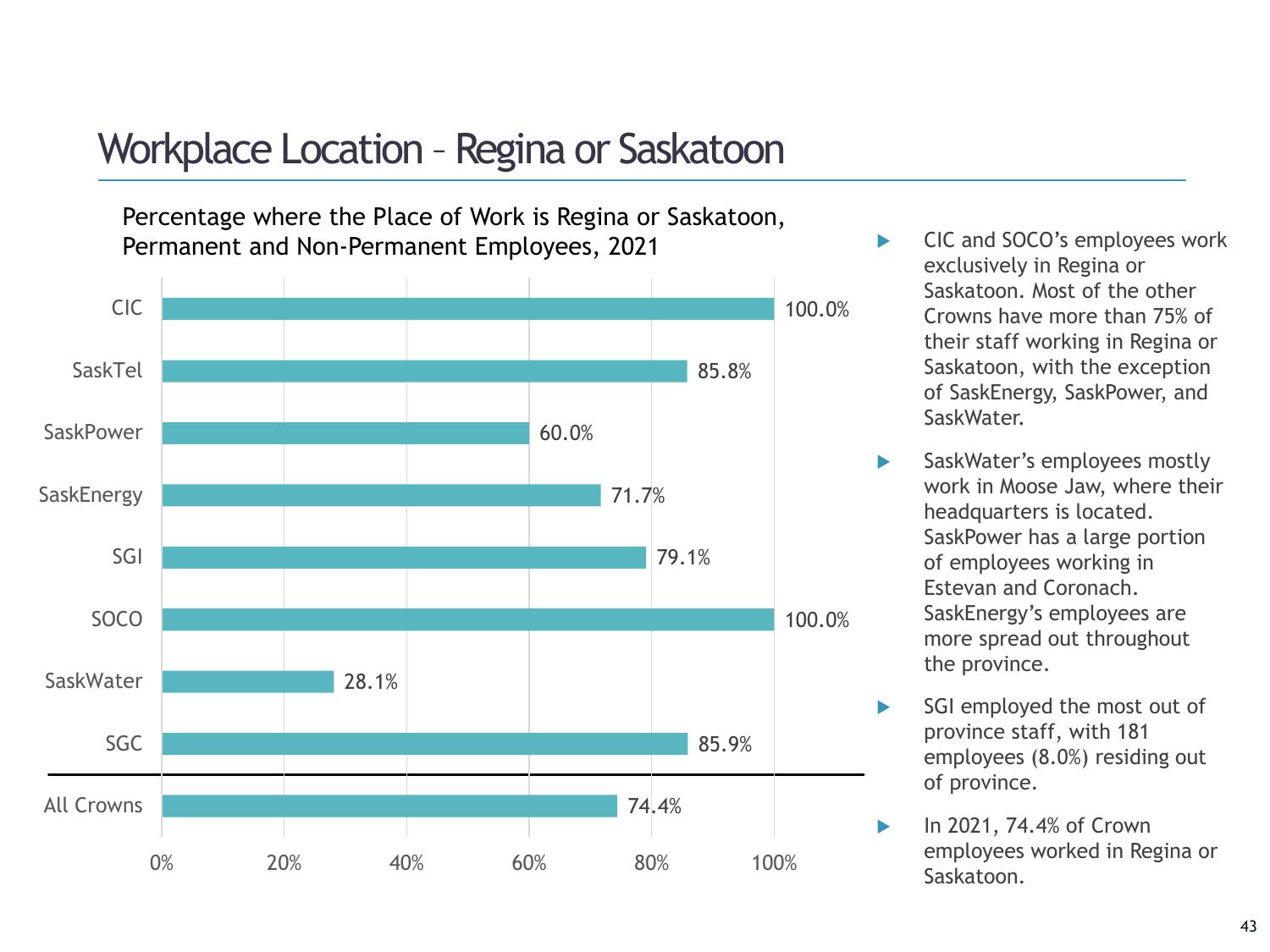### Workplace Location – Regina or Saskatoon

Percentage where the Place of Work is Regina or Saskatoon, Permanent and Non-Permanent Employees, 2021



- CIC and SOCO's employees work exclusively in Regina or Saskatoon. Most of the other Crowns have more than 75% of their staff working in Regina or Saskatoon, with the exception of SaskEnergy, SaskPower, and SaskWater.
- SaskWater's employees mostly work in Moose Jaw, where their headquarters is located. SaskPower has a large portion of employees working in Estevan and Coronach. SaskEnergy's employees are more spread out throughout the province.
- SGI employed the most out of province staff, with 181 employees (8.0%) residing out of province.
- **In 2021, 74.4% of Crown** employees worked in Regina or Saskatoon.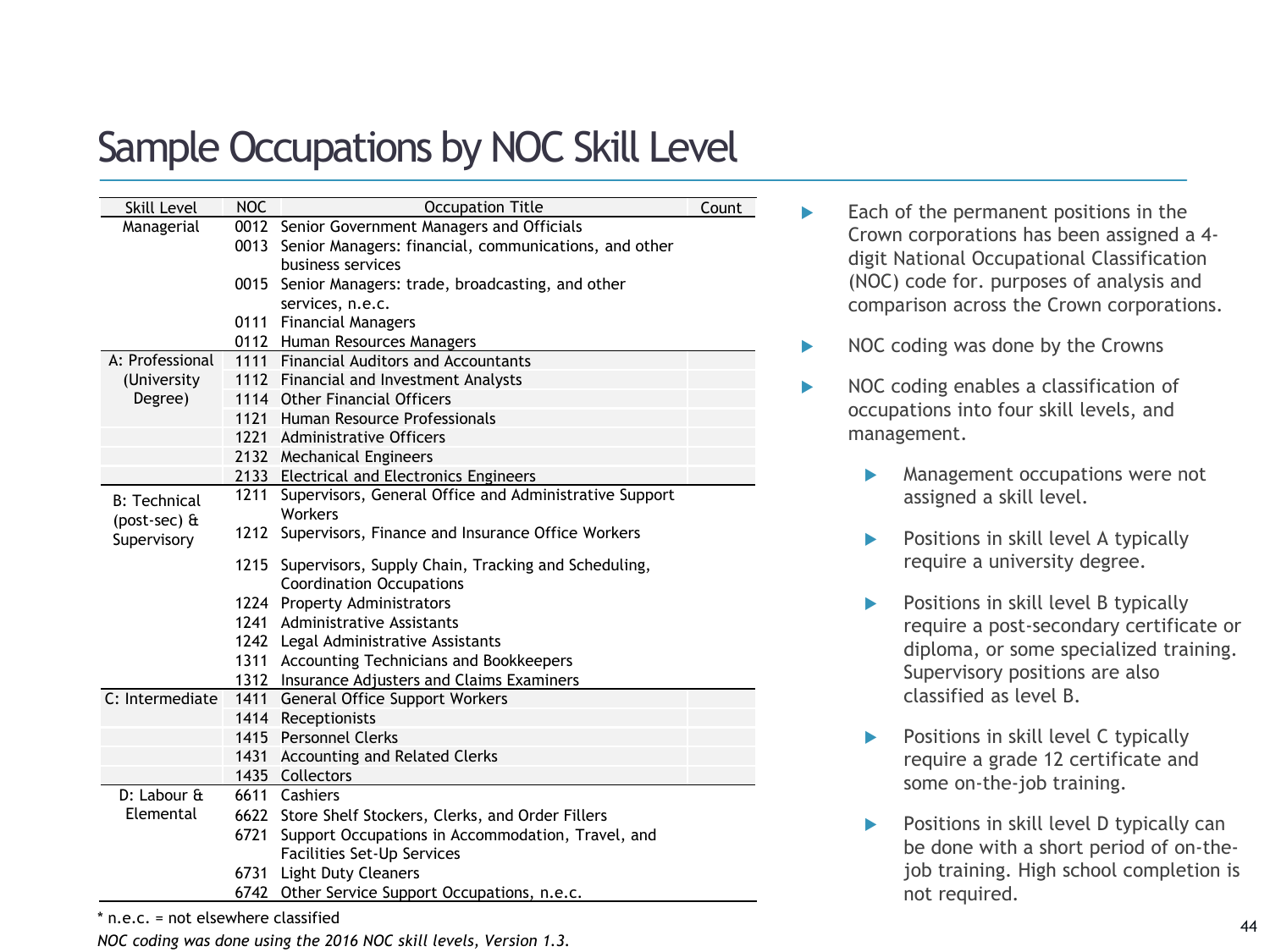# Sample Occupations by NOC Skill Level

| Skill Level         | <b>NOC</b> | <b>Occupation Title</b>                                     | Count |
|---------------------|------------|-------------------------------------------------------------|-------|
| Managerial          |            | 0012 Senior Government Managers and Officials               |       |
|                     |            | 0013 Senior Managers: financial, communications, and other  |       |
|                     |            | business services                                           |       |
|                     |            | 0015 Senior Managers: trade, broadcasting, and other        |       |
|                     |            | services, n.e.c.                                            |       |
|                     |            | 0111 Financial Managers                                     |       |
|                     |            | 0112 Human Resources Managers                               |       |
| A: Professional     |            | 1111 Financial Auditors and Accountants                     |       |
| (University         |            | 1112 Financial and Investment Analysts                      |       |
| Degree)             |            | 1114 Other Financial Officers                               |       |
|                     |            | 1121 Human Resource Professionals                           |       |
|                     |            | 1221 Administrative Officers                                |       |
|                     |            | 2132 Mechanical Engineers                                   |       |
|                     |            | 2133 Electrical and Electronics Engineers                   |       |
| <b>B: Technical</b> |            | 1211 Supervisors, General Office and Administrative Support |       |
| (post-sec) &        |            | Workers                                                     |       |
| Supervisory         |            | 1212 Supervisors, Finance and Insurance Office Workers      |       |
|                     |            | 1215 Supervisors, Supply Chain, Tracking and Scheduling,    |       |
|                     |            | <b>Coordination Occupations</b>                             |       |
|                     |            | 1224 Property Administrators                                |       |
|                     |            | 1241 Administrative Assistants                              |       |
|                     |            | 1242 Legal Administrative Assistants                        |       |
|                     |            | 1311 Accounting Technicians and Bookkeepers                 |       |
|                     |            | 1312 Insurance Adjusters and Claims Examiners               |       |
| C: Intermediate     |            | 1411 General Office Support Workers                         |       |
|                     |            | 1414 Receptionists                                          |       |
|                     |            | 1415 Personnel Clerks                                       |       |
|                     |            | 1431 Accounting and Related Clerks                          |       |
|                     |            | 1435 Collectors                                             |       |
| D: Labour &         |            | 6611 Cashiers                                               |       |
| Elemental           |            | 6622 Store Shelf Stockers, Clerks, and Order Fillers        |       |
|                     | 6721       | Support Occupations in Accommodation, Travel, and           |       |
|                     |            | Facilities Set-Up Services                                  |       |
|                     |            | 6731 Light Duty Cleaners                                    |       |
|                     |            | 6742 Other Service Support Occupations, n.e.c.              |       |

\* n.e.c. = not elsewhere classified

*NOC coding was done using the 2016 NOC skill levels, Version 1.3.*

- $\blacktriangleright$  Each of the permanent positions in the Crown corporations has been assigned a 4 digit National Occupational Classification (NOC) code for. purposes of analysis and comparison across the Crown corporations.
- $\triangleright$  NOC coding was done by the Crowns
- NOC coding enables a classification of occupations into four skill levels, and management.
	- Management occupations were not assigned a skill level.
	- Positions in skill level A typically require a university degree.
	- Positions in skill level B typically require a post-secondary certificate or diploma, or some specialized training. Supervisory positions are also classified as level B.
	- Positions in skill level C typically require a grade 12 certificate and some on-the-job training.
	- Positions in skill level D typically can be done with a short period of on-thejob training. High school completion is not required.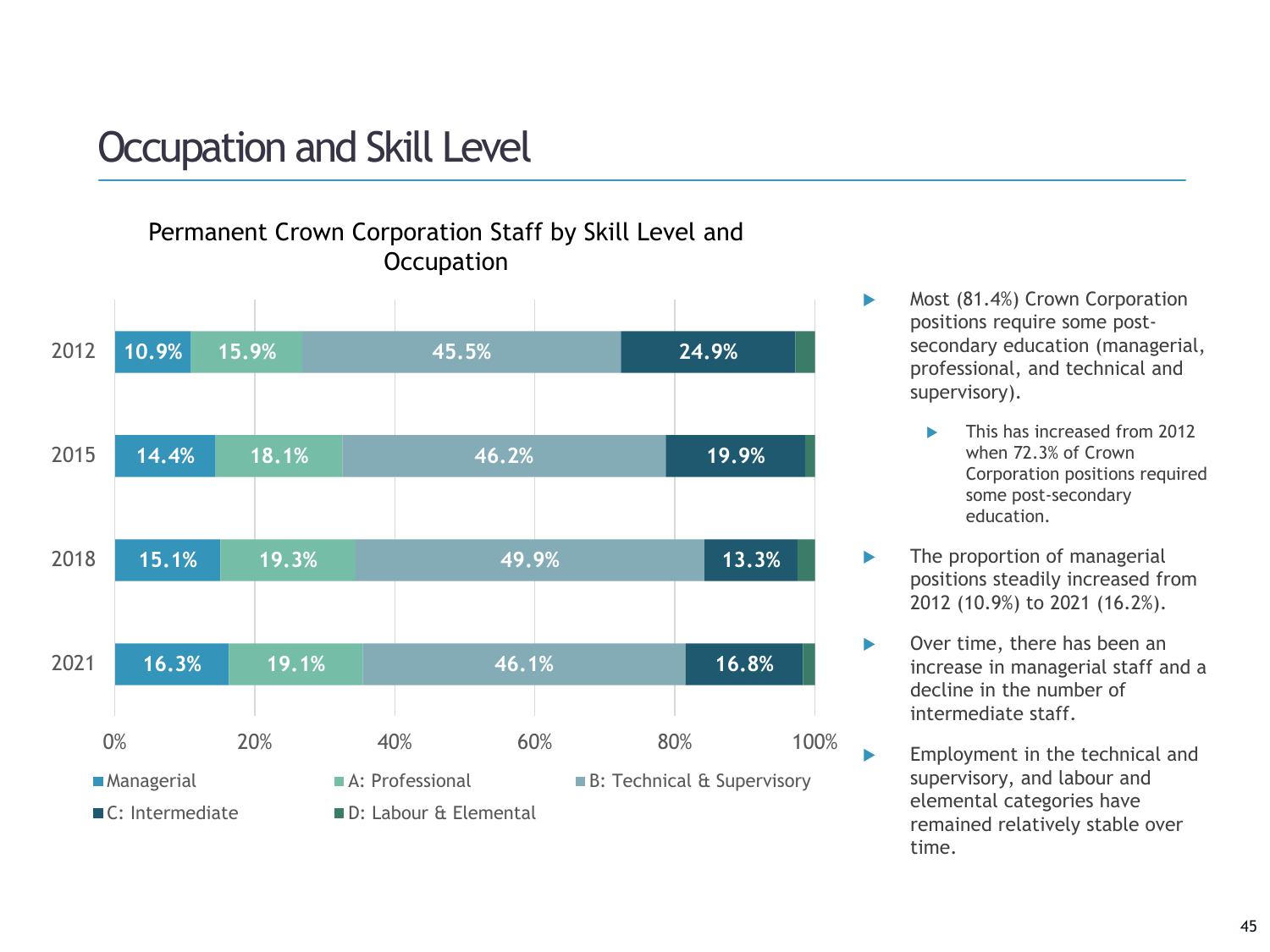## Occupation and Skill Level

### Permanent Crown Corporation Staff by Skill Level and **Occupation**



- Most (81.4%) Crown Corporation positions require some postsecondary education (managerial, professional, and technical and supervisory).
	- This has increased from 2012 when 72.3% of Crown Corporation positions required some post-secondary education.
- The proportion of managerial positions steadily increased from 2012 (10.9%) to 2021 (16.2%).
- ▶ Over time, there has been an increase in managerial staff and a decline in the number of intermediate staff.
- **Employment in the technical and** supervisory, and labour and elemental categories have remained relatively stable over time.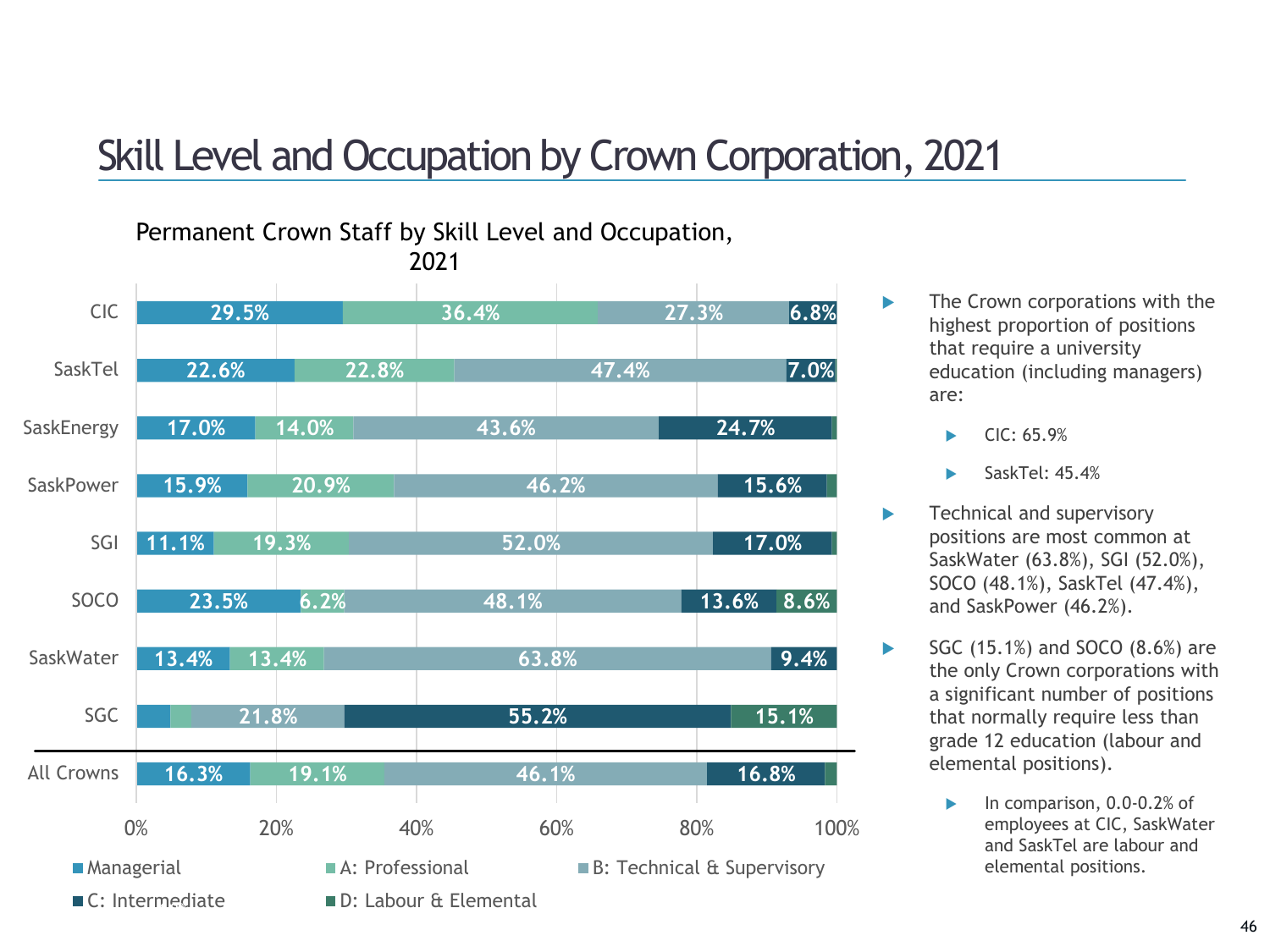# Skill Level and Occupation by Crown Corporation, 2021



**The Crown corporations with the** highest proportion of positions that require a university education (including managers) are:

- CIC: 65.9%
- SaskTel: 45.4%
- Fechnical and supervisory positions are most common at SaskWater (63.8%), SGI (52.0%), SOCO (48.1%), SaskTel (47.4%), and SaskPower (46.2%).
- $\triangleright$  SGC (15.1%) and SOCO (8.6%) are the only Crown corporations with a significant number of positions that normally require less than grade 12 education (labour and elemental positions).
	- In comparison, 0.0-0.2% of employees at CIC, SaskWater and SaskTel are labour and elemental positions.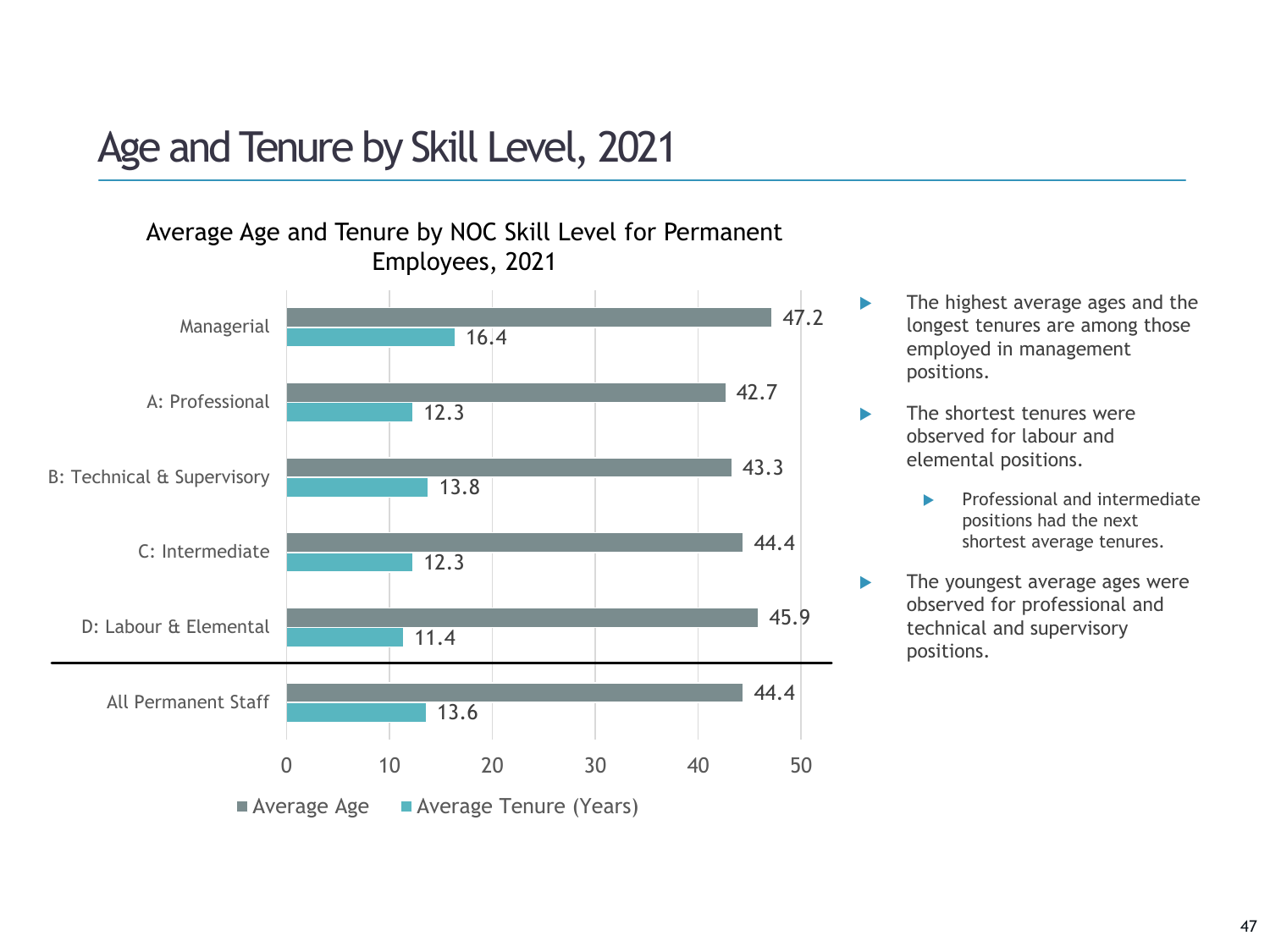# Age and Tenure by Skill Level, 2021

### Average Age and Tenure by NOC Skill Level for Permanent Employees, 2021



 The highest average ages and the longest tenures are among those employed in management positions.

**The shortest tenures were** observed for labour and elemental positions.

- $\blacktriangleright$  Professional and intermediate positions had the next shortest average tenures.
- **The youngest average ages were** observed for professional and technical and supervisory positions.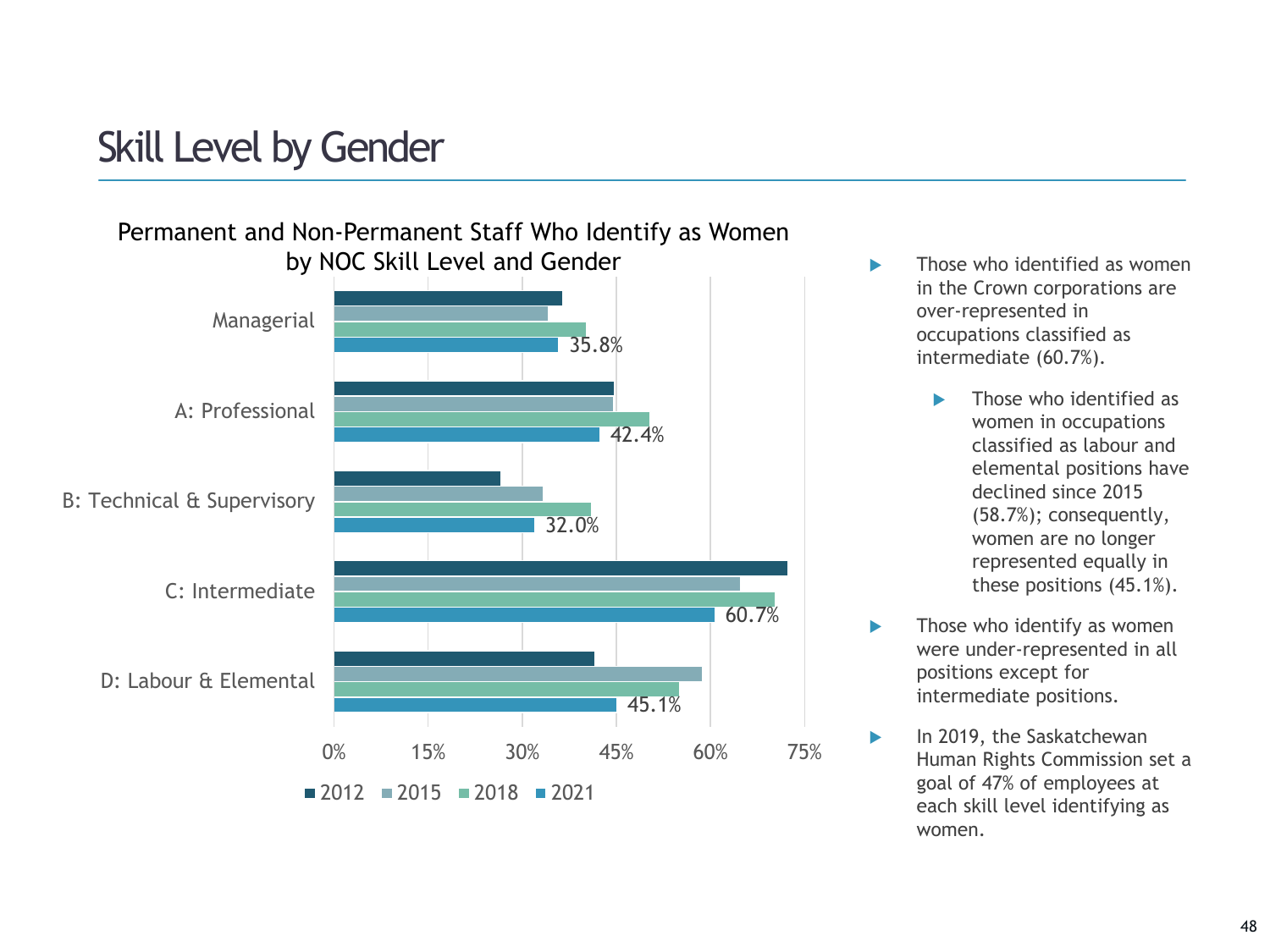# Skill Level by Gender



- in the Crown corporations are over-represented in occupations classified as intermediate (60.7%).
	- Those who identified as women in occupations classified as labour and elemental positions have declined since 2015 (58.7%); consequently, women are no longer represented equally in these positions (45.1%).
- $\blacktriangleright$  Those who identify as women were under-represented in all positions except for intermediate positions.
- **In 2019, the Saskatchewan** Human Rights Commission set a goal of 47% of employees at each skill level identifying as women.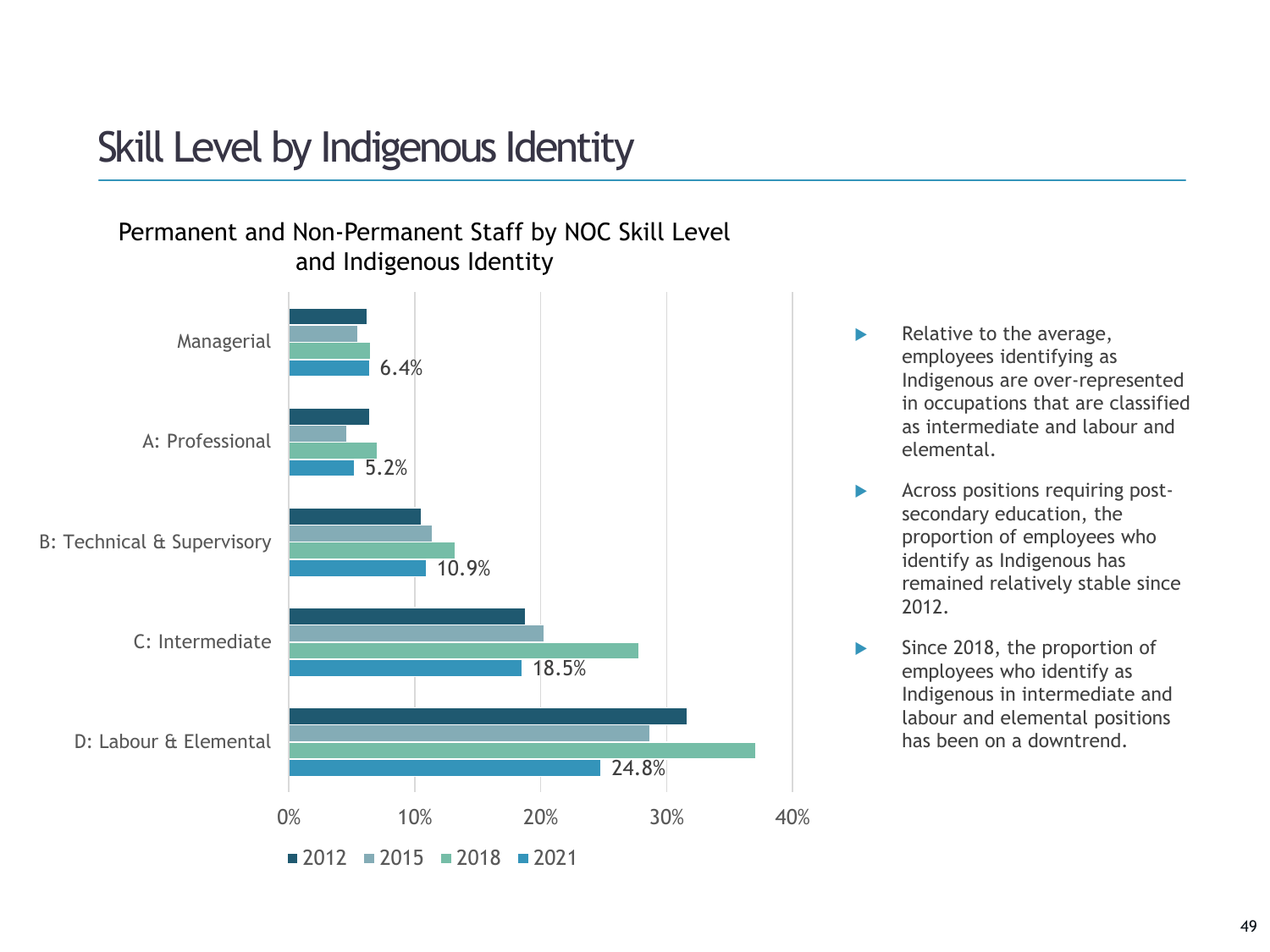## Skill Level by Indigenous Identity





- $\blacktriangleright$  Relative to the average, employees identifying as Indigenous are over-represented in occupations that are classified as intermediate and labour and elemental.
- Across positions requiring postsecondary education, the proportion of employees who identify as Indigenous has remained relatively stable since 2012.
- $\blacktriangleright$  Since 2018, the proportion of employees who identify as Indigenous in intermediate and labour and elemental positions has been on a downtrend.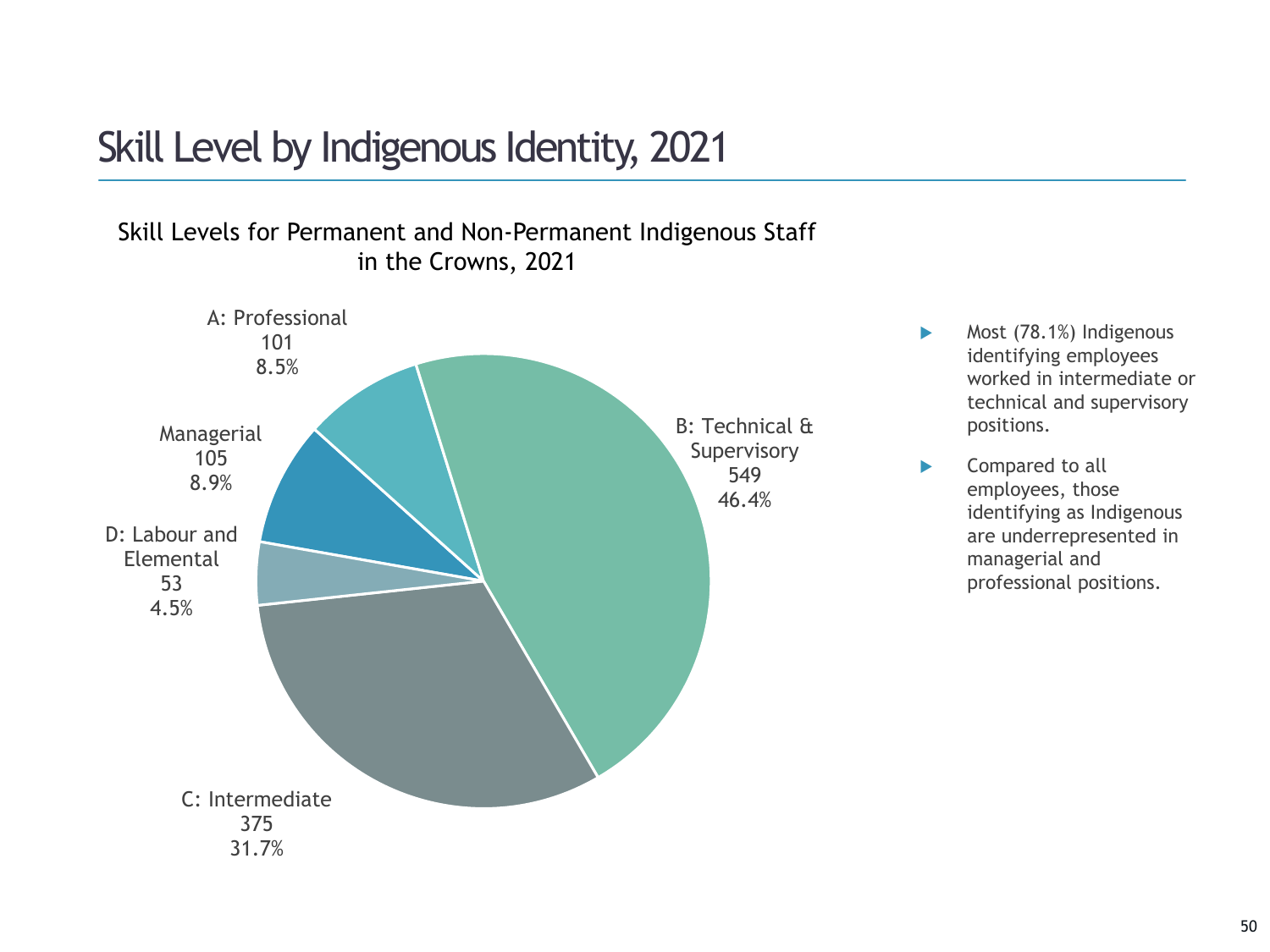## Skill Level by Indigenous Identity, 2021

### Skill Levels for Permanent and Non-Permanent Indigenous Staff in the Crowns, 2021



Most (78.1%) Indigenous identifying employees worked in intermediate or technical and supervisory

positions.

▶ Compared to all

employees, those

managerial and

identifying as Indigenous are underrepresented in

professional positions.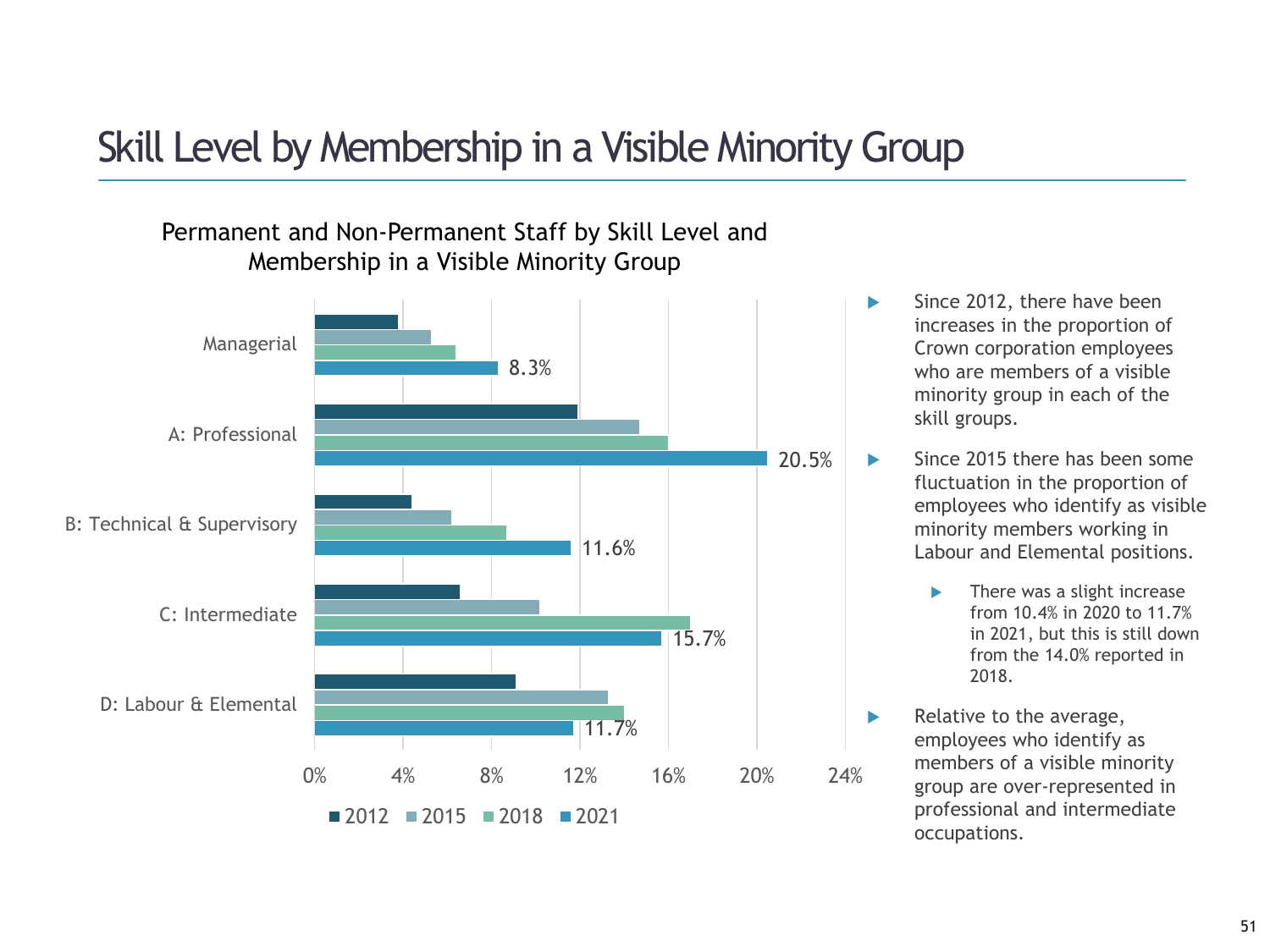# Skill Level by Membership in a Visible Minority Group

### Permanent and Non-Permanent Staff by Skill Level and Membership in a Visible Minority Group



- Since 2012, there have been increases in the proportion of Crown corporation employees who are members of a visible minority group in each of the skill groups.
- Since 2015 there has been some fluctuation in the proportion of employees who identify as visible minority members working in Labour and Elemental positions.
	- **There was a slight increase** from 10.4% in 2020 to 11.7% in 2021, but this is still down from the 14.0% reported in 2018.
- $\blacktriangleright$  Relative to the average, employees who identify as members of a visible minority group are over-represented in professional and intermediate occupations.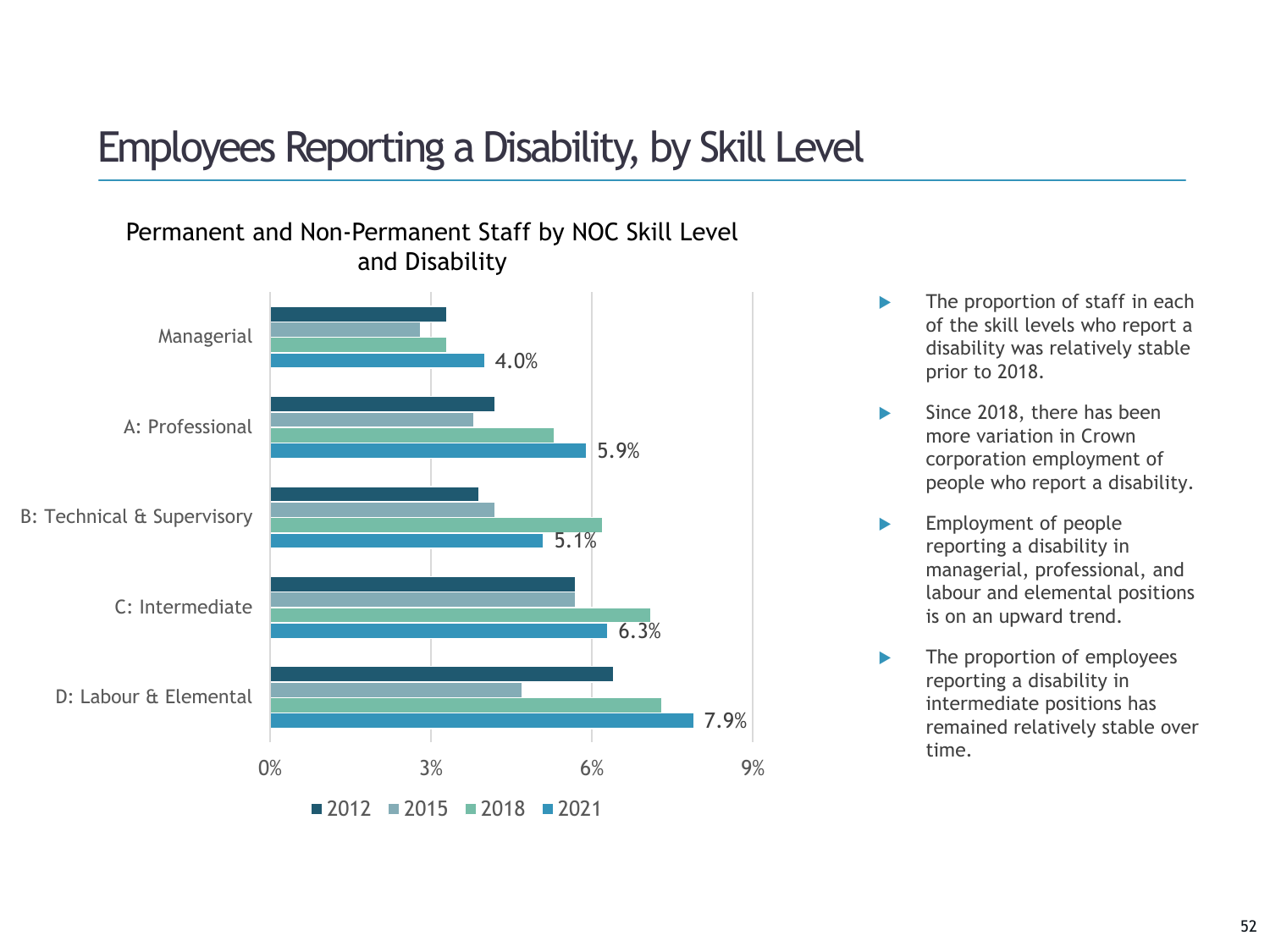## Employees Reporting a Disability, by Skill Level



Permanent and Non-Permanent Staff by NOC Skill Level and Disability

- The proportion of staff in each of the skill levels who report a disability was relatively stable prior to 2018.
- Since 2018, there has been more variation in Crown corporation employment of people who report a disability.
- Employment of people reporting a disability in managerial, professional, and labour and elemental positions is on an upward trend.
- The proportion of employees reporting a disability in intermediate positions has remained relatively stable over time.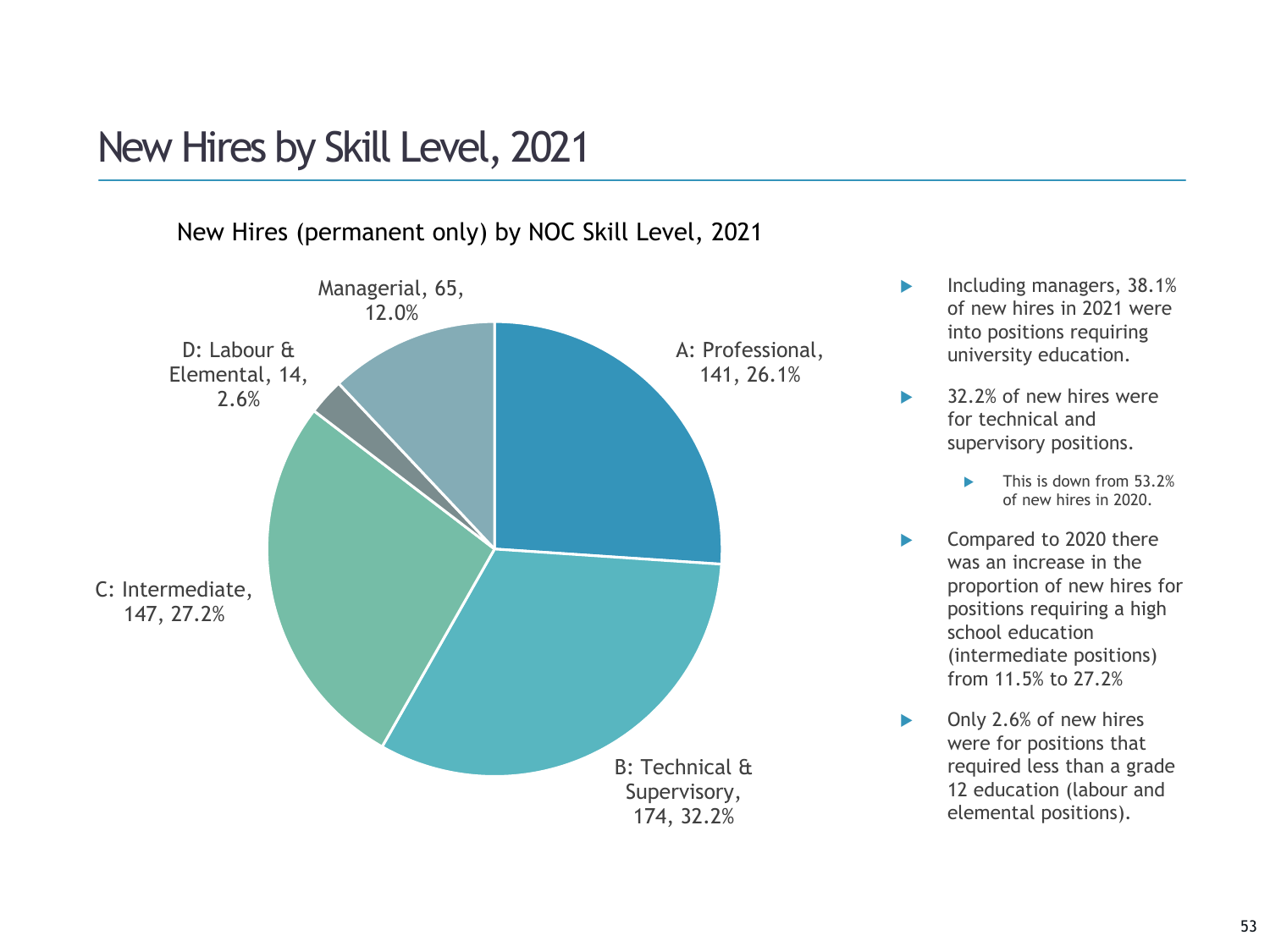## New Hires by Skill Level, 2021

New Hires (permanent only) by NOC Skill Level, 2021



- **Including managers, 38.1%** of new hires in 2021 were into positions requiring university education.
- ▶ 32.2% of new hires were for technical and supervisory positions.
	- This is down from 53.2% of new hires in 2020.
- ▶ Compared to 2020 there was an increase in the proportion of new hires for positions requiring a high school education (intermediate positions) from 11.5% to 27.2%
- ▶ Only 2.6% of new hires were for positions that required less than a grade 12 education (labour and elemental positions).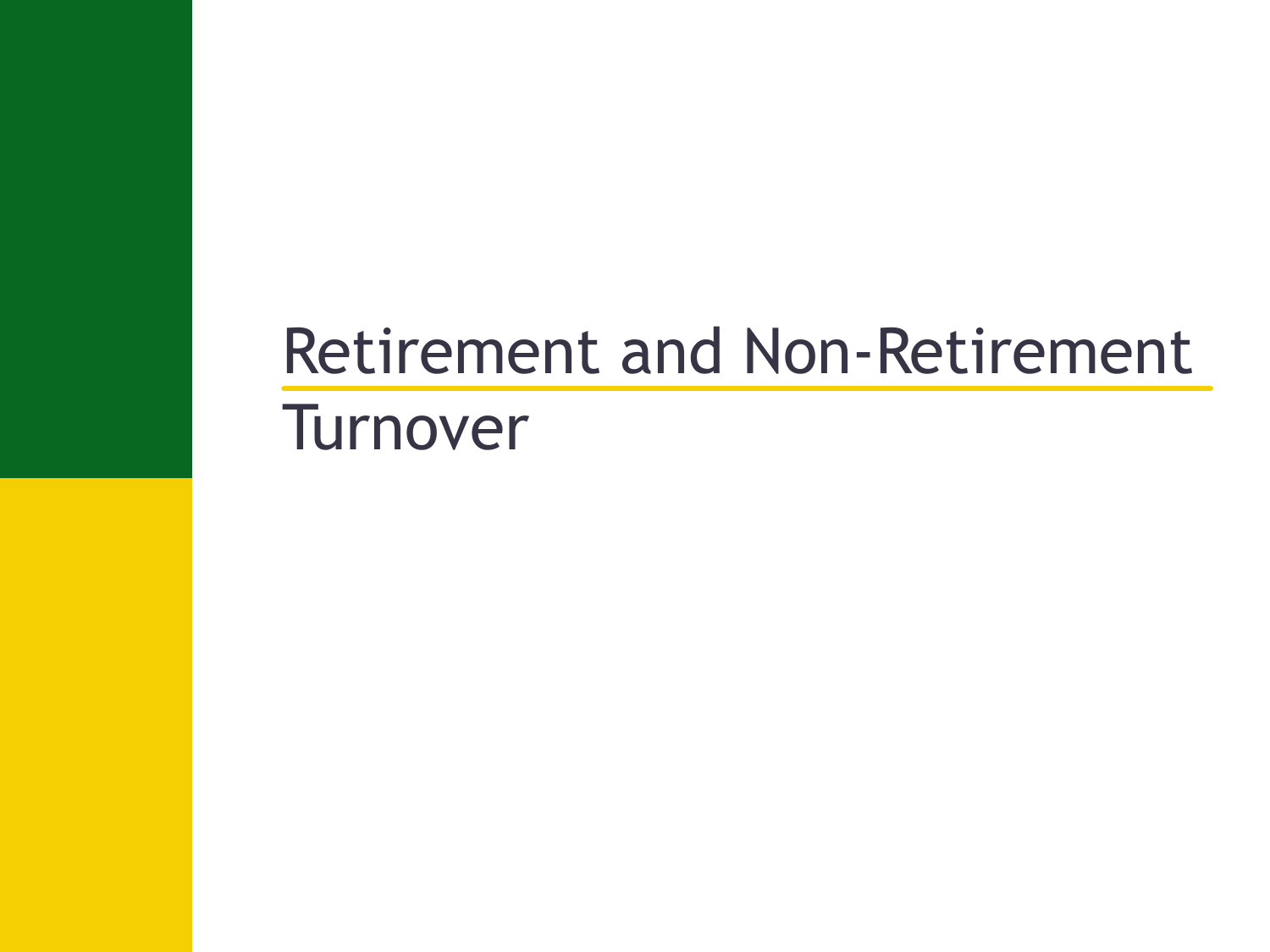# Retirement and Non-Retirement **Turnover**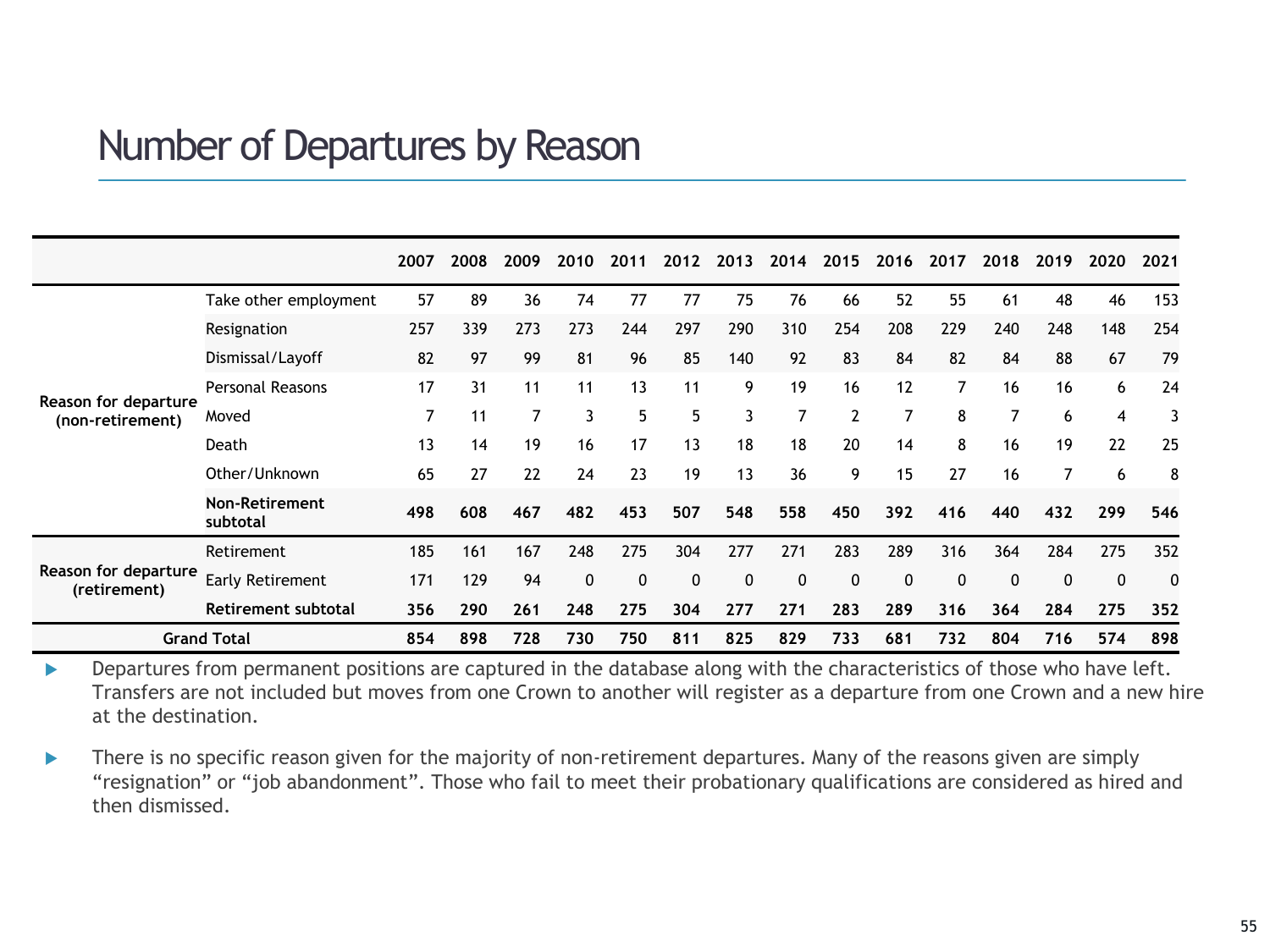### Number of Departures by Reason

|                                          |                            | 2007 | 2008 | 2009 | 2010        | 2011         | 2012         | 2013        | 2014 | 2015           | 2016 | 2017 | 2018         | 2019         | 2020         | 2021         |
|------------------------------------------|----------------------------|------|------|------|-------------|--------------|--------------|-------------|------|----------------|------|------|--------------|--------------|--------------|--------------|
|                                          | Take other employment      | 57   | 89   | 36   | 74          | 77           | 77           | 75          | 76   | 66             | 52   | 55   | 61           | 48           | 46           | 153          |
|                                          | Resignation                | 257  | 339  | 273  | 273         | 244          | 297          | 290         | 310  | 254            | 208  | 229  | 240          | 248          | 148          | 254          |
|                                          | Dismissal/Layoff           | 82   | 97   | 99   | 81          | 96           | 85           | 140         | 92   | 83             | 84   | 82   | 84           | 88           | 67           | 79           |
|                                          | <b>Personal Reasons</b>    | 17   | 31   | 11   | 11          | 13           | 11           | 9           | 19   | 16             | 12   | 7    | 16           | 16           | 6            | 24           |
| Reason for departure<br>(non-retirement) | Moved                      | 7    | 11   |      | 3           | 5            | 5            | 3           | 7    | $\overline{2}$ | 7    | 8    | 7            | 6            | 4            |              |
|                                          | Death                      | 13   | 14   | 19   | 16          | 17           | 13           | 18          | 18   | 20             | 14   | 8    | 16           | 19           | 22           | 25           |
|                                          | Other/Unknown              | 65   | 27   | 22   | 24          | 23           | 19           | 13          | 36   | 9              | 15   | 27   | 16           | 7            | 6            | 8            |
|                                          | Non-Retirement<br>subtotal | 498  | 608  | 467  | 482         | 453          | 507          | 548         | 558  | 450            | 392  | 416  | 440          | 432          | 299          | 546          |
|                                          | Retirement                 | 185  | 161  | 167  | 248         | 275          | 304          | 277         | 271  | 283            | 289  | 316  | 364          | 284          | 275          | 352          |
| Reason for departure<br>(retirement)     | Early Retirement           | 171  | 129  | 94   | $\mathbf 0$ | $\mathbf{0}$ | $\mathbf{0}$ | $\mathbf 0$ | 0    | $\mathbf{0}$   | 0    | 0    | $\mathbf{0}$ | $\mathbf{0}$ | $\mathbf{0}$ | $\mathbf{0}$ |
|                                          | Retirement subtotal        | 356  | 290  | 261  | 248         | 275          | 304          | 277         | 271  | 283            | 289  | 316  | 364          | 284          | 275          | 352          |
| <b>Grand Total</b>                       |                            | 854  | 898  | 728  | 730         | 750          | 811          | 825         | 829  | 733            | 681  | 732  | 804          | 716          | 574          | 898          |

Departures from permanent positions are captured in the database along with the characteristics of those who have left. Transfers are not included but moves from one Crown to another will register as a departure from one Crown and a new hire at the destination.

There is no specific reason given for the majority of non-retirement departures. Many of the reasons given are simply "resignation" or "job abandonment". Those who fail to meet their probationary qualifications are considered as hired and then dismissed.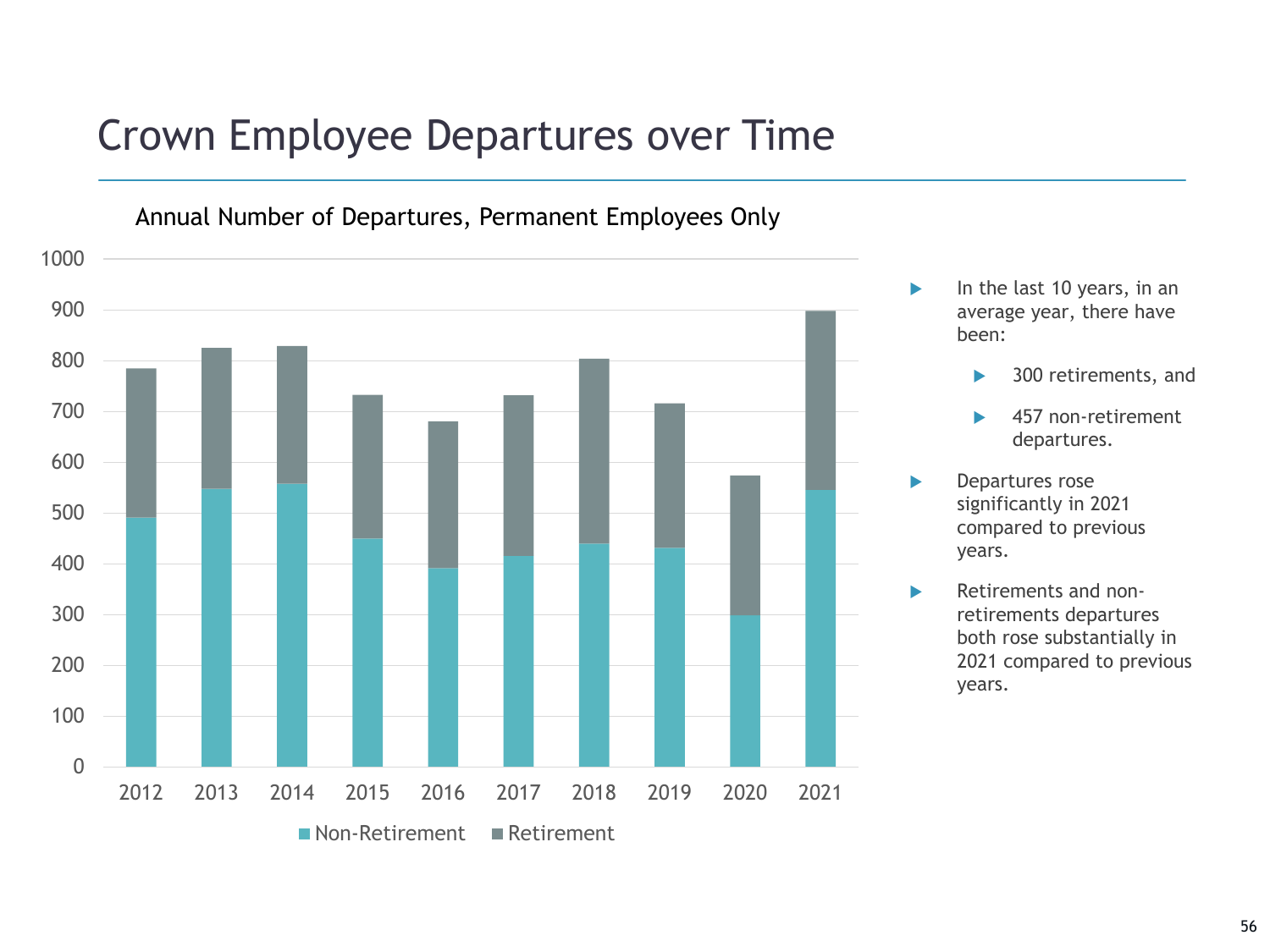# Crown Employee Departures over Time

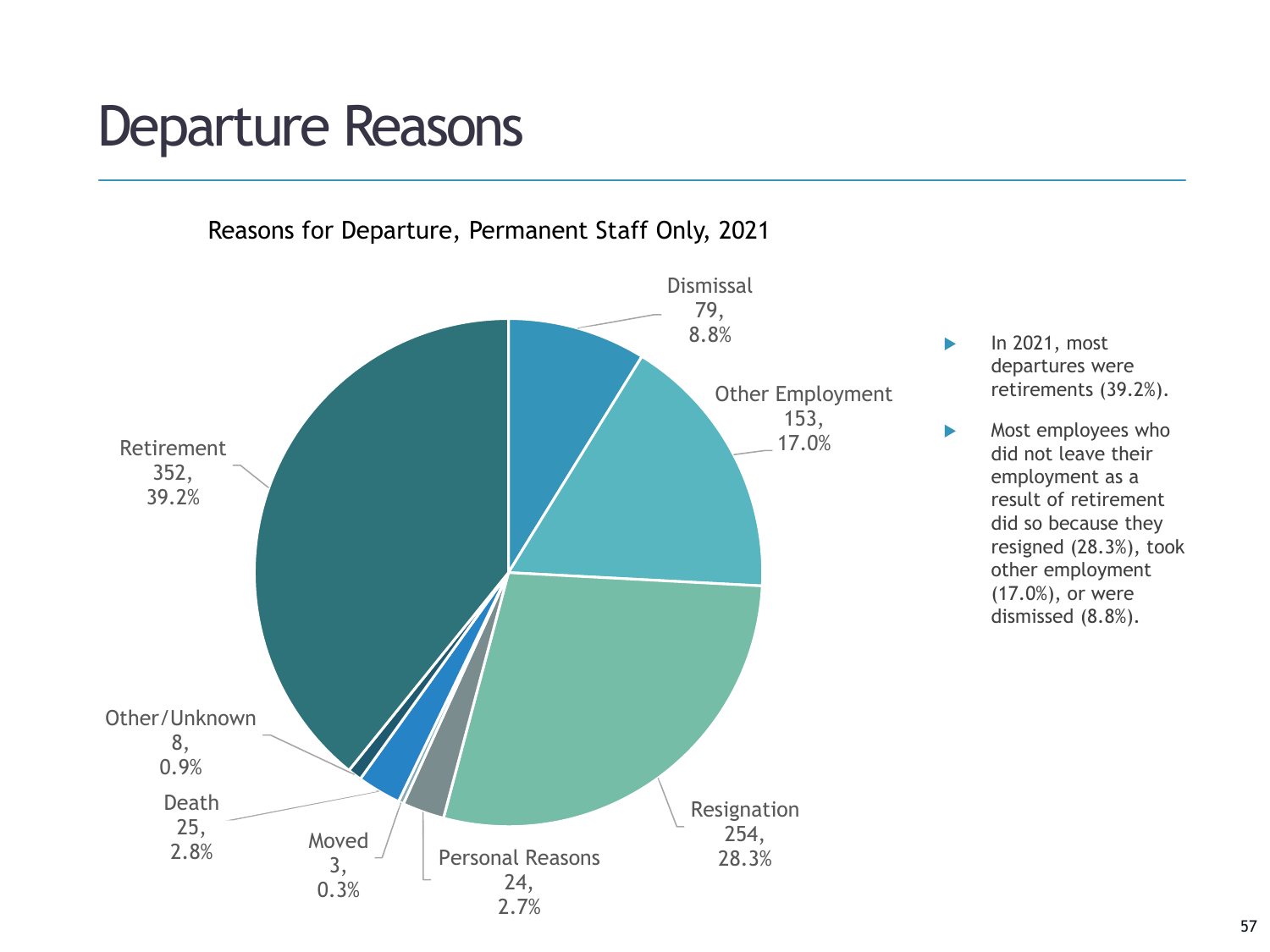# Departure Reasons



57

departures were retirements (39.2%).

did not leave their employment as a result of retirement did so because they resigned (28.3%), took other employment (17.0%), or were dismissed (8.8%).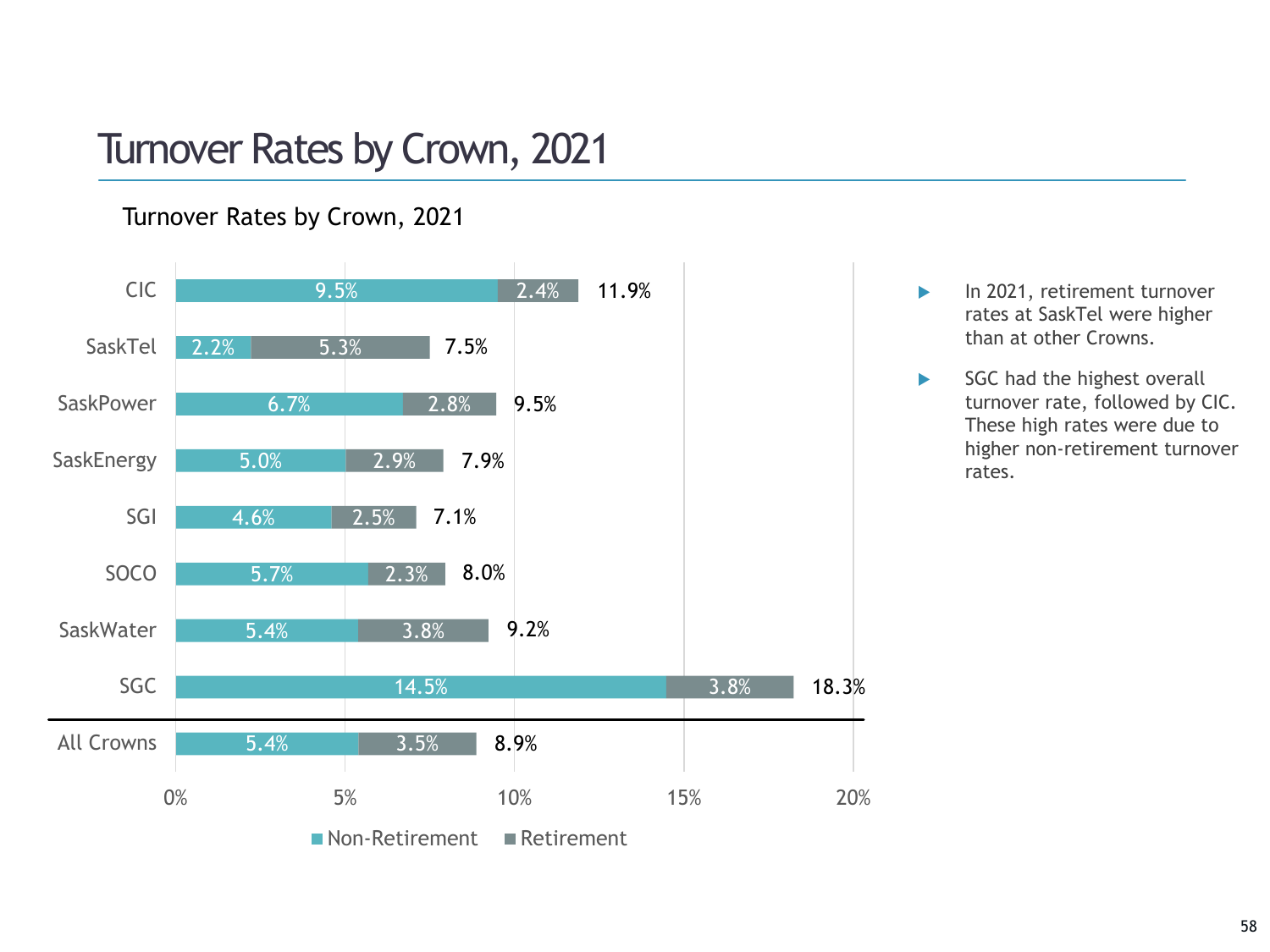## Turnover Rates by Crown, 2021

### Turnover Rates by Crown, 2021



- In 2021, retirement turnover rates at SaskTel were higher than at other Crowns.
- SGC had the highest overall turnover rate, followed by CIC. These high rates were due to higher non-retirement turnover rates.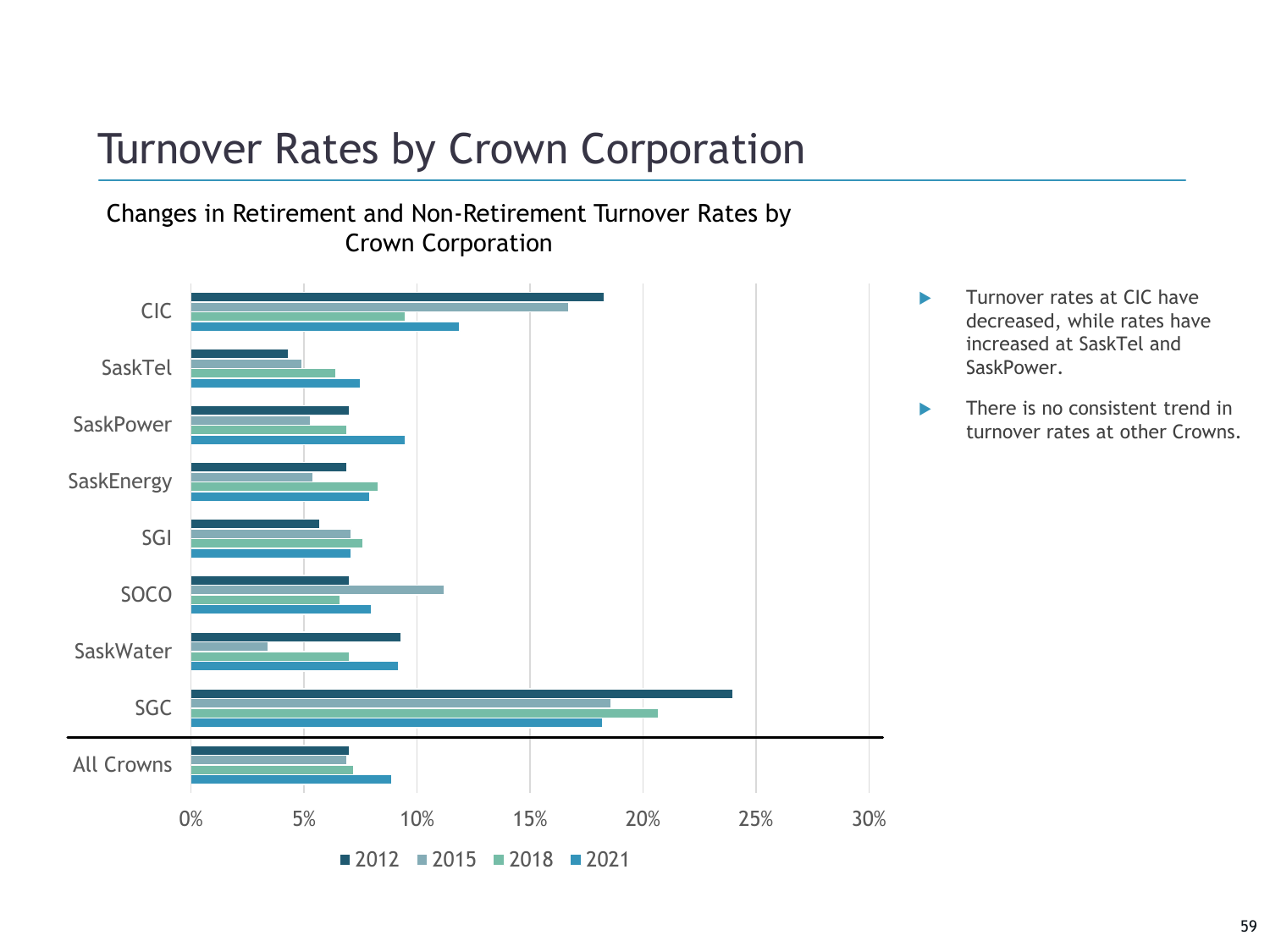# Turnover Rates by Crown Corporation

Changes in Retirement and Non-Retirement Turnover Rates by Crown Corporation



- **Turnover rates at CIC have** decreased, while rates have increased at SaskTel and SaskPower.
- **There is no consistent trend in** turnover rates at other Crowns.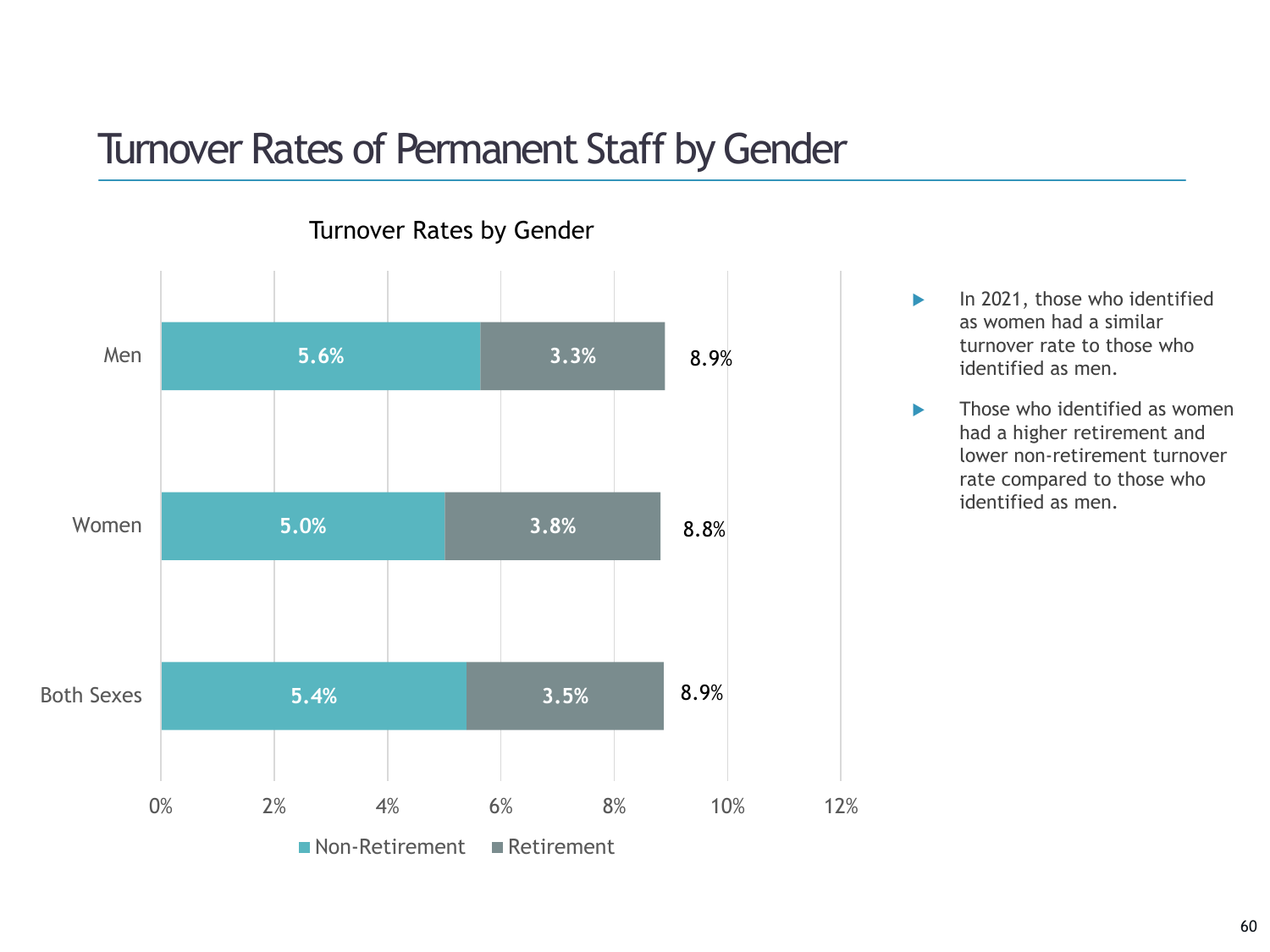## Turnover Rates of Permanent Staff by Gender



Turnover Rates by Gender

- $\blacktriangleright$  In 2021, those who identified as women had a similar turnover rate to those who identified as men.
- $\blacktriangleright$  Those who identified as women had a higher retirement and lower non-retirement turnover rate compared to those who identified as men.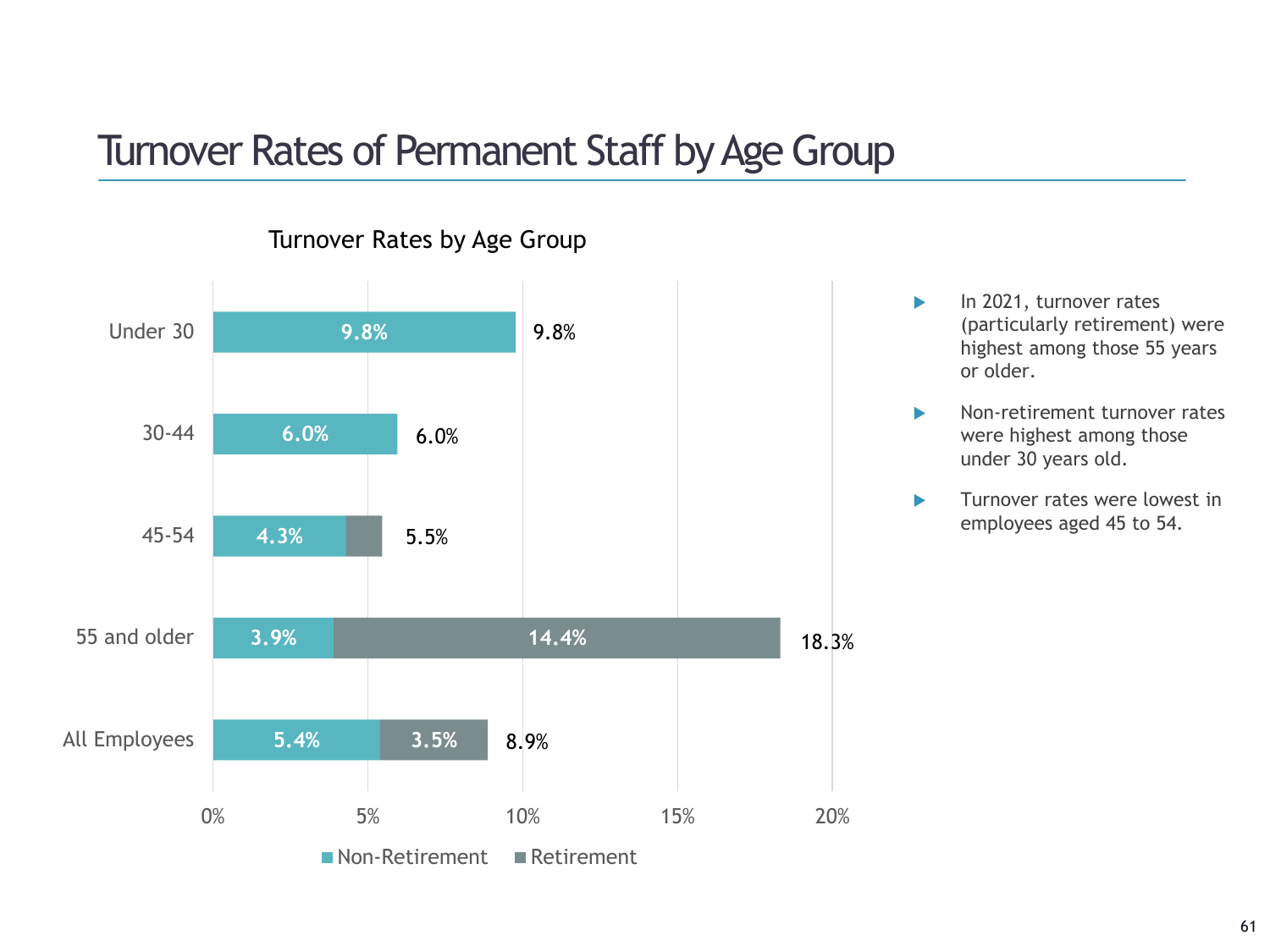### Turnover Rates of Permanent Staff by Age Group



#### Turnover Rates by Age Group

- In 2021, turnover rates (particularly retirement) were highest among those 55 years or older.
- Non-retirement turnover rates were highest among those under 30 years old.
- **Turnover rates were lowest in** employees aged 45 to 54.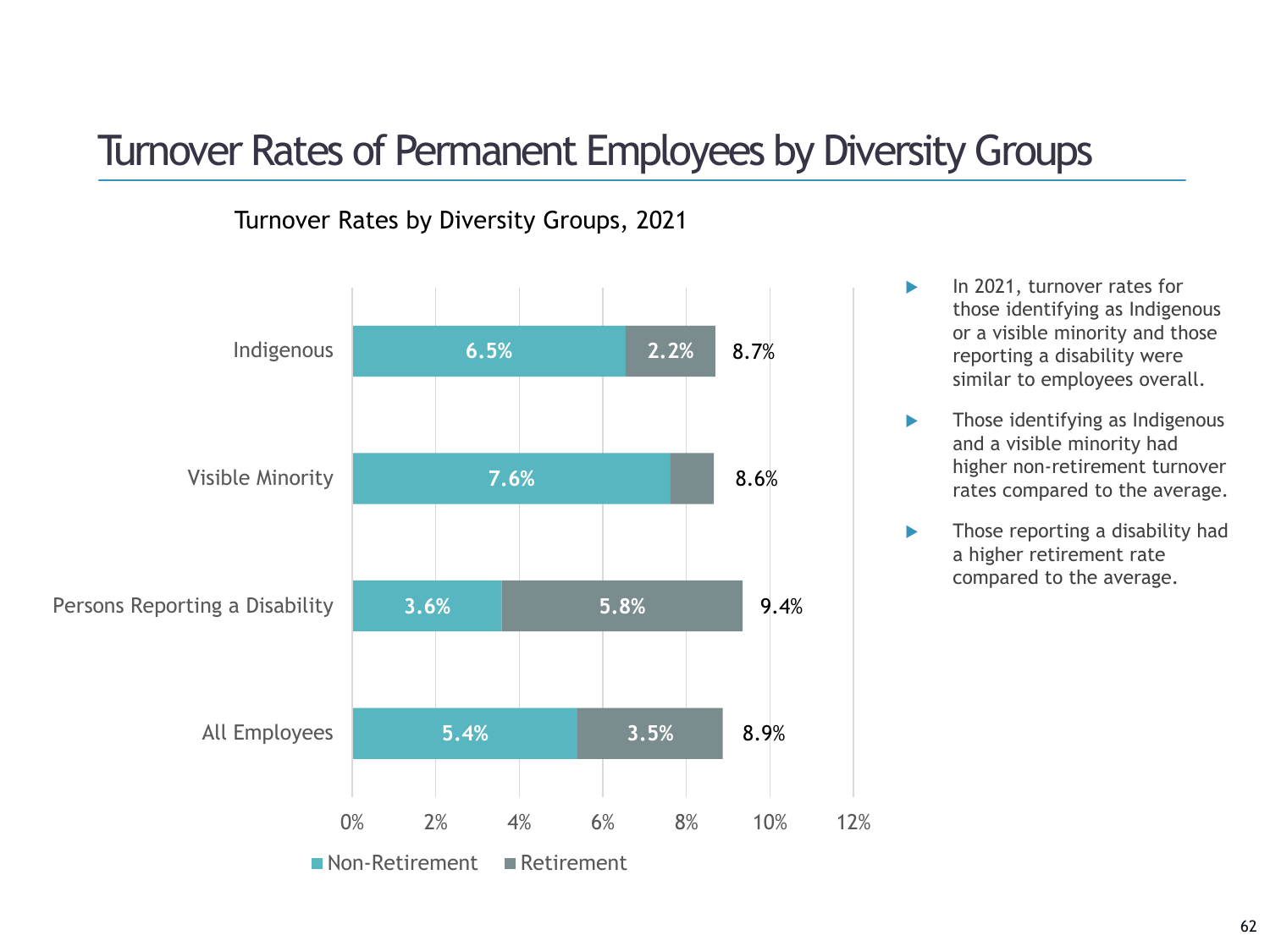### Turnover Rates of Permanent Employees by Diversity Groups

### Turnover Rates by Diversity Groups, 2021



- In 2021, turnover rates for those identifying as Indigenous or a visible minority and those reporting a disability were similar to employees overall.
- **Those identifying as Indigenous** and a visible minority had higher non-retirement turnover rates compared to the average.
- **Those reporting a disability had** a higher retirement rate compared to the average.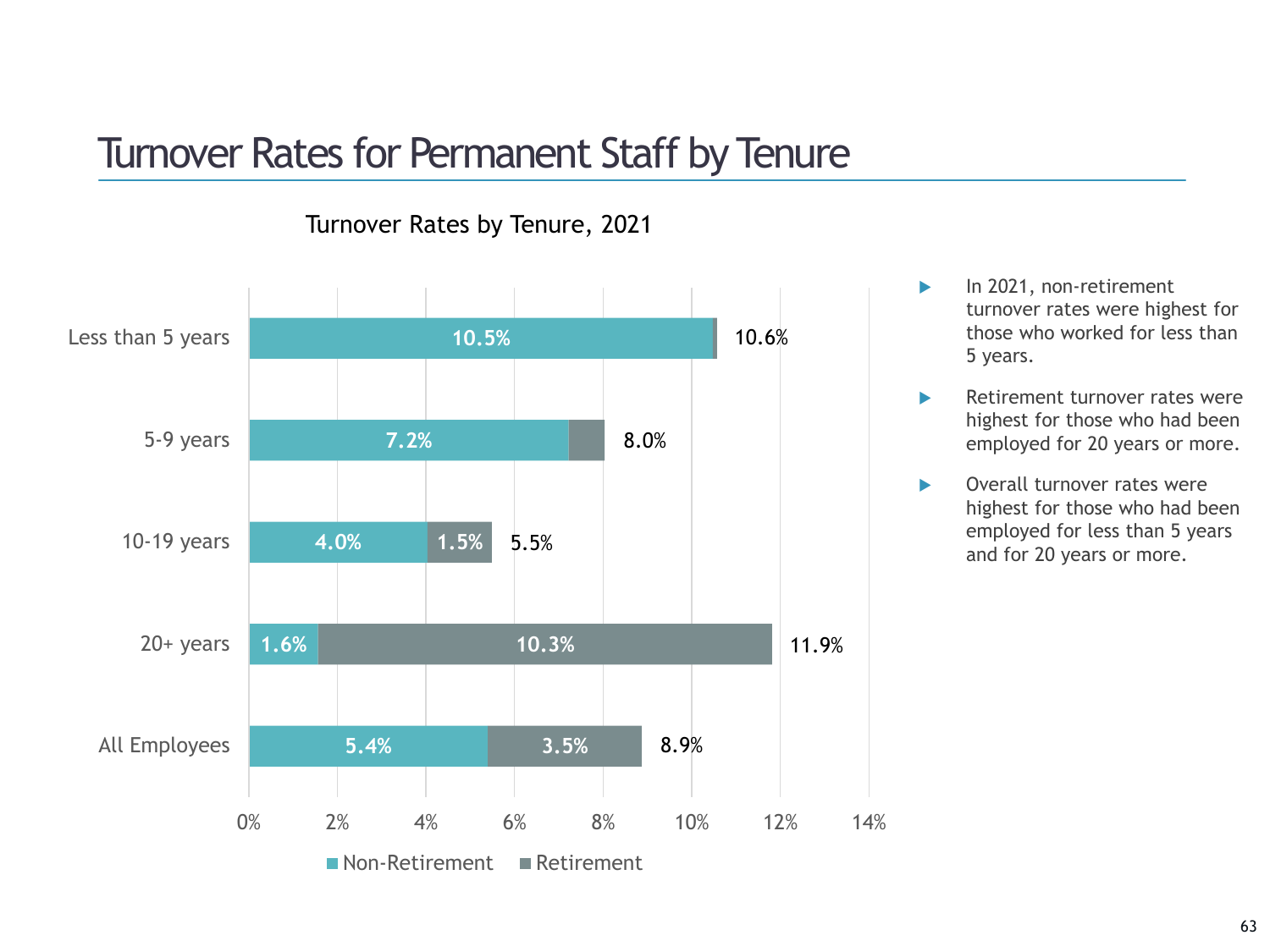### Turnover Rates for Permanent Staff by Tenure



Turnover Rates by Tenure, 2021

- In 2021, non-retirement turnover rates were highest for those who worked for less than 5 years.
- **Retirement turnover rates were** highest for those who had been employed for 20 years or more.
- ▶ Overall turnover rates were highest for those who had been employed for less than 5 years and for 20 years or more.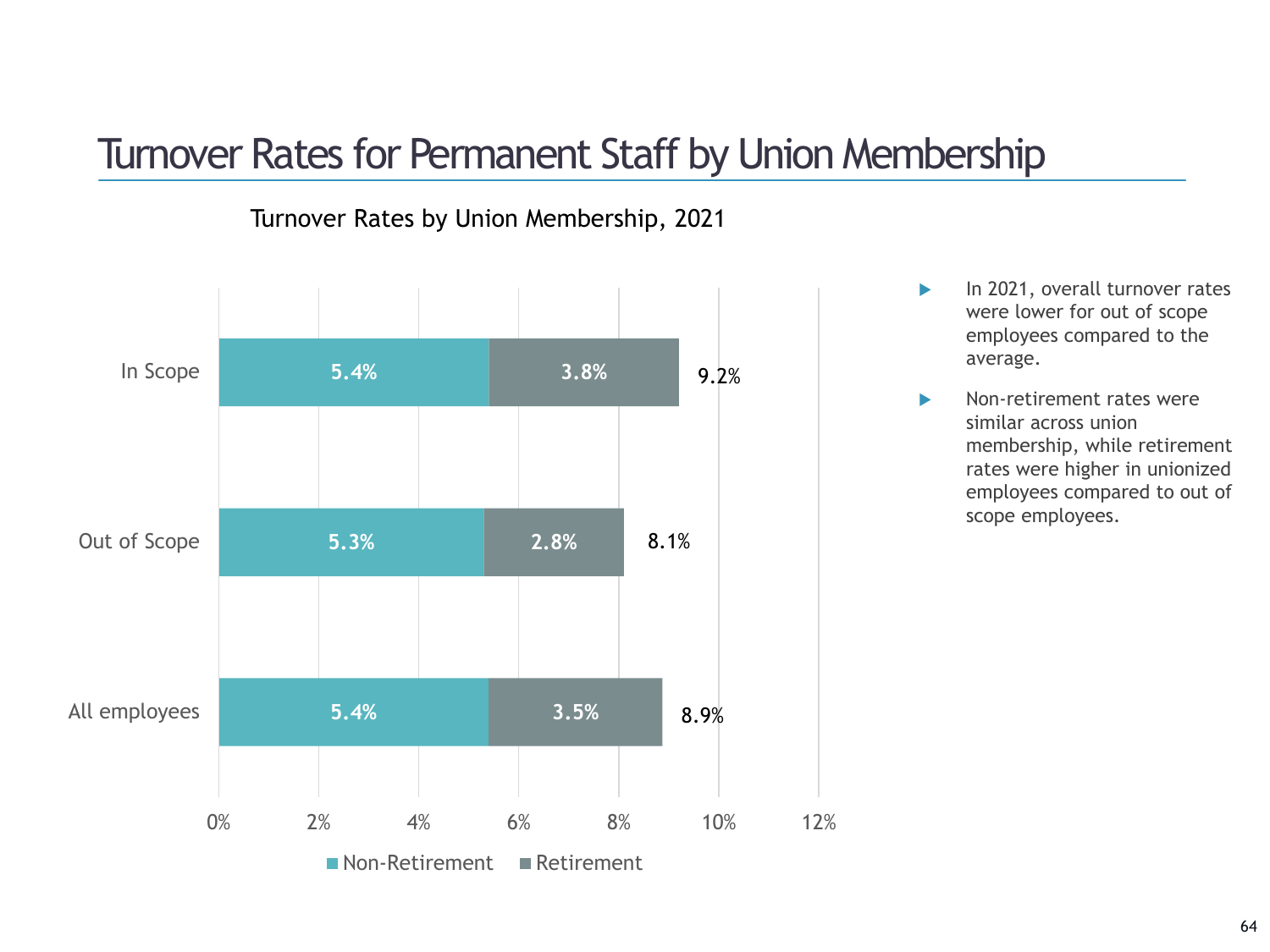### Turnover Rates for Permanent Staff by Union Membership

### Turnover Rates by Union Membership, 2021



- In 2021, overall turnover rates were lower for out of scope employees compared to the average.
- Non-retirement rates were similar across union membership, while retirement rates were higher in unionized employees compared to out of scope employees.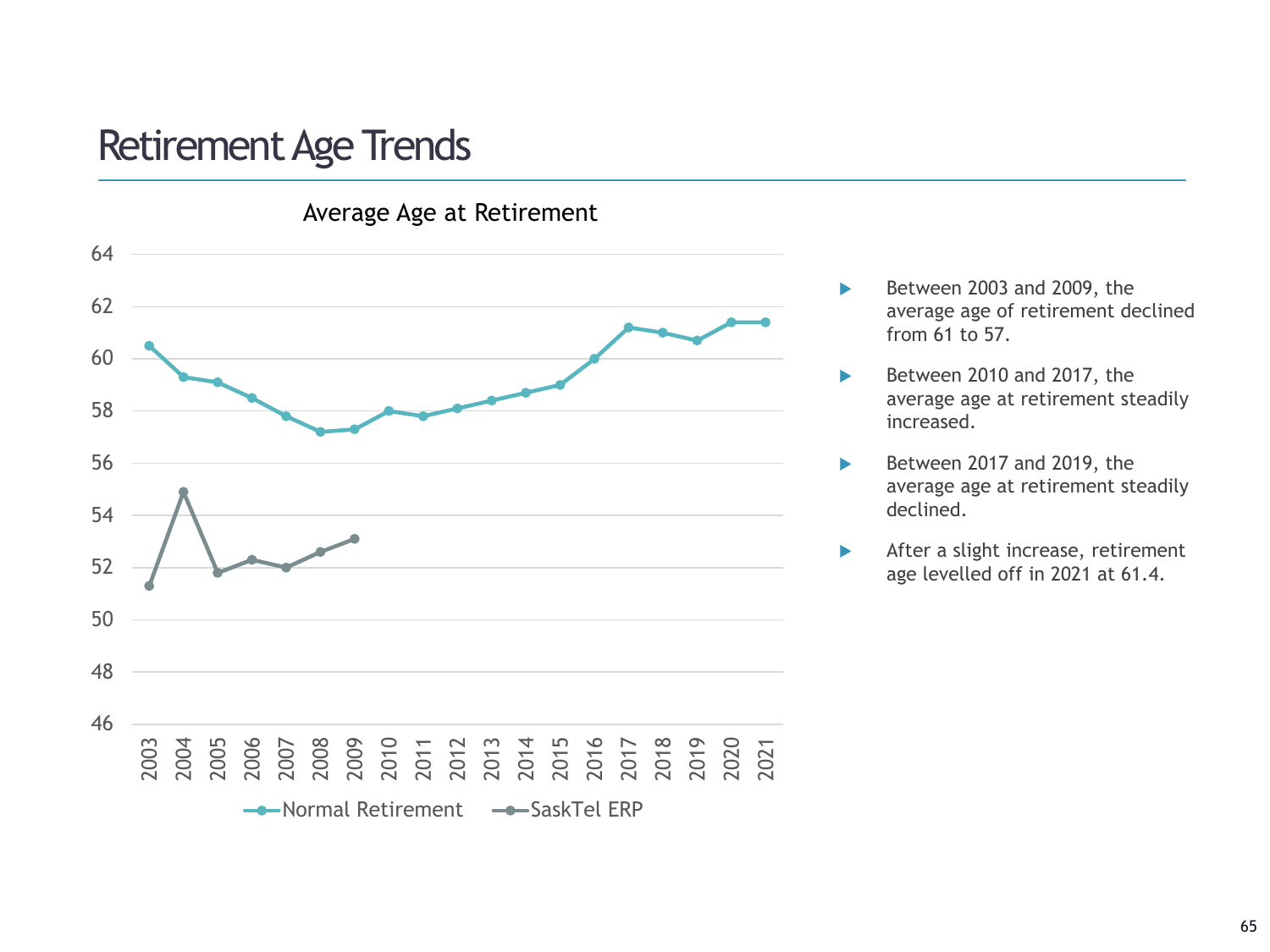### Retirement Age Trends



- Between 2003 and 2009, the average age of retirement declined from 61 to 57.
- Between 2010 and 2017, the average age at retirement steadily increased.
- Between 2017 and 2019, the average age at retirement steadily declined.
- After a slight increase, retirement age levelled off in 2021 at 61.4.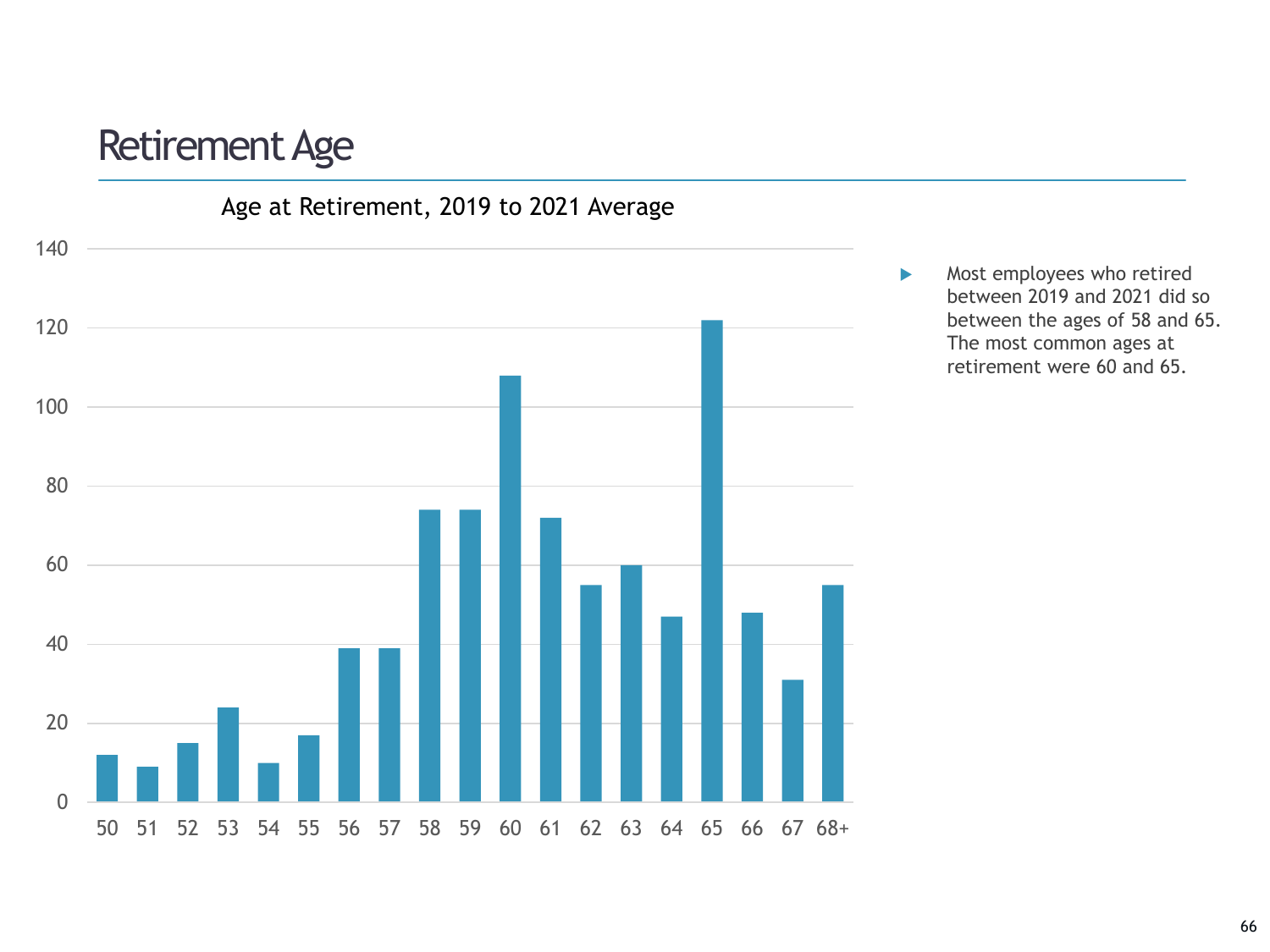### Retirement Age



Most employees who retired between 2019 and 2021 did so between the ages of 58 and 65. The most common ages at retirement were 60 and 65.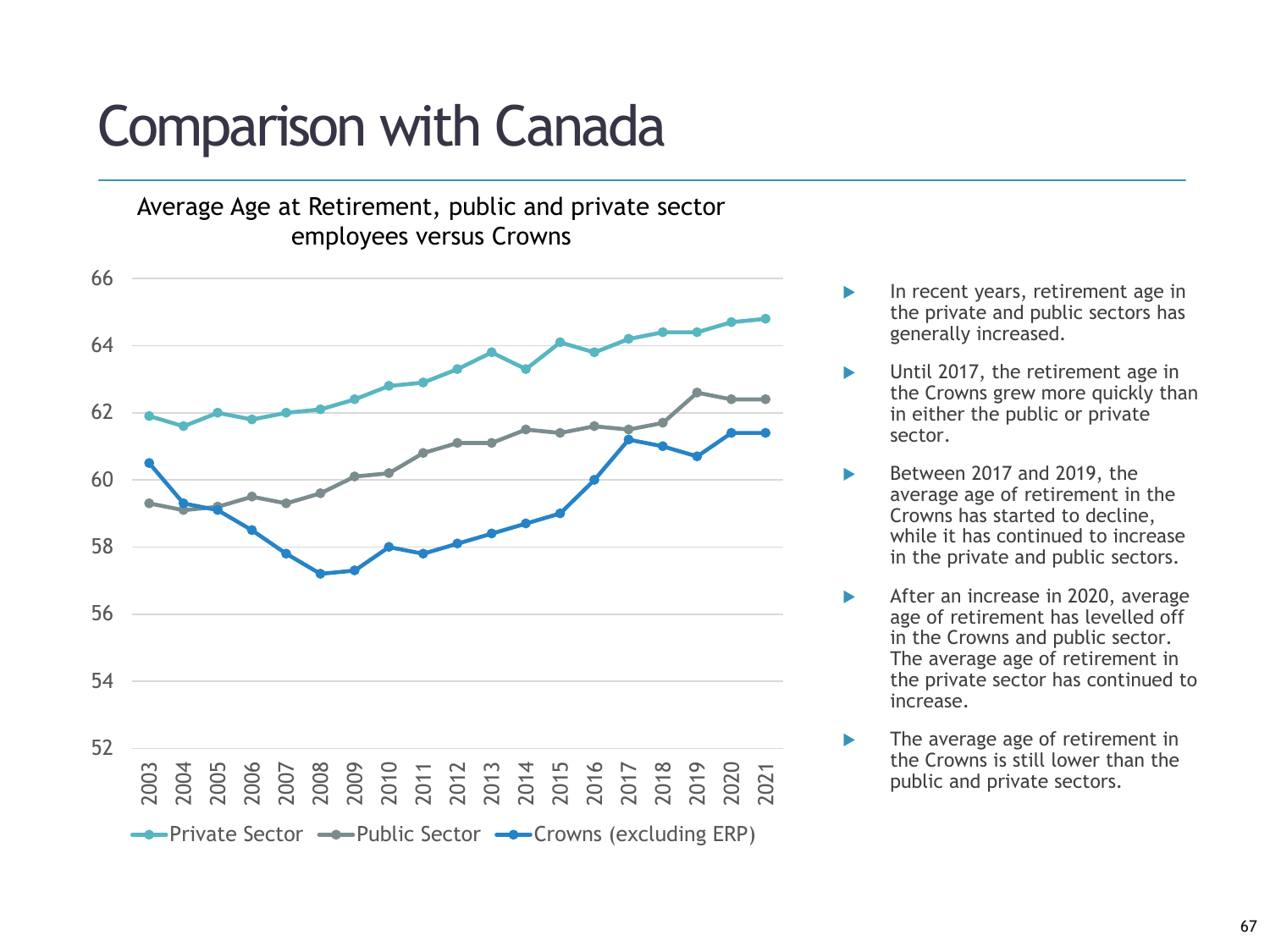# Comparison with Canada

Average Age at Retirement, public and private sector employees versus Crowns



- In recent years, retirement age in the private and public sectors has generally increased.
- Until 2017, the retirement age in the Crowns grew more quickly than in either the public or private sector.
- Between 2017 and 2019, the average age of retirement in the Crowns has started to decline, while it has continued to increase in the private and public sectors.
- After an increase in 2020, average age of retirement has levelled off in the Crowns and public sector. The average age of retirement in the private sector has continued to increase.
- The average age of retirement in the Crowns is still lower than the public and private sectors.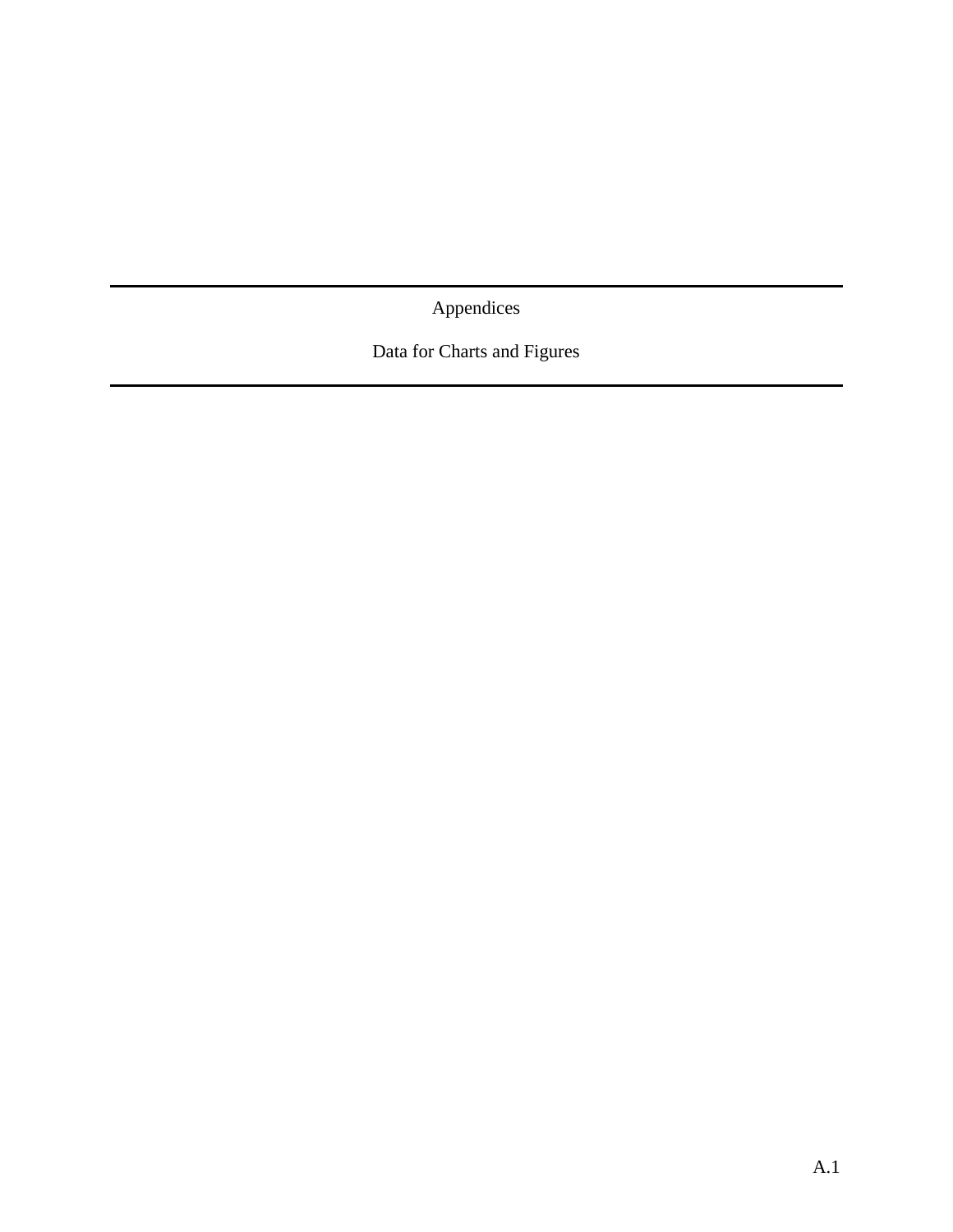Appendices

Data for Charts and Figures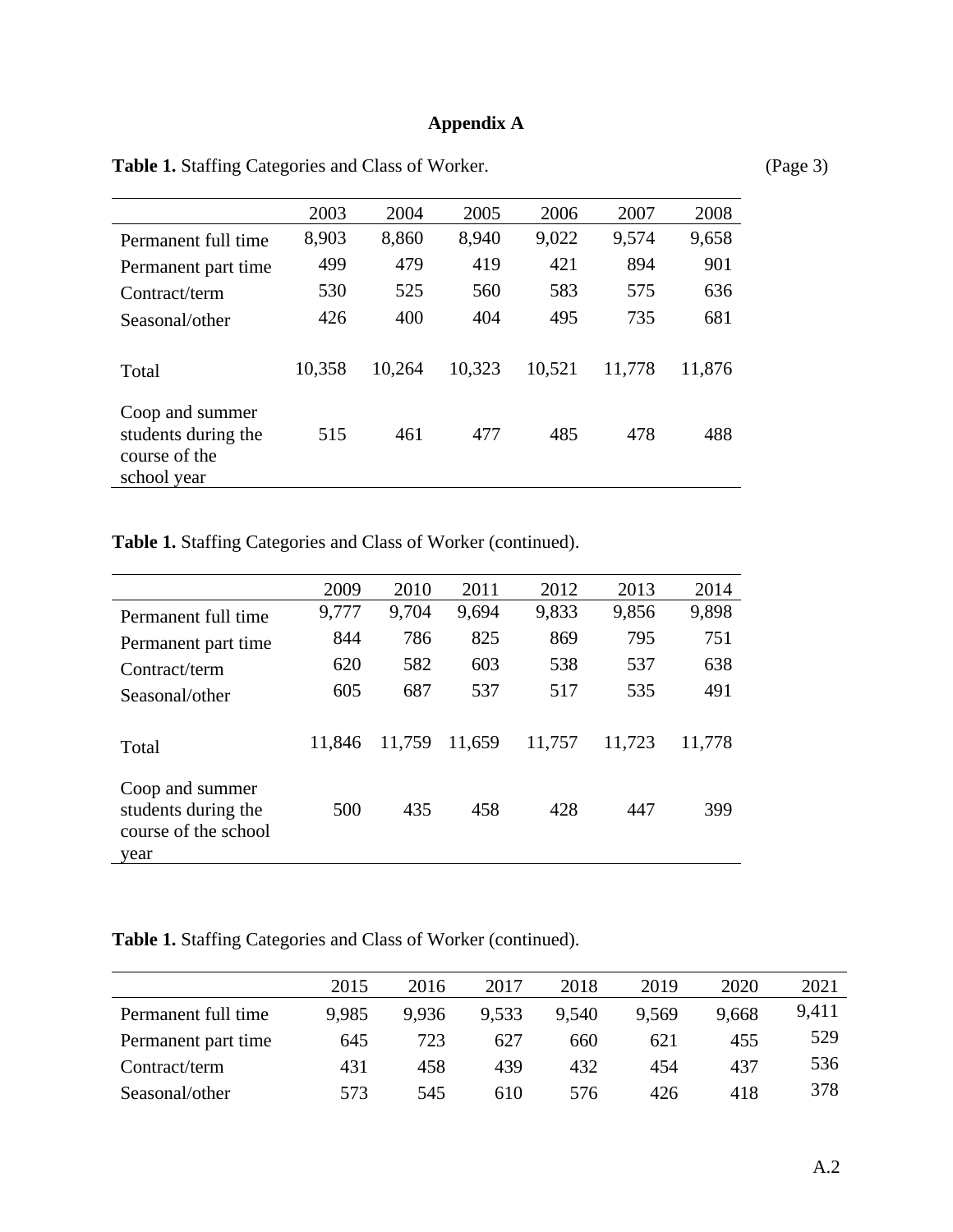### **Appendix A**

|                                                                        | 2003   | 2004   | 2005   | 2006   | 2007   | 2008   |
|------------------------------------------------------------------------|--------|--------|--------|--------|--------|--------|
| Permanent full time                                                    | 8,903  | 8,860  | 8,940  | 9,022  | 9,574  | 9,658  |
| Permanent part time                                                    | 499    | 479    | 419    | 421    | 894    | 901    |
| Contract/term                                                          | 530    | 525    | 560    | 583    | 575    | 636    |
| Seasonal/other                                                         | 426    | 400    | 404    | 495    | 735    | 681    |
| Total                                                                  | 10,358 | 10,264 | 10,323 | 10,521 | 11,778 | 11,876 |
| Coop and summer<br>students during the<br>course of the<br>school year | 515    | 461    | 477    | 485    | 478    | 488    |

Table 1. Staffing Categories and Class of Worker. (Page 3)

**Table 1.** Staffing Categories and Class of Worker (continued).

|                                                                        | 2009   | 2010   | 2011   | 2012   | 2013   | 2014   |
|------------------------------------------------------------------------|--------|--------|--------|--------|--------|--------|
| Permanent full time                                                    | 9,777  | 9,704  | 9,694  | 9,833  | 9,856  | 9,898  |
| Permanent part time                                                    | 844    | 786    | 825    | 869    | 795    | 751    |
| Contract/term                                                          | 620    | 582    | 603    | 538    | 537    | 638    |
| Seasonal/other                                                         | 605    | 687    | 537    | 517    | 535    | 491    |
| Total                                                                  | 11,846 | 11,759 | 11,659 | 11,757 | 11,723 | 11,778 |
| Coop and summer<br>students during the<br>course of the school<br>vear | 500    | 435    | 458    | 428    | 447    | 399    |

**Table 1.** Staffing Categories and Class of Worker (continued).

|                     | 2015  | 2016  | 2017  | 2018  | 2019  | 2020  | 2021  |
|---------------------|-------|-------|-------|-------|-------|-------|-------|
| Permanent full time | 9.985 | 9.936 | 9.533 | 9.540 | 9.569 | 9.668 | 9,411 |
| Permanent part time | 645   | 723   | 627   | 660   | 621   | 455   | 529   |
| Contract/term       | 431   | 458   | 439   | 432   | 454   | 437   | 536   |
| Seasonal/other      | 573   | 545   | 610   | 576   | 426   | 418   | 378   |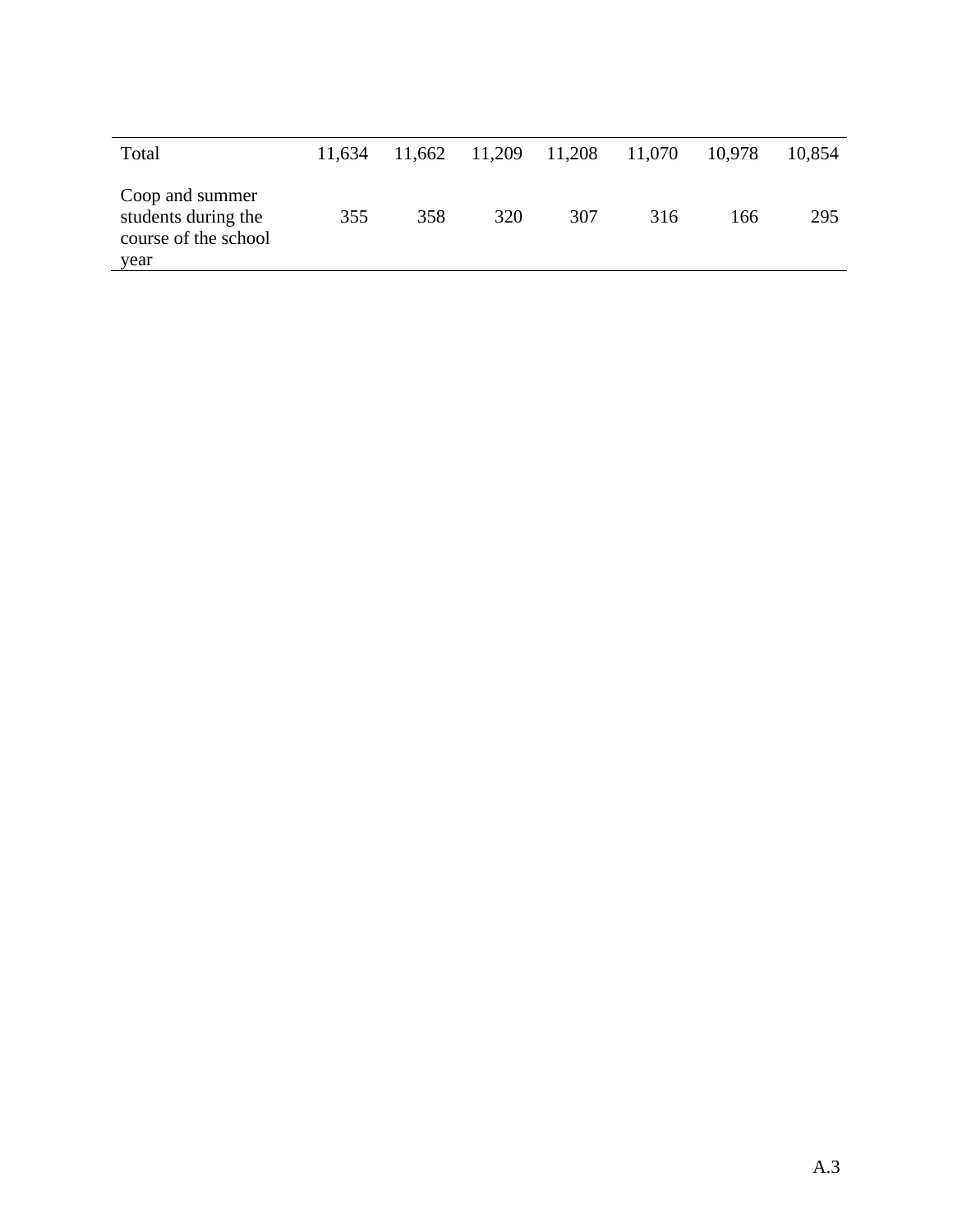| Total                                                                  | 11.634 | 11.662 | 11,209 | 11,208 | 11,070 | 10,978 | 10,854 |
|------------------------------------------------------------------------|--------|--------|--------|--------|--------|--------|--------|
| Coop and summer<br>students during the<br>course of the school<br>year | 355    | 358    | 320    | 307    | 316    | 166    | 295    |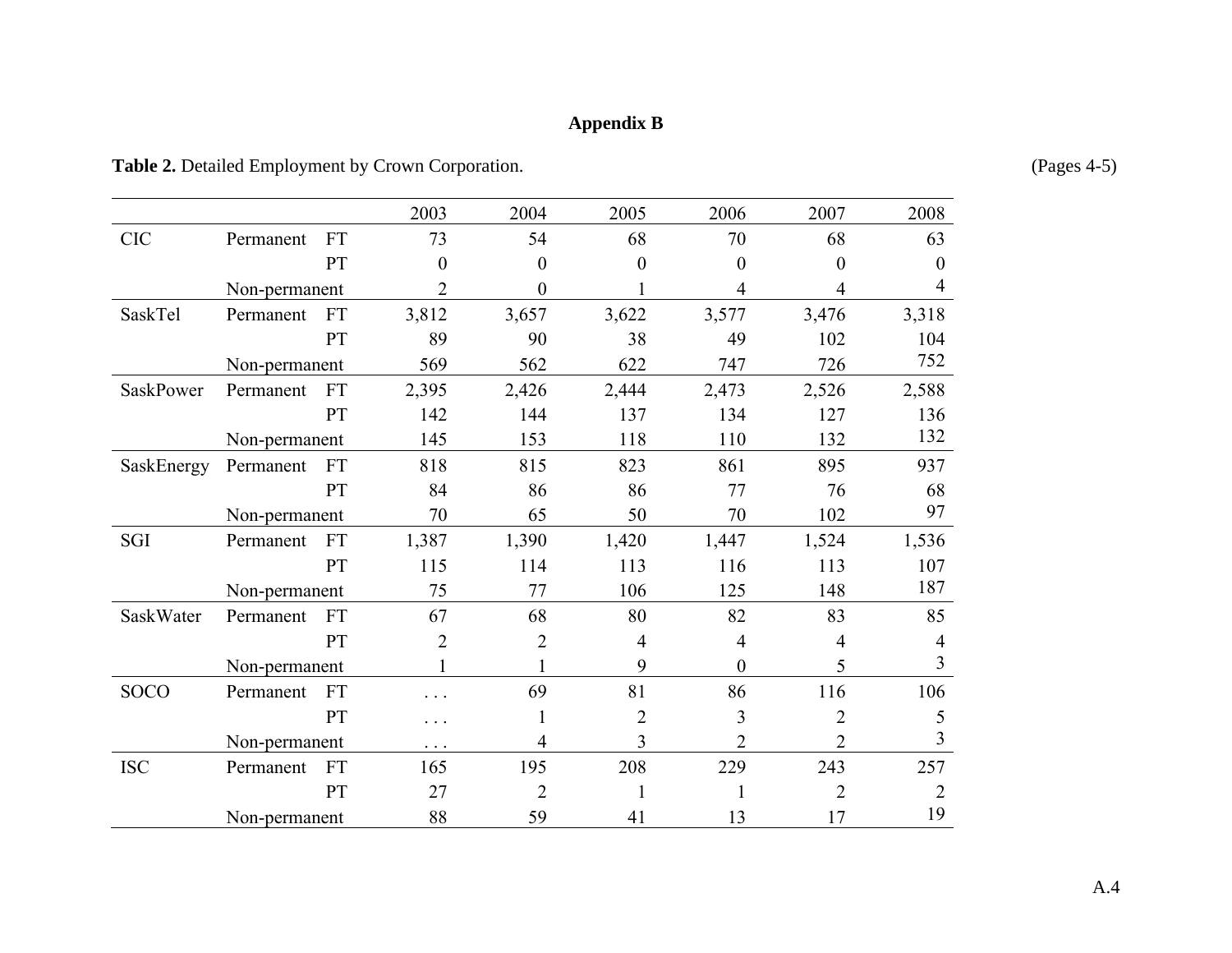### **Appendix B**

Table 2. Detailed Employment by Crown Corporation. (Pages 4-5)

|                  |               |           | 2003           | 2004             | 2005           | 2006           | 2007             | 2008           |
|------------------|---------------|-----------|----------------|------------------|----------------|----------------|------------------|----------------|
| <b>CIC</b>       | Permanent     | <b>FT</b> | 73             | 54               | 68             | 70             | 68               | 63             |
|                  |               | PT        | $\overline{0}$ | $\boldsymbol{0}$ | $\theta$       | $\overline{0}$ | $\boldsymbol{0}$ | $\overline{0}$ |
|                  | Non-permanent |           | $\overline{2}$ | $\boldsymbol{0}$ |                | 4              | 4                | $\overline{4}$ |
| SaskTel          | Permanent     | <b>FT</b> | 3,812          | 3,657            | 3,622          | 3,577          | 3,476            | 3,318          |
|                  |               | PT        | 89             | 90               | 38             | 49             | 102              | 104            |
|                  | Non-permanent |           | 569            | 562              | 622            | 747            | 726              | 752            |
| <b>SaskPower</b> | Permanent     | <b>FT</b> | 2,395          | 2,426            | 2,444          | 2,473          | 2,526            | 2,588          |
|                  |               | PT        | 142            | 144              | 137            | 134            | 127              | 136            |
|                  | Non-permanent |           | 145            | 153              | 118            | 110            | 132              | 132            |
| SaskEnergy       | Permanent     | <b>FT</b> | 818            | 815              | 823            | 861            | 895              | 937            |
|                  |               | PT        | 84             | 86               | 86             | 77             | 76               | 68             |
|                  | Non-permanent |           | 70             | 65               | 50             | 70             | 102              | 97             |
| SGI              | Permanent     | <b>FT</b> | 1,387          | 1,390            | 1,420          | 1,447          | 1,524            | 1,536          |
|                  |               | PT        | 115            | 114              | 113            | 116            | 113              | 107            |
|                  | Non-permanent |           | 75             | 77               | 106            | 125            | 148              | 187            |
| SaskWater        | Permanent     | <b>FT</b> | 67             | 68               | 80             | 82             | 83               | 85             |
|                  |               | PT        | $\overline{2}$ | $\overline{2}$   | $\overline{4}$ | $\overline{4}$ | $\overline{4}$   | 4              |
|                  | Non-permanent |           |                |                  | 9              | $\overline{0}$ | 5                | $\overline{3}$ |
| <b>SOCO</b>      | Permanent     | <b>FT</b> |                | 69               | 81             | 86             | 116              | 106            |
|                  |               | <b>PT</b> | .              | 1                | $\overline{2}$ | 3              | $\overline{2}$   | 5              |
|                  | Non-permanent |           | $\cdots$       | 4                | 3              | $\overline{2}$ | $\overline{2}$   | 3              |
| <b>ISC</b>       | Permanent     | <b>FT</b> | 165            | 195              | 208            | 229            | 243              | 257            |
|                  |               | PT        | 27             | $\overline{2}$   |                |                | $\overline{2}$   | 2              |
|                  | Non-permanent |           | 88             | 59               | 41             | 13             | 17               | 19             |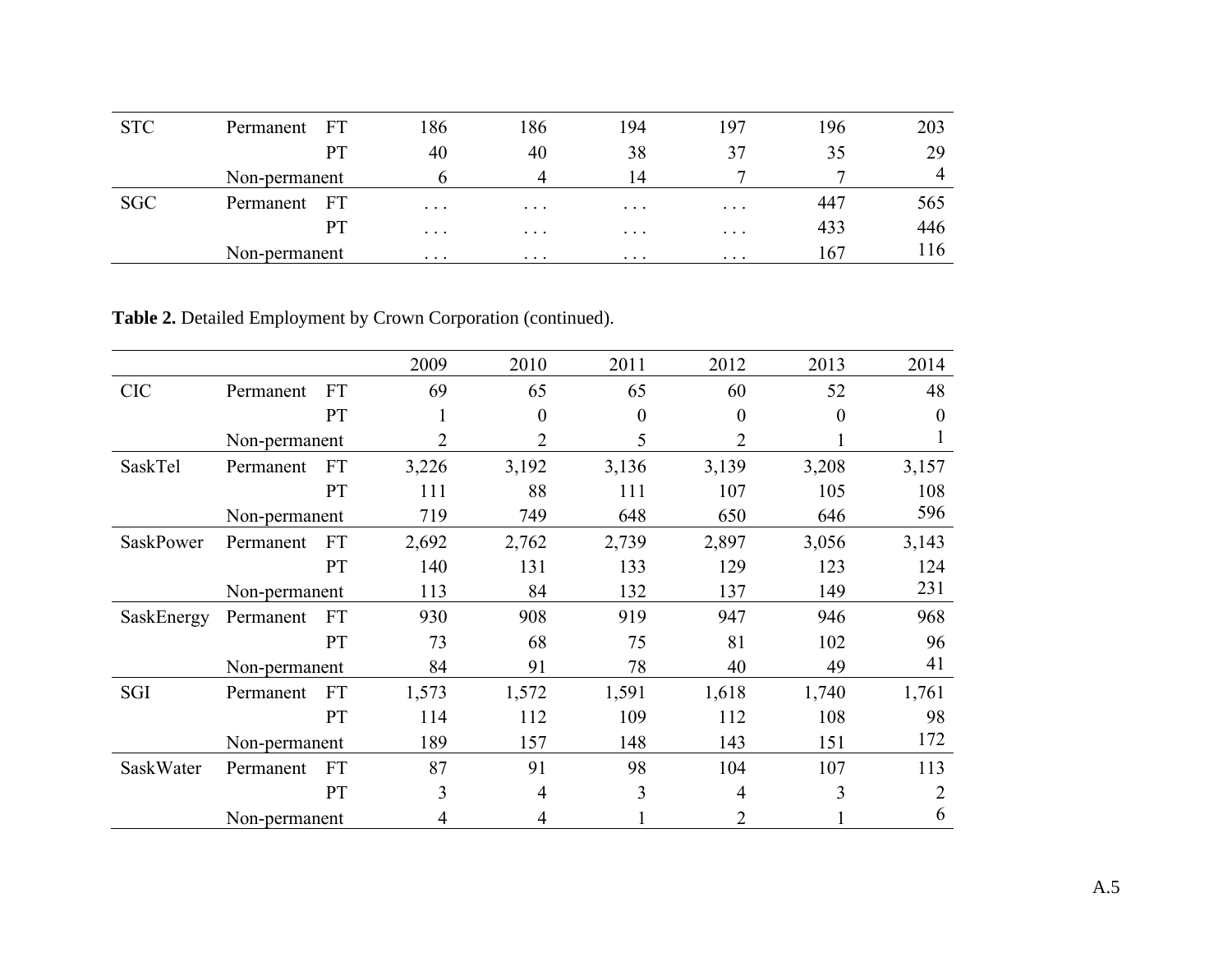| <b>STC</b> | Permanent FT      | 186      | 186      | 194      | 197      | 196 | 203            |
|------------|-------------------|----------|----------|----------|----------|-----|----------------|
|            | <b>PT</b>         | 40       | 40       | 38       | 37       | 35  | 29             |
|            | Non-permanent     |          |          | 14       |          |     | $\overline{4}$ |
| <b>SGC</b> | - FT<br>Permanent | $\cdots$ | $\cdots$ | $\cdots$ | $\cdots$ | 447 | 565            |
|            | <b>PT</b>         | $\cdots$ | $\cdots$ | $\cdots$ | $\cdots$ | 433 | 446            |
|            | Non-permanent     | $\cdots$ | $\cdots$ | $\cdots$ | $\cdots$ | 167 | 116            |

**Table 2.** Detailed Employment by Crown Corporation (continued).

|                  |               |           | 2009  | 2010  | 2011     | 2012           | 2013     | 2014     |
|------------------|---------------|-----------|-------|-------|----------|----------------|----------|----------|
| <b>CIC</b>       | Permanent     | <b>FT</b> | 69    | 65    | 65       | 60             | 52       | 48       |
|                  |               | PT        | 1     | 0     | $\theta$ | $\theta$       | $\theta$ | $\Omega$ |
|                  | Non-permanent |           | 2     | 2     | 5        | 2              |          |          |
| SaskTel          | Permanent     | <b>FT</b> | 3,226 | 3,192 | 3,136    | 3,139          | 3,208    | 3,157    |
|                  |               | PT        | 111   | 88    | 111      | 107            | 105      | 108      |
|                  | Non-permanent |           | 719   | 749   | 648      | 650            | 646      | 596      |
| <b>SaskPower</b> | Permanent     | <b>FT</b> | 2,692 | 2,762 | 2,739    | 2,897          | 3,056    | 3,143    |
|                  |               | PT        | 140   | 131   | 133      | 129            | 123      | 124      |
|                  | Non-permanent |           | 113   | 84    | 132      | 137            | 149      | 231      |
| SaskEnergy       | Permanent     | <b>FT</b> | 930   | 908   | 919      | 947            | 946      | 968      |
|                  |               | PT        | 73    | 68    | 75       | 81             | 102      | 96       |
|                  | Non-permanent |           | 84    | 91    | 78       | 40             | 49       | 41       |
| SGI              | Permanent     | <b>FT</b> | 1,573 | 1,572 | 1,591    | 1,618          | 1,740    | 1,761    |
|                  |               | PT        | 114   | 112   | 109      | 112            | 108      | 98       |
|                  | Non-permanent |           | 189   | 157   | 148      | 143            | 151      | 172      |
| SaskWater        | Permanent     | <b>FT</b> | 87    | 91    | 98       | 104            | 107      | 113      |
|                  |               | PT        | 3     | 4     | 3        | 4              | 3        | 2        |
|                  | Non-permanent |           | 4     | 4     |          | $\overline{2}$ |          | 6        |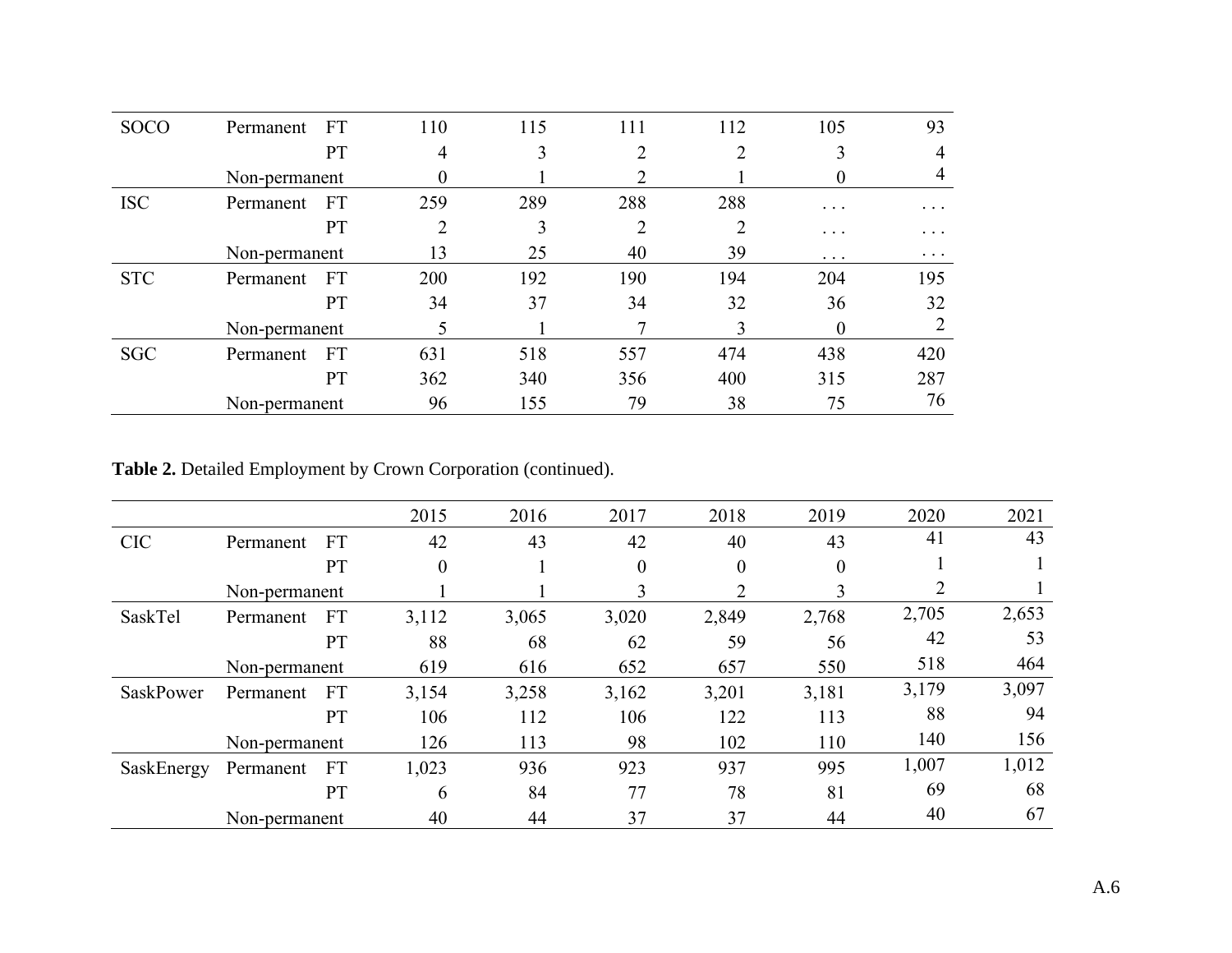| <b>SOCO</b> | <b>FT</b><br>Permanent | 110 | 115 | 111 | 112 | 105                     | 93       |
|-------------|------------------------|-----|-----|-----|-----|-------------------------|----------|
|             | PT                     | 4   | 3   | ↑   |     | 3                       | 4        |
|             | Non-permanent          | 0   |     |     |     | $\theta$                |          |
| <b>ISC</b>  | <b>FT</b><br>Permanent | 259 | 289 | 288 | 288 | $\cdot$ $\cdot$ $\cdot$ | .        |
|             | PT                     | າ   | 3   | C   |     | $\ddots$                | .        |
|             | Non-permanent          | 13  | 25  | 40  | 39  | $\ddotsc$               | $\cdots$ |
| <b>STC</b>  | <b>FT</b><br>Permanent | 200 | 192 | 190 | 194 | 204                     | 195      |
|             | PT                     | 34  | 37  | 34  | 32  | 36                      | 32       |
|             | Non-permanent          |     |     |     | 3   | $\theta$                |          |
| <b>SGC</b>  | <b>FT</b><br>Permanent | 631 | 518 | 557 | 474 | 438                     | 420      |
|             | PT                     | 362 | 340 | 356 | 400 | 315                     | 287      |
|             | Non-permanent          | 96  | 155 | 79  | 38  | 75                      | 76       |

**Table 2.** Detailed Employment by Crown Corporation (continued).

|                  |               |           | 2015             | 2016  | 2017             | 2018     | 2019     | 2020  | 2021  |
|------------------|---------------|-----------|------------------|-------|------------------|----------|----------|-------|-------|
| <b>CIC</b>       | Permanent     | <b>FT</b> | 42               | 43    | 42               | 40       | 43       | 41    | 43    |
|                  |               | PT        | $\boldsymbol{0}$ |       | $\boldsymbol{0}$ | $\theta$ | $\theta$ |       |       |
|                  | Non-permanent |           |                  |       | 3                |          |          |       |       |
| SaskTel          | Permanent     | <b>FT</b> | 3,112            | 3,065 | 3,020            | 2,849    | 2,768    | 2,705 | 2,653 |
|                  |               | PT        | 88               | 68    | 62               | 59       | 56       | 42    | 53    |
|                  | Non-permanent |           | 619              | 616   | 652              | 657      | 550      | 518   | 464   |
| <b>SaskPower</b> | Permanent     | <b>FT</b> | 3,154            | 3,258 | 3,162            | 3,201    | 3,181    | 3,179 | 3,097 |
|                  |               | PT        | 106              | 112   | 106              | 122      | 113      | 88    | 94    |
|                  | Non-permanent |           | 126              | 113   | 98               | 102      | 110      | 140   | 156   |
| SaskEnergy       | Permanent     | FT        | 1,023            | 936   | 923              | 937      | 995      | 1,007 | 1,012 |
|                  |               | PT        | 6                | 84    | 77               | 78       | 81       | 69    | 68    |
|                  | Non-permanent |           | 40               | 44    | 37               | 37       | 44       | 40    | 67    |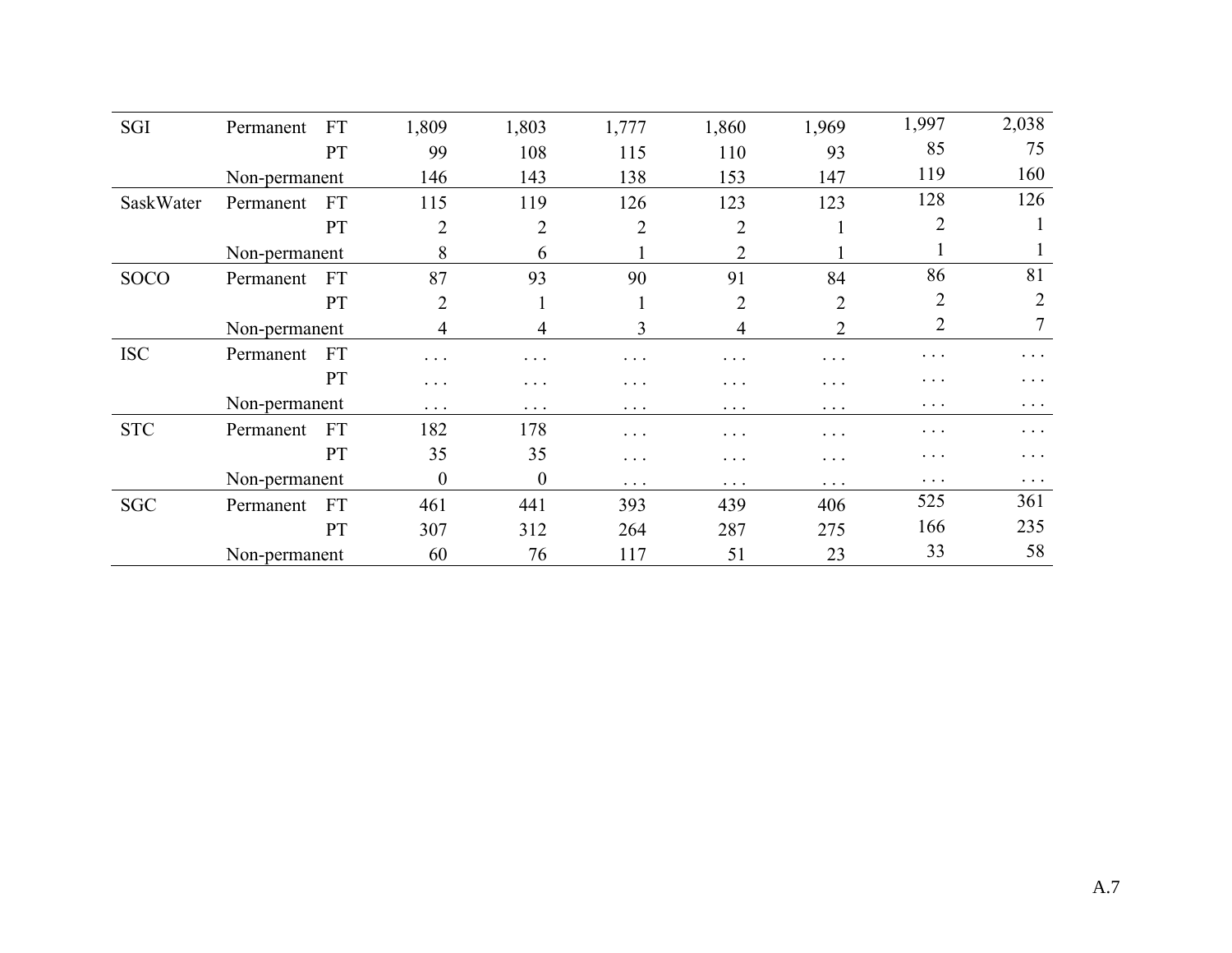| SGI         | Permanent     | <b>FT</b> | 1,809          | 1,803          | 1,777          | 1,860          | 1,969          | 1,997          | 2,038          |
|-------------|---------------|-----------|----------------|----------------|----------------|----------------|----------------|----------------|----------------|
|             |               | PT        | 99             | 108            | 115            | 110            | 93             | 85             | 75             |
|             | Non-permanent |           | 146            | 143            | 138            | 153            | 147            | 119            | 160            |
| SaskWater   | Permanent     | <b>FT</b> | 115            | 119            | 126            | 123            | 123            | 128            | 126            |
|             |               | PT        | $\overline{2}$ | $\overline{2}$ | $\overline{2}$ | $\overline{2}$ |                | $\overline{2}$ |                |
|             | Non-permanent |           | 8              | 6              |                | 2              |                |                |                |
| <b>SOCO</b> | Permanent     | <b>FT</b> | 87             | 93             | 90             | 91             | 84             | 86             | 81             |
|             |               | <b>PT</b> | $\overline{2}$ | $\bf{1}$       | $\bf{1}$       | $\overline{2}$ | $\overline{2}$ | $\overline{2}$ | $\overline{2}$ |
|             | Non-permanent |           | 4              | 4              | 3              | $\overline{4}$ | 2              | 2              | 7              |
| <b>ISC</b>  | Permanent     | <b>FT</b> | $\ddots$ .     | .              | $\cdots$       | $\cdots$       | $\cdots$       | $\ddots$ .     | $\cdots$       |
|             |               | PT        | $\cdots$       | $\cdots$       | $\cdots$       | $\cdots$       | $\cdots$       | $\cdots$       | .              |
|             | Non-permanent |           | $\cdots$       | $\cdots$       | $\cdots$       | $\cdots$       | $\cdots$       | $\ddots$       | $\cdots$       |
| <b>STC</b>  | Permanent     | <b>FT</b> | 182            | 178            | .              | $\cdots$       | $\ddotsc$      | $\cdots$       | $\cdots$       |
|             |               | PT        | 35             | 35             | .              | $\cdots$       | .              | $\ddots$       | $\cdots$       |
|             | Non-permanent |           | $\theta$       | $\theta$       | $\cdots$       | $\cdots$       | $\cdots$       | $\cdots$       | $\cdots$       |
| <b>SGC</b>  | Permanent     | <b>FT</b> | 461            | 441            | 393            | 439            | 406            | 525            | 361            |
|             |               | PT        | 307            | 312            | 264            | 287            | 275            | 166            | 235            |
|             | Non-permanent |           | 60             | 76             | 117            | 51             | 23             | 33             | 58             |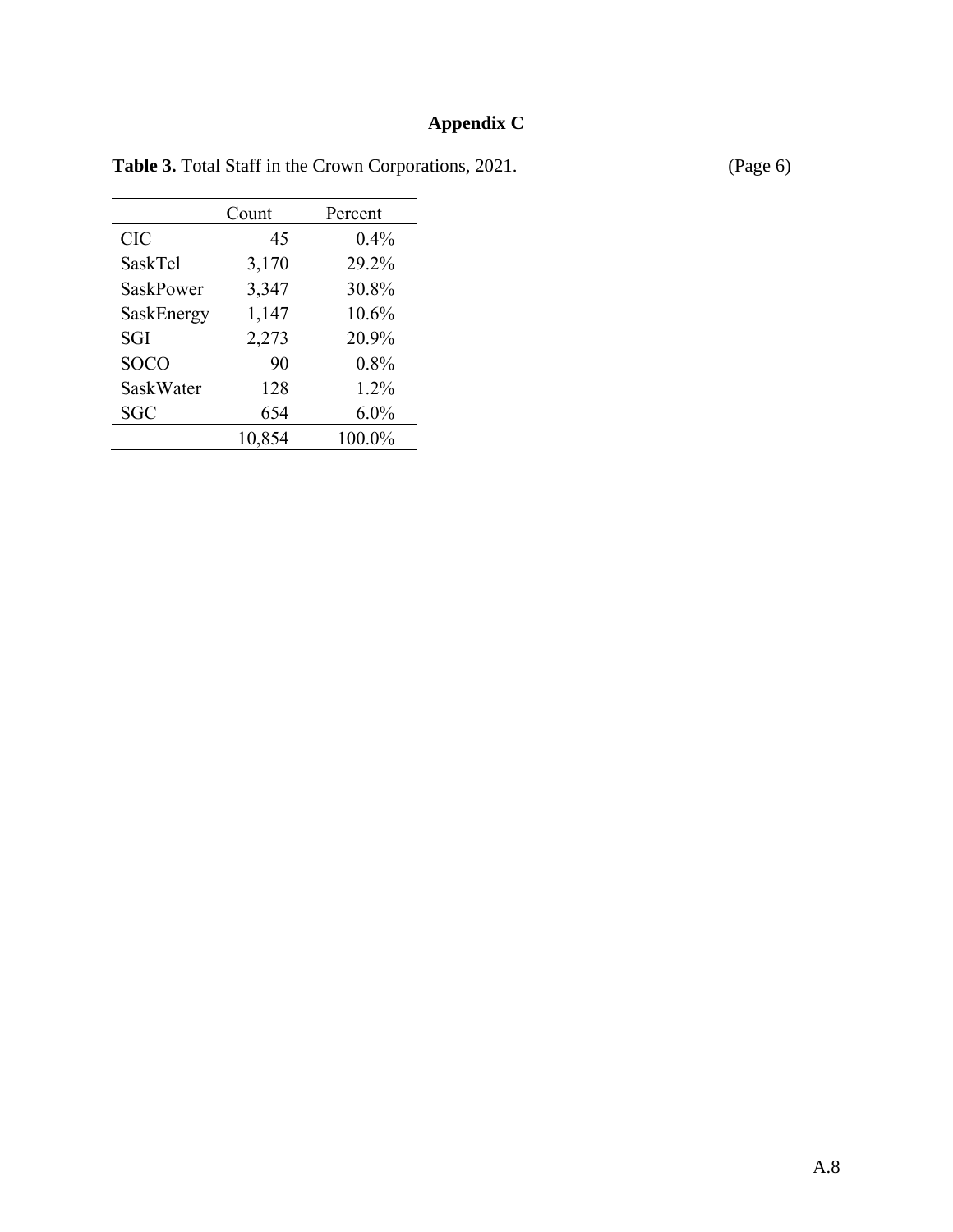# **Appendix C**

|             | Count  | Percent |
|-------------|--------|---------|
| <b>CIC</b>  | 45     | $0.4\%$ |
| SaskTel     | 3,170  | 29.2%   |
| SaskPower   | 3,347  | 30.8%   |
| SaskEnergy  | 1,147  | 10.6%   |
| SGI         | 2,273  | 20.9%   |
| <b>SOCO</b> | 90     | 0.8%    |
| SaskWater   | 128    | $1.2\%$ |
| <b>SGC</b>  | 654    | $6.0\%$ |
|             | 10,854 | 100.0%  |

Table 3. Total Staff in the Crown Corporations, 2021. (Page 6)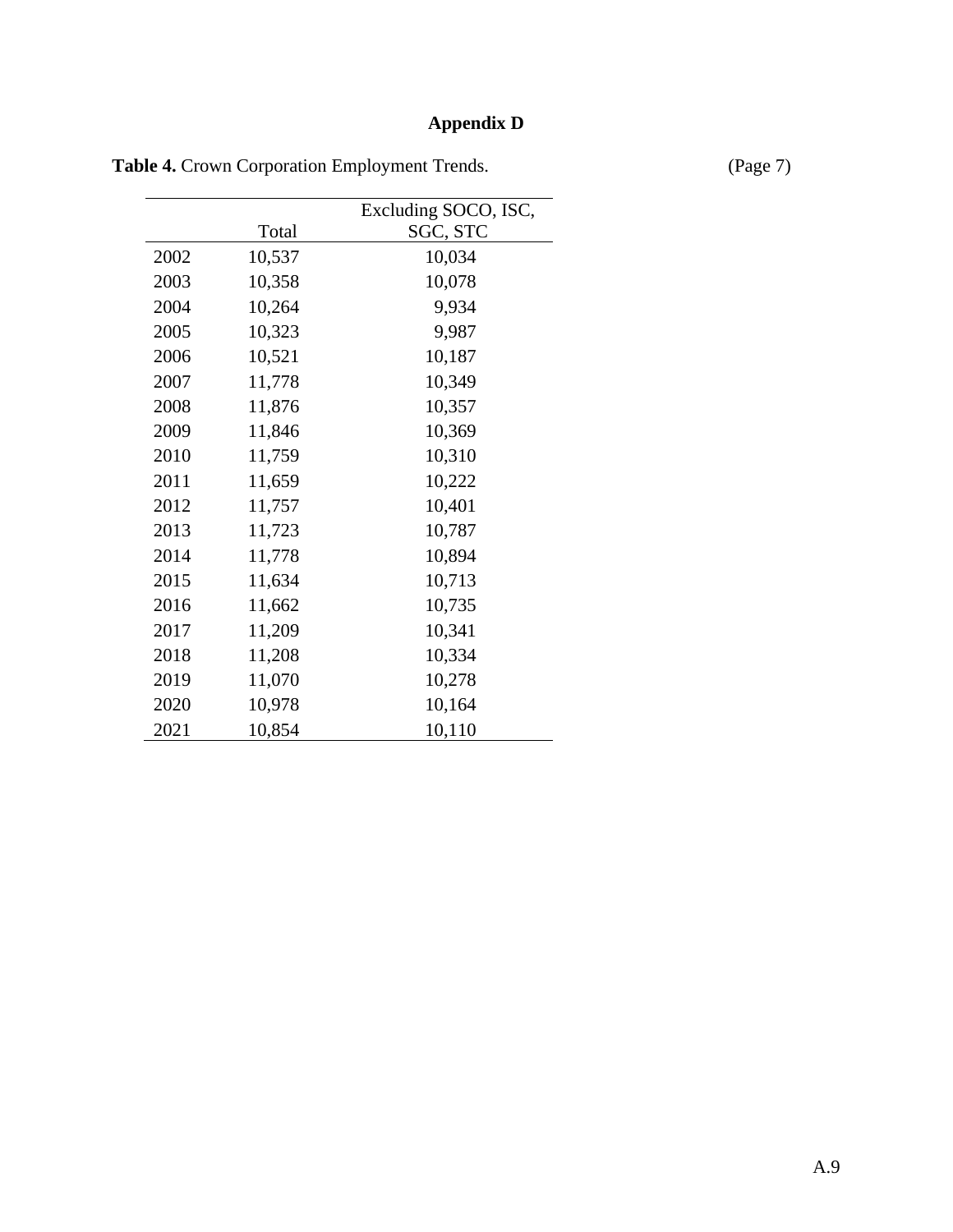# **Appendix D**

|      | Total  | Excluding SOCO, ISC, |
|------|--------|----------------------|
|      |        | SGC, STC             |
| 2002 | 10,537 | 10,034               |
| 2003 | 10,358 | 10,078               |
| 2004 | 10,264 | 9,934                |
| 2005 | 10,323 | 9,987                |
| 2006 | 10,521 | 10,187               |
| 2007 | 11,778 | 10,349               |
| 2008 | 11,876 | 10,357               |
| 2009 | 11,846 | 10,369               |
| 2010 | 11,759 | 10,310               |
| 2011 | 11,659 | 10,222               |
| 2012 | 11,757 | 10,401               |
| 2013 | 11,723 | 10,787               |
| 2014 | 11,778 | 10,894               |
| 2015 | 11,634 | 10,713               |
| 2016 | 11,662 | 10,735               |
| 2017 | 11,209 | 10,341               |
| 2018 | 11,208 | 10,334               |
| 2019 | 11,070 | 10,278               |
| 2020 | 10,978 | 10,164               |
| 2021 | 10,854 | 10,110               |

Table 4. Crown Corporation Employment Trends. (Page 7)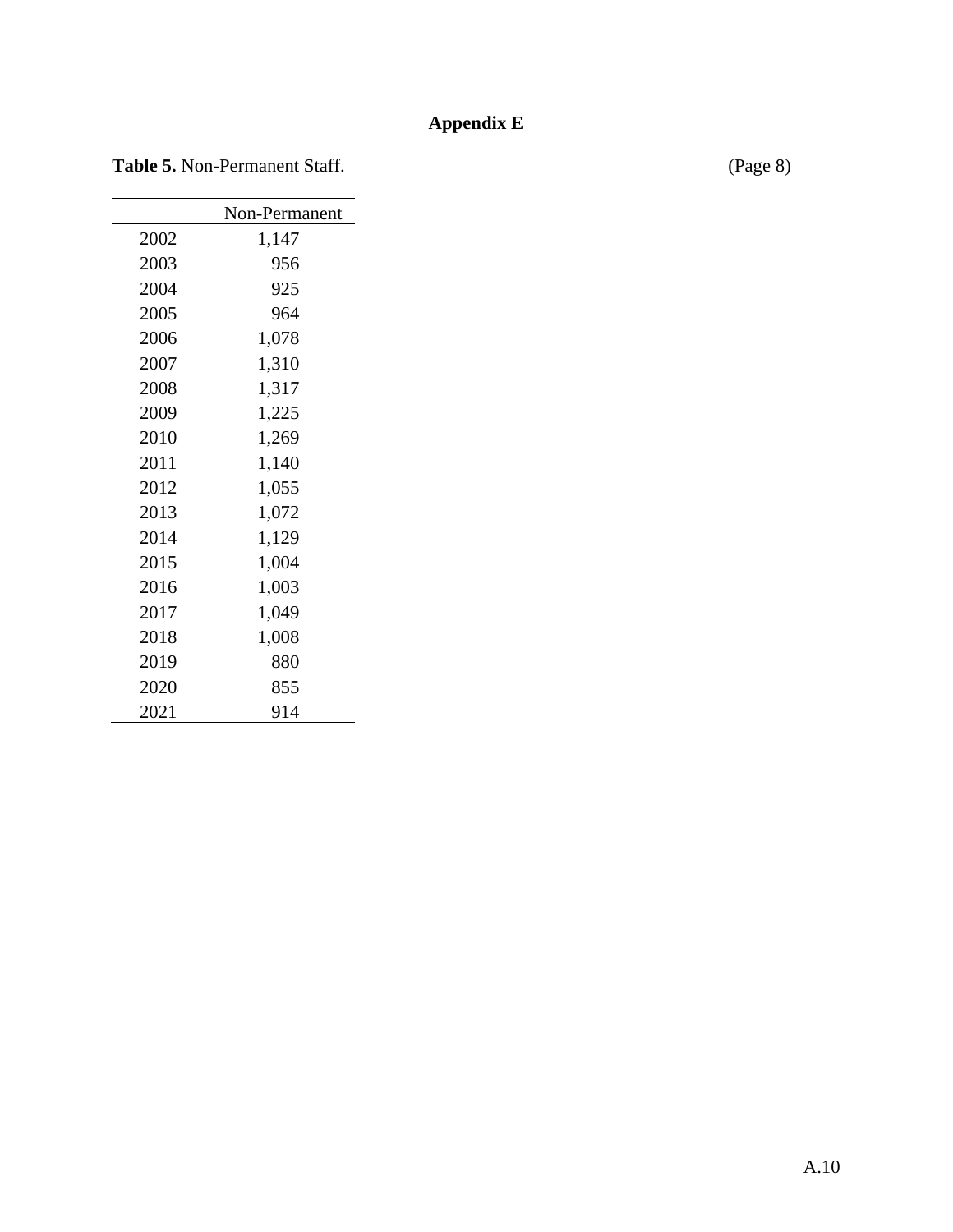## **Appendix E**

Table 5. Non-Permanent Staff. (Page 8)

|      | Non-Permanent |
|------|---------------|
| 2002 | 1,147         |
| 2003 | 956           |
| 2004 | 925           |
| 2005 | 964           |
| 2006 | 1,078         |
| 2007 | 1,310         |
| 2008 | 1,317         |
| 2009 | 1,225         |
| 2010 | 1,269         |
| 2011 | 1,140         |
| 2012 | 1,055         |
| 2013 | 1,072         |
| 2014 | 1,129         |
| 2015 | 1,004         |
| 2016 | 1,003         |
| 2017 | 1,049         |
| 2018 | 1,008         |
| 2019 | 880           |
| 2020 | 855           |
| 2021 | 914           |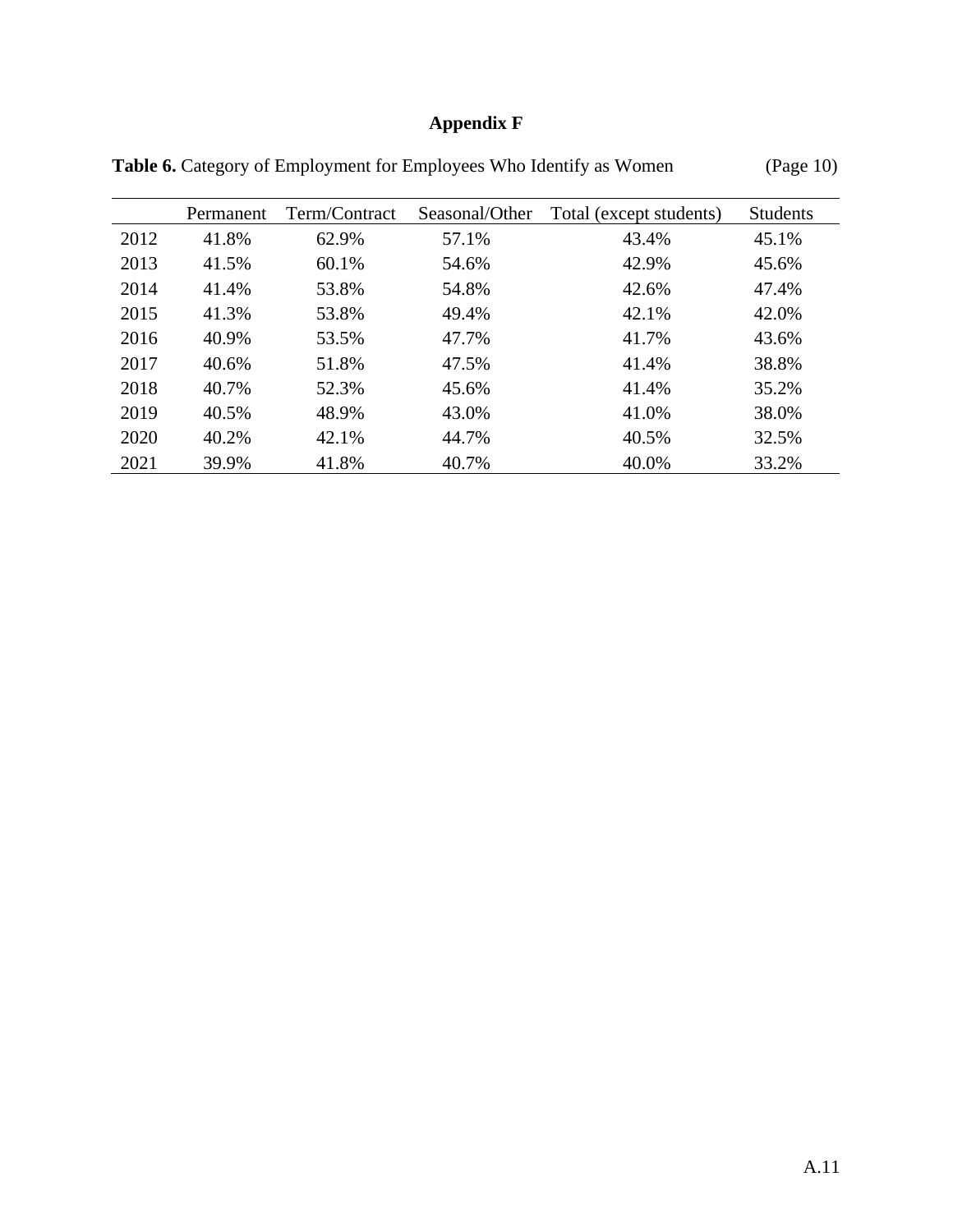# **Appendix F**

|      | Permanent | Term/Contract | Seasonal/Other | Total (except students) | <b>Students</b> |
|------|-----------|---------------|----------------|-------------------------|-----------------|
| 2012 | 41.8%     | 62.9%         | 57.1%          | 43.4%                   | 45.1%           |
| 2013 | 41.5%     | 60.1%         | 54.6%          | 42.9%                   | 45.6%           |
| 2014 | 41.4%     | 53.8%         | 54.8%          | 42.6%                   | 47.4%           |
| 2015 | 41.3%     | 53.8%         | 49.4%          | 42.1%                   | 42.0%           |
| 2016 | 40.9%     | 53.5%         | 47.7%          | 41.7%                   | 43.6%           |
| 2017 | 40.6%     | 51.8%         | 47.5%          | 41.4%                   | 38.8%           |
| 2018 | 40.7%     | 52.3%         | 45.6%          | 41.4%                   | 35.2%           |
| 2019 | 40.5%     | 48.9%         | 43.0%          | 41.0%                   | 38.0%           |
| 2020 | 40.2%     | 42.1%         | 44.7%          | 40.5%                   | 32.5%           |
| 2021 | 39.9%     | 41.8%         | 40.7%          | 40.0%                   | 33.2%           |

Table 6. Category of Employment for Employees Who Identify as Women (Page 10)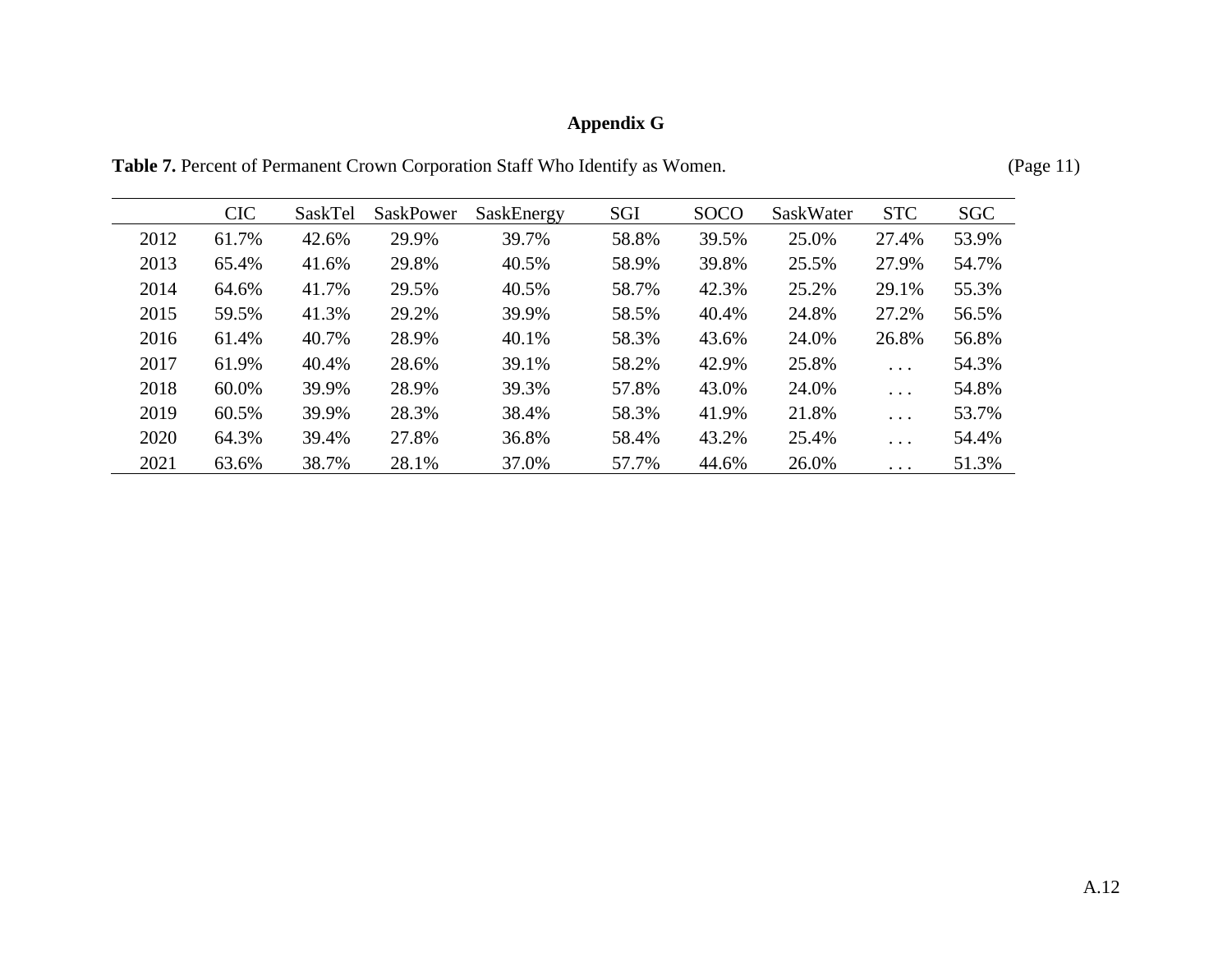# **Appendix G**

Table 7. Percent of Permanent Crown Corporation Staff Who Identify as Women. (Page 11)

| Page |  |
|------|--|
|      |  |
|      |  |

|      | <b>CIC</b> | SaskTel | SaskPower | SaskEnergy | SGI   | <b>SOCO</b> | SaskWater | <b>STC</b>              | <b>SGC</b> |
|------|------------|---------|-----------|------------|-------|-------------|-----------|-------------------------|------------|
| 2012 | 61.7%      | 42.6%   | 29.9%     | 39.7%      | 58.8% | 39.5%       | 25.0%     | 27.4%                   | 53.9%      |
| 2013 | 65.4%      | 41.6%   | 29.8%     | 40.5%      | 58.9% | 39.8%       | 25.5%     | 27.9%                   | 54.7%      |
| 2014 | 64.6%      | 41.7%   | 29.5%     | 40.5%      | 58.7% | 42.3%       | 25.2%     | 29.1%                   | 55.3%      |
| 2015 | 59.5%      | 41.3%   | 29.2%     | 39.9%      | 58.5% | 40.4%       | 24.8%     | 27.2%                   | 56.5%      |
| 2016 | 61.4%      | 40.7%   | 28.9%     | 40.1%      | 58.3% | 43.6%       | 24.0%     | 26.8%                   | 56.8%      |
| 2017 | 61.9%      | 40.4%   | 28.6%     | 39.1%      | 58.2% | 42.9%       | 25.8%     | $\cdots$                | 54.3%      |
| 2018 | 60.0%      | 39.9%   | 28.9%     | 39.3%      | 57.8% | 43.0%       | 24.0%     | $\cdot$ $\cdot$ $\cdot$ | 54.8%      |
| 2019 | 60.5%      | 39.9%   | 28.3%     | 38.4%      | 58.3% | 41.9%       | 21.8%     | $\cdots$                | 53.7%      |
| 2020 | 64.3%      | 39.4%   | 27.8%     | 36.8%      | 58.4% | 43.2%       | 25.4%     | $\cdot$ $\cdot$ $\cdot$ | 54.4%      |
| 2021 | 63.6%      | 38.7%   | 28.1%     | 37.0%      | 57.7% | 44.6%       | 26.0%     | $\cdots$                | 51.3%      |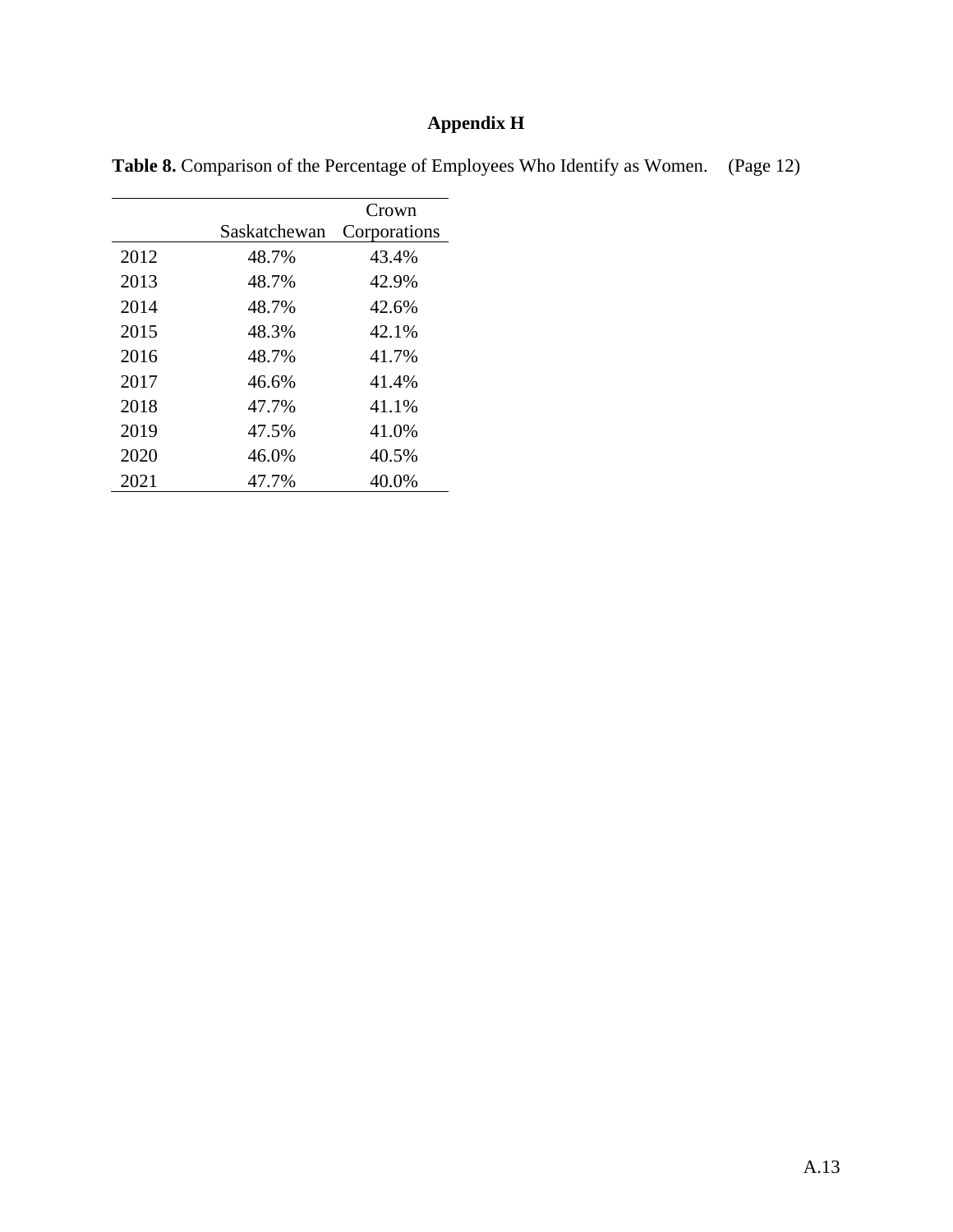## **Appendix H**

|  |  | Table 8. Comparison of the Percentage of Employees Who Identify as Women. (Page 12) |
|--|--|-------------------------------------------------------------------------------------|
|  |  |                                                                                     |

|      |              | Crown        |
|------|--------------|--------------|
|      | Saskatchewan | Corporations |
| 2012 | 48.7%        | 43.4%        |
| 2013 | 48.7%        | 42.9%        |
| 2014 | 48.7%        | 42.6%        |
| 2015 | 48.3%        | 42.1%        |
| 2016 | 48.7%        | 41.7%        |
| 2017 | 46.6%        | 41.4%        |
| 2018 | 47.7%        | 41.1%        |
| 2019 | 47.5%        | 41.0%        |
| 2020 | 46.0%        | 40.5%        |
| 2021 | 47.7%        | 40.0%        |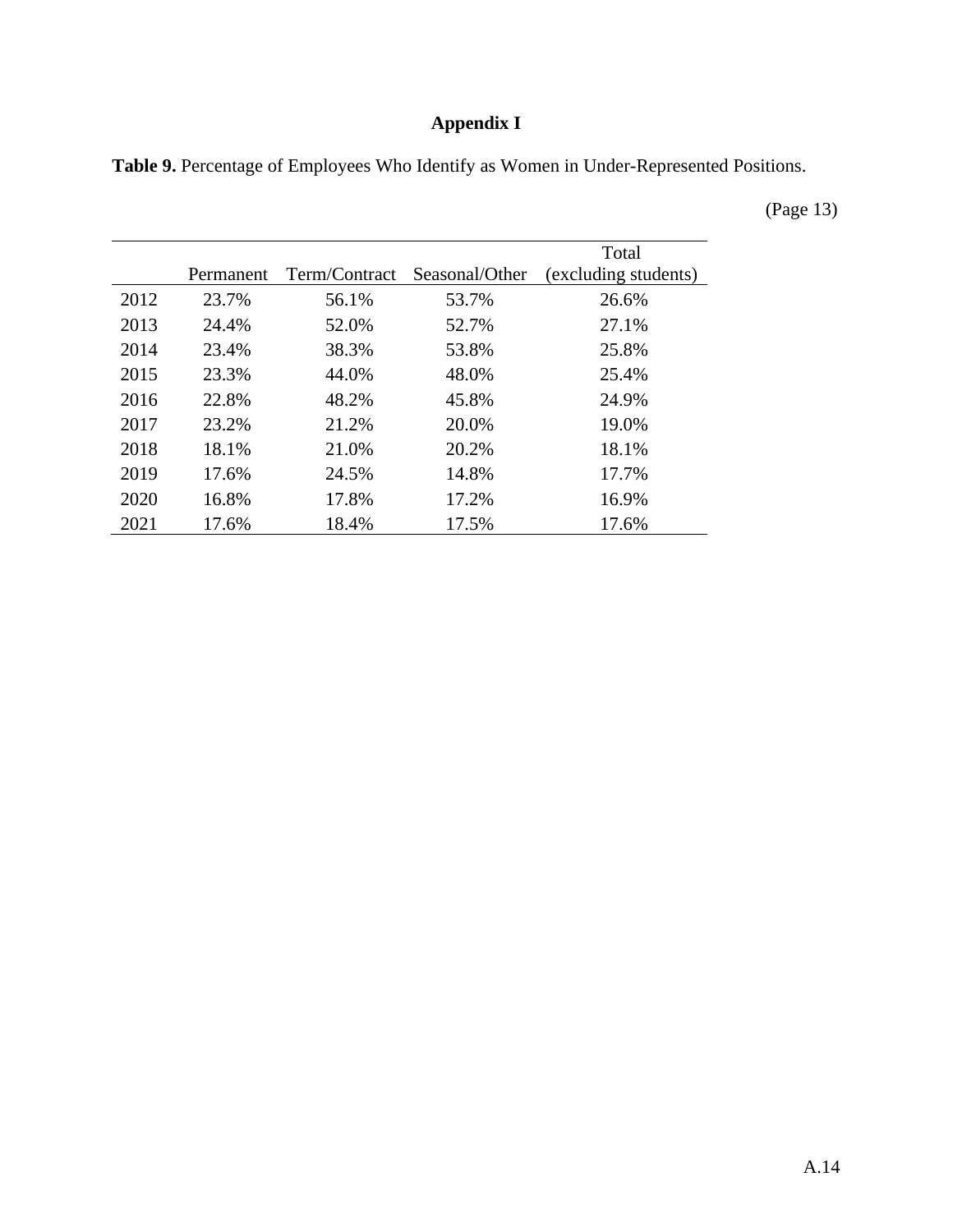## **Appendix I**

**Table 9.** Percentage of Employees Who Identify as Women in Under-Represented Positions.

(Page 13)

|      |           |               |                | Total                |
|------|-----------|---------------|----------------|----------------------|
|      | Permanent | Term/Contract | Seasonal/Other | (excluding students) |
| 2012 | 23.7%     | 56.1%         | 53.7%          | 26.6%                |
| 2013 | 24.4%     | 52.0%         | 52.7%          | 27.1%                |
| 2014 | 23.4%     | 38.3%         | 53.8%          | 25.8%                |
| 2015 | 23.3%     | 44.0%         | 48.0%          | 25.4%                |
| 2016 | 22.8%     | 48.2%         | 45.8%          | 24.9%                |
| 2017 | 23.2%     | 21.2%         | 20.0%          | 19.0%                |
| 2018 | 18.1%     | 21.0%         | 20.2%          | 18.1%                |
| 2019 | 17.6%     | 24.5%         | 14.8%          | 17.7%                |
| 2020 | 16.8%     | 17.8%         | 17.2%          | 16.9%                |
| 2021 | 17.6%     | 18.4%         | 17.5%          | 17.6%                |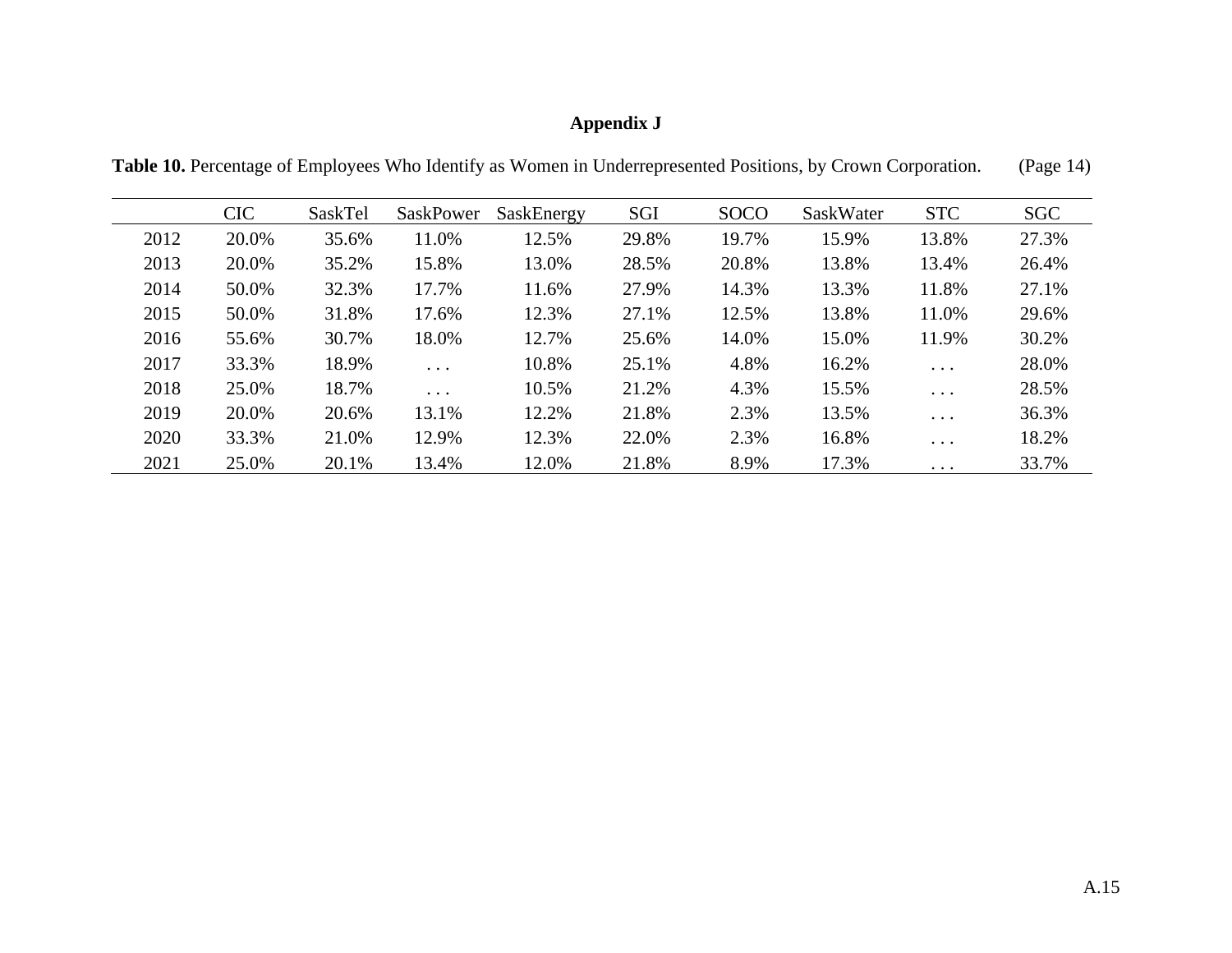## **Appendix J**

**Table 10.** Percentage of Employees Who Identify as Women in Underrepresented Positions, by Crown Corporation. (Page 14)

|      | <b>CIC</b> | SaskTel | <b>SaskPower</b>        | SaskEnergy | <b>SGI</b> | <b>SOCO</b> | SaskWater | <b>STC</b> | <b>SGC</b> |
|------|------------|---------|-------------------------|------------|------------|-------------|-----------|------------|------------|
| 2012 | 20.0%      | 35.6%   | 11.0%                   | 12.5%      | 29.8%      | 19.7%       | 15.9%     | 13.8%      | 27.3%      |
| 2013 | 20.0%      | 35.2%   | 15.8%                   | 13.0%      | 28.5%      | 20.8%       | 13.8%     | 13.4%      | 26.4%      |
| 2014 | 50.0%      | 32.3%   | 17.7%                   | 11.6%      | 27.9%      | 14.3%       | 13.3%     | 11.8%      | 27.1%      |
| 2015 | 50.0%      | 31.8%   | 17.6%                   | 12.3%      | 27.1%      | 12.5%       | 13.8%     | 11.0%      | 29.6%      |
| 2016 | 55.6%      | 30.7%   | 18.0%                   | 12.7%      | 25.6%      | 14.0%       | 15.0%     | 11.9%      | 30.2%      |
| 2017 | 33.3%      | 18.9%   | $\cdots$                | 10.8%      | 25.1%      | 4.8%        | 16.2%     | $\ddots$   | 28.0%      |
| 2018 | 25.0%      | 18.7%   | $\cdot$ $\cdot$ $\cdot$ | 10.5%      | 21.2%      | 4.3%        | 15.5%     | $\ddots$   | 28.5%      |
| 2019 | 20.0%      | 20.6%   | 13.1%                   | 12.2%      | 21.8%      | 2.3%        | 13.5%     | $\ddots$   | 36.3%      |
| 2020 | 33.3%      | 21.0%   | 12.9%                   | 12.3%      | 22.0%      | 2.3%        | 16.8%     | $\ddots$   | 18.2%      |
| 2021 | 25.0%      | 20.1%   | 13.4%                   | 12.0%      | 21.8%      | 8.9%        | 17.3%     | $\ddots$   | 33.7%      |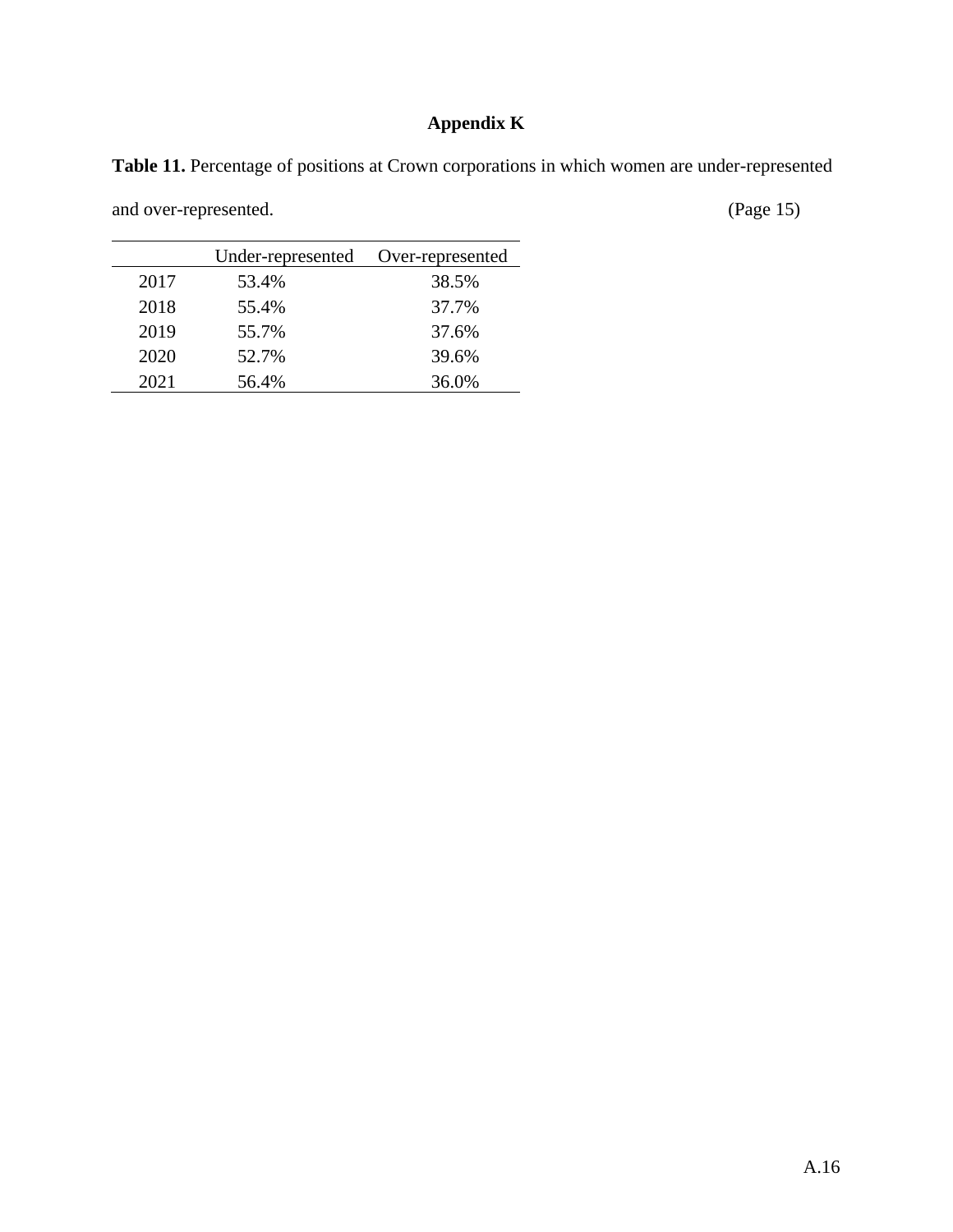## **Appendix K**

**Table 11.** Percentage of positions at Crown corporations in which women are under-represented

and over-represented. (Page 15)

|      | Under-represented | Over-represented |
|------|-------------------|------------------|
| 2017 | 53.4%             | 38.5%            |
| 2018 | 55.4%             | 37.7%            |
| 2019 | 55.7%             | 37.6%            |
| 2020 | 52.7%             | 39.6%            |
| 2021 | 56.4%             | 36.0%            |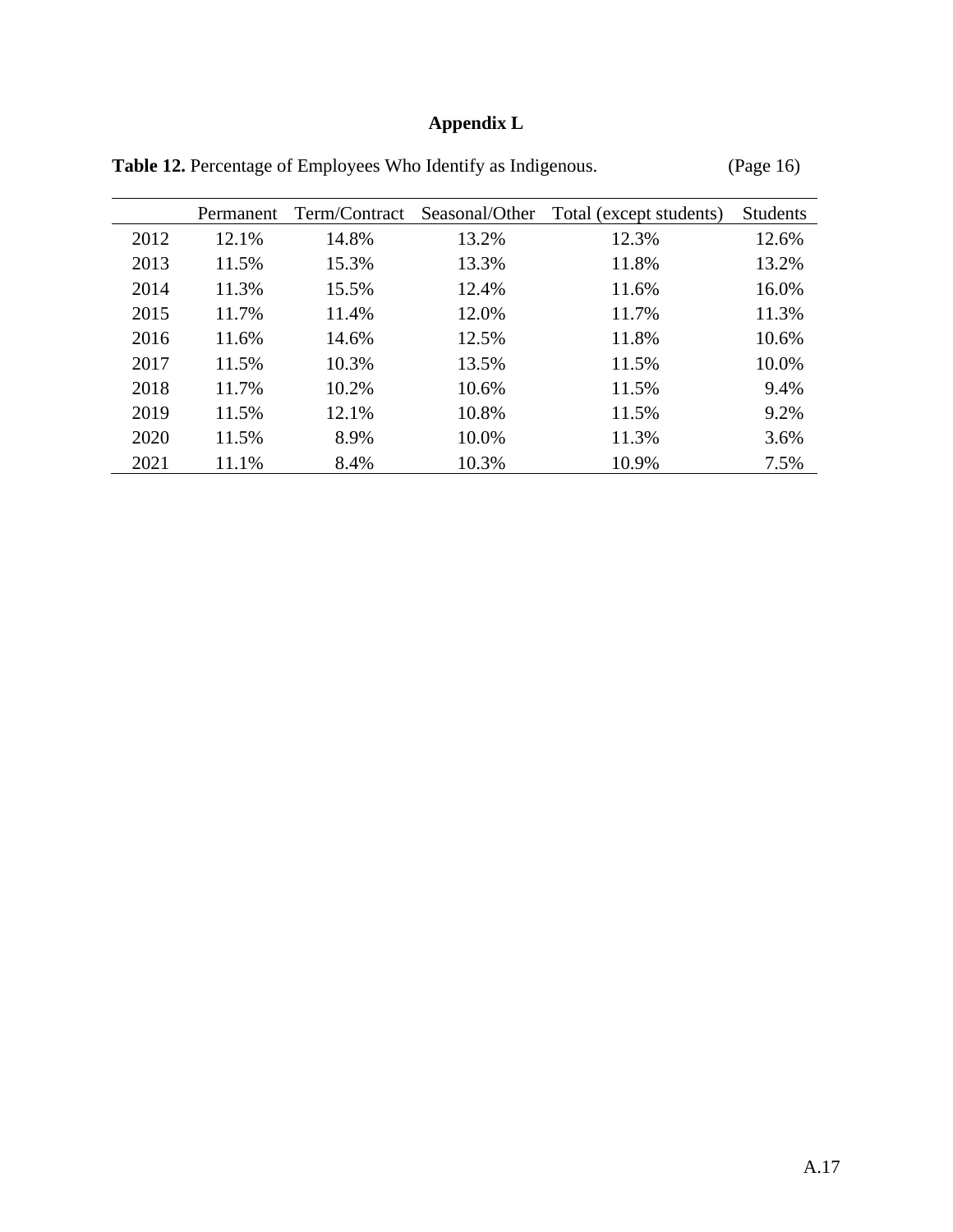# **Appendix L**

|      | Permanent | Term/Contract | Seasonal/Other | Total (except students) | <b>Students</b> |
|------|-----------|---------------|----------------|-------------------------|-----------------|
| 2012 | 12.1%     | 14.8%         | 13.2%          | 12.3%                   | 12.6%           |
| 2013 | 11.5%     | 15.3%         | 13.3%          | 11.8%                   | 13.2%           |
| 2014 | 11.3%     | 15.5%         | 12.4%          | 11.6%                   | 16.0%           |
| 2015 | 11.7%     | 11.4%         | 12.0%          | 11.7%                   | 11.3%           |
| 2016 | 11.6%     | 14.6%         | 12.5%          | 11.8%                   | 10.6%           |
| 2017 | 11.5%     | 10.3%         | 13.5%          | 11.5%                   | 10.0%           |
| 2018 | 11.7%     | 10.2%         | 10.6%          | 11.5%                   | 9.4%            |
| 2019 | 11.5%     | 12.1%         | 10.8%          | 11.5%                   | 9.2%            |
| 2020 | 11.5%     | 8.9%          | 10.0%          | 11.3%                   | 3.6%            |
| 2021 | 11.1%     | 8.4%          | 10.3%          | 10.9%                   | 7.5%            |

Table 12. Percentage of Employees Who Identify as Indigenous. (Page 16)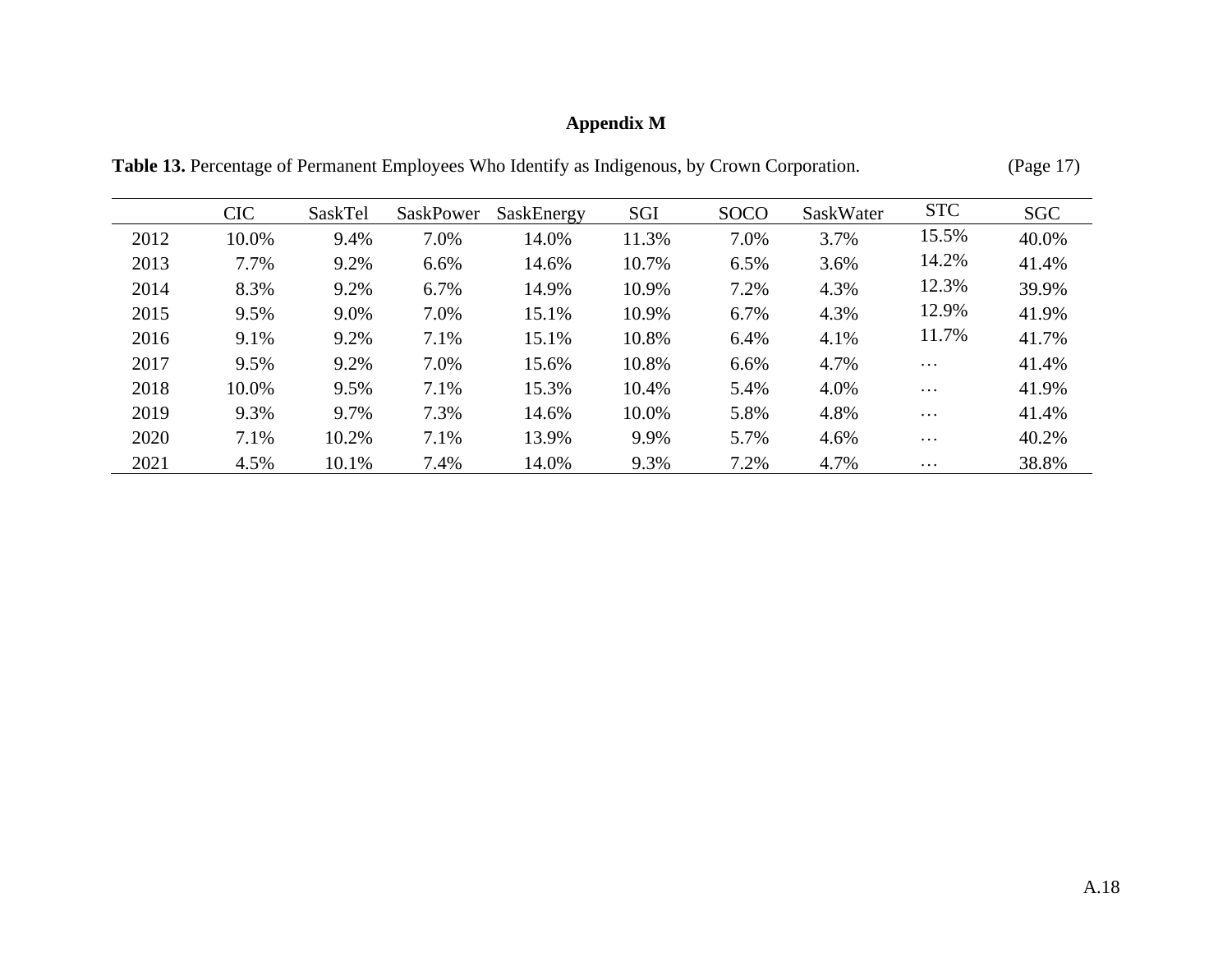## **Appendix M**

|      | <b>CIC</b> | SaskTel | <b>SaskPower</b> | SaskEnergy | SGI   | <b>SOCO</b> | SaskWater | <b>STC</b> | <b>SGC</b> |
|------|------------|---------|------------------|------------|-------|-------------|-----------|------------|------------|
| 2012 | 10.0%      | 9.4%    | 7.0%             | 14.0%      | 11.3% | 7.0%        | 3.7%      | 15.5%      | 40.0%      |
| 2013 | 7.7%       | 9.2%    | 6.6%             | 14.6%      | 10.7% | 6.5%        | 3.6%      | 14.2%      | 41.4%      |
| 2014 | 8.3%       | 9.2%    | 6.7%             | 14.9%      | 10.9% | 7.2%        | 4.3%      | 12.3%      | 39.9%      |
| 2015 | 9.5%       | 9.0%    | 7.0%             | 15.1%      | 10.9% | 6.7%        | 4.3%      | 12.9%      | 41.9%      |
| 2016 | 9.1%       | 9.2%    | 7.1%             | 15.1%      | 10.8% | 6.4%        | 4.1%      | 11.7%      | 41.7%      |
| 2017 | 9.5%       | 9.2%    | 7.0%             | 15.6%      | 10.8% | 6.6%        | 4.7%      | $\cdots$   | 41.4%      |
| 2018 | 10.0%      | 9.5%    | 7.1%             | 15.3%      | 10.4% | 5.4%        | 4.0%      | $\cdots$   | 41.9%      |
| 2019 | 9.3%       | 9.7%    | 7.3%             | 14.6%      | 10.0% | 5.8%        | 4.8%      | $\cdots$   | 41.4%      |
| 2020 | 7.1%       | 10.2%   | 7.1%             | 13.9%      | 9.9%  | 5.7%        | 4.6%      | $\cdots$   | 40.2%      |
| 2021 | 4.5%       | 10.1%   | 7.4%             | 14.0%      | 9.3%  | 7.2%        | 4.7%      | $\cdots$   | 38.8%      |

Table 13. Percentage of Permanent Employees Who Identify as Indigenous, by Crown Corporation. (Page 17)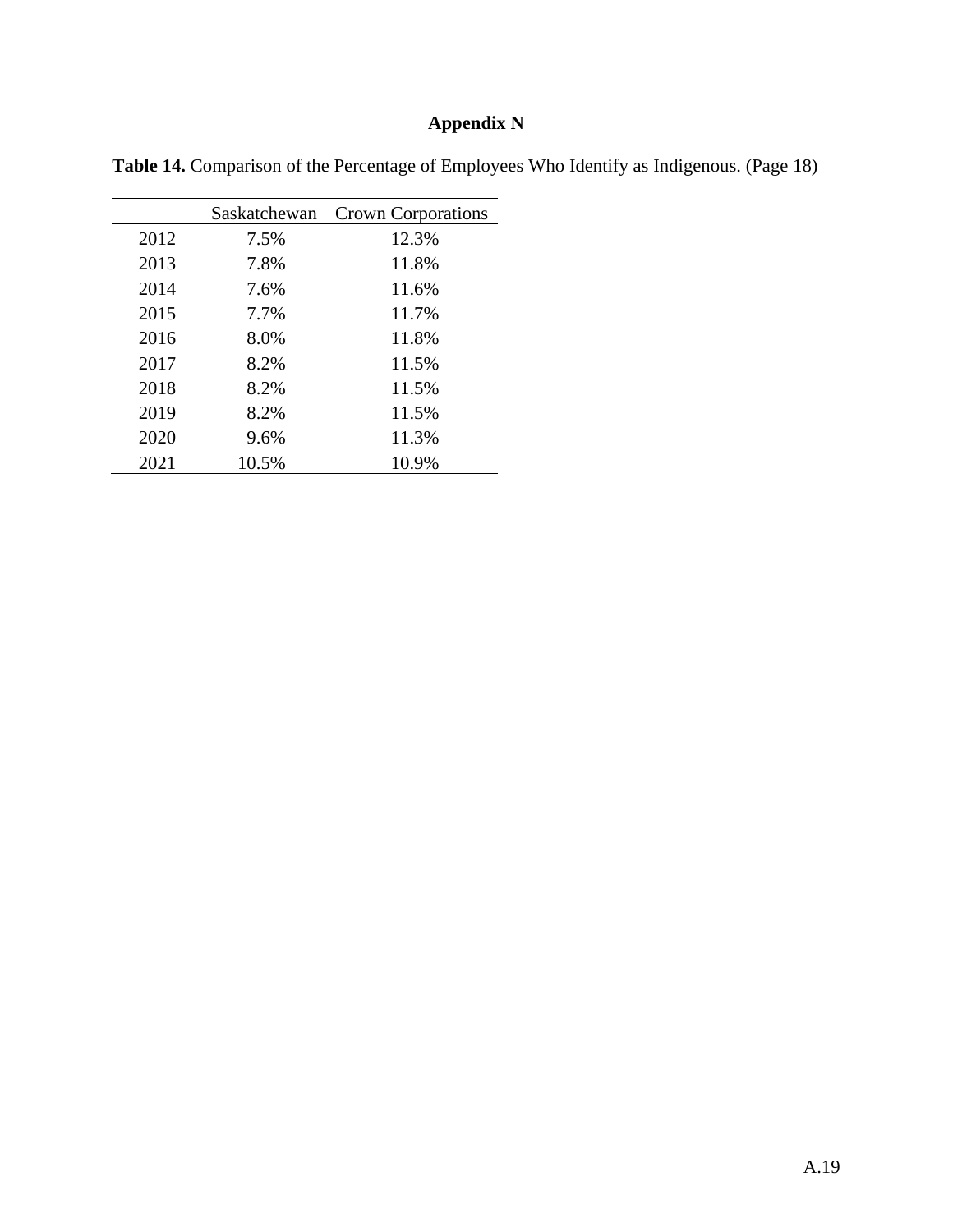## **Appendix N**

| Table 14. Comparison of the Percentage of Employees Who Identify as Indigenous. (Page 18) |  |  |  |
|-------------------------------------------------------------------------------------------|--|--|--|
|                                                                                           |  |  |  |

|      | Saskatchewan | <b>Crown Corporations</b> |
|------|--------------|---------------------------|
| 2012 | 7.5%         | 12.3%                     |
| 2013 | 7.8%         | 11.8%                     |
| 2014 | 7.6%         | 11.6%                     |
| 2015 | 7.7%         | 11.7%                     |
| 2016 | 8.0%         | 11.8%                     |
| 2017 | 8.2%         | 11.5%                     |
| 2018 | 8.2%         | 11.5%                     |
| 2019 | 8.2%         | 11.5%                     |
| 2020 | 9.6%         | 11.3%                     |
| 2021 | 10.5%        | 10.9%                     |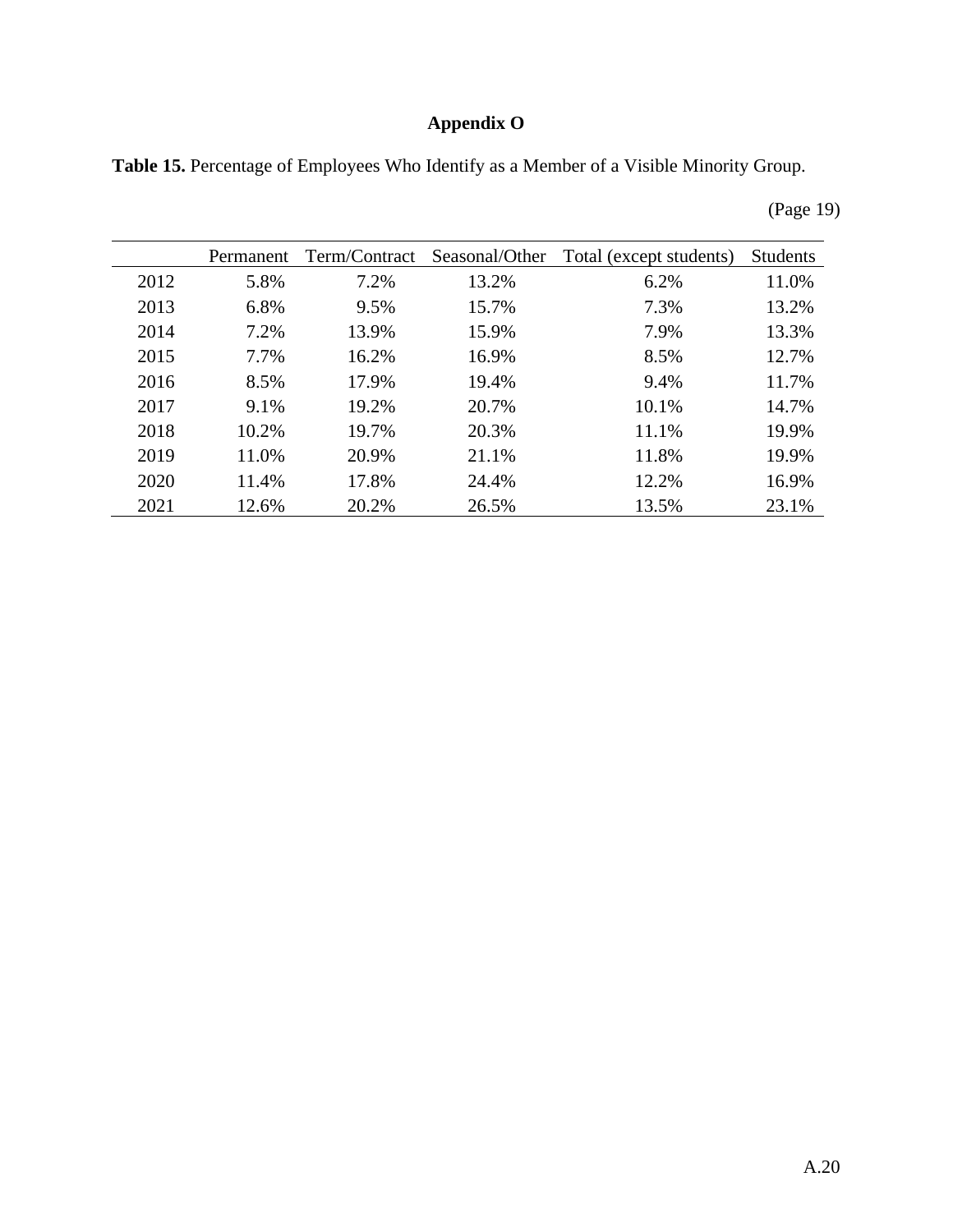# **Appendix O**

**Table 15.** Percentage of Employees Who Identify as a Member of a Visible Minority Group.

|      | Permanent | Term/Contract | Seasonal/Other | Total (except students) | <b>Students</b> |
|------|-----------|---------------|----------------|-------------------------|-----------------|
| 2012 | 5.8%      | 7.2%          | 13.2%          | 6.2%                    | 11.0%           |
| 2013 | 6.8%      | 9.5%          | 15.7%          | 7.3%                    | 13.2%           |
| 2014 | 7.2%      | 13.9%         | 15.9%          | 7.9%                    | 13.3%           |
| 2015 | 7.7%      | 16.2%         | 16.9%          | 8.5%                    | 12.7%           |
| 2016 | 8.5%      | 17.9%         | 19.4%          | 9.4%                    | 11.7%           |
| 2017 | 9.1%      | 19.2%         | 20.7%          | 10.1%                   | 14.7%           |
| 2018 | 10.2%     | 19.7%         | 20.3%          | 11.1%                   | 19.9%           |
| 2019 | 11.0%     | 20.9%         | 21.1%          | 11.8%                   | 19.9%           |
| 2020 | 11.4%     | 17.8%         | 24.4%          | 12.2%                   | 16.9%           |
| 2021 | 12.6%     | 20.2%         | 26.5%          | 13.5%                   | 23.1%           |

(Page 19)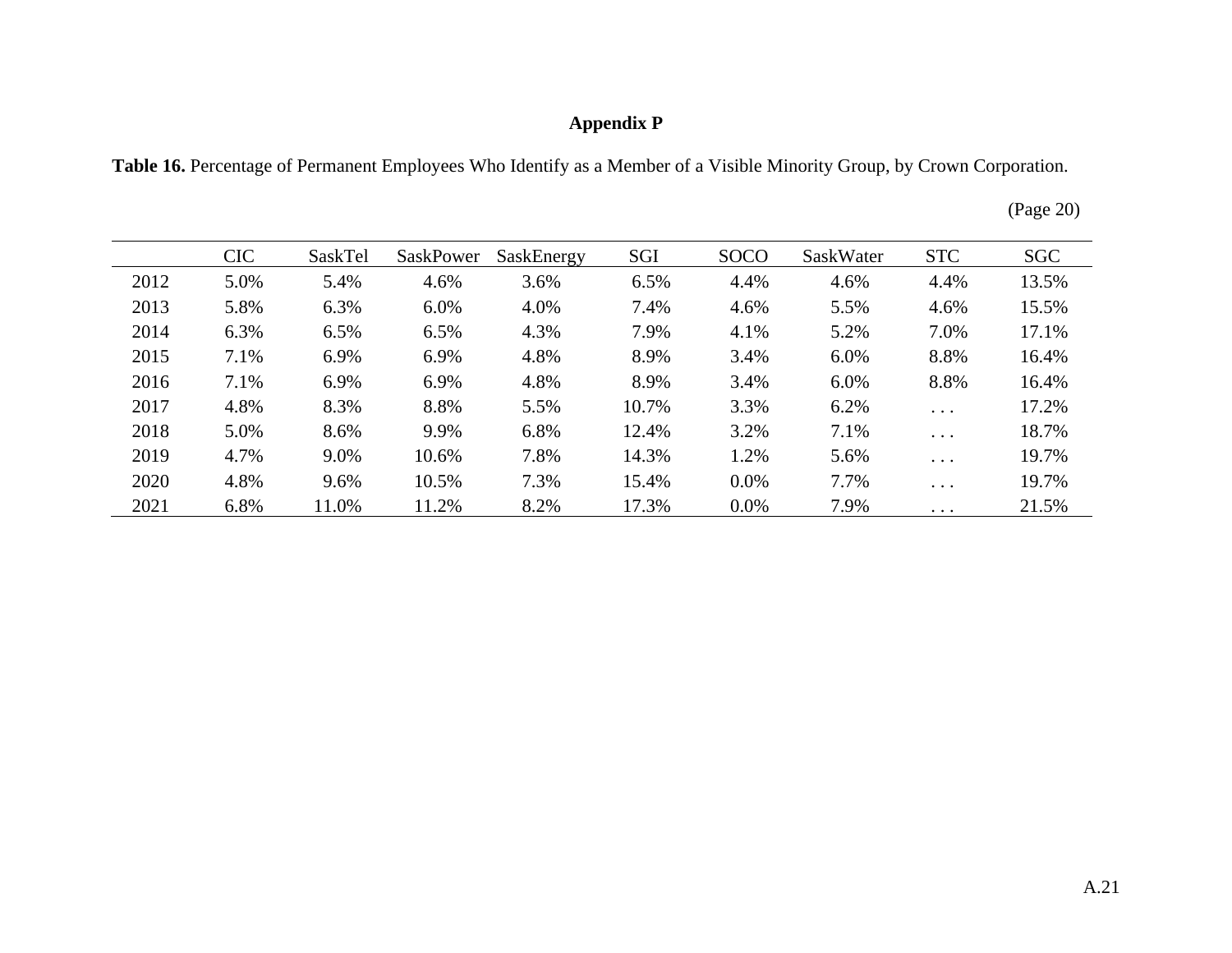## **Appendix P**

**Table 16.** Percentage of Permanent Employees Who Identify as a Member of a Visible Minority Group, by Crown Corporation.

| (Page 20) |
|-----------|
|           |

|      | <b>CIC</b> | SaskTel | <b>SaskPower</b> | SaskEnergy | SGI   | <b>SOCO</b> | SaskWater | <b>STC</b>             | <b>SGC</b> |
|------|------------|---------|------------------|------------|-------|-------------|-----------|------------------------|------------|
| 2012 | 5.0%       | 5.4%    | 4.6%             | 3.6%       | 6.5%  | 4.4%        | 4.6%      | 4.4%                   | 13.5%      |
| 2013 | 5.8%       | 6.3%    | 6.0%             | 4.0%       | 7.4%  | 4.6%        | 5.5%      | 4.6%                   | 15.5%      |
| 2014 | 6.3%       | 6.5%    | 6.5%             | 4.3%       | 7.9%  | 4.1%        | 5.2%      | 7.0%                   | 17.1%      |
| 2015 | 7.1%       | 6.9%    | 6.9%             | 4.8%       | 8.9%  | 3.4%        | 6.0%      | 8.8%                   | 16.4%      |
| 2016 | 7.1%       | 6.9%    | 6.9%             | 4.8%       | 8.9%  | 3.4%        | $6.0\%$   | 8.8%                   | 16.4%      |
| 2017 | 4.8%       | 8.3%    | 8.8%             | 5.5%       | 10.7% | 3.3%        | 6.2%      | $\cdots$               | 17.2%      |
| 2018 | 5.0%       | 8.6%    | 9.9%             | 6.8%       | 12.4% | 3.2%        | 7.1%      | $\cdots$               | 18.7%      |
| 2019 | 4.7%       | 9.0%    | 10.6%            | 7.8%       | 14.3% | 1.2%        | 5.6%      | $\cdots$               | 19.7%      |
| 2020 | 4.8%       | 9.6%    | 10.5%            | 7.3%       | 15.4% | $0.0\%$     | 7.7%      | $\cdots$               | 19.7%      |
| 2021 | 6.8%       | 11.0%   | 11.2%            | 8.2%       | 17.3% | $0.0\%$     | 7.9%      | $\ddot{\phantom{0}}$ . | 21.5%      |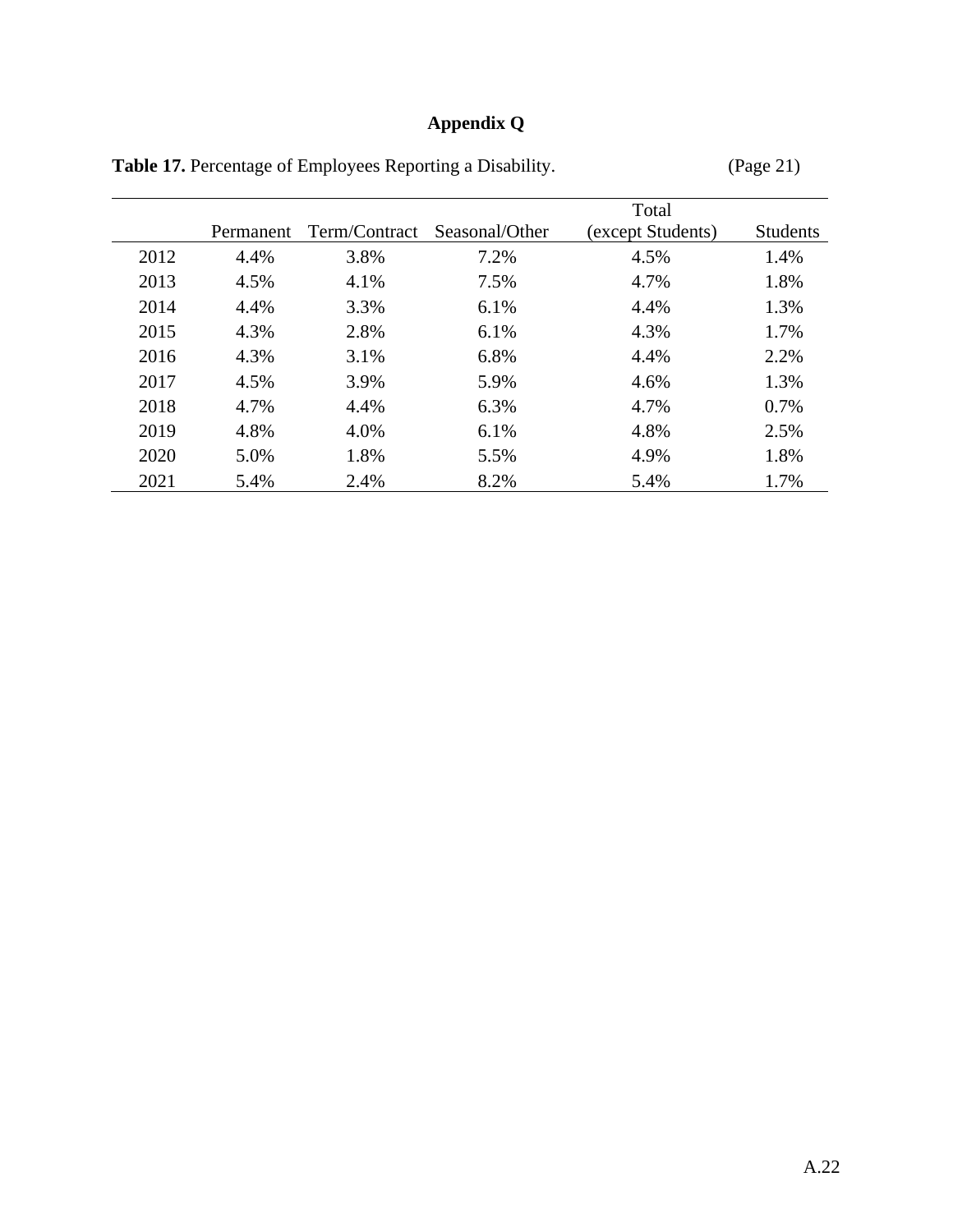# **Appendix Q**

|      |           |               |                | Total             |                 |
|------|-----------|---------------|----------------|-------------------|-----------------|
|      | Permanent | Term/Contract | Seasonal/Other | (except Students) | <b>Students</b> |
| 2012 | 4.4%      | 3.8%          | 7.2%           | 4.5%              | 1.4%            |
| 2013 | 4.5%      | 4.1%          | 7.5%           | 4.7%              | 1.8%            |
| 2014 | 4.4%      | 3.3%          | 6.1%           | 4.4%              | 1.3%            |
| 2015 | 4.3%      | 2.8%          | 6.1%           | 4.3%              | 1.7%            |
| 2016 | 4.3%      | 3.1%          | 6.8%           | 4.4%              | 2.2%            |
| 2017 | 4.5%      | 3.9%          | 5.9%           | 4.6%              | 1.3%            |
| 2018 | 4.7%      | 4.4%          | 6.3%           | 4.7%              | 0.7%            |
| 2019 | 4.8%      | 4.0%          | 6.1%           | 4.8%              | 2.5%            |
| 2020 | 5.0%      | 1.8%          | 5.5%           | 4.9%              | 1.8%            |
| 2021 | 5.4%      | 2.4%          | 8.2%           | 5.4%              | 1.7%            |

Table 17. Percentage of Employees Reporting a Disability. (Page 21)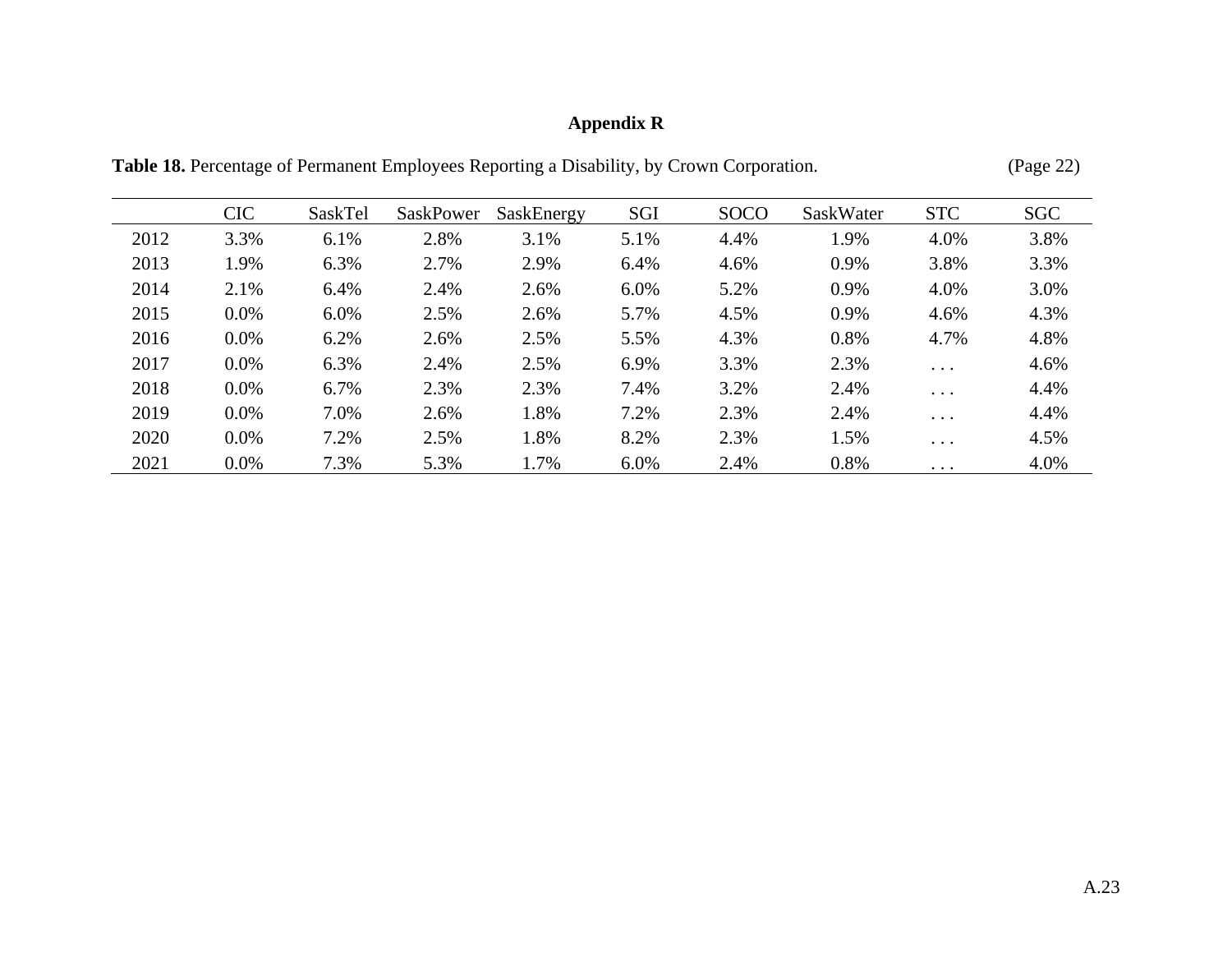# **Appendix R**

|      | <b>CIC</b> | SaskTel | SaskPower | SaskEnergy | SGI  | <b>SOCO</b> | SaskWater | <b>STC</b> | <b>SGC</b> |
|------|------------|---------|-----------|------------|------|-------------|-----------|------------|------------|
| 2012 | 3.3%       | 6.1%    | 2.8%      | 3.1%       | 5.1% | 4.4%        | 1.9%      | 4.0%       | 3.8%       |
| 2013 | 1.9%       | 6.3%    | 2.7%      | 2.9%       | 6.4% | 4.6%        | 0.9%      | 3.8%       | 3.3%       |
| 2014 | 2.1%       | 6.4%    | 2.4%      | 2.6%       | 6.0% | 5.2%        | 0.9%      | 4.0%       | 3.0%       |
| 2015 | $0.0\%$    | $6.0\%$ | 2.5%      | 2.6%       | 5.7% | 4.5%        | 0.9%      | 4.6%       | 4.3%       |
| 2016 | $0.0\%$    | 6.2%    | 2.6%      | 2.5%       | 5.5% | 4.3%        | 0.8%      | 4.7%       | 4.8%       |
| 2017 | $0.0\%$    | 6.3%    | 2.4%      | 2.5%       | 6.9% | 3.3%        | 2.3%      | $\ddots$   | 4.6%       |
| 2018 | 0.0%       | 6.7%    | 2.3%      | 2.3%       | 7.4% | 3.2%        | 2.4%      | $\ddots$ . | 4.4%       |
| 2019 | 0.0%       | 7.0%    | 2.6%      | 1.8%       | 7.2% | 2.3%        | 2.4%      | $\ddots$   | 4.4%       |
| 2020 | $0.0\%$    | 7.2%    | 2.5%      | 1.8%       | 8.2% | 2.3%        | 1.5%      | $\ddots$   | 4.5%       |
| 2021 | $0.0\%$    | 7.3%    | 5.3%      | 1.7%       | 6.0% | 2.4%        | 0.8%      | $\cdots$   | 4.0%       |

**Table 18.** Percentage of Permanent Employees Reporting a Disability, by Crown Corporation. (Page 22)

A.23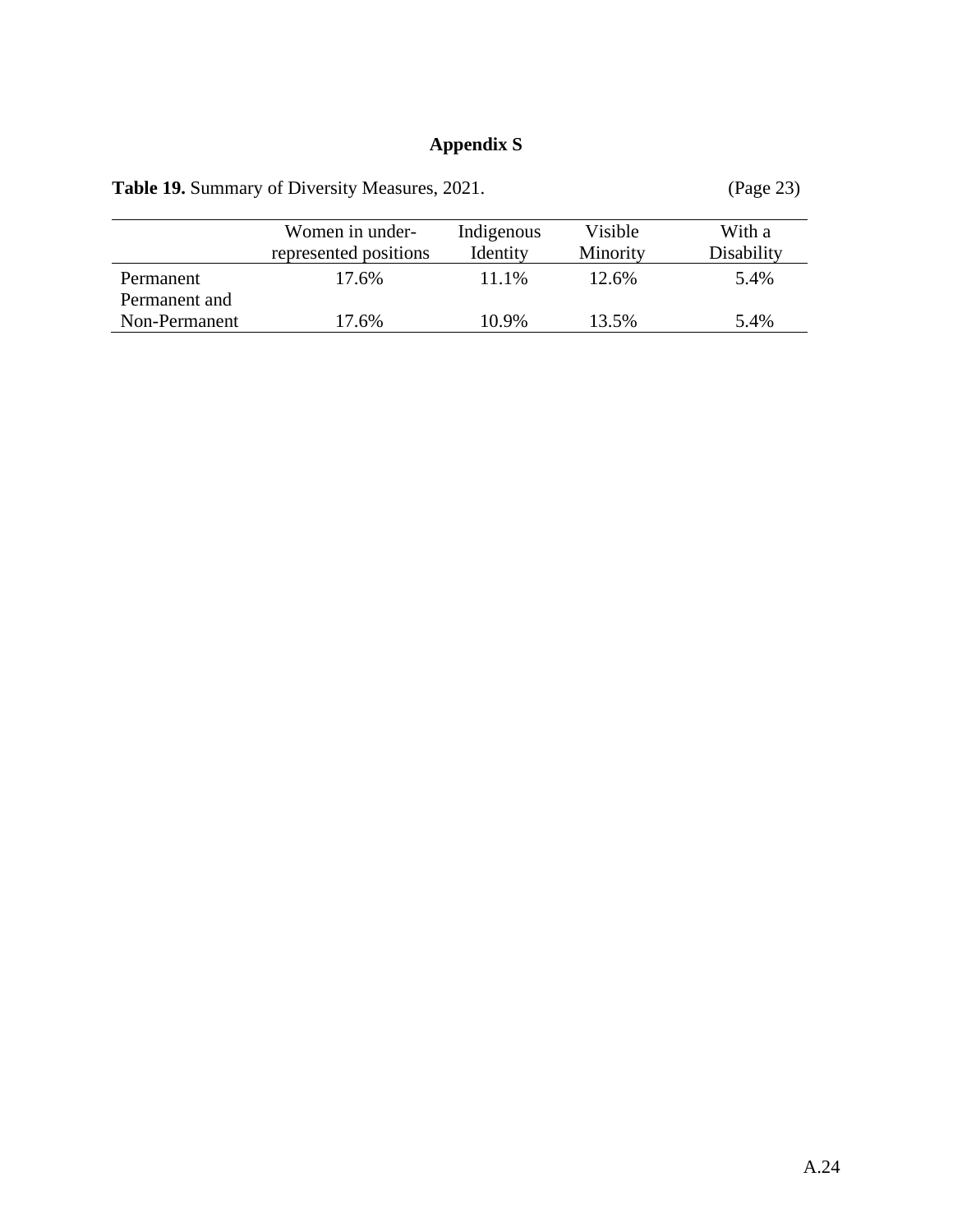### **Appendix S**

|               | $-0.70$               |            |          |            |
|---------------|-----------------------|------------|----------|------------|
|               | Women in under-       | Indigenous | Visible  | With a     |
|               | represented positions | Identity   | Minority | Disability |
| Permanent     | 17.6%                 | 11.1%      | 12.6%    | 5.4%       |
| Permanent and |                       |            |          |            |
| Non-Permanent | 17.6%                 | 10.9%      | 13.5%    | 5.4%       |

Table 19. Summary of Diversity Measures, 2021. (Page 23)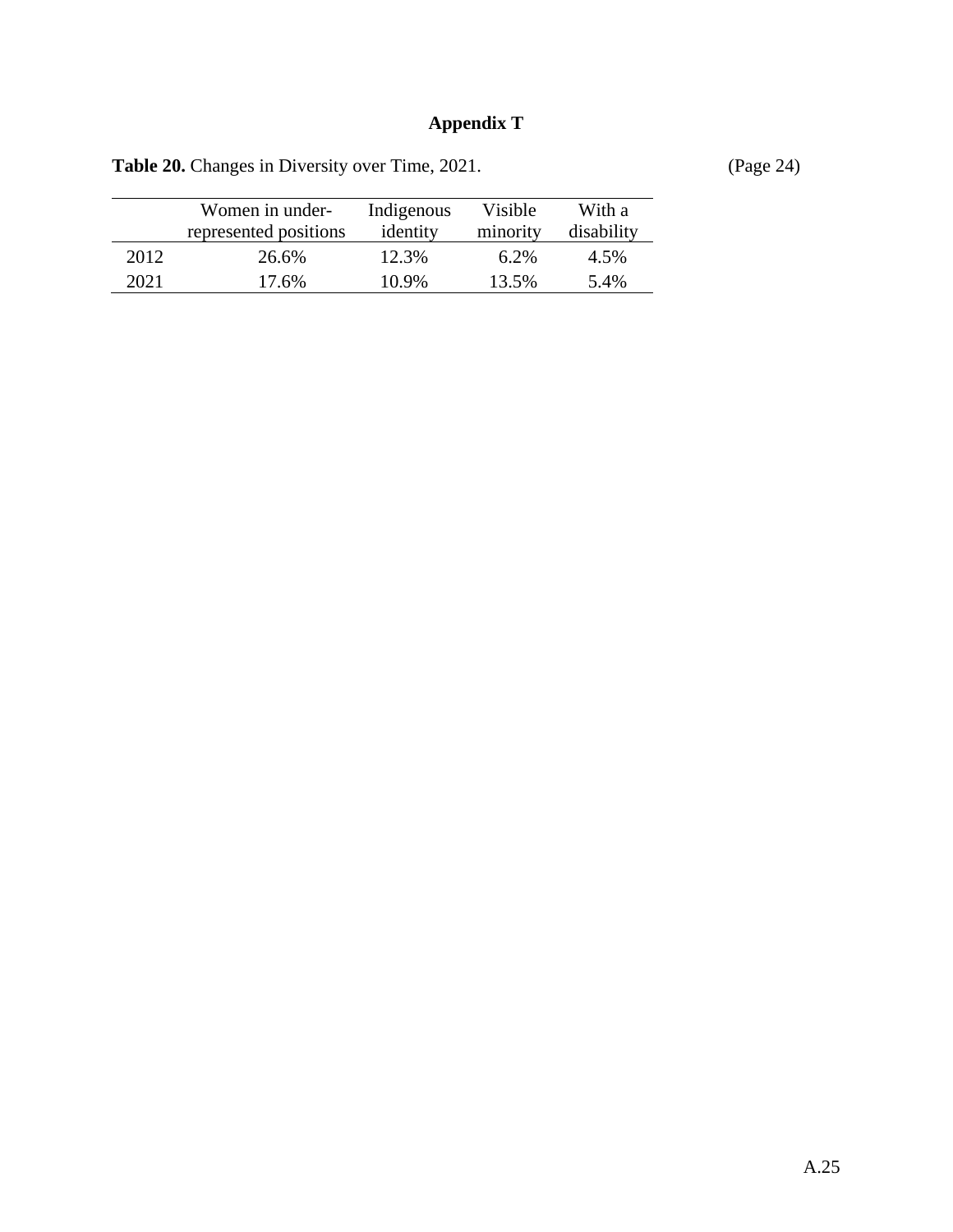# **Appendix T**

|      | Women in under-<br>represented positions | Indigenous<br>identity | Visible<br>minority | With a<br>disability |
|------|------------------------------------------|------------------------|---------------------|----------------------|
| 2012 | 26.6%                                    | 12.3%                  | $6.2\%$             | 4.5%                 |
| 2021 | 17.6%                                    | 10.9%                  | 13.5%               | 5.4%                 |

Table 20. Changes in Diversity over Time, 2021. (Page 24)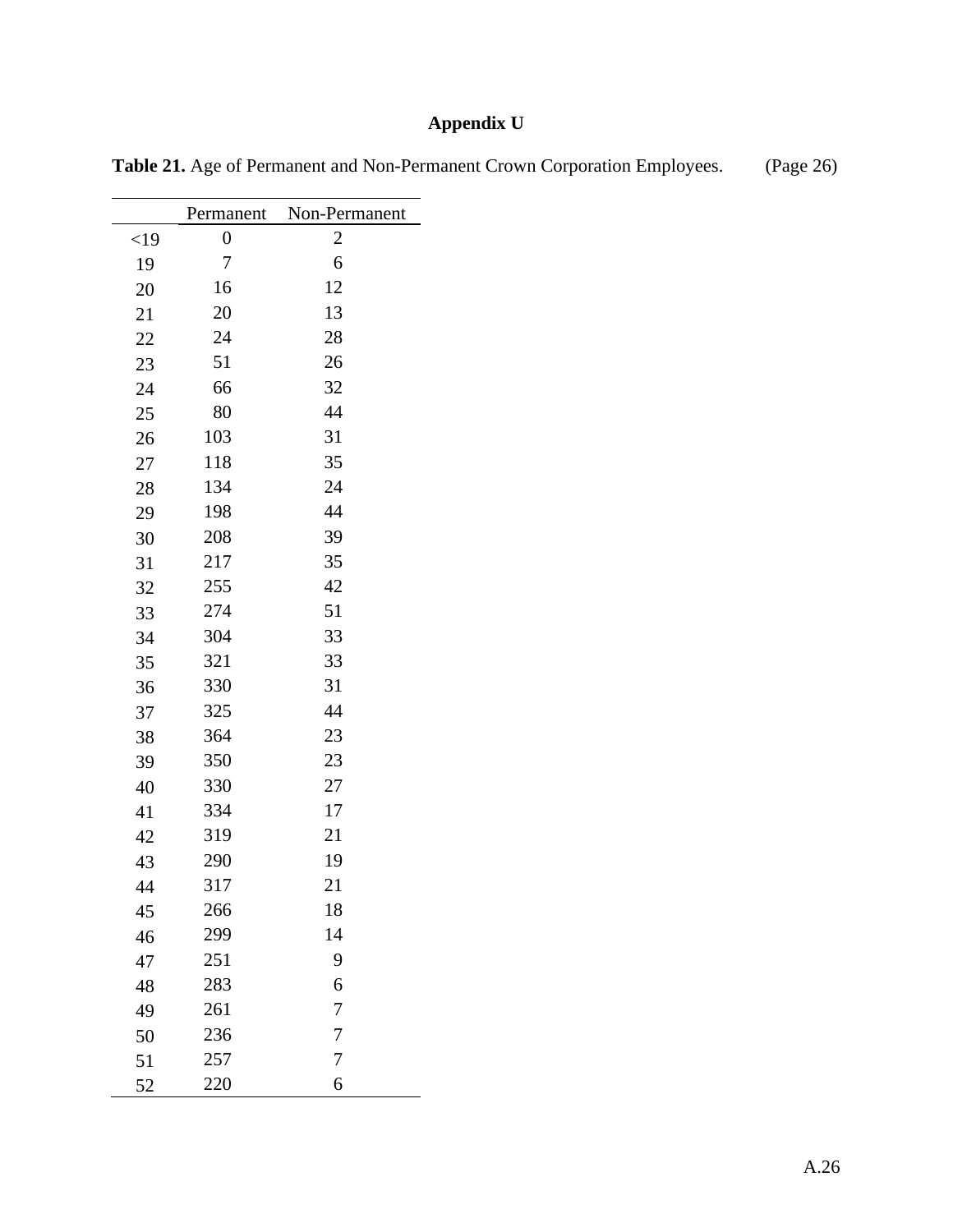# **Appendix U**

|        | Permanent        | Non-Permanent |
|--------|------------------|---------------|
| $<$ 19 | $\boldsymbol{0}$ | 2             |
| 19     | 7                | 6             |
| 20     | 16               | 12            |
| 21     | 20               | 13            |
| 22     | 24               | 28            |
| 23     | 51               | 26            |
| 24     | 66               | 32            |
| 25     | 80               | 44            |
| 26     | 103              | 31            |
| 27     | 118              | 35            |
| 28     | 134              | 24            |
| 29     | 198              | 44            |
| 30     | 208              | 39            |
| 31     | 217              | 35            |
| 32     | 255              | 42            |
| 33     | 274              | 51            |
| 34     | 304              | 33            |
| 35     | 321              | 33            |
| 36     | 330              | 31            |
| 37     | 325              | 44            |
| 38     | 364              | 23            |
| 39     | 350              | 23            |
| 40     | 330              | 27            |
| 41     | 334              | 17            |
| 42     | 319              | 21            |
| 43     | 290              | 19            |
| 44     | 317              | 21            |
| 45     | 266              | 18            |
| 46     | 299              | 14            |
| 47     | 251              | 9             |
| 48     | 283              | 6             |
| 49     | 261              | 7             |
| 50     | 236              | 7             |
| 51     | 257              | 7             |
| 52     | 220              | 6             |

Table 21. Age of Permanent and Non-Permanent Crown Corporation Employees. (Page 26)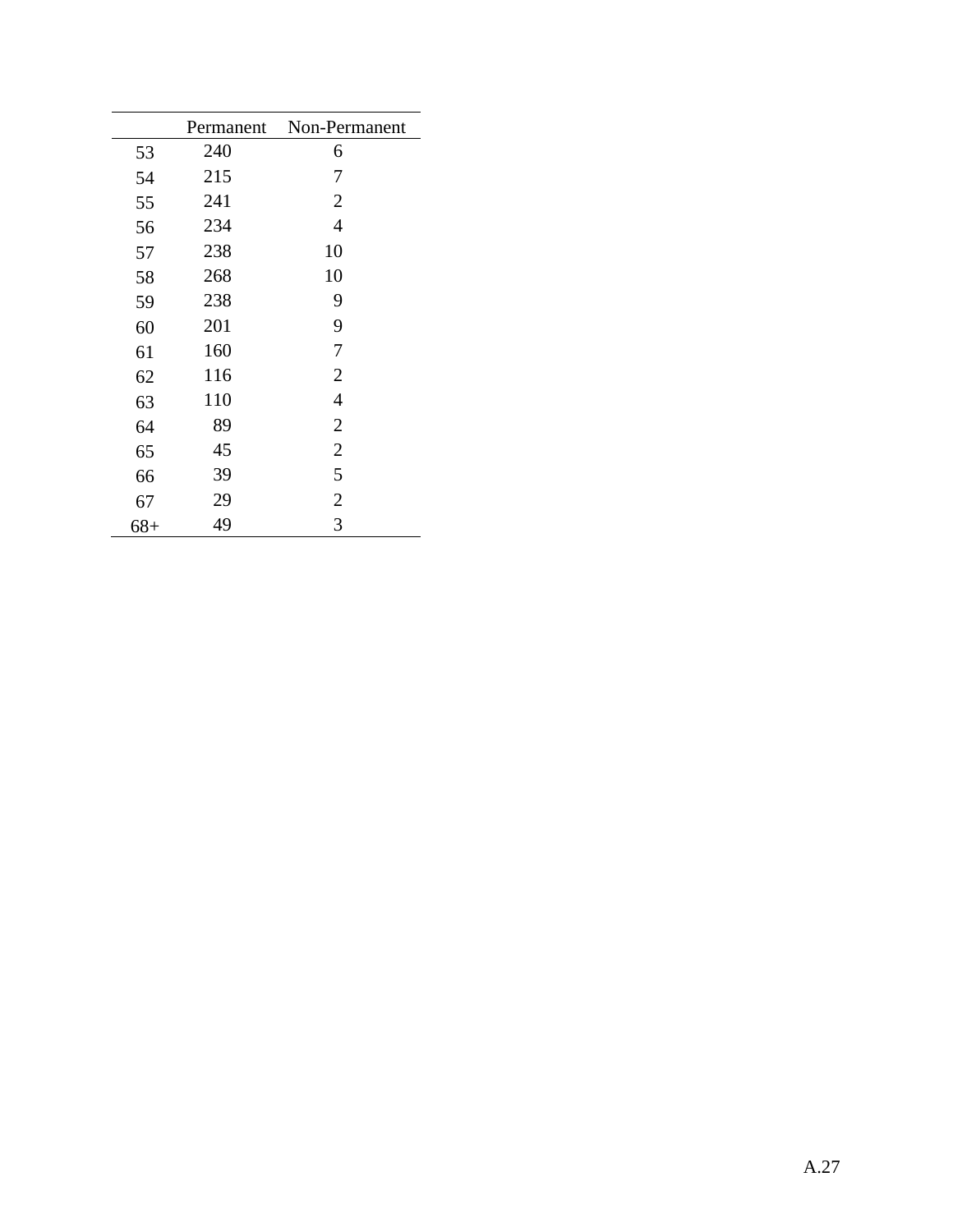|       | Permanent | Non-Permanent  |
|-------|-----------|----------------|
| 53    | 240       | 6              |
| 54    | 215       | 7              |
| 55    | 241       | $\overline{2}$ |
| 56    | 234       | $\overline{4}$ |
| 57    | 238       | 10             |
| 58    | 268       | 10             |
| 59    | 238       | 9              |
| 60    | 201       | 9              |
| 61    | 160       | 7              |
| 62    | 116       | $\overline{2}$ |
| 63    | 110       | $\overline{4}$ |
| 64    | 89        | $\overline{2}$ |
| 65    | 45        | $\overline{2}$ |
| 66    | 39        | 5              |
| 67    | 29        | $\overline{2}$ |
| $68+$ | 49        | 3              |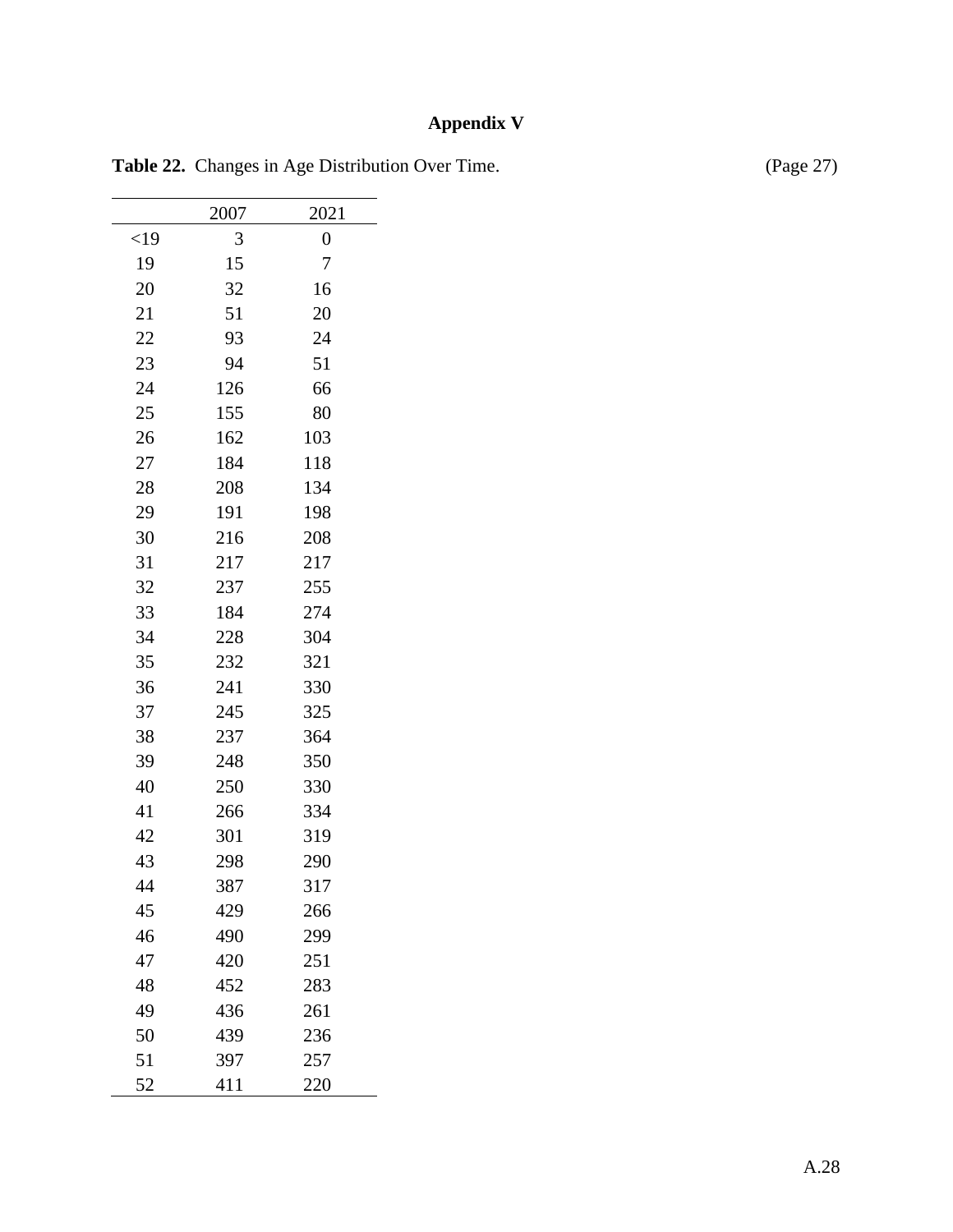# **Appendix V**

|        | 2007 | 2021             |
|--------|------|------------------|
| $<$ 19 | 3    | $\boldsymbol{0}$ |
| 19     | 15   | 7                |
| 20     | 32   | 16               |
| 21     | 51   | 20               |
| 22     | 93   | 24               |
| 23     | 94   | 51               |
| 24     | 126  | 66               |
| 25     | 155  | 80               |
| 26     | 162  | 103              |
| 27     | 184  | 118              |
| 28     | 208  | 134              |
| 29     | 191  | 198              |
| 30     | 216  | 208              |
| 31     | 217  | 217              |
| 32     | 237  | 255              |
| 33     | 184  | 274              |
| 34     | 228  | 304              |
| 35     | 232  | 321              |
| 36     | 241  | 330              |
| 37     | 245  | 325              |
| 38     | 237  | 364              |
| 39     | 248  | 350              |
| 40     | 250  | 330              |
| 41     | 266  | 334              |
| 42     | 301  | 319              |
| 43     | 298  | 290              |
| 44     | 387  | 317              |
| 45     | 429  | 266              |
| 46     | 490  | 299              |
| 47     | 420  | 251              |
| 48     | 452  | 283              |
| 49     | 436  | 261              |
| 50     | 439  | 236              |
| 51     | 397  | 257              |
| 52     | 411  | 220              |

Table 22. Changes in Age Distribution Over Time. (Page 27)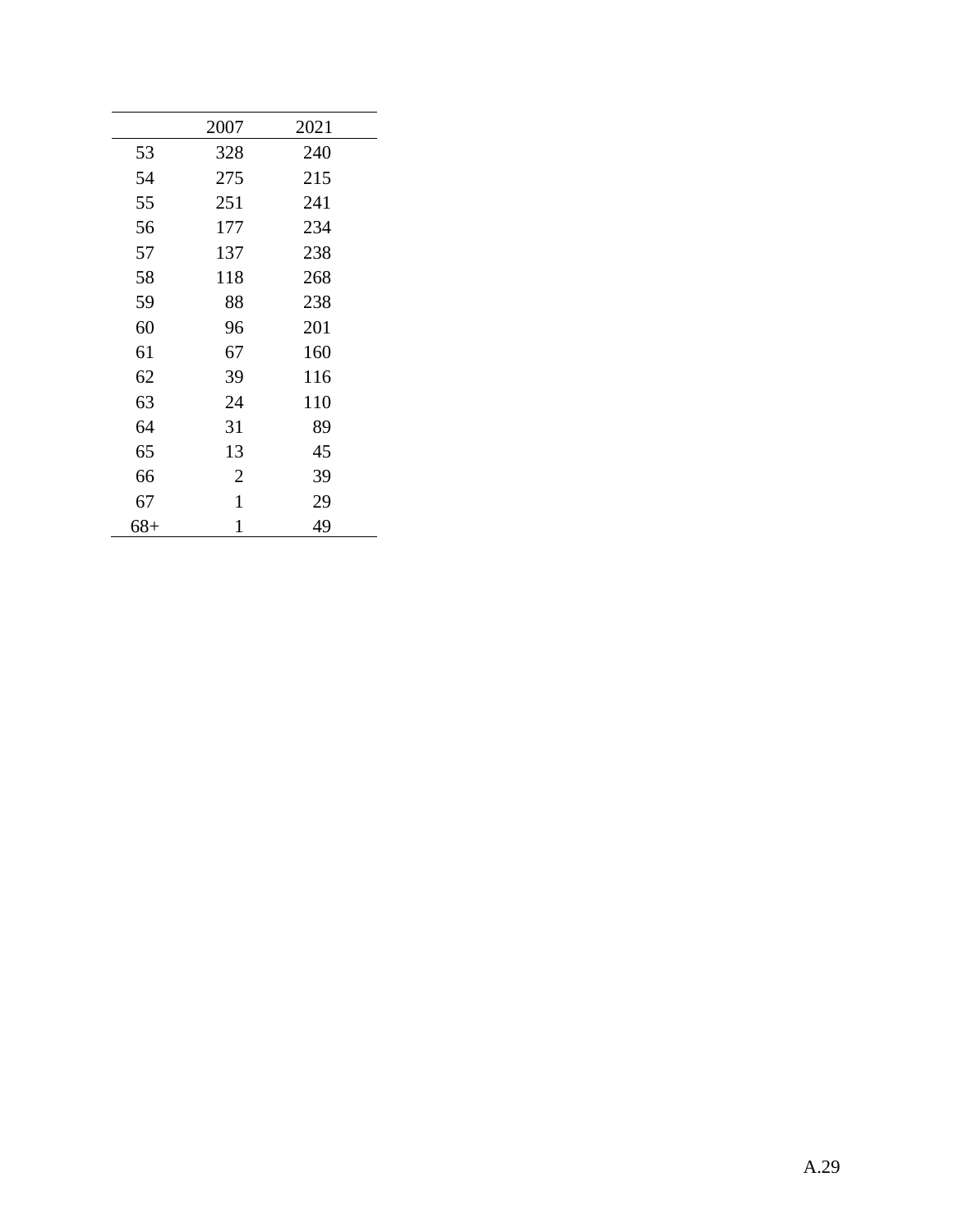|       | 2007           | 2021 |
|-------|----------------|------|
| 53    | 328            | 240  |
| 54    | 275            | 215  |
| 55    | 251            | 241  |
| 56    | 177            | 234  |
| 57    | 137            | 238  |
| 58    | 118            | 268  |
| 59    | 88             | 238  |
| 60    | 96             | 201  |
| 61    | 67             | 160  |
| 62    | 39             | 116  |
| 63    | 24             | 110  |
| 64    | 31             | 89   |
| 65    | 13             | 45   |
| 66    | $\overline{2}$ | 39   |
| 67    | $\mathbf{1}$   | 29   |
| $68+$ | $\mathbf{1}$   | 49   |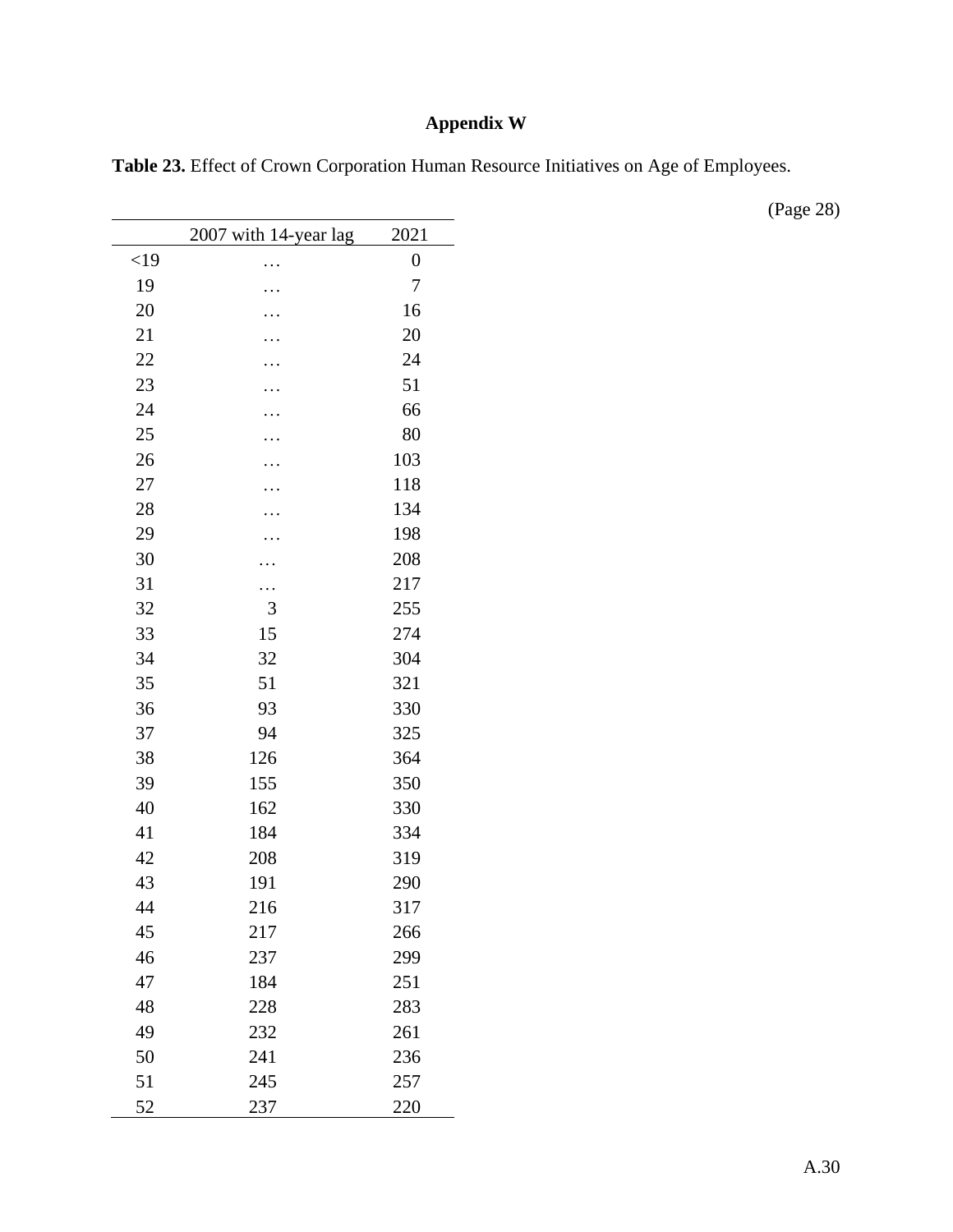## **Appendix W**

| Table 23. Effect of Crown Corporation Human Resource Initiatives on Age of Employees. |  |  |
|---------------------------------------------------------------------------------------|--|--|
|---------------------------------------------------------------------------------------|--|--|

|        | 2007 with 14-year lag | 2021             |
|--------|-----------------------|------------------|
| $<$ 19 |                       | $\boldsymbol{0}$ |
| 19     |                       | 7                |
| 20     |                       | 16               |
| 21     |                       | 20               |
| 22     |                       | 24               |
| 23     |                       | 51               |
| 24     |                       | 66               |
| 25     |                       | 80               |
| 26     |                       | 103              |
| 27     |                       | 118              |
| 28     |                       | 134              |
| 29     |                       | 198              |
| 30     |                       | 208              |
| 31     |                       | 217              |
| 32     | 3                     | 255              |
| 33     | 15                    | 274              |
| 34     | 32                    | 304              |
| 35     | 51                    | 321              |
| 36     | 93                    | 330              |
| 37     | 94                    | 325              |
| 38     | 126                   | 364              |
| 39     | 155                   | 350              |
| 40     | 162                   | 330              |
| 41     | 184                   | 334              |
| 42     | 208                   | 319              |
| 43     | 191                   | 290              |
| 44     | 216                   | 317              |
| 45     | 217                   | 266              |
| 46     | 237                   | 299              |
| 47     | 184                   | 251              |
| 48     | 228                   | 283              |
| 49     | 232                   | 261              |
| 50     | 241                   | 236              |
| 51     | 245                   | 257              |
| 52     | 237                   | 220              |

(Page 28)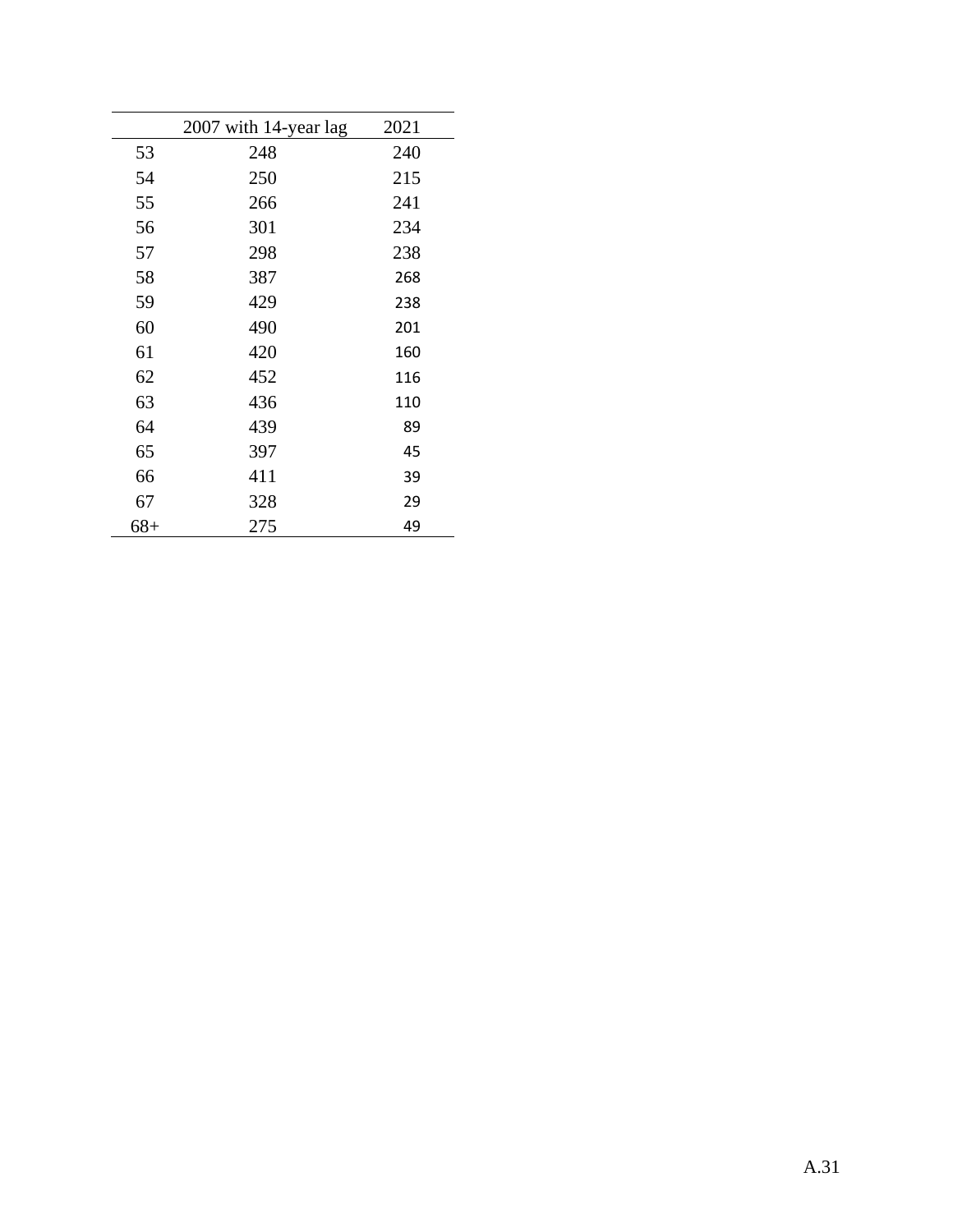|       | 2007 with 14-year lag | 2021 |
|-------|-----------------------|------|
| 53    | 248                   | 240  |
| 54    | 250                   | 215  |
| 55    | 266                   | 241  |
| 56    | 301                   | 234  |
| 57    | 298                   | 238  |
| 58    | 387                   | 268  |
| 59    | 429                   | 238  |
| 60    | 490                   | 201  |
| 61    | 420                   | 160  |
| 62    | 452                   | 116  |
| 63    | 436                   | 110  |
| 64    | 439                   | 89   |
| 65    | 397                   | 45   |
| 66    | 411                   | 39   |
| 67    | 328                   | 29   |
| $68+$ | 275                   | 49   |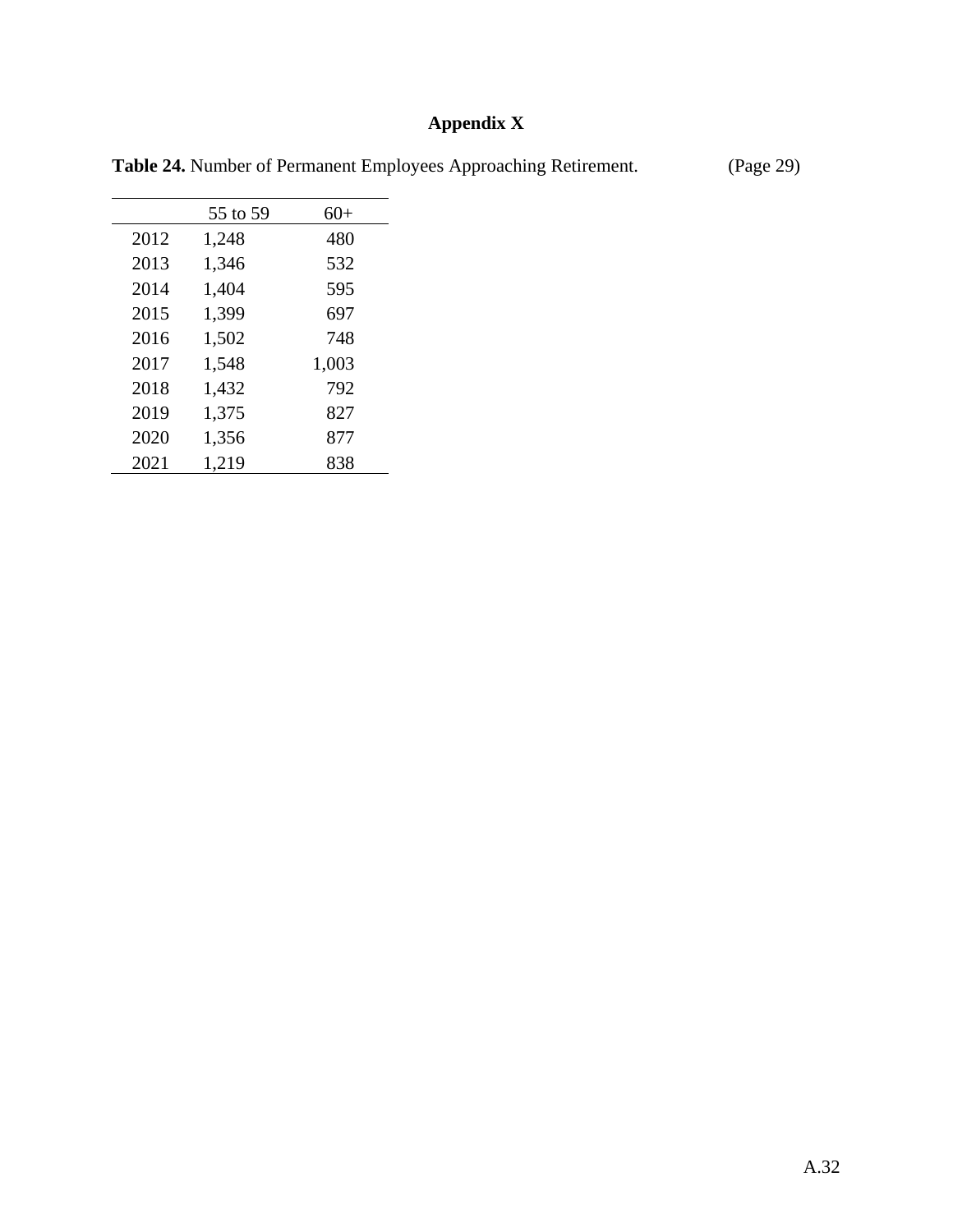# **Appendix X**

|      | 55 to 59 | $60+$ |
|------|----------|-------|
| 2012 | 1,248    | 480   |
| 2013 | 1,346    | 532   |
| 2014 | 1,404    | 595   |
| 2015 | 1,399    | 697   |
| 2016 | 1,502    | 748   |
| 2017 | 1,548    | 1,003 |
| 2018 | 1,432    | 792   |
| 2019 | 1,375    | 827   |
| 2020 | 1,356    | 877   |
| 2021 | 1,219    | 838   |

**Table 24.** Number of Permanent Employees Approaching Retirement. (Page 29)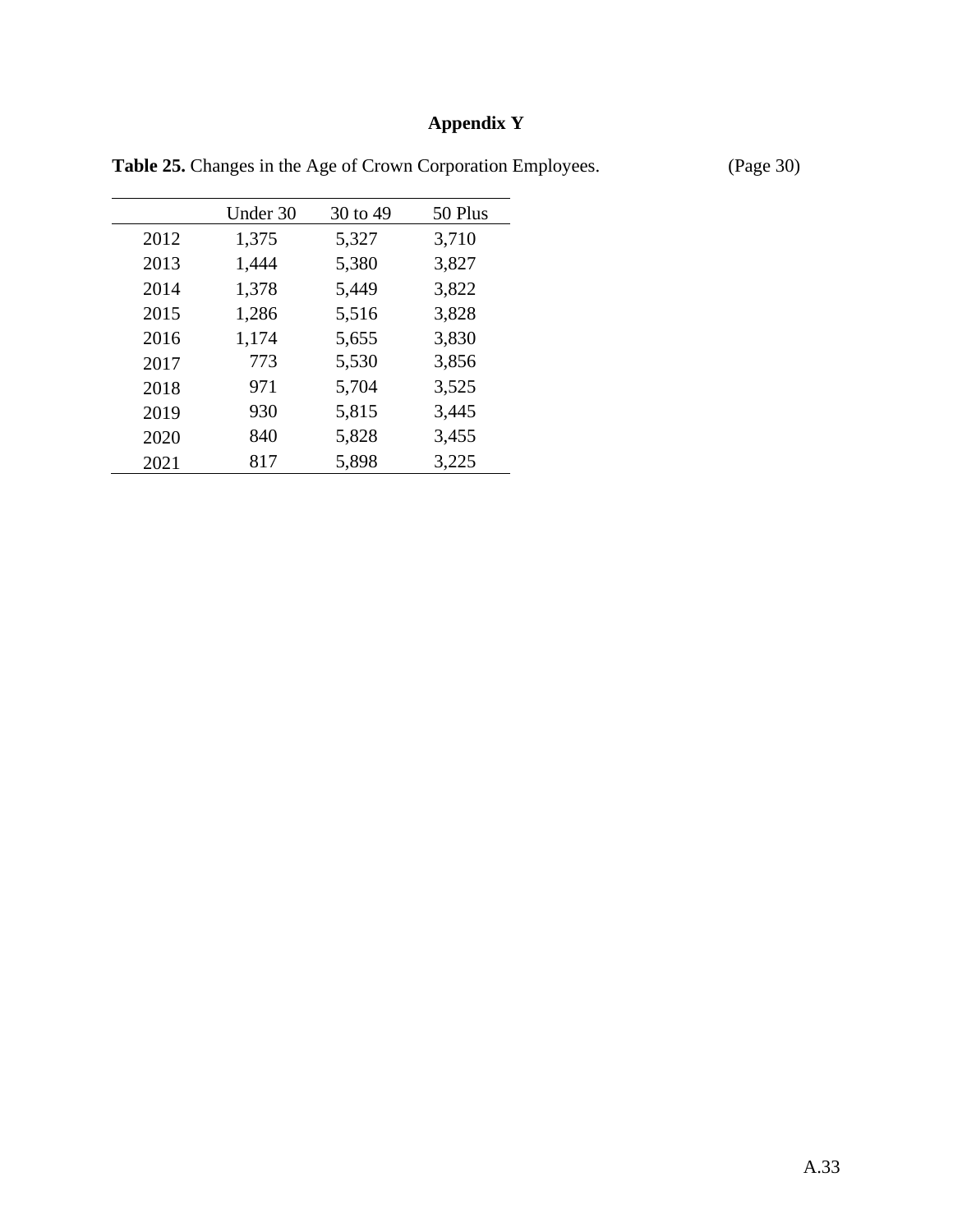# **Appendix Y**

Under 30 30 to 49 50 Plus 1,375 5,327 3,710 1,444 5,380 3,827 1,378 5,449 3,822 1,286 5,516 3,828 1,174 5,655 3,830 773 5,530 3,856 971 5,704 3,525 930 5,815 3,445 840 5,828 3,455 817 5,898 3,225

Table 25. Changes in the Age of Crown Corporation Employees. (Page 30)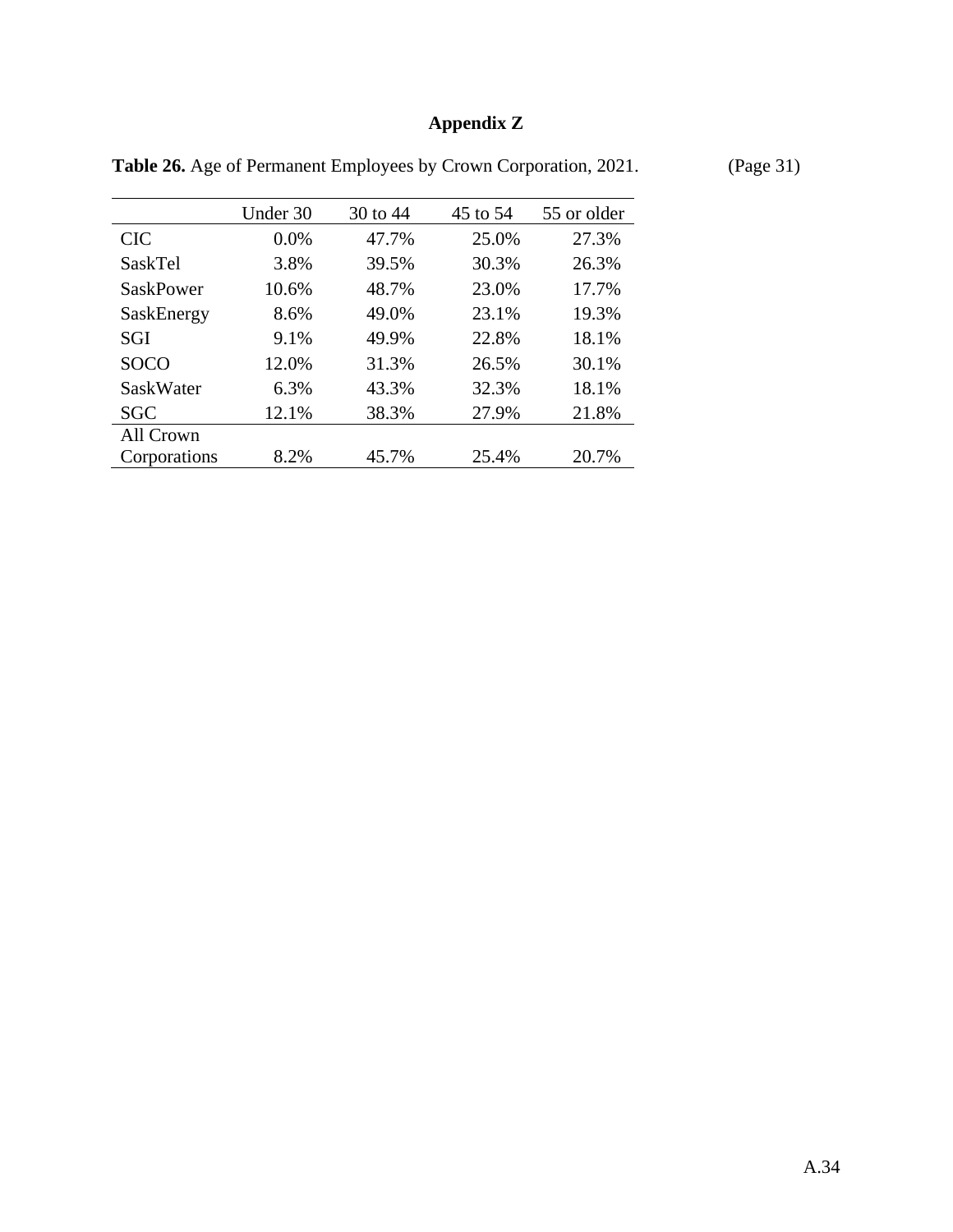# **Appendix Z**

|              | Under 30 | 30 to 44 | 45 to 54 | 55 or older |
|--------------|----------|----------|----------|-------------|
| <b>CIC</b>   | 0.0%     | 47.7%    | 25.0%    | 27.3%       |
| SaskTel      | 3.8%     | 39.5%    | 30.3%    | 26.3%       |
| SaskPower    | 10.6%    | 48.7%    | 23.0%    | 17.7%       |
| SaskEnergy   | 8.6%     | 49.0%    | 23.1%    | 19.3%       |
| SGI          | 9.1%     | 49.9%    | 22.8%    | 18.1%       |
| <b>SOCO</b>  | 12.0%    | 31.3%    | 26.5%    | 30.1%       |
| SaskWater    | 6.3%     | 43.3%    | 32.3%    | 18.1%       |
| <b>SGC</b>   | 12.1%    | 38.3%    | 27.9%    | 21.8%       |
| All Crown    |          |          |          |             |
| Corporations | 8.2%     | 45.7%    | 25.4%    | 20.7%       |

Table 26. Age of Permanent Employees by Crown Corporation, 2021. (Page 31)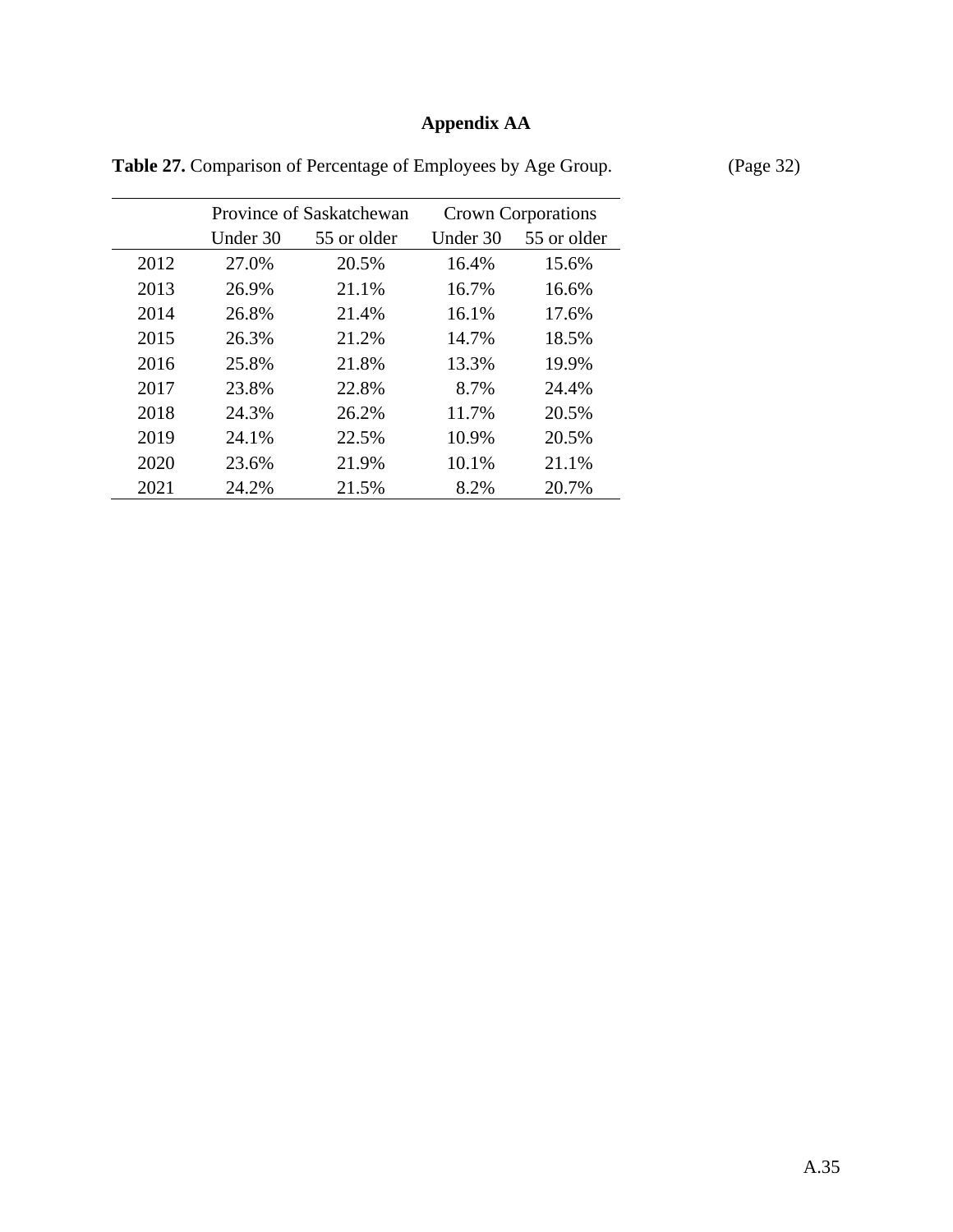# **Appendix AA**

|      | Province of Saskatchewan |             |          | <b>Crown Corporations</b> |
|------|--------------------------|-------------|----------|---------------------------|
|      | Under 30                 | 55 or older | Under 30 | 55 or older               |
| 2012 | 27.0%                    | 20.5%       | 16.4%    | 15.6%                     |
| 2013 | 26.9%                    | 21.1%       | 16.7%    | 16.6%                     |
| 2014 | 26.8%                    | 21.4%       | 16.1%    | 17.6%                     |
| 2015 | 26.3%                    | 21.2%       | 14.7%    | 18.5%                     |
| 2016 | 25.8%                    | 21.8%       | 13.3%    | 19.9%                     |
| 2017 | 23.8%                    | 22.8%       | 8.7%     | 24.4%                     |
| 2018 | 24.3%                    | 26.2%       | 11.7%    | 20.5%                     |
| 2019 | 24.1%                    | 22.5%       | 10.9%    | 20.5%                     |
| 2020 | 23.6%                    | 21.9%       | 10.1%    | 21.1%                     |
| 2021 | 24.2%                    | 21.5%       | 8.2%     | 20.7%                     |

Table 27. Comparison of Percentage of Employees by Age Group. (Page 32)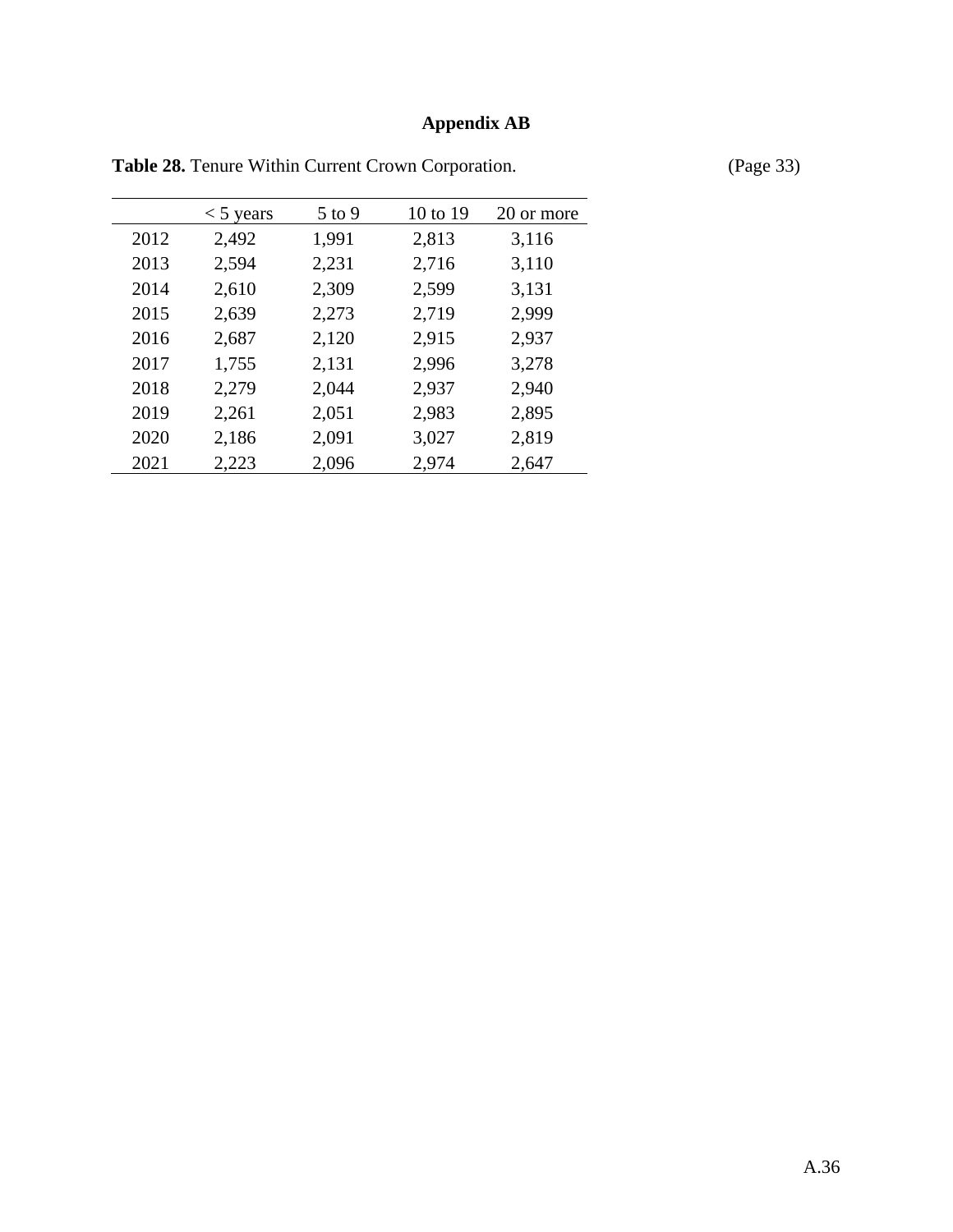#### **Appendix AB**

 $<$  5 years 5 to 9 10 to 19 20 or more 2,492 1,991 2,813 3,116 2,594 2,231 2,716 3,110 2,610 2,309 2,599 3,131 2,639 2,273 2,719 2,999 2,687 2,120 2,915 2,937 1,755 2,131 2,996 3,278 2,279 2,044 2,937 2,940 2,261 2,051 2,983 2,895 2,186 2,091 3,027 2,819 2,223 2,096 2,974 2,647

Table 28. Tenure Within Current Crown Corporation. (Page 33)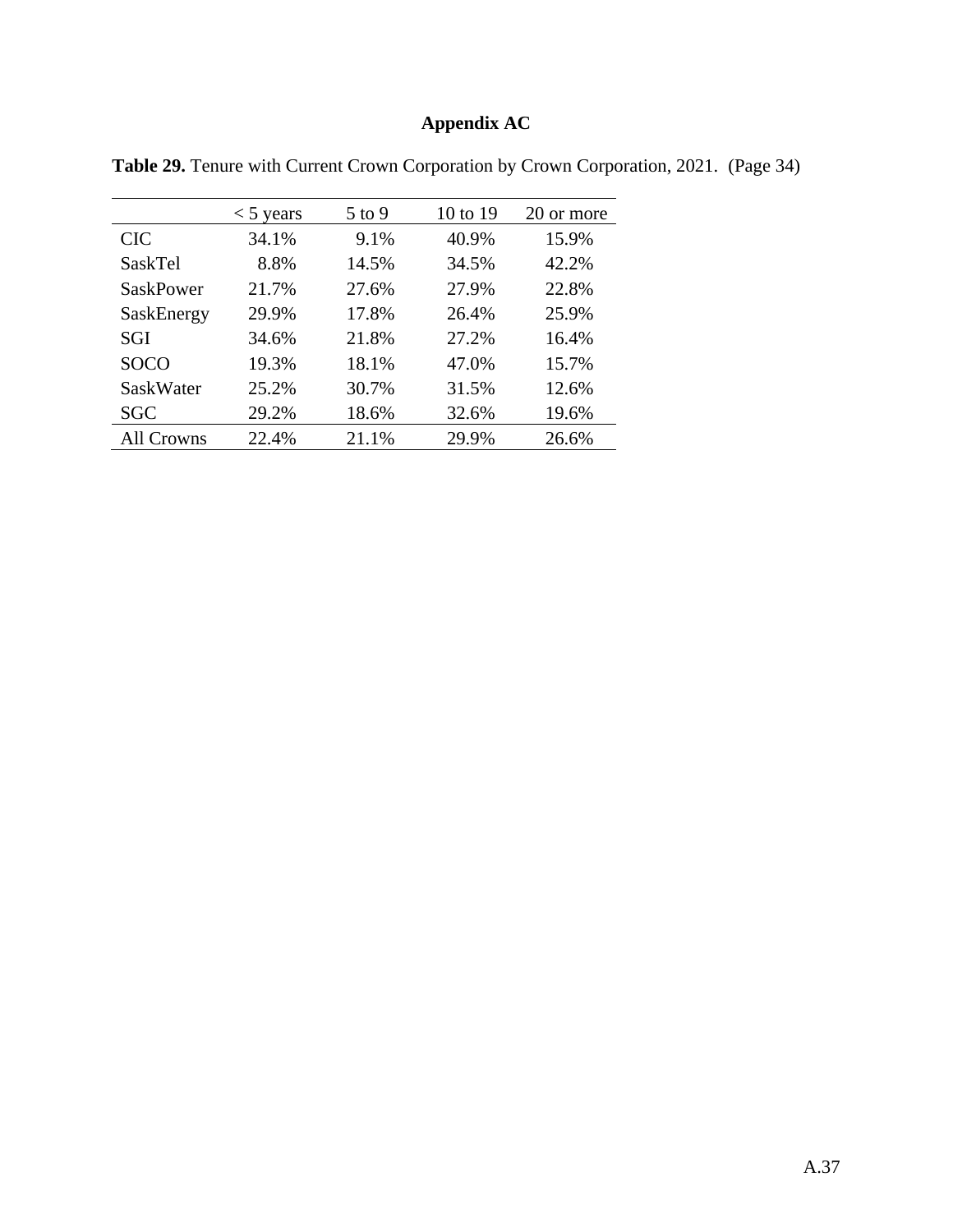# **Appendix AC**

|                  | $<$ 5 years | $5$ to 9 | 10 to 19 | 20 or more |
|------------------|-------------|----------|----------|------------|
| <b>CIC</b>       | 34.1%       | 9.1%     | 40.9%    | 15.9%      |
| SaskTel          | 8.8%        | 14.5%    | 34.5%    | 42.2%      |
| <b>SaskPower</b> | 21.7%       | 27.6%    | 27.9%    | 22.8%      |
| SaskEnergy       | 29.9%       | 17.8%    | 26.4%    | 25.9%      |
| SGI              | 34.6%       | 21.8%    | 27.2%    | 16.4%      |
| <b>SOCO</b>      | 19.3%       | 18.1%    | 47.0%    | 15.7%      |
| SaskWater        | 25.2%       | 30.7%    | 31.5%    | 12.6%      |
| <b>SGC</b>       | 29.2%       | 18.6%    | 32.6%    | 19.6%      |
| All Crowns       | 22.4%       | 21.1%    | 29.9%    | 26.6%      |

**Table 29.** Tenure with Current Crown Corporation by Crown Corporation, 2021. (Page 34)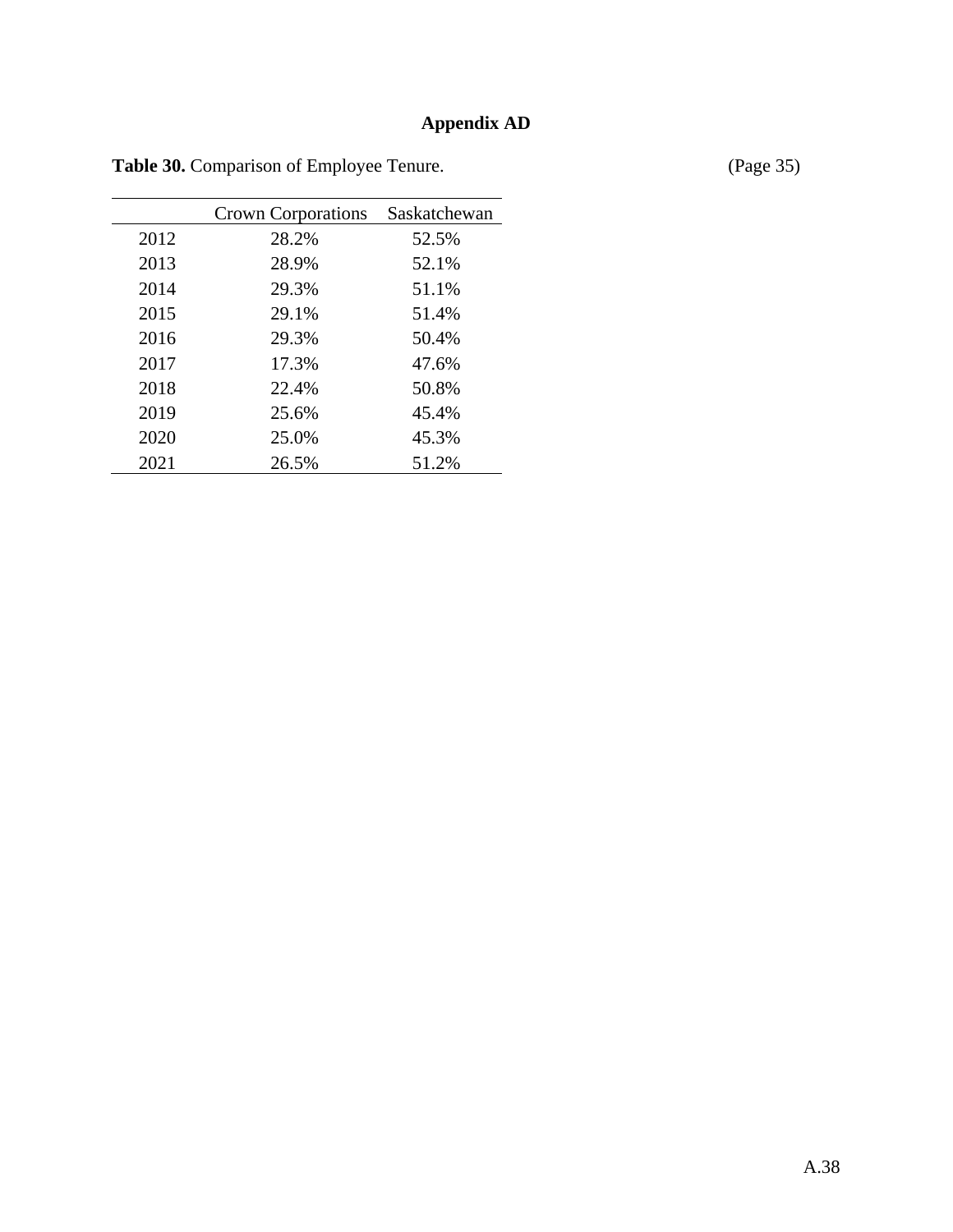## **Appendix AD**

|      | <b>Crown Corporations</b> | Saskatchewan |
|------|---------------------------|--------------|
| 2012 | 28.2%                     | 52.5%        |
| 2013 | 28.9%                     | 52.1%        |
| 2014 | 29.3%                     | 51.1%        |
| 2015 | 29.1%                     | 51.4%        |
| 2016 | 29.3%                     | 50.4%        |
| 2017 | 17.3%                     | 47.6%        |
| 2018 | 22.4%                     | 50.8%        |
| 2019 | 25.6%                     | 45.4%        |
| 2020 | 25.0%                     | 45.3%        |
| 2021 | 26.5%                     | 51.2%        |

Table 30. Comparison of Employee Tenure. (Page 35)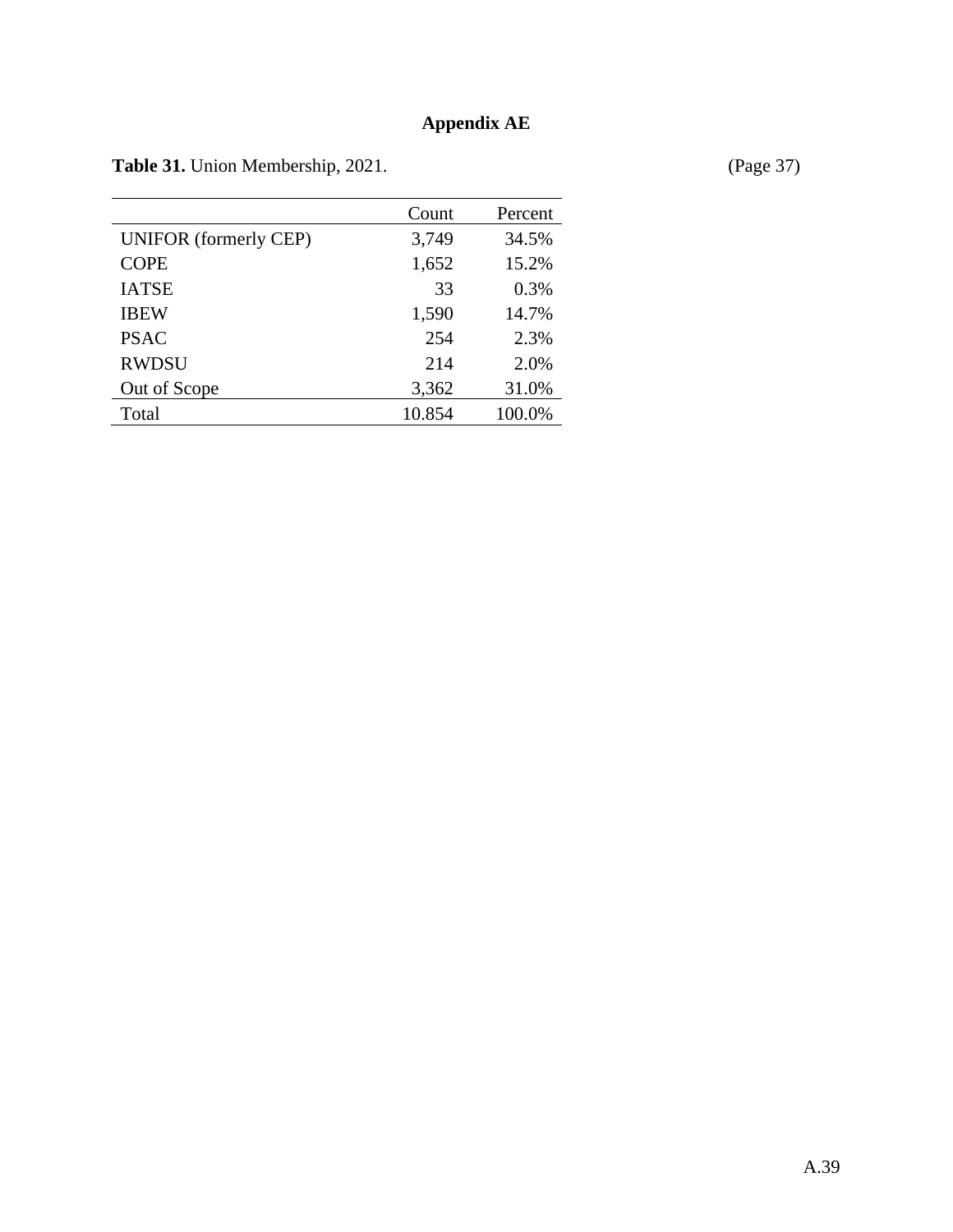## **Appendix AE**

Table 31. Union Membership, 2021. (Page 37)

|                              | Count  | Percent |
|------------------------------|--------|---------|
| <b>UNIFOR</b> (formerly CEP) | 3,749  | 34.5%   |
| <b>COPE</b>                  | 1,652  | 15.2%   |
| <b>IATSE</b>                 | 33     | 0.3%    |
| <b>IBEW</b>                  | 1,590  | 14.7%   |
| <b>PSAC</b>                  | 254    | 2.3%    |
| <b>RWDSU</b>                 | 214    | 2.0%    |
| Out of Scope                 | 3,362  | 31.0%   |
| Total                        | 10.854 | 100.0%  |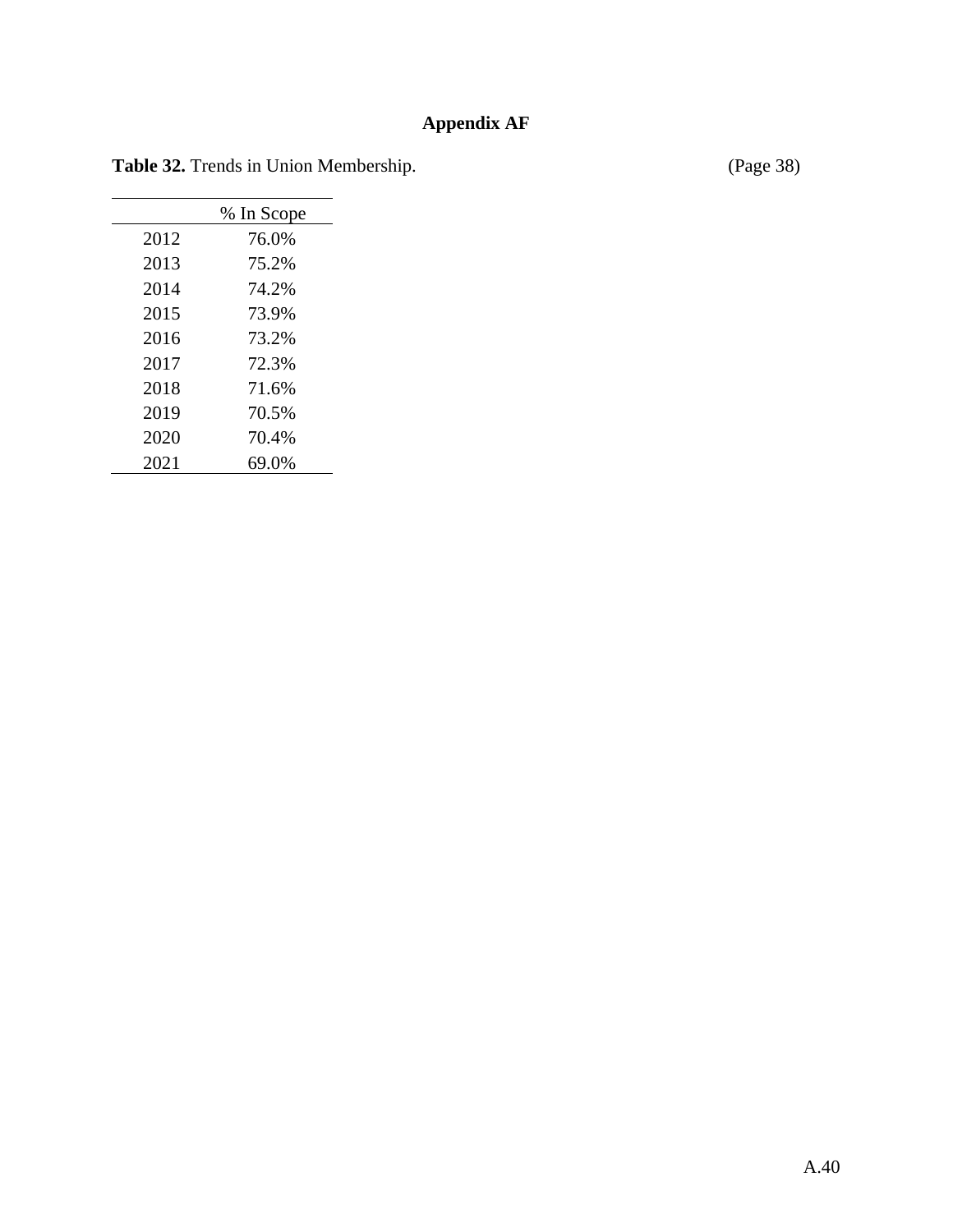## **Appendix AF**

Table 32. Trends in Union Membership. (Page 38)

|      | % In Scope |
|------|------------|
| 2012 | 76.0%      |
| 2013 | 75.2%      |
| 2014 | 74.2%      |
| 2015 | 73.9%      |
| 2016 | 73.2%      |
| 2017 | 72.3%      |
| 2018 | 71.6%      |
| 2019 | 70.5%      |
| 2020 | 70.4%      |
| 2021 | 69.0%      |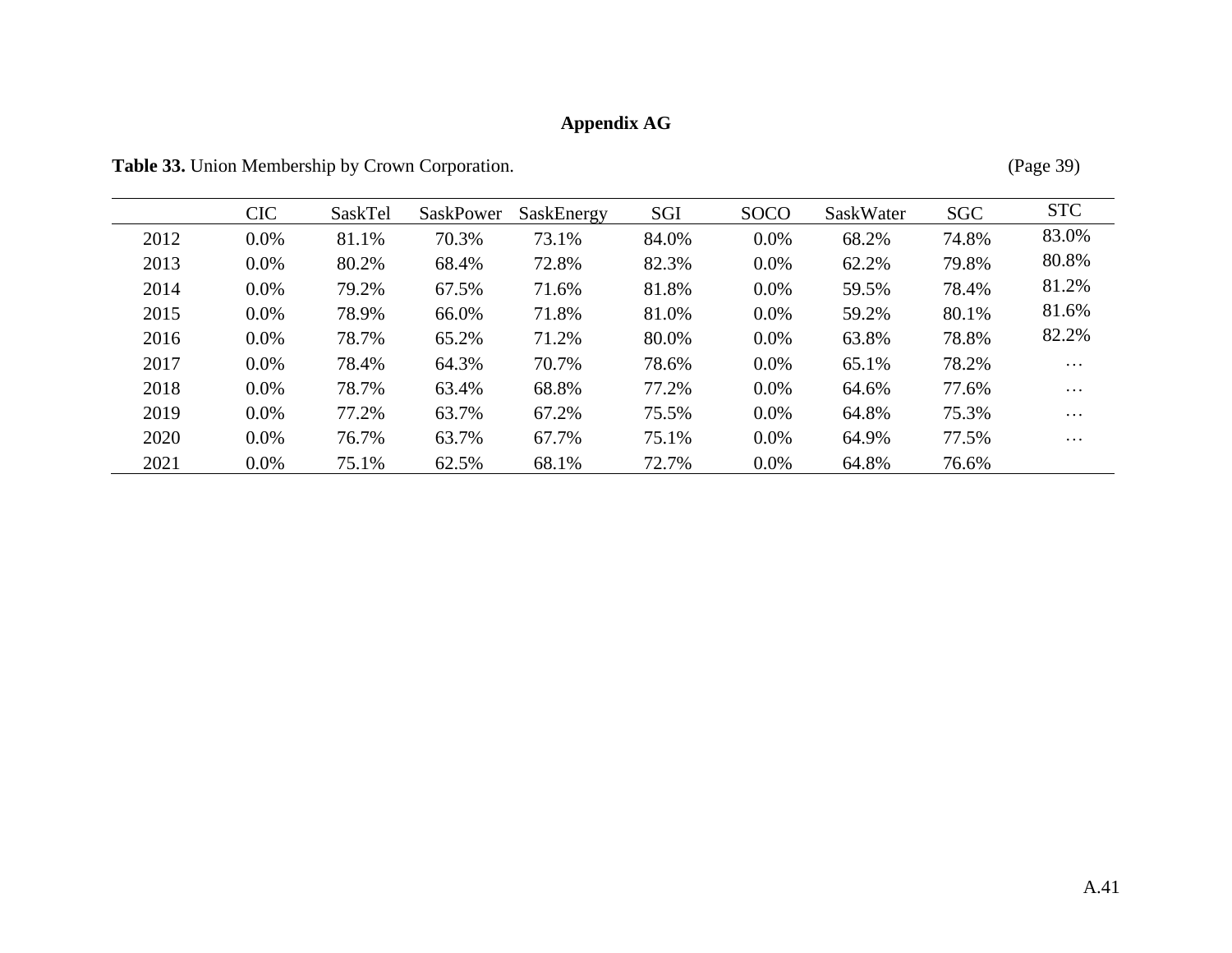# **Appendix AG**

Table 33. Union Membership by Crown Corporation. (Page 39)

|      | <b>CIC</b> | SaskTel | SaskPower | SaskEnergy | SGI   | <b>SOCO</b> | SaskWater | <b>SGC</b> | <b>STC</b> |
|------|------------|---------|-----------|------------|-------|-------------|-----------|------------|------------|
| 2012 | 0.0%       | 81.1%   | 70.3%     | 73.1%      | 84.0% | 0.0%        | 68.2%     | 74.8%      | 83.0%      |
| 2013 | 0.0%       | 80.2%   | 68.4%     | 72.8%      | 82.3% | $0.0\%$     | 62.2%     | 79.8%      | 80.8%      |
| 2014 | $0.0\%$    | 79.2%   | 67.5%     | 71.6%      | 81.8% | 0.0%        | 59.5%     | 78.4%      | 81.2%      |
| 2015 | $0.0\%$    | 78.9%   | 66.0%     | 71.8%      | 81.0% | $0.0\%$     | 59.2%     | 80.1%      | 81.6%      |
| 2016 | $0.0\%$    | 78.7%   | 65.2%     | 71.2%      | 80.0% | $0.0\%$     | 63.8%     | 78.8%      | 82.2%      |
| 2017 | 0.0%       | 78.4%   | 64.3%     | 70.7%      | 78.6% | 0.0%        | 65.1%     | 78.2%      | $\cdots$   |
| 2018 | $0.0\%$    | 78.7%   | 63.4%     | 68.8%      | 77.2% | 0.0%        | 64.6%     | 77.6%      | $\cdots$   |
| 2019 | $0.0\%$    | 77.2%   | 63.7%     | 67.2%      | 75.5% | $0.0\%$     | 64.8%     | 75.3%      | $\cdots$   |
| 2020 | $0.0\%$    | 76.7%   | 63.7%     | 67.7%      | 75.1% | $0.0\%$     | 64.9%     | 77.5%      | $\cdots$   |
| 2021 | $0.0\%$    | 75.1%   | 62.5%     | 68.1%      | 72.7% | $0.0\%$     | 64.8%     | 76.6%      |            |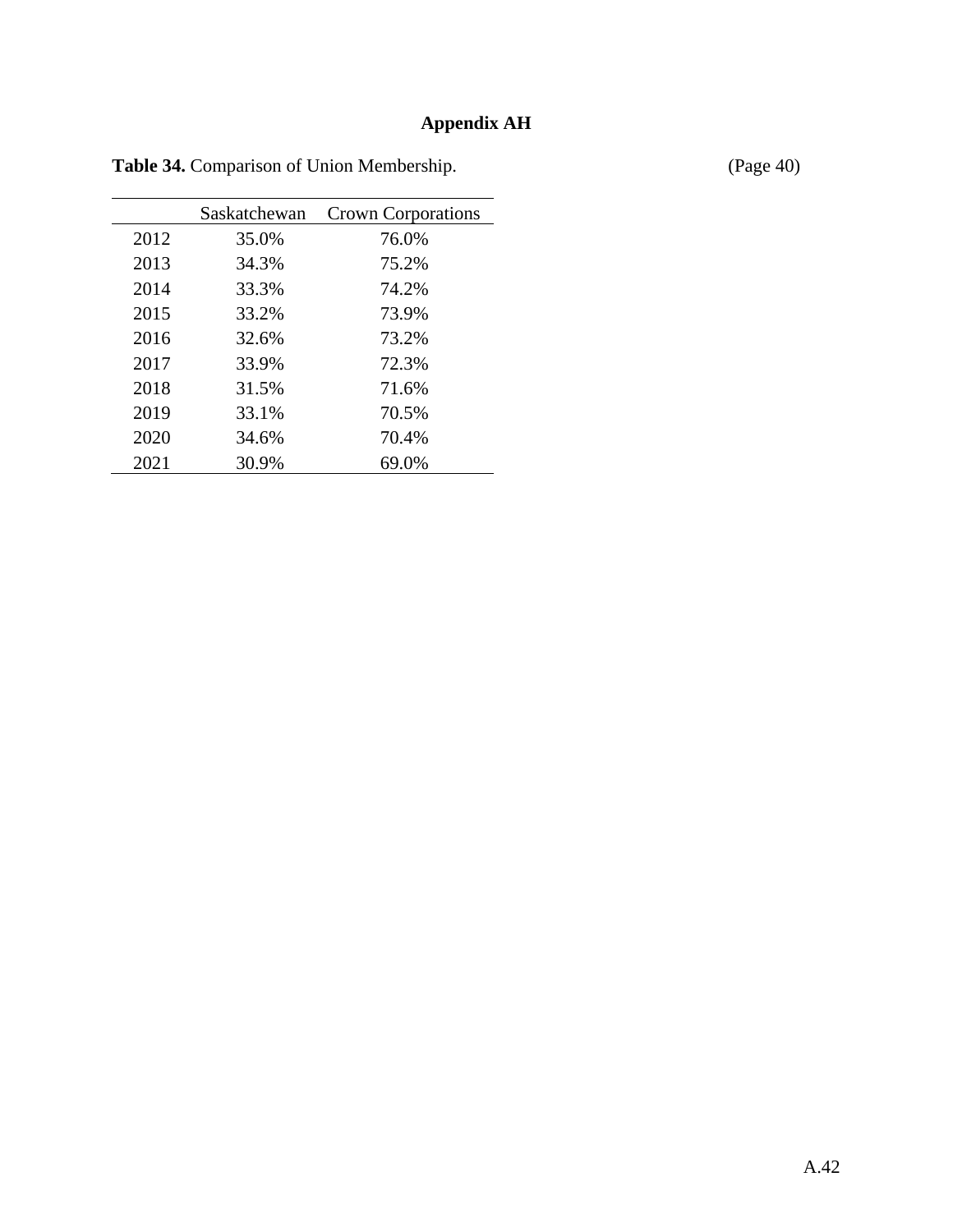## **Appendix AH**

|      | Saskatchewan | <b>Crown Corporations</b> |
|------|--------------|---------------------------|
| 2012 | 35.0%        | 76.0%                     |
| 2013 | 34.3%        | 75.2%                     |
| 2014 | 33.3%        | 74.2%                     |
| 2015 | 33.2%        | 73.9%                     |
| 2016 | 32.6%        | 73.2%                     |
| 2017 | 33.9%        | 72.3%                     |
| 2018 | 31.5%        | 71.6%                     |
| 2019 | 33.1%        | 70.5%                     |
| 2020 | 34.6%        | 70.4%                     |
| 2021 | 30.9%        | 69.0%                     |

Table 34. Comparison of Union Membership. (Page 40)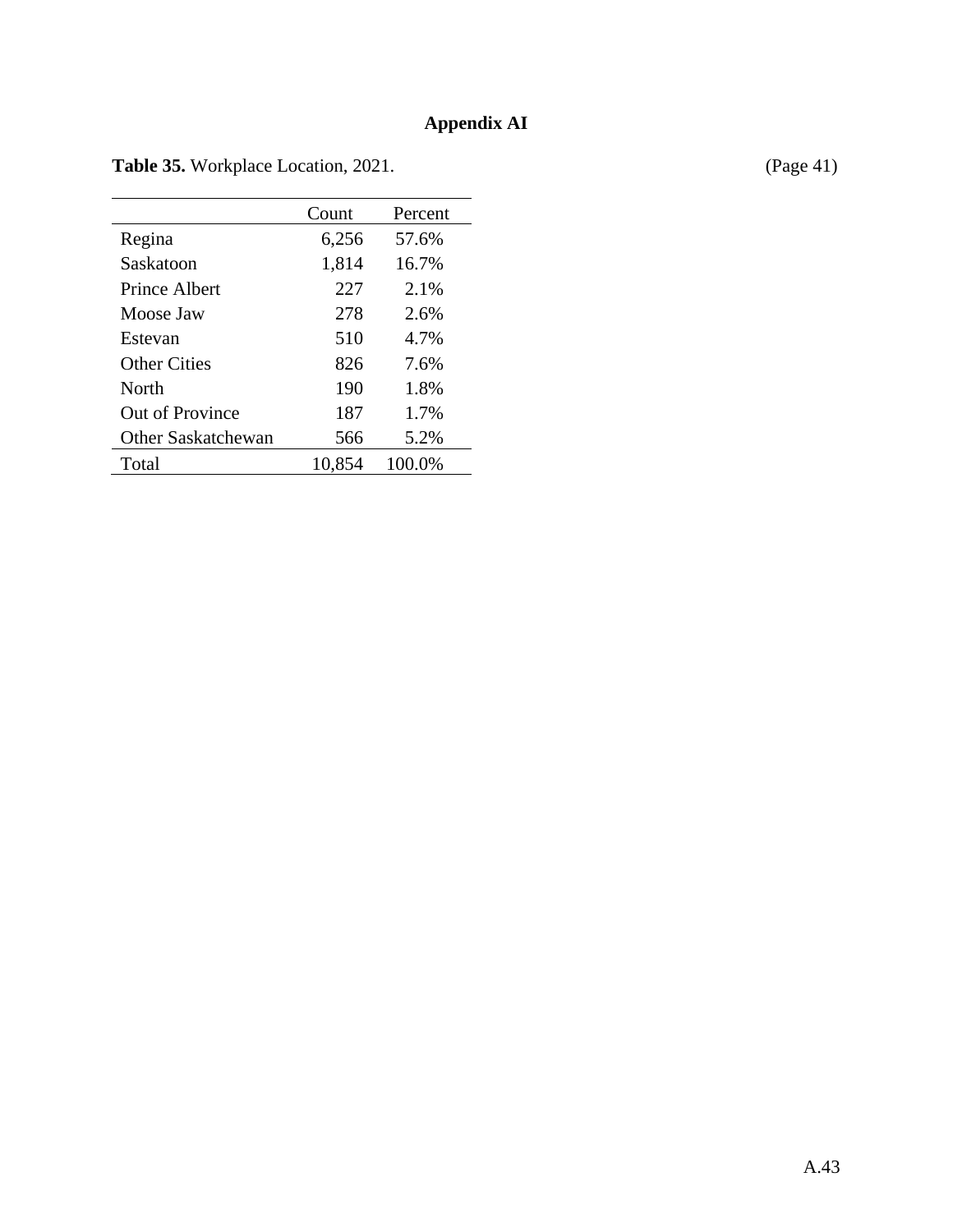|                           | Count  | Percent |
|---------------------------|--------|---------|
| Regina                    | 6,256  | 57.6%   |
| Saskatoon                 | 1,814  | 16.7%   |
| Prince Albert             | 227    | 2.1%    |
| Moose Jaw                 | 278    | 2.6%    |
| Estevan                   | 510    | 4.7%    |
| <b>Other Cities</b>       | 826    | 7.6%    |
| North                     | 190    | 1.8%    |
| Out of Province           | 187    | 1.7%    |
| <b>Other Saskatchewan</b> | 566    | 5.2%    |
| Total                     | 10,854 | 100.0%  |

Table 35. Workplace Location, 2021. (Page 41)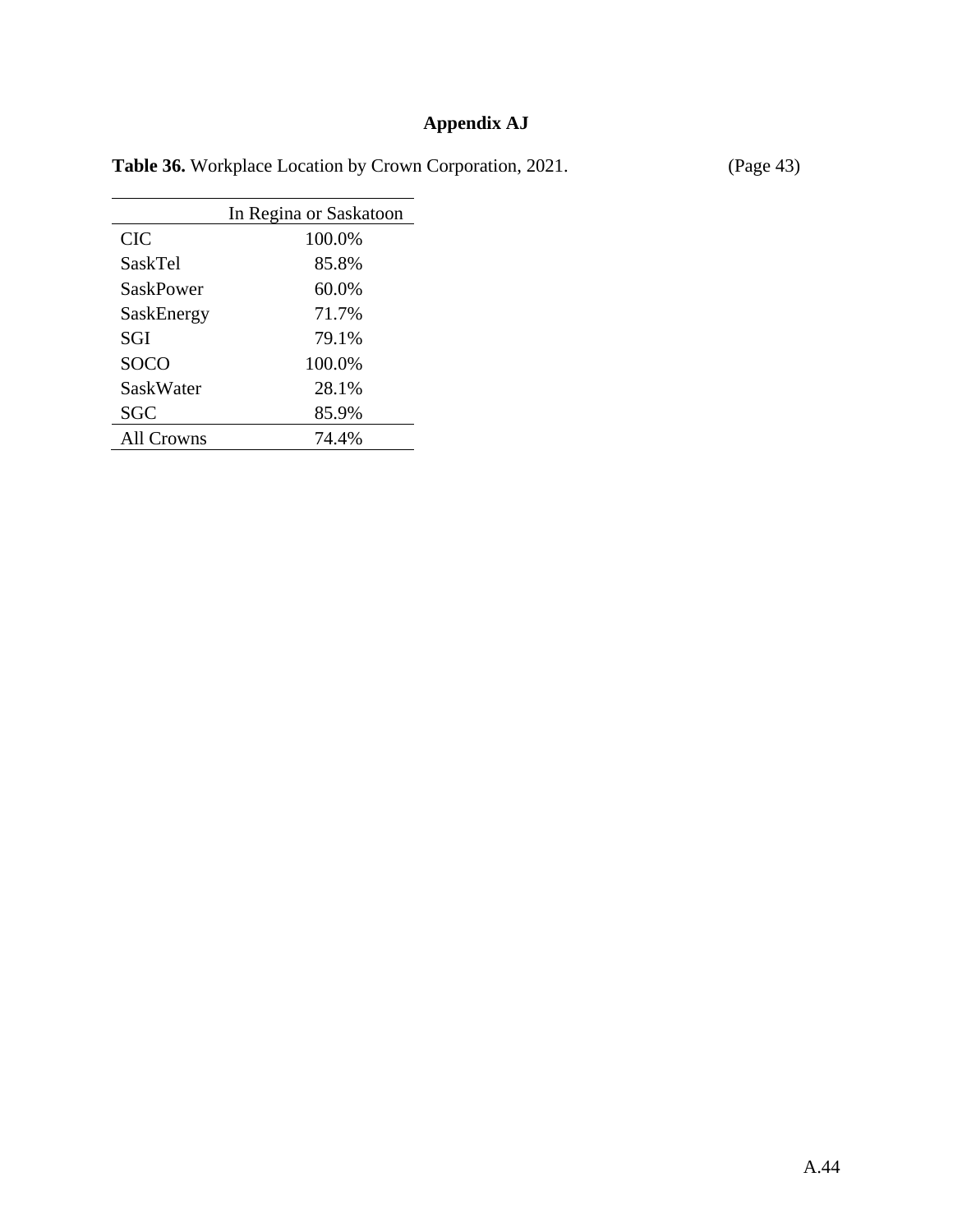## **Appendix AJ**

|  |  |  | <b>Table 36.</b> Workplace Location by Crown Corporation, 2021. |  | (Page 43) |
|--|--|--|-----------------------------------------------------------------|--|-----------|
|--|--|--|-----------------------------------------------------------------|--|-----------|

|                  | In Regina or Saskatoon |
|------------------|------------------------|
| <b>CIC</b>       | 100.0%                 |
| SaskTel          | 85.8%                  |
| <b>SaskPower</b> | 60.0%                  |
| SaskEnergy       | 71.7%                  |
| <b>SGI</b>       | 79.1%                  |
| <b>SOCO</b>      | 100.0%                 |
| <b>SaskWater</b> | 28.1%                  |
| <b>SGC</b>       | 85.9%                  |
| All Crowns       | 74.4%                  |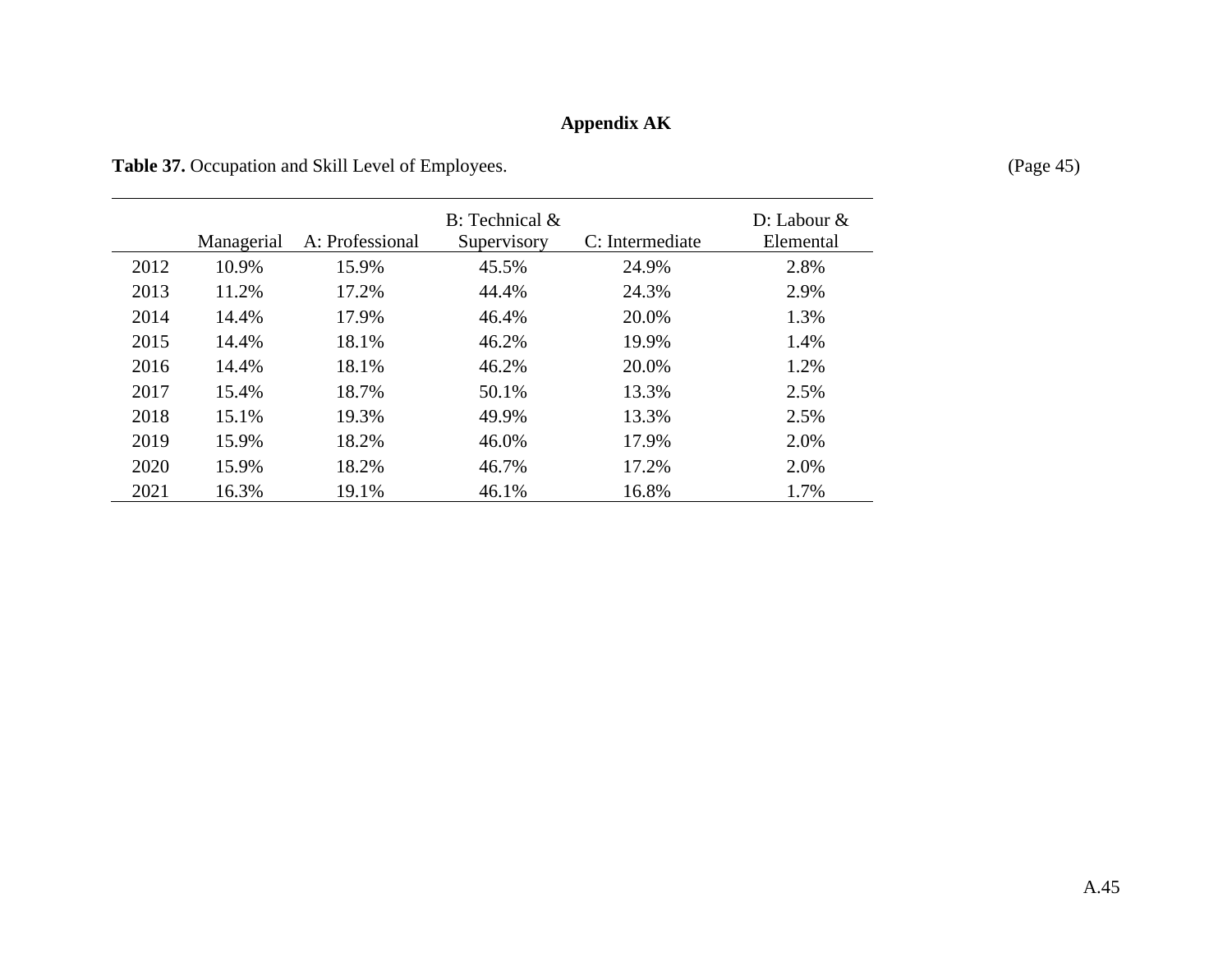# **Appendix AK**

Table 37. Occupation and Skill Level of Employees. (Page 45)

|      | Managerial | A: Professional | $B$ : Technical $\&$<br>Supervisory | C: Intermediate | $D:$ Labour $&$<br>Elemental |
|------|------------|-----------------|-------------------------------------|-----------------|------------------------------|
| 2012 | 10.9%      | 15.9%           | 45.5%                               | 24.9%           | 2.8%                         |
| 2013 | 11.2%      | 17.2%           | 44.4%                               | 24.3%           | 2.9%                         |
| 2014 | 14.4%      | 17.9%           | 46.4%                               | 20.0%           | 1.3%                         |
| 2015 | 14.4%      | 18.1%           | 46.2%                               | 19.9%           | 1.4%                         |
| 2016 | 14.4%      | 18.1%           | 46.2%                               | 20.0%           | 1.2%                         |
| 2017 | 15.4%      | 18.7%           | 50.1%                               | 13.3%           | 2.5%                         |
| 2018 | 15.1%      | 19.3%           | 49.9%                               | 13.3%           | 2.5%                         |
| 2019 | 15.9%      | 18.2%           | 46.0%                               | 17.9%           | 2.0%                         |
| 2020 | 15.9%      | 18.2%           | 46.7%                               | 17.2%           | 2.0%                         |
| 2021 | 16.3%      | 19.1%           | 46.1%                               | 16.8%           | 1.7%                         |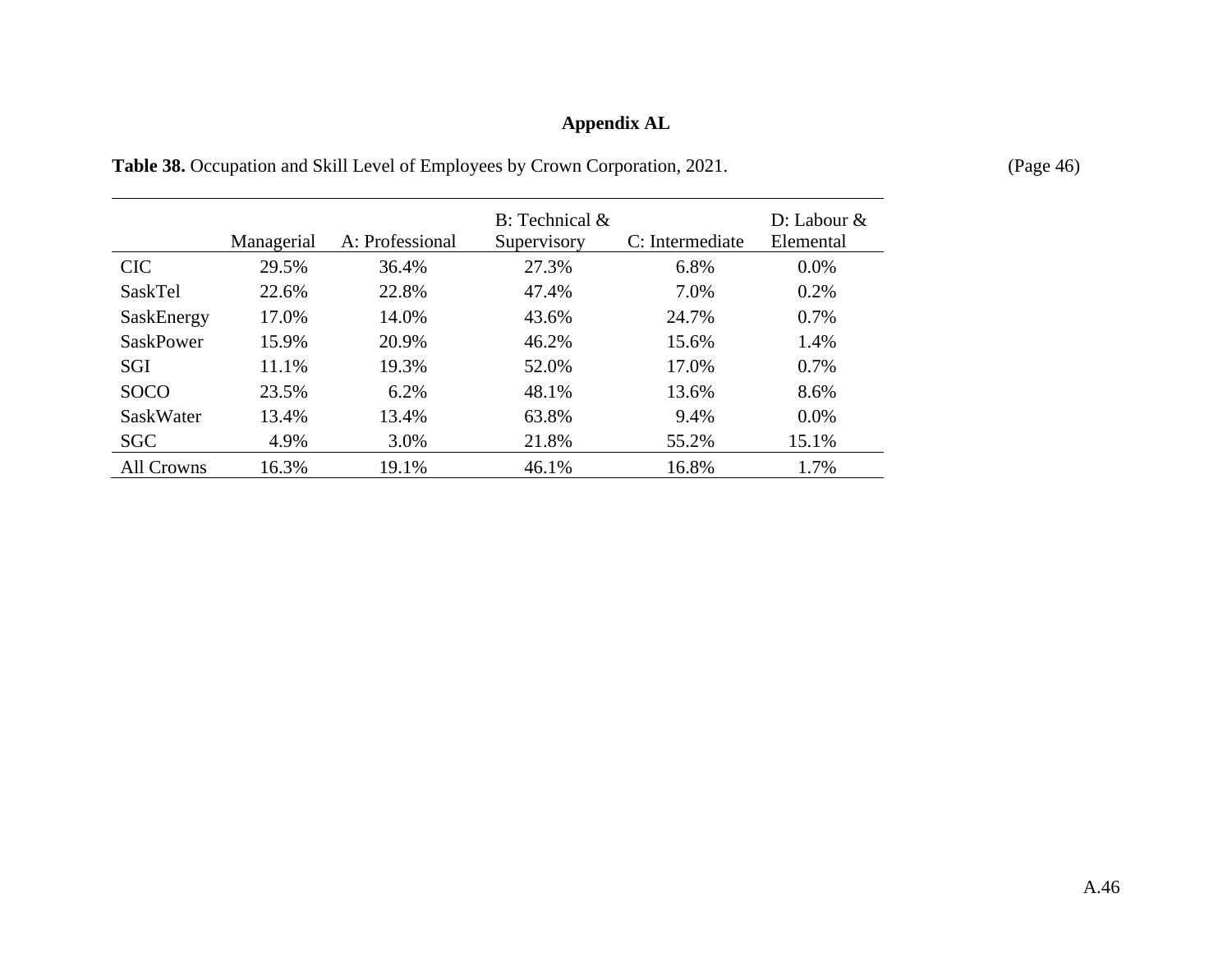## **Appendix AL**

|                   | Managerial | A: Professional | $B:$ Technical $\&$<br>Supervisory | C: Intermediate | $D:$ Labour $&$<br>Elemental |
|-------------------|------------|-----------------|------------------------------------|-----------------|------------------------------|
| <b>CIC</b>        | 29.5%      | 36.4%           | 27.3%                              | 6.8%            | $0.0\%$                      |
| SaskTel           | 22.6%      | 22.8%           | 47.4%                              | 7.0%            | 0.2%                         |
| SaskEnergy        | 17.0%      | 14.0%           | 43.6%                              | 24.7%           | 0.7%                         |
| <b>SaskPower</b>  | 15.9%      | 20.9%           | 46.2%                              | 15.6%           | 1.4%                         |
| <b>SGI</b>        | 11.1%      | 19.3%           | 52.0%                              | 17.0%           | 0.7%                         |
| <b>SOCO</b>       | 23.5%      | 6.2%            | 48.1%                              | 13.6%           | 8.6%                         |
| SaskWater         | 13.4%      | 13.4%           | 63.8%                              | 9.4%            | $0.0\%$                      |
| <b>SGC</b>        | 4.9%       | 3.0%            | 21.8%                              | 55.2%           | 15.1%                        |
| <b>All Crowns</b> | 16.3%      | 19.1%           | 46.1%                              | 16.8%           | 1.7%                         |

Table 38. Occupation and Skill Level of Employees by Crown Corporation, 2021. (Page 46)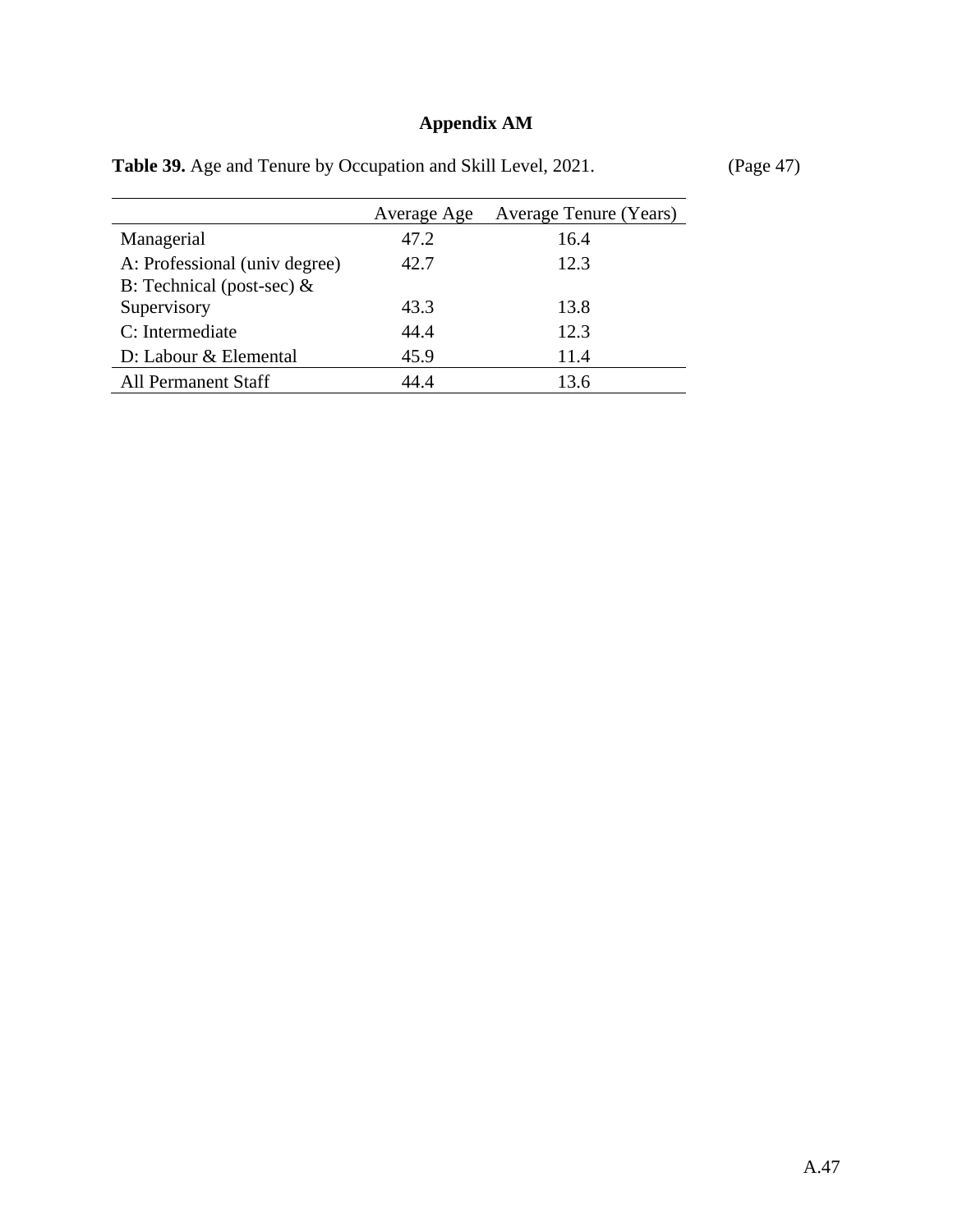# **Appendix AM**

|                                                               | Average Age | Average Tenure (Years) |
|---------------------------------------------------------------|-------------|------------------------|
| Managerial                                                    | 47.2        | 16.4                   |
| A: Professional (univ degree)<br>B: Technical (post-sec) $\&$ | 42.7        | 12.3                   |
| Supervisory                                                   | 43.3        | 13.8                   |
| C: Intermediate                                               | 44.4        | 12.3                   |
| D: Labour & Elemental                                         | 45.9        | 11.4                   |
| <b>All Permanent Staff</b>                                    | 44.4        | 13.6                   |

Table 39. Age and Tenure by Occupation and Skill Level, 2021. (Page 47)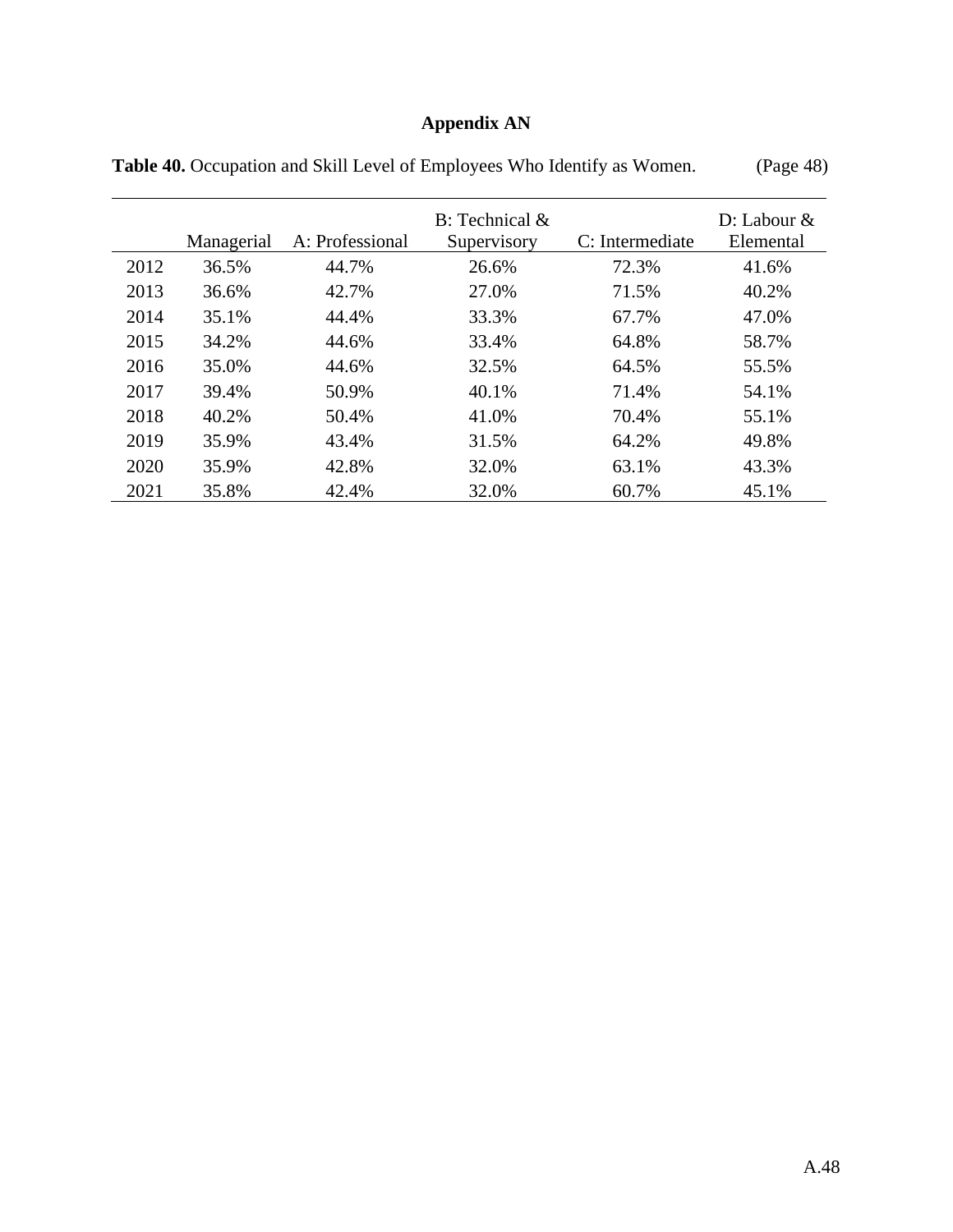## **Appendix AN**

|      | Managerial | A: Professional | $B:$ Technical $\&$<br>Supervisory | C: Intermediate | $D:$ Labour $&$<br>Elemental |
|------|------------|-----------------|------------------------------------|-----------------|------------------------------|
| 2012 | 36.5%      | 44.7%           | 26.6%                              | 72.3%           | 41.6%                        |
| 2013 | 36.6%      | 42.7%           | 27.0%                              | 71.5%           | 40.2%                        |
| 2014 | 35.1%      | 44.4%           | 33.3%                              | 67.7%           | 47.0%                        |
| 2015 | 34.2%      | 44.6%           | 33.4%                              | 64.8%           | 58.7%                        |
| 2016 | 35.0%      | 44.6%           | 32.5%                              | 64.5%           | 55.5%                        |
| 2017 | 39.4%      | 50.9%           | 40.1%                              | 71.4%           | 54.1%                        |
| 2018 | 40.2%      | 50.4%           | 41.0%                              | 70.4%           | 55.1%                        |
| 2019 | 35.9%      | 43.4%           | 31.5%                              | 64.2%           | 49.8%                        |
| 2020 | 35.9%      | 42.8%           | 32.0%                              | 63.1%           | 43.3%                        |
| 2021 | 35.8%      | 42.4%           | 32.0%                              | 60.7%           | 45.1%                        |

Table 40. Occupation and Skill Level of Employees Who Identify as Women. (Page 48)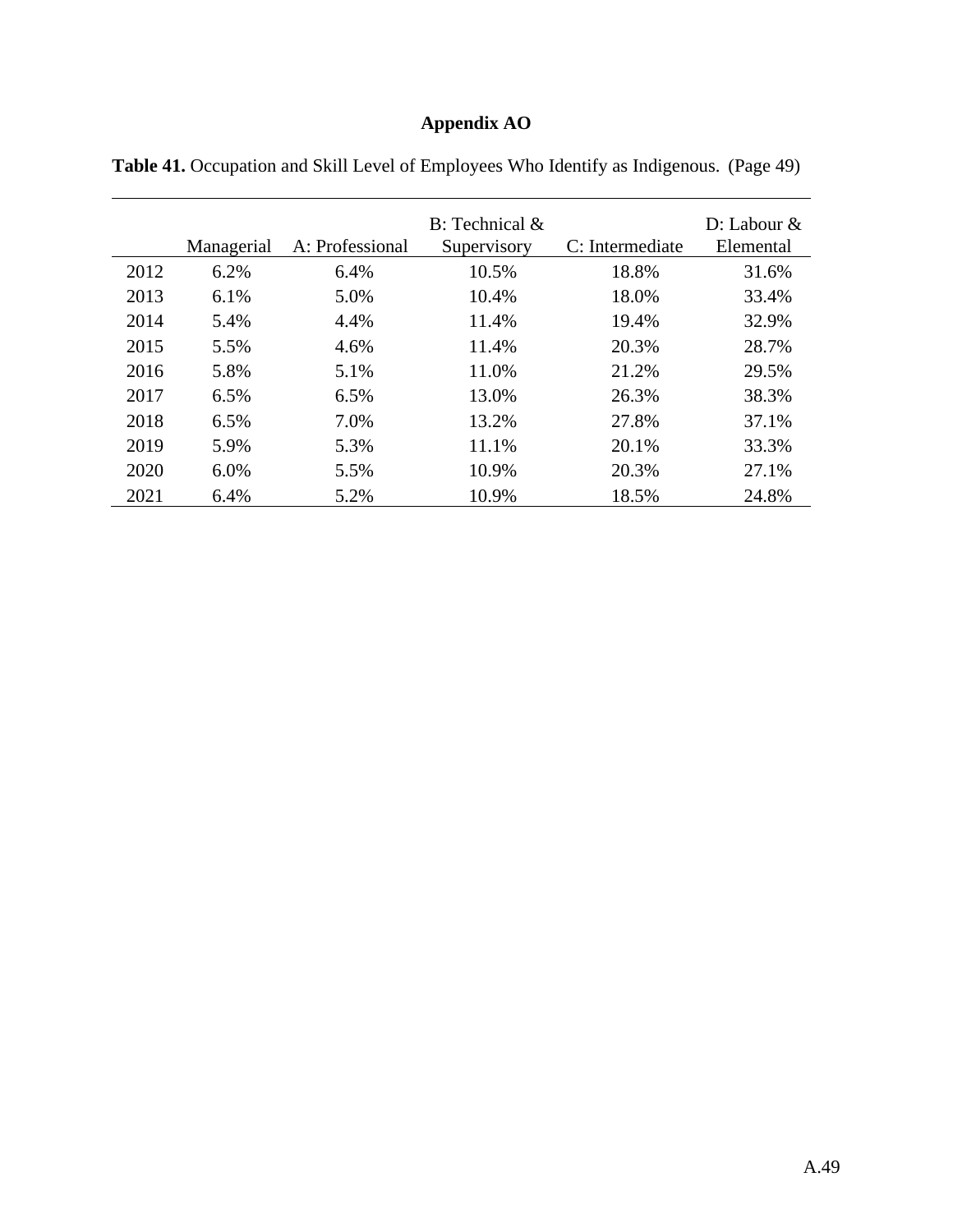## **Appendix AO**

|      | Managerial | A: Professional | $B:$ Technical $\&$<br>Supervisory | C: Intermediate | $D:$ Labour $&$<br>Elemental |
|------|------------|-----------------|------------------------------------|-----------------|------------------------------|
| 2012 | 6.2%       | 6.4%            | 10.5%                              | 18.8%           | 31.6%                        |
| 2013 | 6.1%       | 5.0%            | 10.4%                              | 18.0%           | 33.4%                        |
| 2014 | 5.4%       | 4.4%            | 11.4%                              | 19.4%           | 32.9%                        |
| 2015 | 5.5%       | 4.6%            | 11.4%                              | 20.3%           | 28.7%                        |
| 2016 | 5.8%       | 5.1%            | 11.0%                              | 21.2%           | 29.5%                        |
| 2017 | 6.5%       | 6.5%            | 13.0%                              | 26.3%           | 38.3%                        |
| 2018 | 6.5%       | 7.0%            | 13.2%                              | 27.8%           | 37.1%                        |
| 2019 | 5.9%       | 5.3%            | 11.1%                              | 20.1%           | 33.3%                        |
| 2020 | 6.0%       | 5.5%            | 10.9%                              | 20.3%           | 27.1%                        |
| 2021 | 6.4%       | 5.2%            | 10.9%                              | 18.5%           | 24.8%                        |

**Table 41.** Occupation and Skill Level of Employees Who Identify as Indigenous. (Page 49)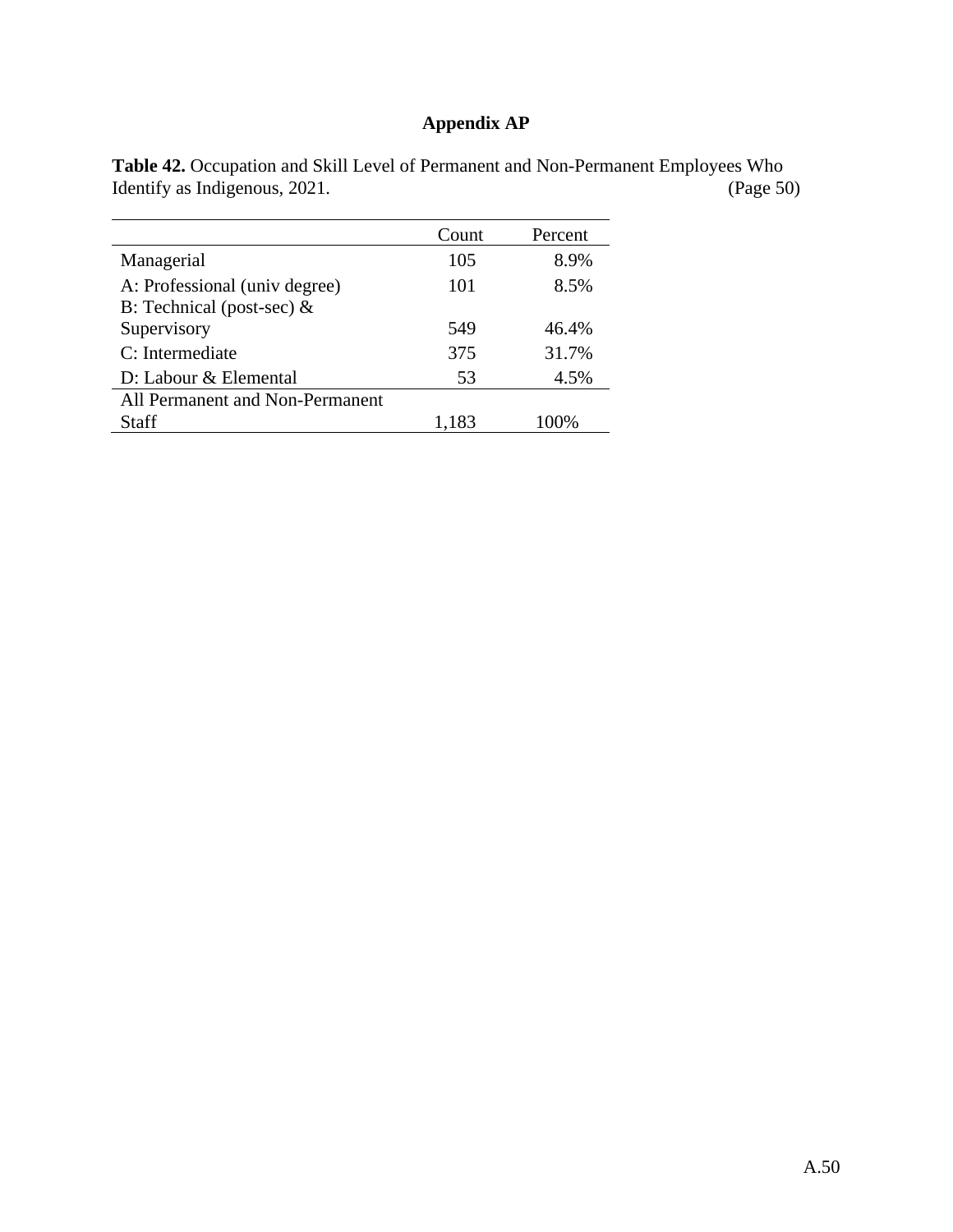## **Appendix AP**

|                                 | Count | Percent |
|---------------------------------|-------|---------|
| Managerial                      | 105   | 8.9%    |
| A: Professional (univ degree)   | 101   | 8.5%    |
| B: Technical (post-sec) $\&$    |       |         |
| Supervisory                     | 549   | 46.4%   |
| C: Intermediate                 | 375   | 31.7%   |
| D: Labour & Elemental           | 53    | 4.5%    |
| All Permanent and Non-Permanent |       |         |
| Staff                           | 1,183 | 100%    |

**Table 42.** Occupation and Skill Level of Permanent and Non-Permanent Employees Who Identify as Indigenous, 2021.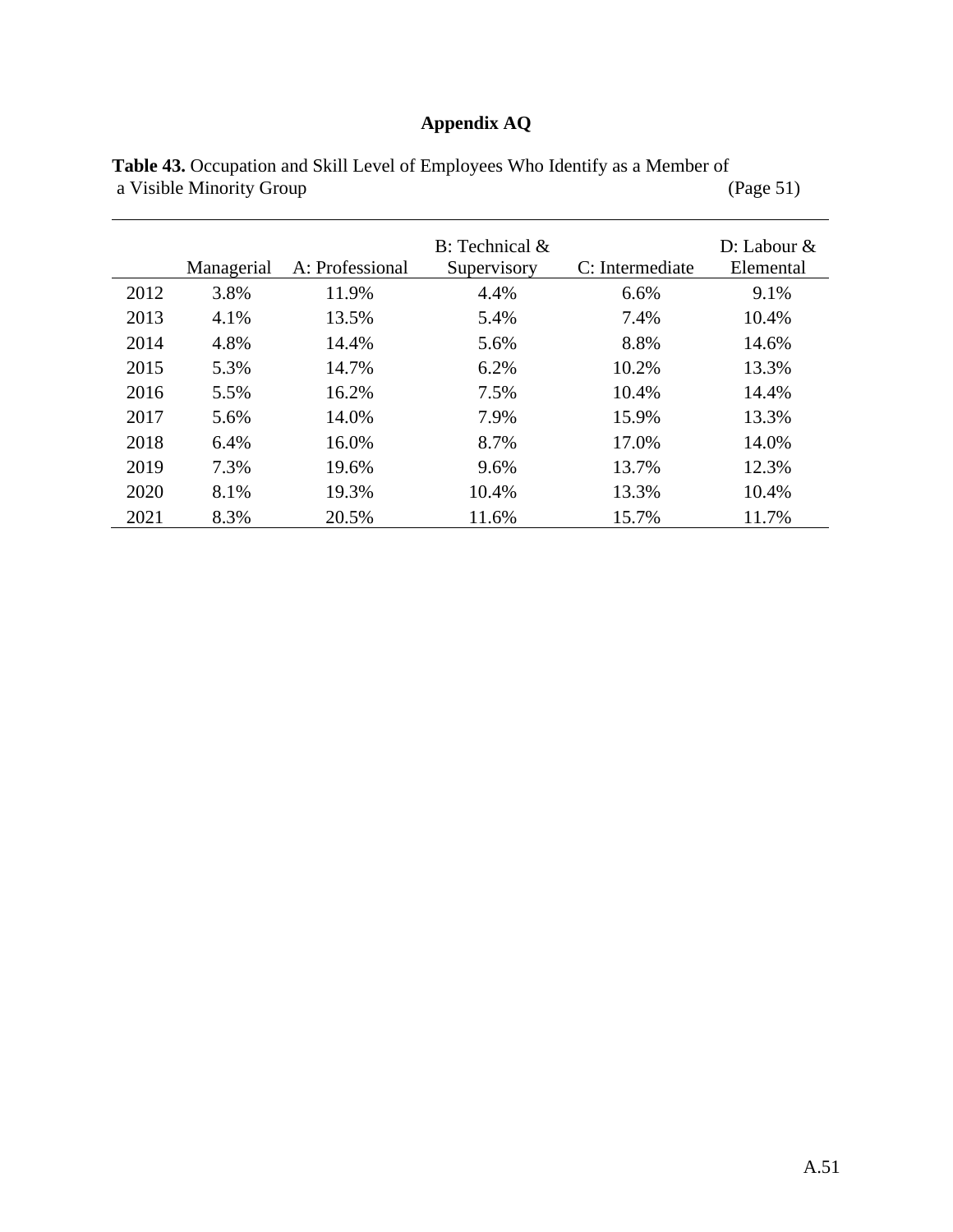## **Appendix AQ**

|      | Managerial | A: Professional | $B:$ Technical $\&$<br>Supervisory | C: Intermediate | $D:$ Labour $\&$<br>Elemental |
|------|------------|-----------------|------------------------------------|-----------------|-------------------------------|
| 2012 | 3.8%       | 11.9%           | 4.4%                               | 6.6%            | 9.1%                          |
| 2013 | 4.1%       | 13.5%           | 5.4%                               | 7.4%            | 10.4%                         |
| 2014 | 4.8%       | 14.4%           | 5.6%                               | 8.8%            | 14.6%                         |
| 2015 | 5.3%       | 14.7%           | 6.2%                               | 10.2%           | 13.3%                         |
| 2016 | 5.5%       | 16.2%           | 7.5%                               | 10.4%           | 14.4%                         |
| 2017 | 5.6%       | 14.0%           | 7.9%                               | 15.9%           | 13.3%                         |
| 2018 | 6.4%       | 16.0%           | 8.7%                               | 17.0%           | 14.0%                         |
| 2019 | 7.3%       | 19.6%           | 9.6%                               | 13.7%           | 12.3%                         |
| 2020 | 8.1%       | 19.3%           | 10.4%                              | 13.3%           | 10.4%                         |
| 2021 | 8.3%       | 20.5%           | 11.6%                              | 15.7%           | 11.7%                         |

**Table 43.** Occupation and Skill Level of Employees Who Identify as a Member of a Visible Minority Group (Page 51)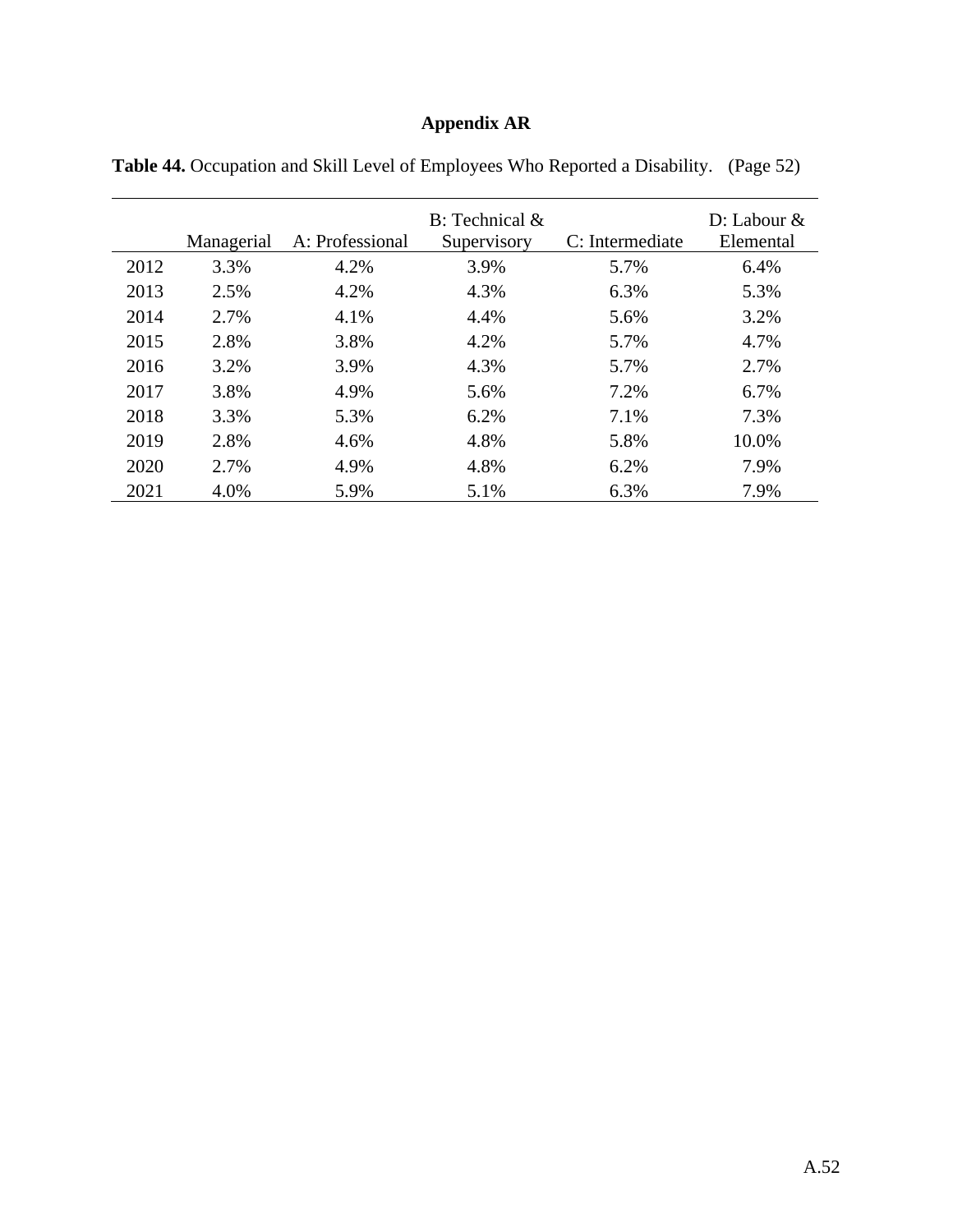# **Appendix AR**

|      | Managerial | A: Professional | $B$ : Technical $\&$<br>Supervisory | C: Intermediate | D: Labour $&$<br>Elemental |
|------|------------|-----------------|-------------------------------------|-----------------|----------------------------|
| 2012 | 3.3%       | 4.2%            | 3.9%                                | 5.7%            | 6.4%                       |
| 2013 | 2.5%       | 4.2%            | 4.3%                                | 6.3%            | 5.3%                       |
| 2014 | 2.7%       | 4.1%            | 4.4%                                | 5.6%            | 3.2%                       |
| 2015 | 2.8%       | 3.8%            | 4.2%                                | 5.7%            | 4.7%                       |
| 2016 | 3.2%       | 3.9%            | 4.3%                                | 5.7%            | 2.7%                       |
| 2017 | 3.8%       | 4.9%            | 5.6%                                | 7.2%            | 6.7%                       |
| 2018 | 3.3%       | 5.3%            | 6.2%                                | 7.1%            | 7.3%                       |
| 2019 | 2.8%       | 4.6%            | 4.8%                                | 5.8%            | 10.0%                      |
| 2020 | 2.7%       | 4.9%            | 4.8%                                | 6.2%            | 7.9%                       |
| 2021 | 4.0%       | 5.9%            | 5.1%                                | 6.3%            | 7.9%                       |

**Table 44.** Occupation and Skill Level of Employees Who Reported a Disability. (Page 52)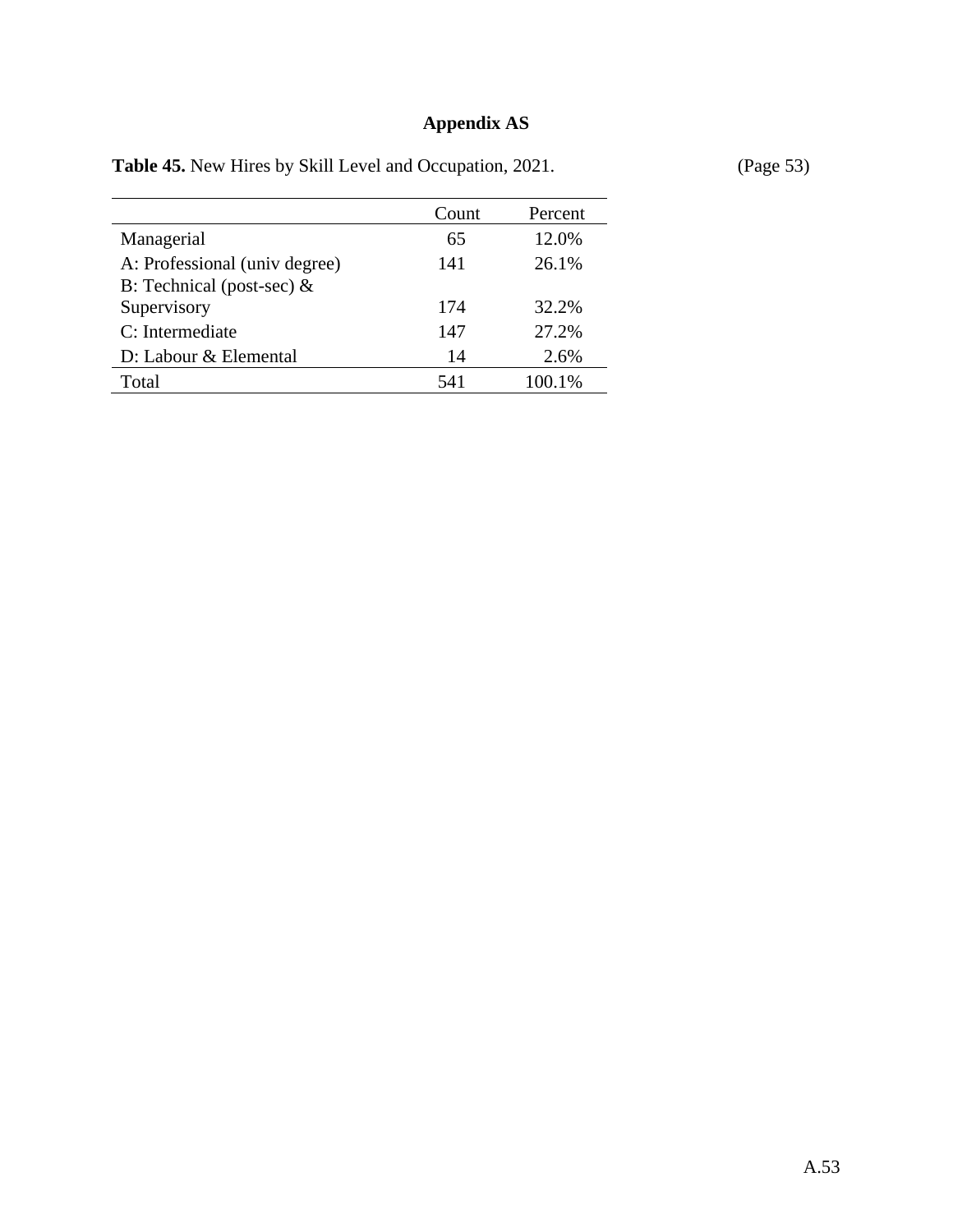## **Appendix AS**

| Table 45. New Hires by Skill Level and Occupation, 2021. |  |  |  |  |  |  |  |  |  |
|----------------------------------------------------------|--|--|--|--|--|--|--|--|--|
|----------------------------------------------------------|--|--|--|--|--|--|--|--|--|

**(Page 53)** 

| Count | Percent |
|-------|---------|
| 65    | 12.0%   |
| 141   | 26.1%   |
| 174   | 32.2%   |
| 147   | 27.2%   |
| 14    | 2.6%    |
| 541   | 100.1%  |
|       |         |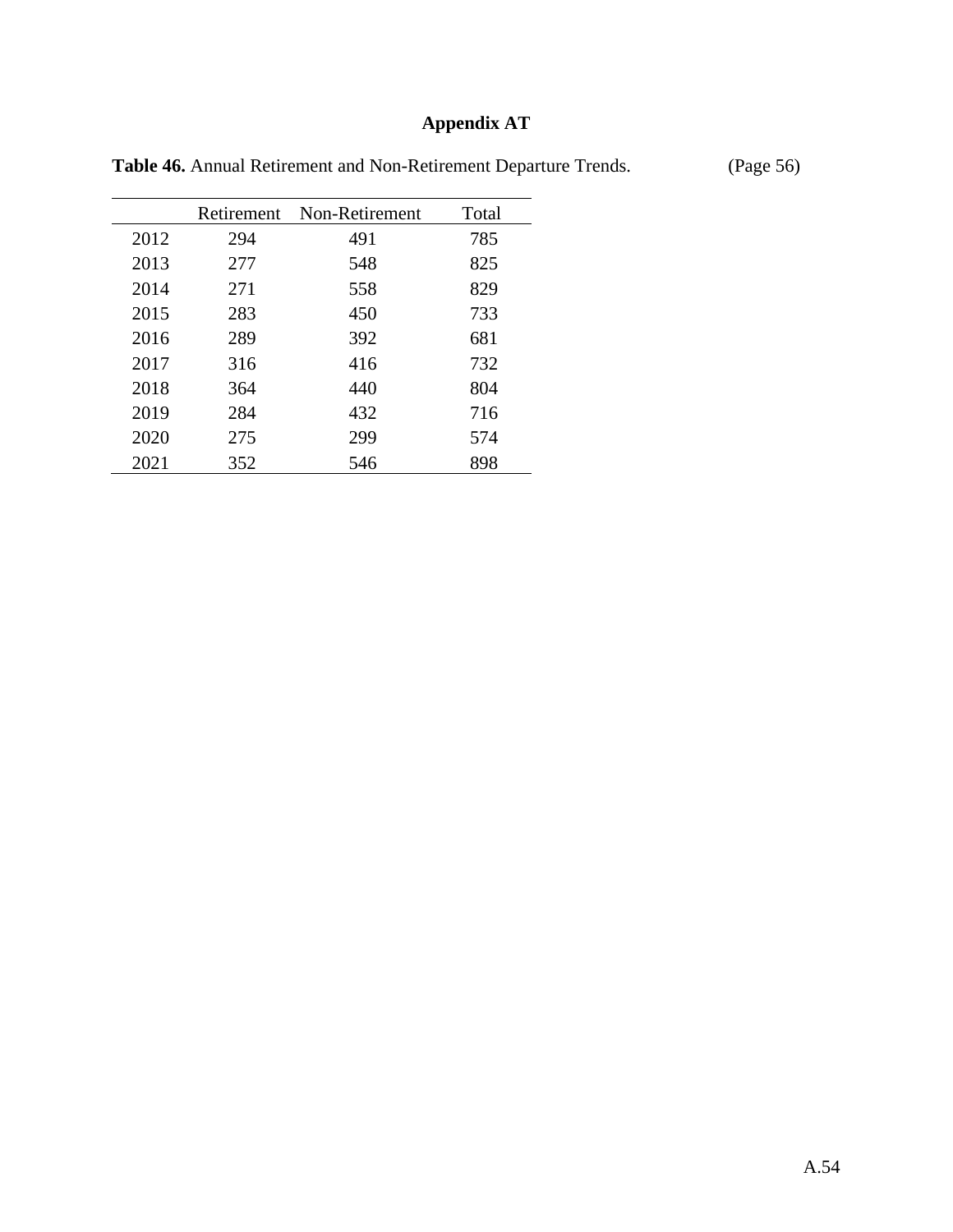## **Appendix AT**

|      | Retirement | Non-Retirement | Total |
|------|------------|----------------|-------|
| 2012 | 294        | 491            | 785   |
| 2013 | 277        | 548            | 825   |
| 2014 | 271        | 558            | 829   |
| 2015 | 283        | 450            | 733   |
| 2016 | 289        | 392            | 681   |
| 2017 | 316        | 416            | 732   |
| 2018 | 364        | 440            | 804   |
| 2019 | 284        | 432            | 716   |
| 2020 | 275        | 299            | 574   |
| 2021 | 352        | 546            | 898   |

Table 46. Annual Retirement and Non-Retirement Departure Trends. (Page 56)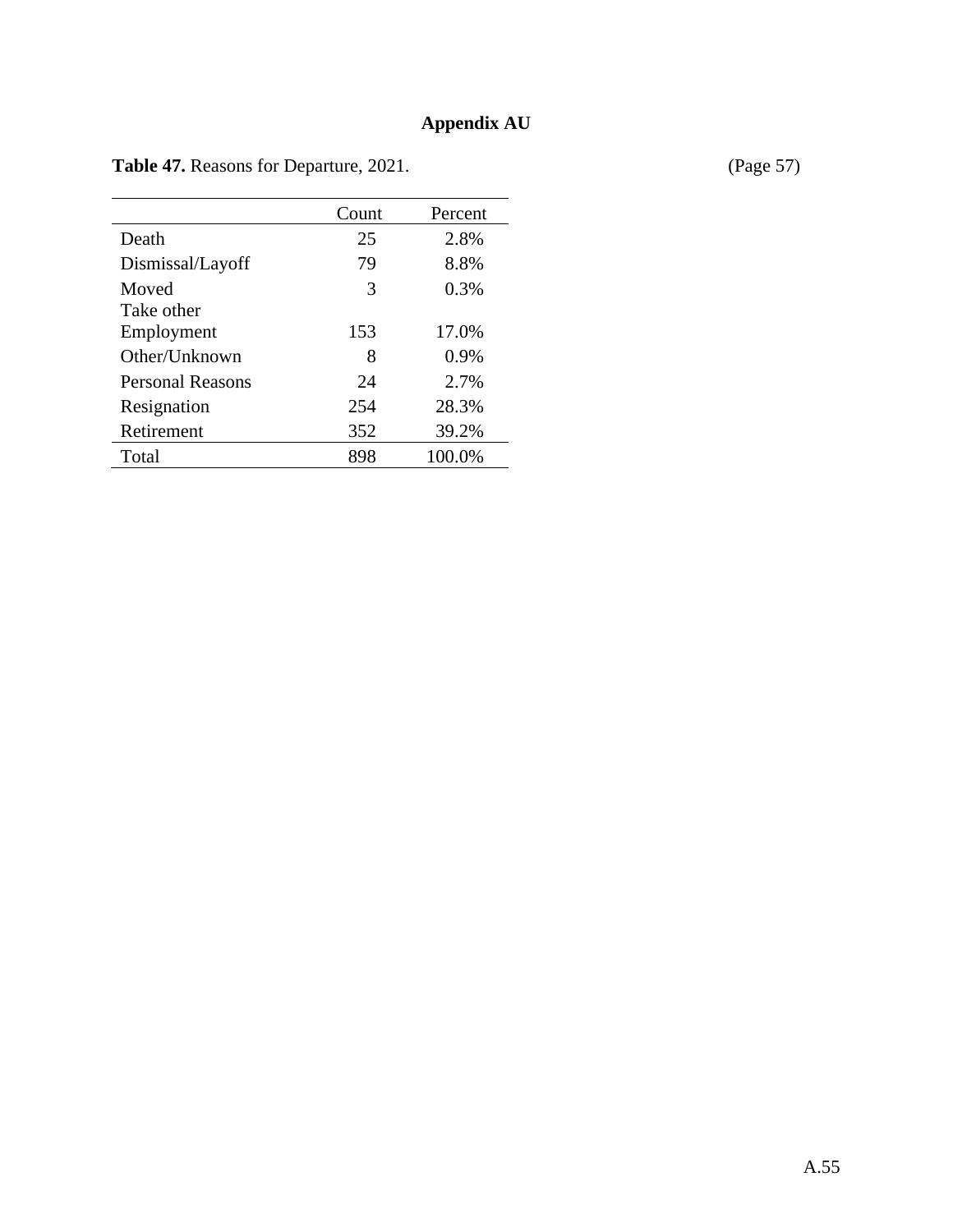|                  | Count | Percent |
|------------------|-------|---------|
| Death            | 25    | 2.8%    |
| Dismissal/Layoff | 79    | 8.8%    |
| Moved            | 3     | 0.3%    |
| Take other       |       |         |
| Employment       | 153   | 17.0%   |
| Other/Unknown    | 8     | 0.9%    |
| Personal Reasons | 24    | 2.7%    |
| Resignation      | 254   | 28.3%   |
| Retirement       | 352   | 39.2%   |
| Total            | 898   | 100.0%  |

Table 47. Reasons for Departure, 2021. (Page 57)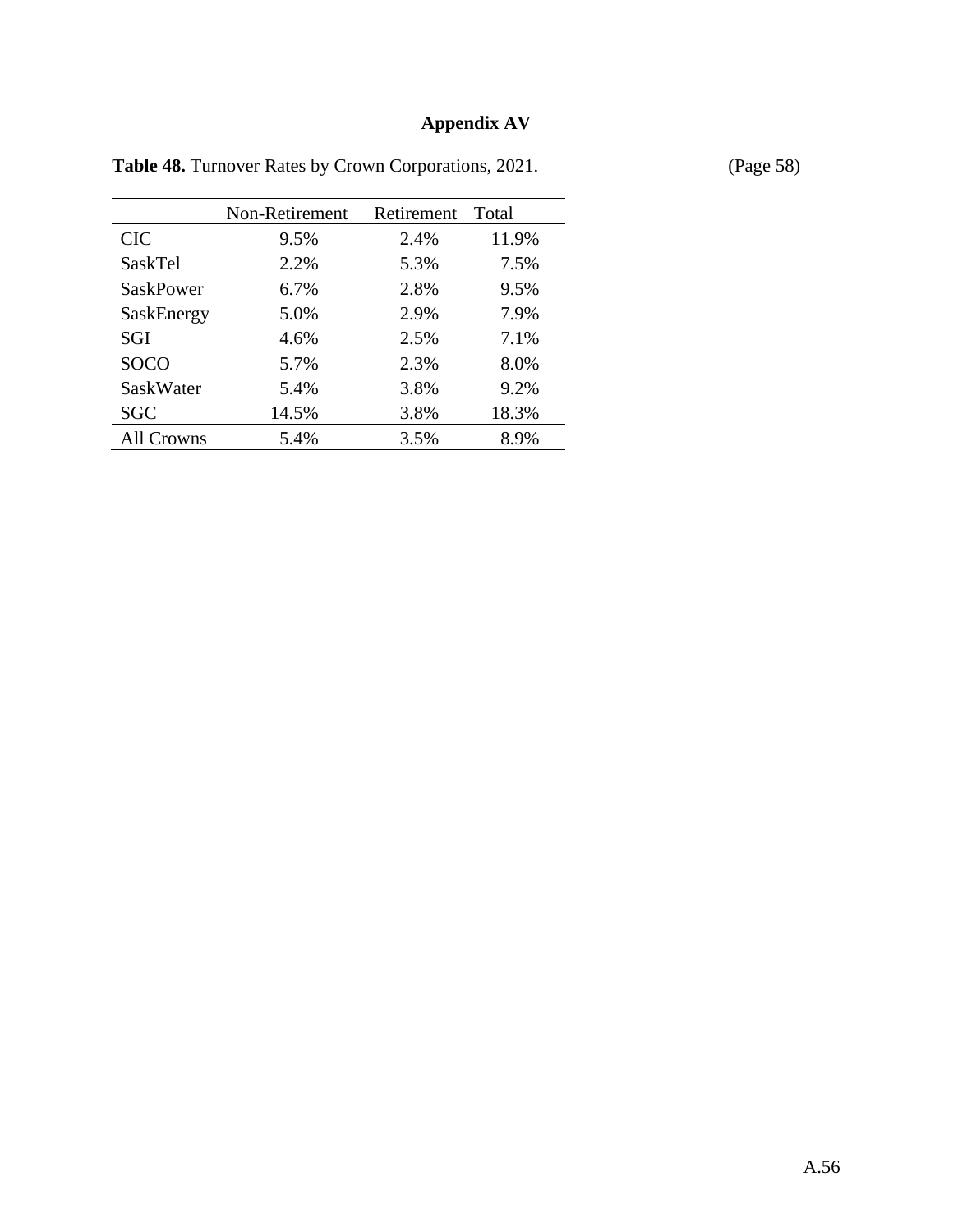# **Appendix AV**

|                  | Non-Retirement | Retirement | Total |
|------------------|----------------|------------|-------|
| <b>CIC</b>       | 9.5%           | 2.4%       | 11.9% |
| SaskTel          | 2.2%           | 5.3%       | 7.5%  |
| <b>SaskPower</b> | 6.7%           | 2.8%       | 9.5%  |
| SaskEnergy       | 5.0%           | 2.9%       | 7.9%  |
| SGI              | 4.6%           | 2.5%       | 7.1%  |
| <b>SOCO</b>      | 5.7%           | 2.3%       | 8.0%  |
| SaskWater        | 5.4%           | 3.8%       | 9.2%  |
| <b>SGC</b>       | 14.5%          | 3.8%       | 18.3% |
| All Crowns       | 5.4%           | 3.5%       | 8.9%  |

Table 48. Turnover Rates by Crown Corporations, 2021. (Page 58)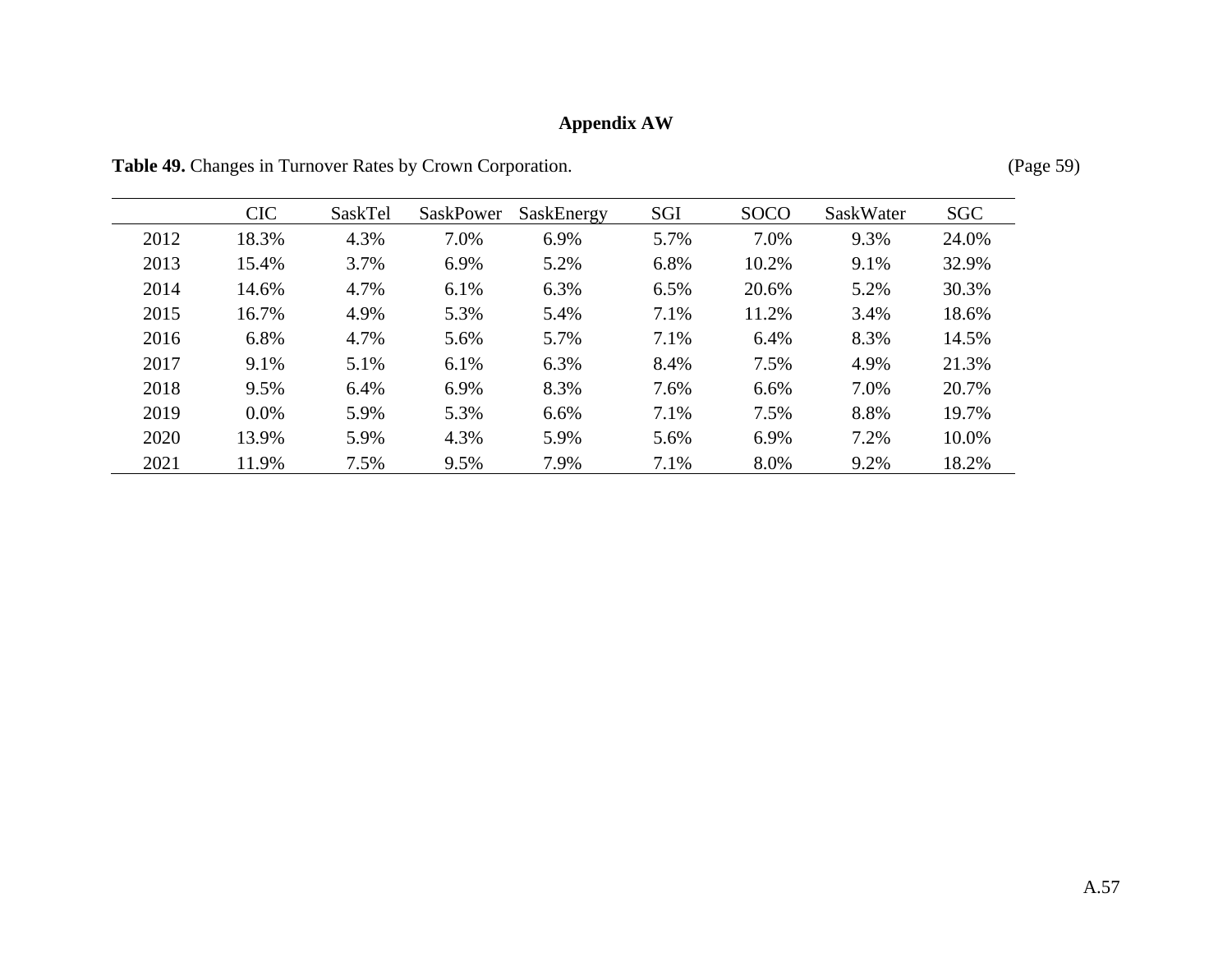# **Appendix AW**

|      | <b>CIC</b> | SaskTel | SaskPower | SaskEnergy | SGI  | <b>SOCO</b> | SaskWater | <b>SGC</b> |
|------|------------|---------|-----------|------------|------|-------------|-----------|------------|
| 2012 | 18.3%      | 4.3%    | 7.0%      | 6.9%       | 5.7% | 7.0%        | 9.3%      | 24.0%      |
| 2013 | 15.4%      | 3.7%    | 6.9%      | 5.2%       | 6.8% | 10.2%       | 9.1%      | 32.9%      |
| 2014 | 14.6%      | 4.7%    | 6.1%      | 6.3%       | 6.5% | 20.6%       | 5.2%      | 30.3%      |
| 2015 | 16.7%      | 4.9%    | 5.3%      | 5.4%       | 7.1% | 11.2%       | 3.4%      | 18.6%      |
| 2016 | 6.8%       | 4.7%    | 5.6%      | 5.7%       | 7.1% | 6.4%        | 8.3%      | 14.5%      |
| 2017 | 9.1%       | 5.1%    | 6.1%      | 6.3%       | 8.4% | 7.5%        | 4.9%      | 21.3%      |
| 2018 | 9.5%       | 6.4%    | 6.9%      | 8.3%       | 7.6% | 6.6%        | 7.0%      | 20.7%      |
| 2019 | $0.0\%$    | 5.9%    | 5.3%      | 6.6%       | 7.1% | 7.5%        | 8.8%      | 19.7%      |
| 2020 | 13.9%      | 5.9%    | 4.3%      | 5.9%       | 5.6% | 6.9%        | 7.2%      | 10.0%      |
| 2021 | 11.9%      | 7.5%    | 9.5%      | 7.9%       | 7.1% | 8.0%        | 9.2%      | 18.2%      |

Table 49. Changes in Turnover Rates by Crown Corporation. (Page 59)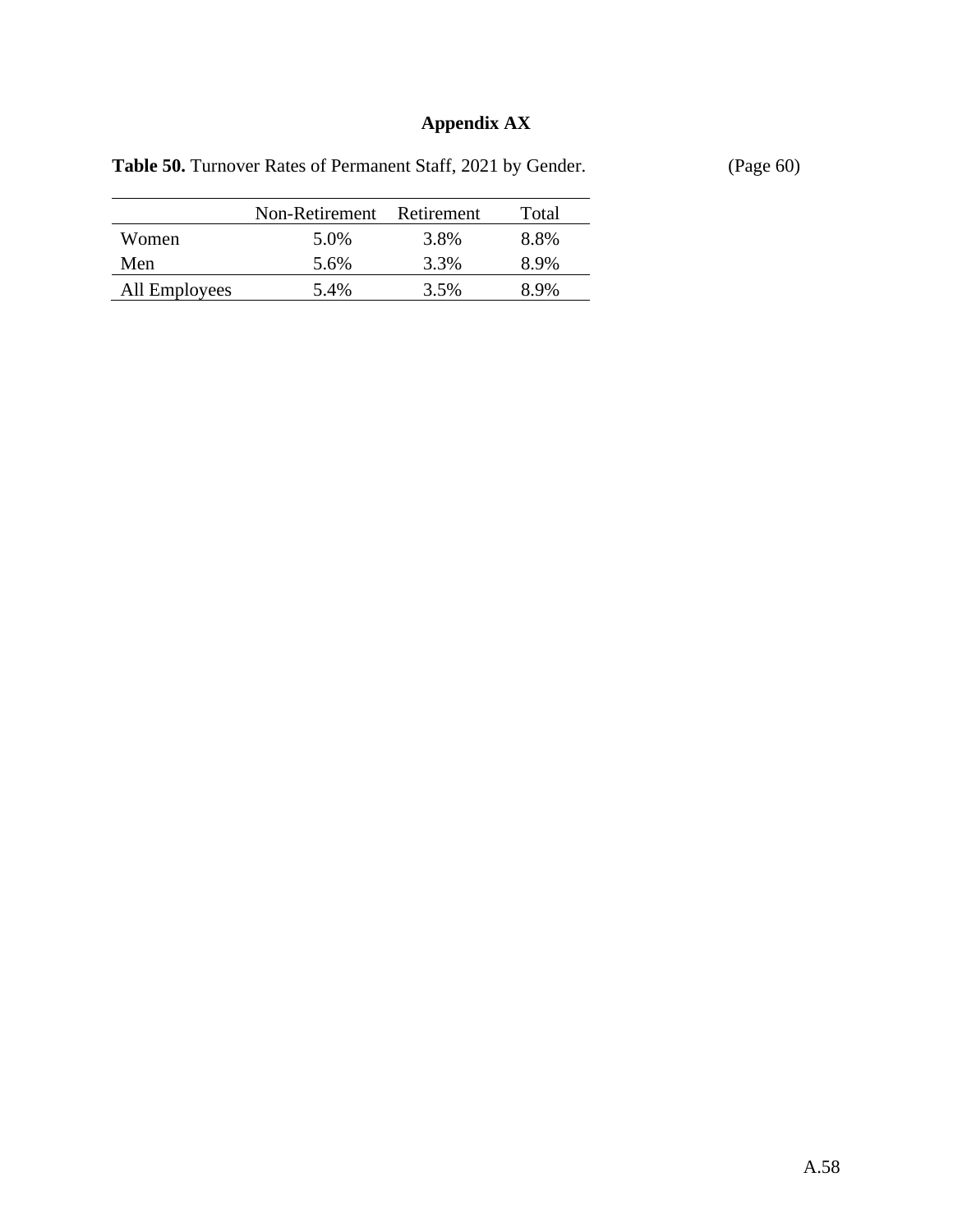# **Appendix AX**

|  |  |  | <b>Table 50.</b> Turnover Rates of Permanent Staff, 2021 by Gender. |  |  |  |
|--|--|--|---------------------------------------------------------------------|--|--|--|
|--|--|--|---------------------------------------------------------------------|--|--|--|

**(Page 60)** 

|               | Non-Retirement Retirement |      | Total            |
|---------------|---------------------------|------|------------------|
| Women         | 5.0%                      | 3.8% | 8.8%             |
| Men           | 5.6%                      | 3.3% | 8 9 <sub>%</sub> |
| All Employees | 5.4%                      | 3.5% | 89%              |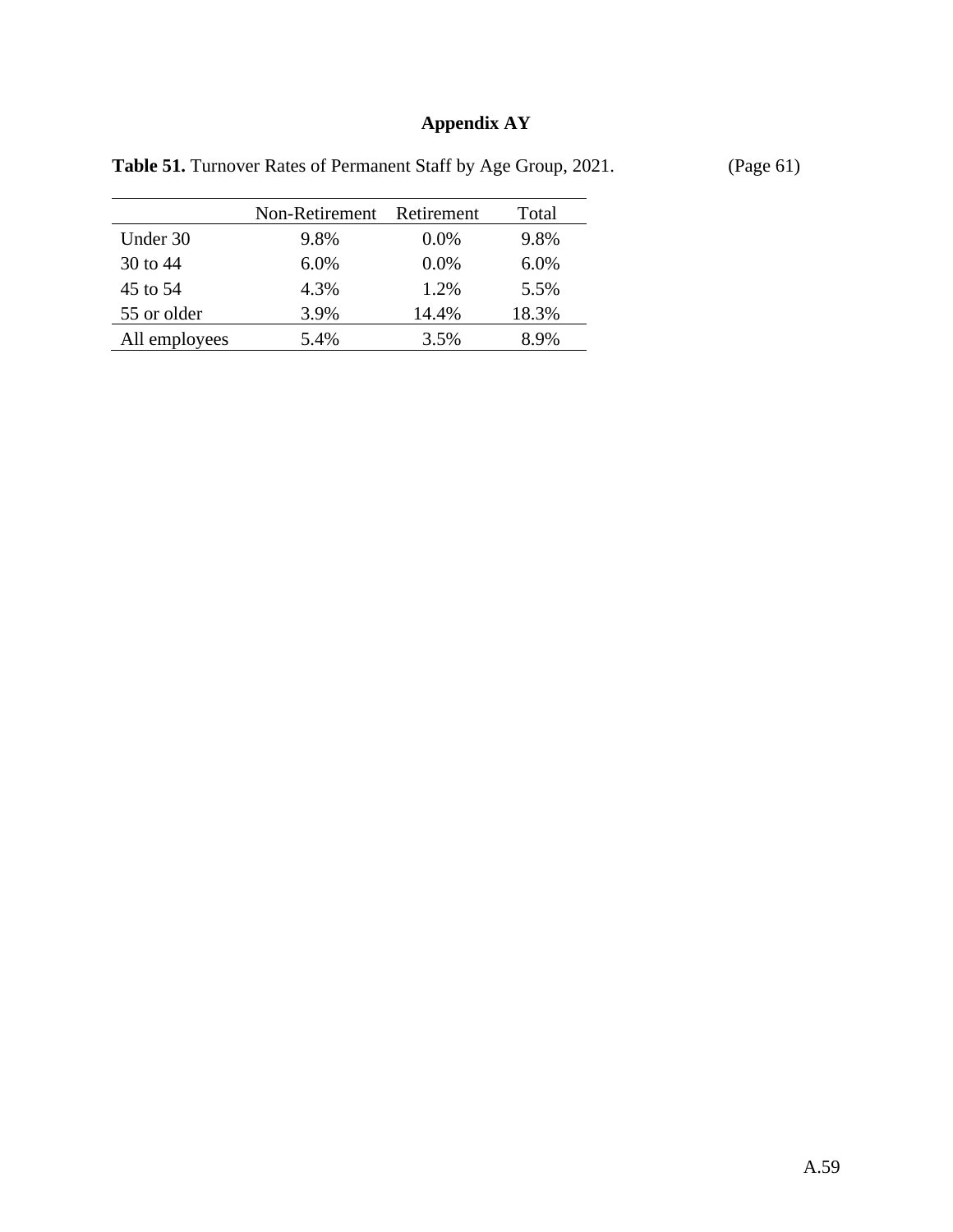# **Appendix AY**

|               | Non-Retirement | Retirement | Total |
|---------------|----------------|------------|-------|
| Under 30      | 9.8%           | $0.0\%$    | 9.8%  |
| 30 to $44$    | $6.0\%$        | $0.0\%$    | 6.0%  |
| 45 to 54      | 4.3%           | 1.2%       | 5.5%  |
| 55 or older   | 3.9%           | 14.4%      | 18.3% |
| All employees | 5.4%           | 3.5%       | 8.9%  |

Table 51. Turnover Rates of Permanent Staff by Age Group, 2021. (Page 61)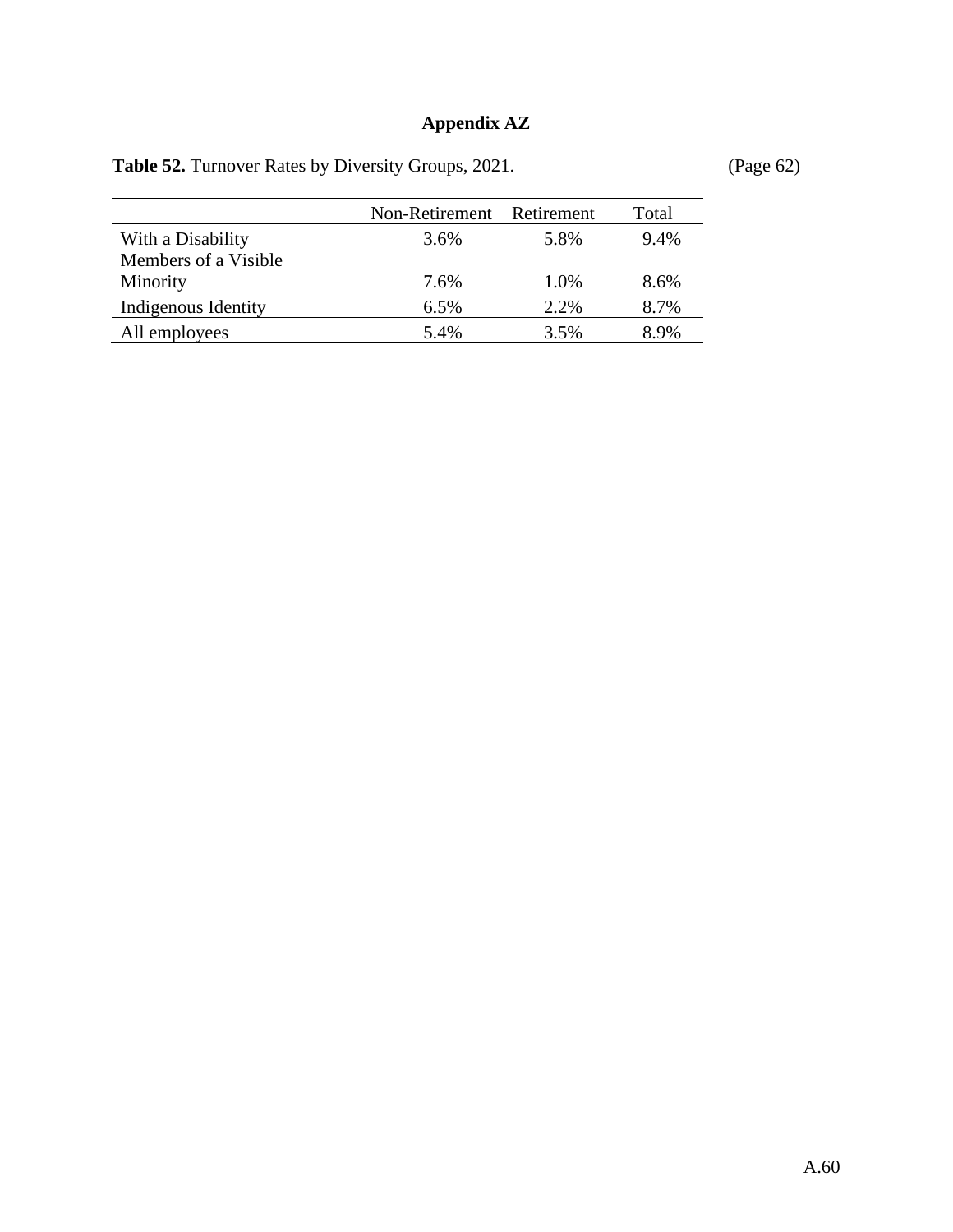## **Appendix AZ**

| Table 52. Turnover Rates by Diversity Groups, 2021. |  |  |  |  |  |  |  |  |  |
|-----------------------------------------------------|--|--|--|--|--|--|--|--|--|
|-----------------------------------------------------|--|--|--|--|--|--|--|--|--|

**Table 52. <b>Table 52. Table 52. Page 62 C** 

|                      | Non-Retirement | Retirement | Total |
|----------------------|----------------|------------|-------|
| With a Disability    | 3.6%           | 5.8%       | 9.4%  |
| Members of a Visible |                |            |       |
| Minority             | 7.6%           | 1.0%       | 8.6%  |
| Indigenous Identity  | 6.5%           | 2.2%       | 8.7%  |
| All employees        | 5.4%           | 3.5%       | 8.9%  |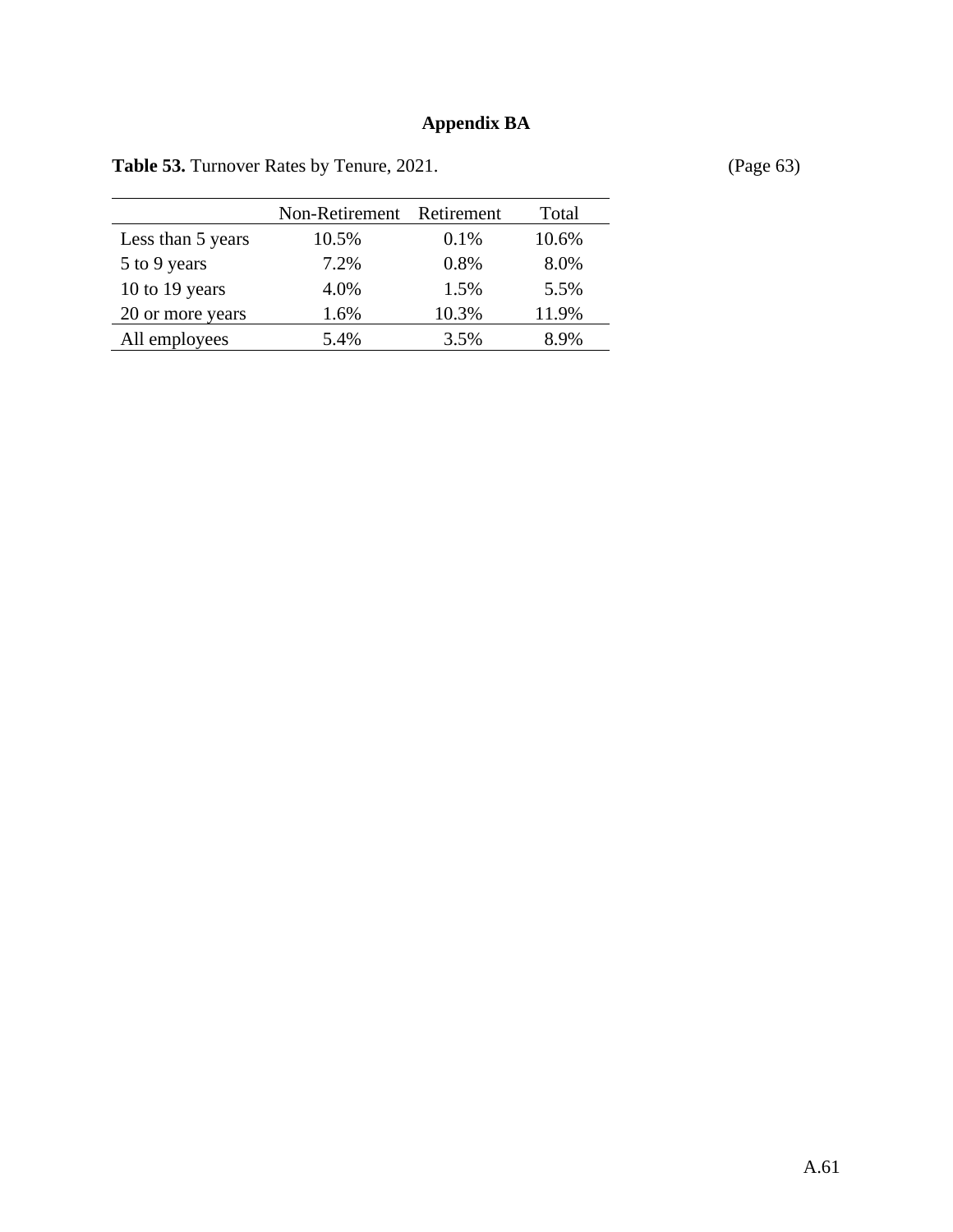## **Appendix BA**

|                   | Non-Retirement Retirement |         | Total |
|-------------------|---------------------------|---------|-------|
| Less than 5 years | 10.5%                     | $0.1\%$ | 10.6% |
| 5 to 9 years      | 7.2%                      | 0.8%    | 8.0%  |
| 10 to 19 years    | 4.0%                      | 1.5%    | 5.5%  |
| 20 or more years  | 1.6%                      | 10.3%   | 11.9% |
| All employees     | 5.4%                      | 3.5%    | 8.9%  |

Table 53. Turnover Rates by Tenure, 2021. (Page 63)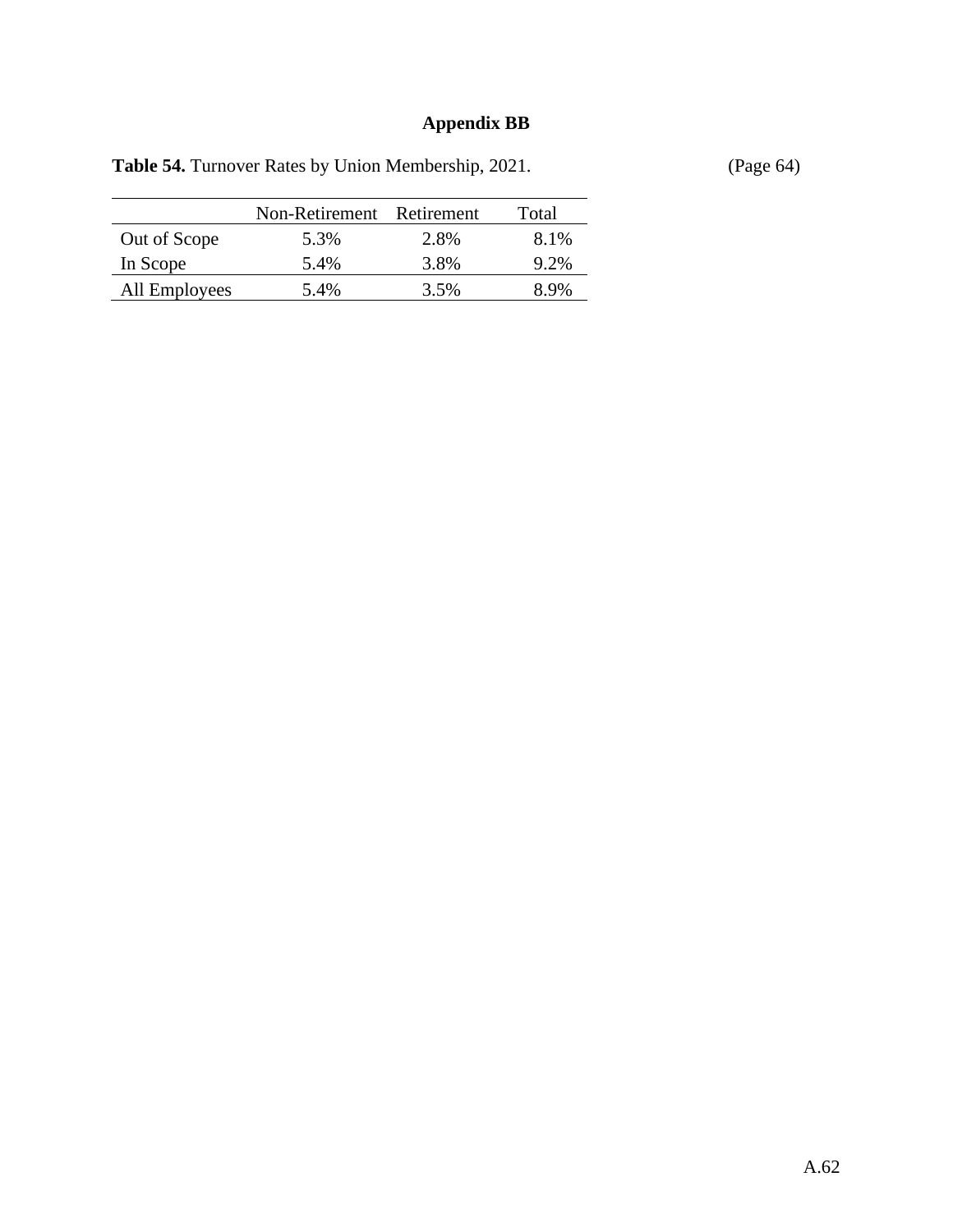## **Appendix BB**

| <b>rabic <math>5\pi</math>.</b> Furnover Kates by Omon Nichlocrship, $2021$ . |       |
|-------------------------------------------------------------------------------|-------|
| Non-Retirement Retirement                                                     | Total |
|                                                                               |       |

Table 54. Turnover Rates by Union Membership, 2021. (Page 64)

|               | Non-Retirement Retirement |      | Total |
|---------------|---------------------------|------|-------|
| Out of Scope  | 5.3%                      | 2.8% | 8.1%  |
| In Scope      | 5.4%                      | 3.8% | 9.2%  |
| All Employees | 5.4%                      | 3.5% | 89%   |
|               |                           |      |       |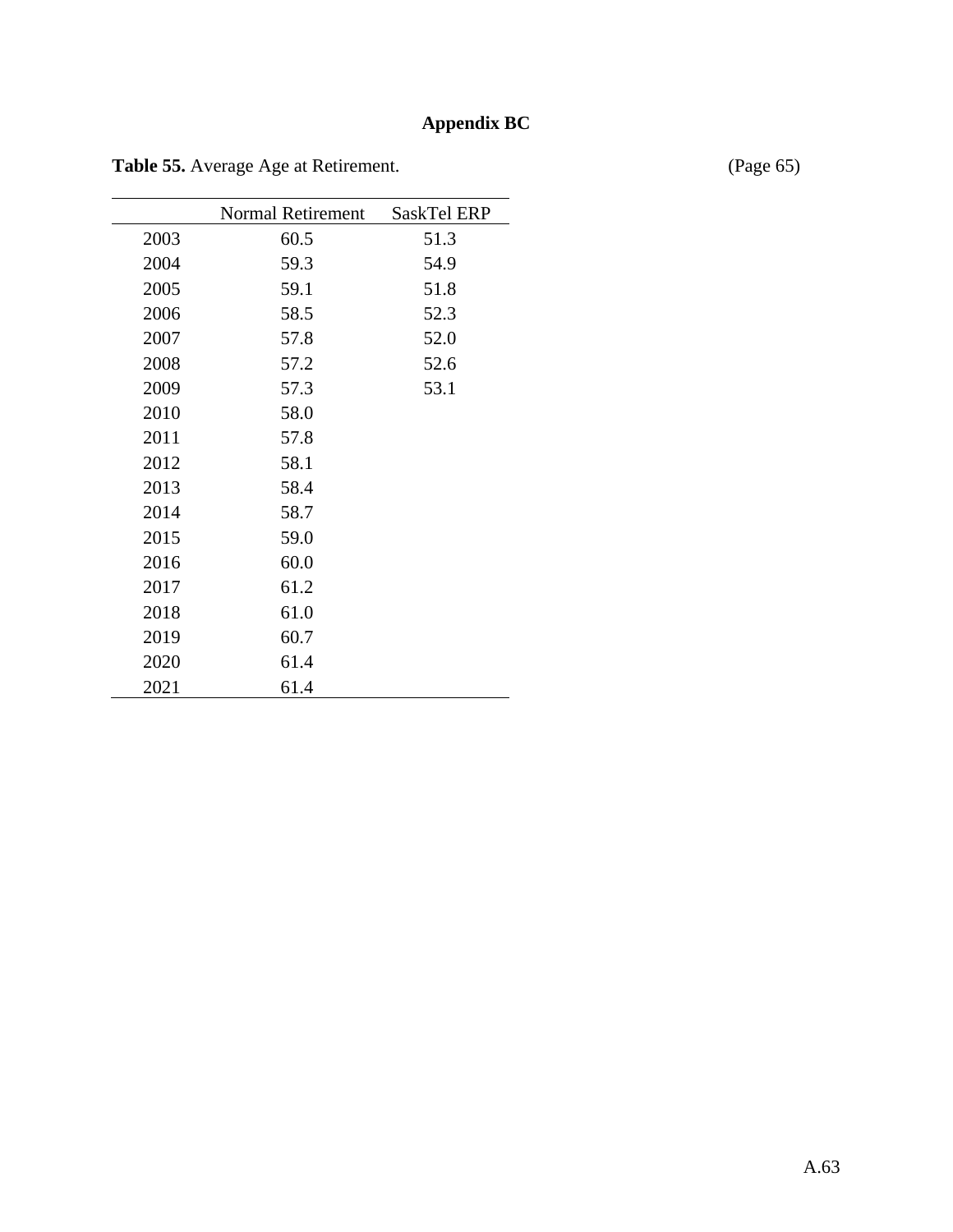## **Appendix BC**

|      | <b>Normal Retirement</b> | <b>SaskTel ERP</b> |
|------|--------------------------|--------------------|
| 2003 | 60.5                     | 51.3               |
| 2004 | 59.3                     | 54.9               |
| 2005 | 59.1                     | 51.8               |
| 2006 | 58.5                     | 52.3               |
| 2007 | 57.8                     | 52.0               |
| 2008 | 57.2                     | 52.6               |
| 2009 | 57.3                     | 53.1               |
| 2010 | 58.0                     |                    |
| 2011 | 57.8                     |                    |
| 2012 | 58.1                     |                    |
| 2013 | 58.4                     |                    |
| 2014 | 58.7                     |                    |
| 2015 | 59.0                     |                    |
| 2016 | 60.0                     |                    |
| 2017 | 61.2                     |                    |
| 2018 | 61.0                     |                    |
| 2019 | 60.7                     |                    |
| 2020 | 61.4                     |                    |
| 2021 | 61.4                     |                    |

Table 55. Average Age at Retirement. (Page 65)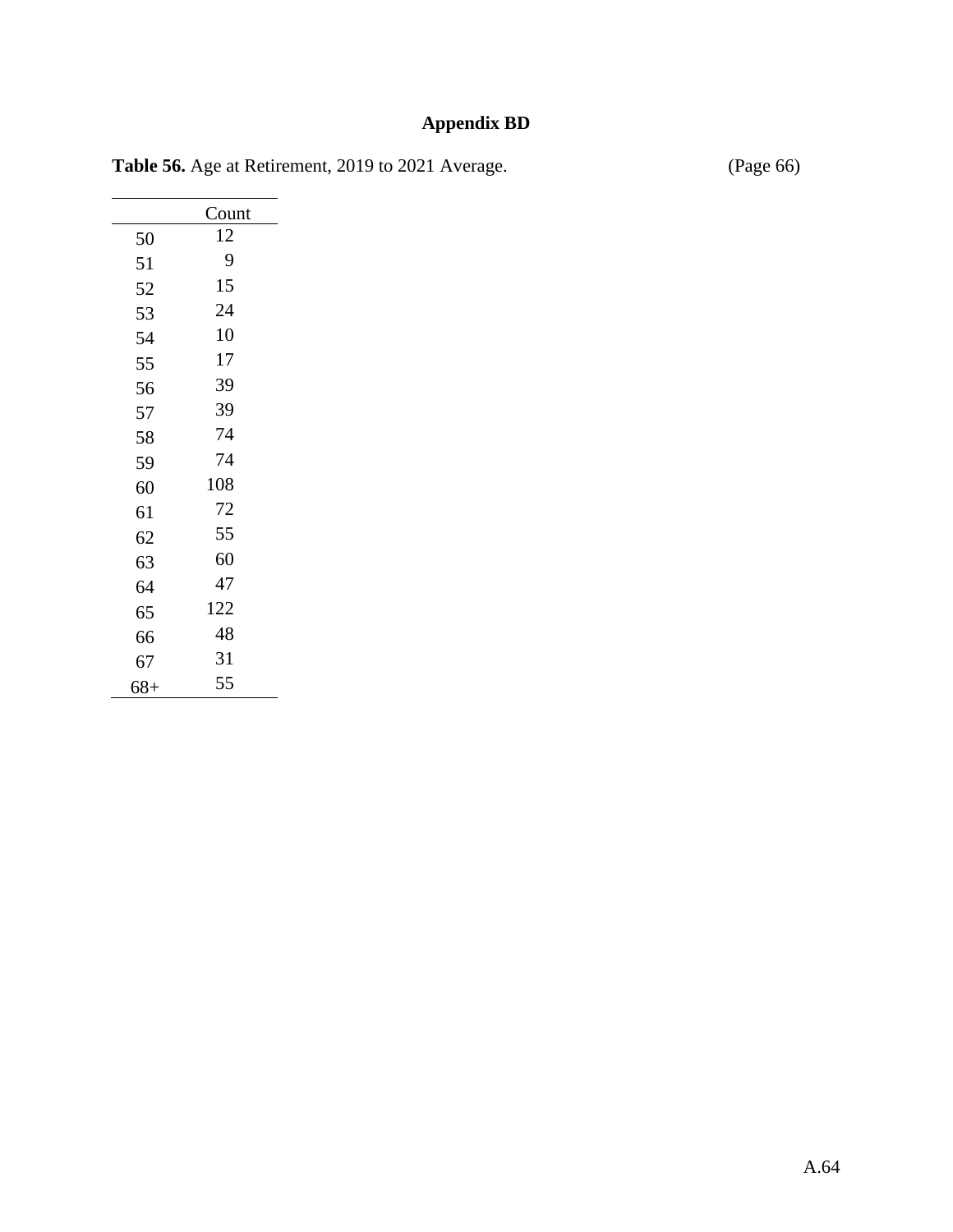## **Appendix BD**

| Table 56. Age at Retirement, 2019 to 2021 Average. | (Page 66) |
|----------------------------------------------------|-----------|
|                                                    |           |

|       | Count |
|-------|-------|
| 50    | 12    |
| 51    | 9     |
| 52    | 15    |
| 53    | 24    |
| 54    | 10    |
| 55    | 17    |
| 56    | 39    |
| 57    | 39    |
| 58    | 74    |
| 59    | 74    |
| 60    | 108   |
| 61    | 72    |
| 62    | 55    |
| 63    | 60    |
| 64    | 47    |
| 65    | 122   |
| 66    | 48    |
| 67    | 31    |
| $68+$ | 55    |